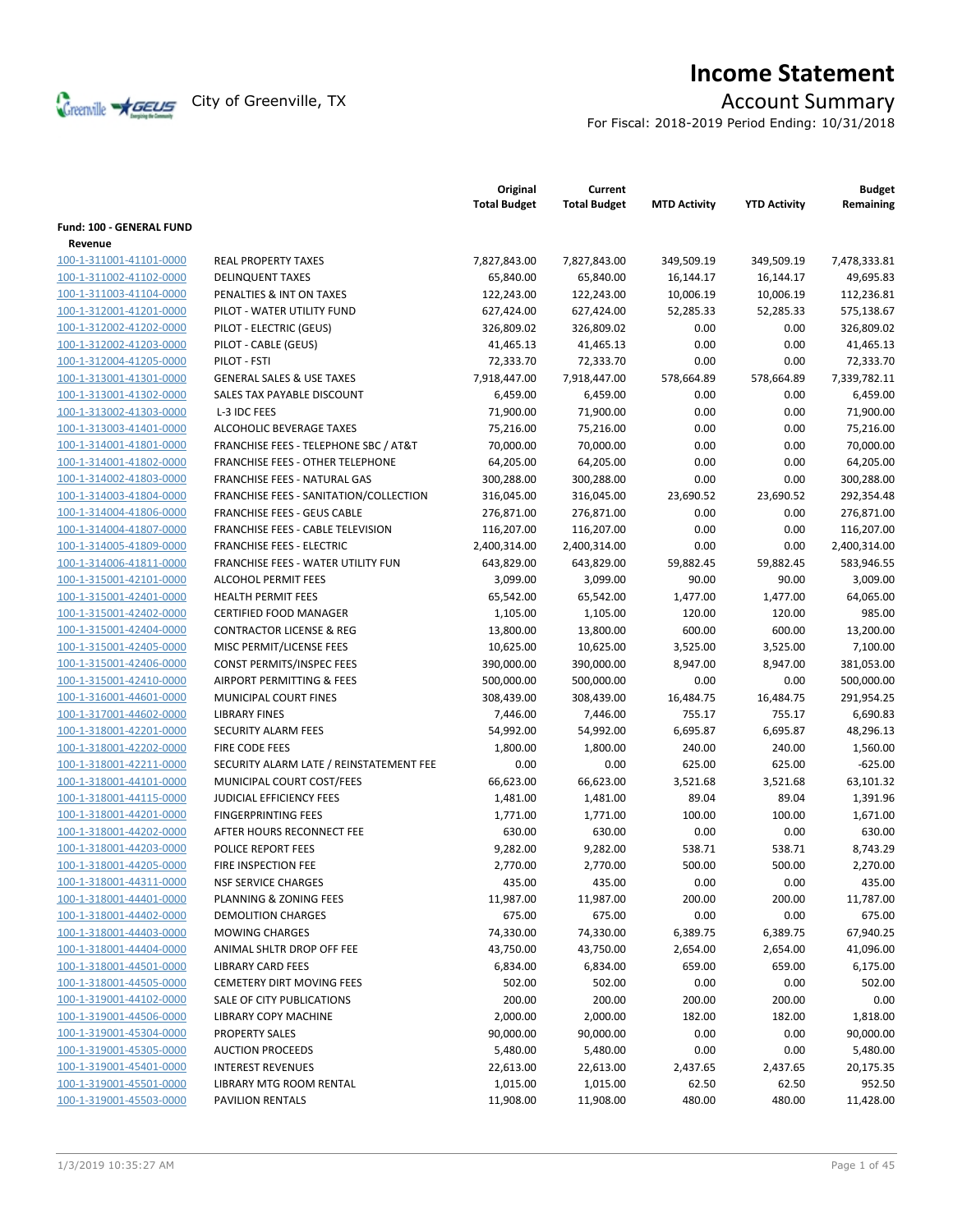

# **Income Statement**

For Fiscal: 2018-2019 Period Ending: 10/31/2018

|                                     |                                           | Original<br><b>Total Budget</b> | Current<br><b>Total Budget</b> | <b>MTD Activity</b> | <b>YTD Activity</b> | <b>Budget</b><br>Remaining |
|-------------------------------------|-------------------------------------------|---------------------------------|--------------------------------|---------------------|---------------------|----------------------------|
| Fund: 100 - GENERAL FUND<br>Revenue |                                           |                                 |                                |                     |                     |                            |
| 100-1-311001-41101-0000             | <b>REAL PROPERTY TAXES</b>                | 7,827,843.00                    | 7,827,843.00                   | 349,509.19          | 349,509.19          | 7,478,333.81               |
| 100-1-311002-41102-0000             | <b>DELINQUENT TAXES</b>                   | 65,840.00                       | 65,840.00                      | 16,144.17           | 16,144.17           | 49,695.83                  |
| 100-1-311003-41104-0000             | PENALTIES & INT ON TAXES                  | 122,243.00                      | 122,243.00                     | 10,006.19           | 10,006.19           | 112,236.81                 |
| 100-1-312001-41201-0000             | PILOT - WATER UTILITY FUND                | 627,424.00                      | 627,424.00                     | 52,285.33           | 52,285.33           | 575,138.67                 |
| 100-1-312002-41202-0000             | PILOT - ELECTRIC (GEUS)                   | 326,809.02                      | 326,809.02                     | 0.00                | 0.00                | 326,809.02                 |
| 100-1-312002-41203-0000             | PILOT - CABLE (GEUS)                      | 41,465.13                       | 41,465.13                      | 0.00                | 0.00                | 41,465.13                  |
| 100-1-312004-41205-0000             | PILOT - FSTI                              | 72,333.70                       | 72,333.70                      | 0.00                | 0.00                | 72,333.70                  |
| 100-1-313001-41301-0000             | <b>GENERAL SALES &amp; USE TAXES</b>      | 7,918,447.00                    | 7,918,447.00                   | 578,664.89          | 578,664.89          | 7,339,782.11               |
| 100-1-313001-41302-0000             | SALES TAX PAYABLE DISCOUNT                | 6,459.00                        | 6,459.00                       | 0.00                | 0.00                | 6,459.00                   |
| 100-1-313002-41303-0000             | L-3 IDC FEES                              | 71,900.00                       | 71,900.00                      | 0.00                | 0.00                | 71,900.00                  |
| 100-1-313003-41401-0000             | ALCOHOLIC BEVERAGE TAXES                  | 75,216.00                       | 75,216.00                      | 0.00                | 0.00                | 75,216.00                  |
| 100-1-314001-41801-0000             | FRANCHISE FEES - TELEPHONE SBC / AT&T     | 70,000.00                       | 70,000.00                      | 0.00                | 0.00                | 70,000.00                  |
|                                     | <b>FRANCHISE FEES - OTHER TELEPHONE</b>   |                                 |                                | 0.00                | 0.00                | 64,205.00                  |
| 100-1-314001-41802-0000             |                                           | 64,205.00                       | 64,205.00                      |                     |                     |                            |
| 100-1-314002-41803-0000             | <b>FRANCHISE FEES - NATURAL GAS</b>       | 300,288.00                      | 300,288.00                     | 0.00                | 0.00                | 300,288.00                 |
| 100-1-314003-41804-0000             | FRANCHISE FEES - SANITATION/COLLECTION    | 316,045.00                      | 316,045.00                     | 23,690.52           | 23,690.52           | 292,354.48                 |
| 100-1-314004-41806-0000             | <b>FRANCHISE FEES - GEUS CABLE</b>        | 276,871.00                      | 276,871.00                     | 0.00                | 0.00                | 276,871.00                 |
| 100-1-314004-41807-0000             | FRANCHISE FEES - CABLE TELEVISION         | 116,207.00                      | 116,207.00                     | 0.00                | 0.00                | 116,207.00                 |
| 100-1-314005-41809-0000             | <b>FRANCHISE FEES - ELECTRIC</b>          | 2,400,314.00                    | 2,400,314.00                   | 0.00                | 0.00                | 2,400,314.00               |
| 100-1-314006-41811-0000             | <b>FRANCHISE FEES - WATER UTILITY FUN</b> | 643,829.00                      | 643,829.00                     | 59,882.45           | 59,882.45           | 583,946.55                 |
| 100-1-315001-42101-0000             | <b>ALCOHOL PERMIT FEES</b>                | 3,099.00                        | 3,099.00                       | 90.00               | 90.00               | 3,009.00                   |
| 100-1-315001-42401-0000             | <b>HEALTH PERMIT FEES</b>                 | 65,542.00                       | 65,542.00                      | 1,477.00            | 1,477.00            | 64,065.00                  |
| 100-1-315001-42402-0000             | <b>CERTIFIED FOOD MANAGER</b>             | 1,105.00                        | 1,105.00                       | 120.00              | 120.00              | 985.00                     |
| 100-1-315001-42404-0000             | <b>CONTRACTOR LICENSE &amp; REG</b>       | 13,800.00                       | 13,800.00                      | 600.00              | 600.00              | 13,200.00                  |
| 100-1-315001-42405-0000             | MISC PERMIT/LICENSE FEES                  | 10,625.00                       | 10,625.00                      | 3,525.00            | 3,525.00            | 7,100.00                   |
| 100-1-315001-42406-0000             | CONST PERMITS/INSPEC FEES                 | 390,000.00                      | 390,000.00                     | 8,947.00            | 8,947.00            | 381,053.00                 |
| 100-1-315001-42410-0000             | AIRPORT PERMITTING & FEES                 | 500,000.00                      | 500,000.00                     | 0.00                | 0.00                | 500,000.00                 |
| 100-1-316001-44601-0000             | MUNICIPAL COURT FINES                     | 308,439.00                      | 308,439.00                     | 16,484.75           | 16,484.75           | 291,954.25                 |
| 100-1-317001-44602-0000             | <b>LIBRARY FINES</b>                      | 7,446.00                        | 7,446.00                       | 755.17              | 755.17              | 6,690.83                   |
| 100-1-318001-42201-0000             | <b>SECURITY ALARM FEES</b>                | 54,992.00                       | 54,992.00                      | 6,695.87            | 6,695.87            | 48,296.13                  |
| 100-1-318001-42202-0000             | FIRE CODE FEES                            | 1,800.00                        | 1,800.00                       | 240.00              | 240.00              | 1,560.00                   |
| 100-1-318001-42211-0000             | SECURITY ALARM LATE / REINSTATEMENT FEE   | 0.00                            | 0.00                           | 625.00              | 625.00              | $-625.00$                  |
| 100-1-318001-44101-0000             | MUNICIPAL COURT COST/FEES                 | 66,623.00                       | 66,623.00                      | 3,521.68            | 3,521.68            | 63,101.32                  |
| 100-1-318001-44115-0000             | <b>JUDICIAL EFFICIENCY FEES</b>           | 1,481.00                        | 1,481.00                       | 89.04               | 89.04               | 1,391.96                   |
| 100-1-318001-44201-0000             | <b>FINGERPRINTING FEES</b>                | 1,771.00                        | 1,771.00                       | 100.00              | 100.00              | 1,671.00                   |
| 100-1-318001-44202-0000             | AFTER HOURS RECONNECT FEE                 | 630.00                          | 630.00                         | 0.00                | 0.00                | 630.00                     |
| 100-1-318001-44203-0000             | POLICE REPORT FEES                        | 9,282.00                        | 9,282.00                       | 538.71              | 538.71              | 8,743.29                   |
| 100-1-318001-44205-0000             | FIRE INSPECTION FEE                       | 2,770.00                        | 2,770.00                       | 500.00              | 500.00              | 2,270.00                   |
| 100-1-318001-44311-0000             | <b>NSF SERVICE CHARGES</b>                | 435.00                          | 435.00                         | 0.00                | 0.00                | 435.00                     |
| 100-1-318001-44401-0000             | <b>PLANNING &amp; ZONING FEES</b>         | 11,987.00                       | 11,987.00                      | 200.00              | 200.00              | 11,787.00                  |
| 100-1-318001-44402-0000             | <b>DEMOLITION CHARGES</b>                 | 675.00                          | 675.00                         | 0.00                | 0.00                | 675.00                     |
| 100-1-318001-44403-0000             | <b>MOWING CHARGES</b>                     | 74,330.00                       | 74,330.00                      | 6,389.75            | 6,389.75            | 67,940.25                  |
| 100-1-318001-44404-0000             | ANIMAL SHLTR DROP OFF FEE                 | 43,750.00                       | 43,750.00                      | 2,654.00            | 2,654.00            | 41,096.00                  |
| 100-1-318001-44501-0000             | <b>LIBRARY CARD FEES</b>                  | 6,834.00                        | 6,834.00                       | 659.00              | 659.00              | 6,175.00                   |
| 100-1-318001-44505-0000             | <b>CEMETERY DIRT MOVING FEES</b>          | 502.00                          | 502.00                         | 0.00                | 0.00                | 502.00                     |
| 100-1-319001-44102-0000             | SALE OF CITY PUBLICATIONS                 | 200.00                          | 200.00                         | 200.00              | 200.00              | 0.00                       |
| 100-1-319001-44506-0000             | LIBRARY COPY MACHINE                      | 2,000.00                        | 2,000.00                       | 182.00              | 182.00              | 1,818.00                   |
| 100-1-319001-45304-0000             | PROPERTY SALES                            | 90,000.00                       | 90,000.00                      | 0.00                | 0.00                | 90,000.00                  |
| 100-1-319001-45305-0000             | <b>AUCTION PROCEEDS</b>                   | 5,480.00                        | 5,480.00                       | 0.00                | 0.00                | 5,480.00                   |
| 100-1-319001-45401-0000             | <b>INTEREST REVENUES</b>                  | 22,613.00                       | 22,613.00                      | 2,437.65            | 2,437.65            | 20,175.35                  |
| 100-1-319001-45501-0000             | LIBRARY MTG ROOM RENTAL                   | 1,015.00                        | 1,015.00                       | 62.50               | 62.50               | 952.50                     |
| 100-1-319001-45503-0000             | PAVILION RENTALS                          | 11,908.00                       | 11,908.00                      | 480.00              | 480.00              | 11,428.00                  |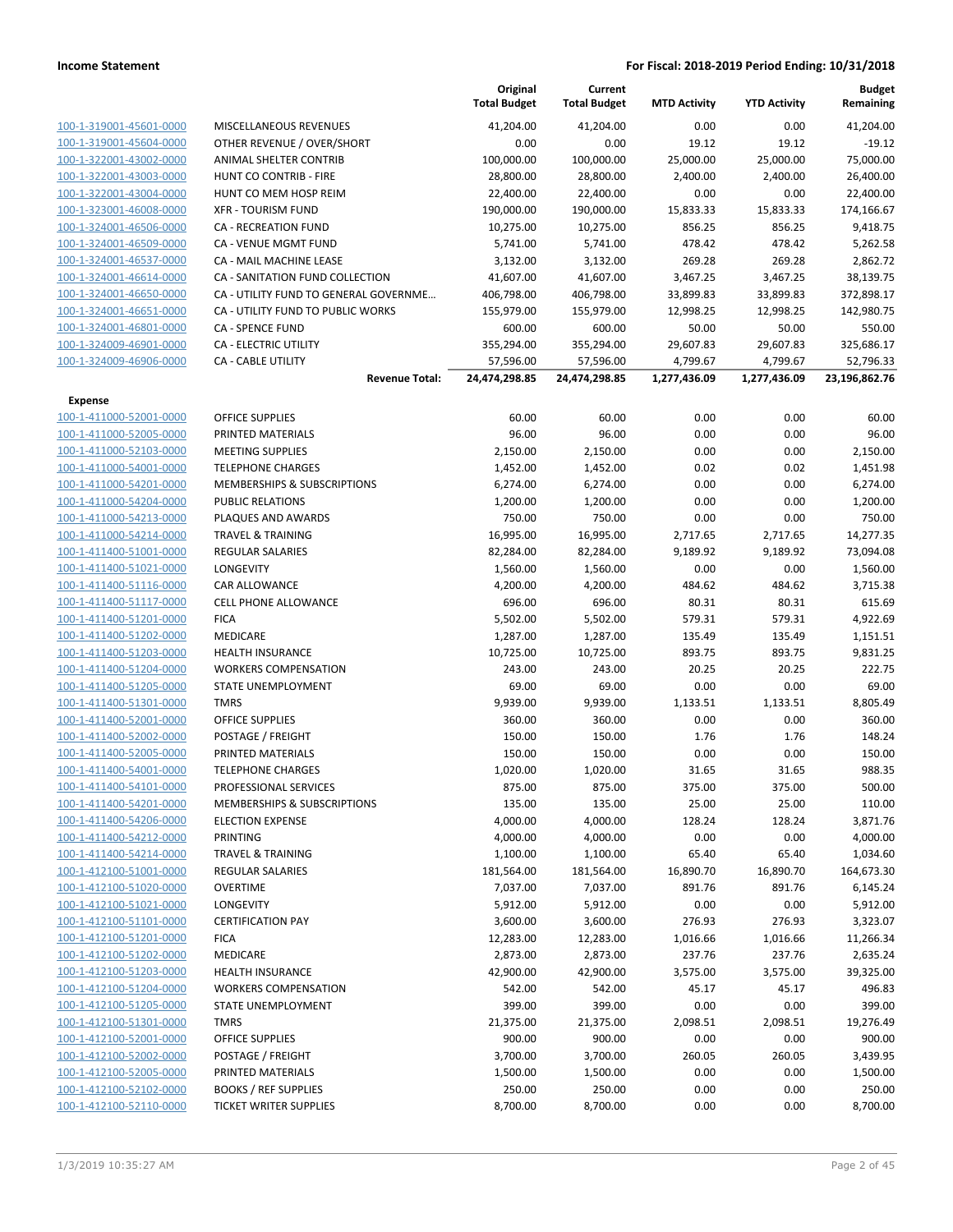|                                                    |                                                                 | Original<br><b>Total Budget</b> | Current<br><b>Total Budget</b> | <b>MTD Activity</b> | <b>YTD Activity</b> | <b>Budget</b><br>Remaining |
|----------------------------------------------------|-----------------------------------------------------------------|---------------------------------|--------------------------------|---------------------|---------------------|----------------------------|
| 100-1-319001-45601-0000                            | MISCELLANEOUS REVENUES                                          | 41,204.00                       | 41,204.00                      | 0.00                | 0.00                | 41,204.00                  |
| 100-1-319001-45604-0000                            | OTHER REVENUE / OVER/SHORT                                      | 0.00                            | 0.00                           | 19.12               | 19.12               | $-19.12$                   |
| 100-1-322001-43002-0000                            | ANIMAL SHELTER CONTRIB                                          | 100,000.00                      | 100,000.00                     | 25,000.00           | 25,000.00           | 75,000.00                  |
| 100-1-322001-43003-0000                            | HUNT CO CONTRIB - FIRE                                          | 28,800.00                       | 28,800.00                      | 2,400.00            | 2,400.00            | 26,400.00                  |
| 100-1-322001-43004-0000                            | HUNT CO MEM HOSP REIM                                           | 22,400.00                       | 22,400.00                      | 0.00                | 0.00                | 22,400.00                  |
| 100-1-323001-46008-0000                            | <b>XFR - TOURISM FUND</b>                                       | 190,000.00                      | 190,000.00                     | 15,833.33           | 15,833.33           | 174,166.67                 |
| 100-1-324001-46506-0000                            | <b>CA - RECREATION FUND</b>                                     | 10,275.00                       | 10,275.00                      | 856.25              | 856.25              | 9,418.75                   |
| 100-1-324001-46509-0000                            | CA - VENUE MGMT FUND                                            | 5,741.00                        | 5,741.00                       | 478.42              | 478.42              | 5,262.58                   |
| 100-1-324001-46537-0000                            | CA - MAIL MACHINE LEASE                                         | 3,132.00                        | 3,132.00                       | 269.28              | 269.28              | 2,862.72                   |
| 100-1-324001-46614-0000                            | CA - SANITATION FUND COLLECTION                                 | 41,607.00                       | 41,607.00                      | 3,467.25            | 3,467.25            | 38,139.75                  |
| 100-1-324001-46650-0000                            | CA - UTILITY FUND TO GENERAL GOVERNME                           | 406,798.00                      | 406,798.00                     | 33,899.83           | 33,899.83           | 372,898.17                 |
| 100-1-324001-46651-0000                            | CA - UTILITY FUND TO PUBLIC WORKS                               | 155,979.00                      | 155,979.00                     | 12,998.25           | 12,998.25           | 142,980.75                 |
| 100-1-324001-46801-0000                            | <b>CA - SPENCE FUND</b>                                         | 600.00                          | 600.00                         | 50.00               | 50.00               | 550.00                     |
| 100-1-324009-46901-0000                            | CA - ELECTRIC UTILITY                                           | 355,294.00                      | 355,294.00                     | 29,607.83           | 29,607.83           | 325,686.17                 |
| 100-1-324009-46906-0000                            | CA - CABLE UTILITY                                              | 57,596.00                       | 57,596.00                      | 4,799.67            | 4,799.67            | 52,796.33                  |
|                                                    | <b>Revenue Total:</b>                                           | 24,474,298.85                   | 24,474,298.85                  | 1,277,436.09        | 1,277,436.09        | 23,196,862.76              |
| <b>Expense</b>                                     |                                                                 |                                 |                                |                     |                     |                            |
| 100-1-411000-52001-0000                            | <b>OFFICE SUPPLIES</b>                                          | 60.00                           | 60.00                          | 0.00                | 0.00                | 60.00                      |
| 100-1-411000-52005-0000                            | PRINTED MATERIALS                                               | 96.00                           | 96.00                          | 0.00                | 0.00                | 96.00                      |
| 100-1-411000-52103-0000                            | <b>MEETING SUPPLIES</b>                                         | 2,150.00                        | 2,150.00                       | 0.00                | 0.00                | 2,150.00                   |
| 100-1-411000-54001-0000                            | <b>TELEPHONE CHARGES</b>                                        | 1,452.00                        | 1,452.00                       | 0.02                | 0.02                | 1,451.98                   |
| 100-1-411000-54201-0000                            | <b>MEMBERSHIPS &amp; SUBSCRIPTIONS</b>                          | 6,274.00                        | 6,274.00                       | 0.00                | 0.00                | 6,274.00                   |
| 100-1-411000-54204-0000                            | <b>PUBLIC RELATIONS</b>                                         | 1,200.00                        | 1,200.00                       | 0.00                | 0.00                | 1,200.00                   |
| 100-1-411000-54213-0000                            | PLAQUES AND AWARDS                                              | 750.00                          | 750.00                         | 0.00                | 0.00                | 750.00                     |
| 100-1-411000-54214-0000                            | <b>TRAVEL &amp; TRAINING</b>                                    | 16,995.00                       | 16,995.00                      | 2,717.65            | 2,717.65            | 14,277.35                  |
| 100-1-411400-51001-0000                            | <b>REGULAR SALARIES</b>                                         | 82,284.00                       | 82,284.00                      | 9,189.92            | 9,189.92            | 73,094.08                  |
| 100-1-411400-51021-0000                            | LONGEVITY                                                       | 1,560.00                        | 1,560.00                       | 0.00                | 0.00                | 1,560.00                   |
| 100-1-411400-51116-0000                            | CAR ALLOWANCE                                                   | 4,200.00                        | 4,200.00                       | 484.62              | 484.62              | 3,715.38                   |
| 100-1-411400-51117-0000                            | <b>CELL PHONE ALLOWANCE</b>                                     | 696.00                          | 696.00                         | 80.31               | 80.31               | 615.69                     |
| 100-1-411400-51201-0000                            | <b>FICA</b>                                                     | 5,502.00                        | 5,502.00                       | 579.31              | 579.31              | 4,922.69                   |
| 100-1-411400-51202-0000                            | MEDICARE                                                        | 1,287.00                        | 1,287.00                       | 135.49              | 135.49              | 1,151.51                   |
| 100-1-411400-51203-0000                            | <b>HEALTH INSURANCE</b>                                         | 10,725.00                       | 10,725.00                      | 893.75              | 893.75              | 9,831.25                   |
| 100-1-411400-51204-0000                            | <b>WORKERS COMPENSATION</b><br><b>STATE UNEMPLOYMENT</b>        | 243.00                          | 243.00                         | 20.25               | 20.25               | 222.75                     |
| 100-1-411400-51205-0000<br>100-1-411400-51301-0000 |                                                                 | 69.00<br>9,939.00               | 69.00<br>9,939.00              | 0.00                | 0.00<br>1,133.51    | 69.00                      |
| 100-1-411400-52001-0000                            | <b>TMRS</b><br><b>OFFICE SUPPLIES</b>                           |                                 |                                | 1,133.51            |                     | 8,805.49<br>360.00         |
| 100-1-411400-52002-0000                            |                                                                 | 360.00                          | 360.00                         | 0.00                | 0.00                |                            |
|                                                    | POSTAGE / FREIGHT<br>PRINTED MATERIALS                          | 150.00                          | 150.00                         | 1.76                | 1.76                | 148.24                     |
| 100-1-411400-52005-0000<br>100-1-411400-54001-0000 | <b>TELEPHONE CHARGES</b>                                        | 150.00                          | 150.00                         | 0.00                | 0.00                | 150.00<br>988.35           |
| 100-1-411400-54101-0000                            |                                                                 | 1,020.00                        | 1,020.00                       | 31.65               | 31.65               |                            |
| 100-1-411400-54201-0000                            | PROFESSIONAL SERVICES<br><b>MEMBERSHIPS &amp; SUBSCRIPTIONS</b> | 875.00<br>135.00                | 875.00<br>135.00               | 375.00<br>25.00     | 375.00<br>25.00     | 500.00<br>110.00           |
| 100-1-411400-54206-0000                            | <b>ELECTION EXPENSE</b>                                         | 4,000.00                        | 4,000.00                       | 128.24              | 128.24              | 3,871.76                   |
| 100-1-411400-54212-0000                            | <b>PRINTING</b>                                                 | 4,000.00                        | 4,000.00                       | 0.00                | 0.00                | 4,000.00                   |
| 100-1-411400-54214-0000                            | <b>TRAVEL &amp; TRAINING</b>                                    | 1,100.00                        | 1,100.00                       | 65.40               | 65.40               | 1,034.60                   |
| 100-1-412100-51001-0000                            | REGULAR SALARIES                                                | 181,564.00                      | 181,564.00                     | 16,890.70           | 16,890.70           | 164,673.30                 |
| 100-1-412100-51020-0000                            | <b>OVERTIME</b>                                                 | 7,037.00                        | 7,037.00                       | 891.76              | 891.76              | 6,145.24                   |
| 100-1-412100-51021-0000                            | LONGEVITY                                                       | 5,912.00                        | 5,912.00                       | 0.00                | 0.00                | 5,912.00                   |
| 100-1-412100-51101-0000                            | <b>CERTIFICATION PAY</b>                                        | 3,600.00                        | 3,600.00                       | 276.93              | 276.93              | 3,323.07                   |
| 100-1-412100-51201-0000                            | <b>FICA</b>                                                     | 12,283.00                       | 12,283.00                      | 1,016.66            | 1,016.66            | 11,266.34                  |
| 100-1-412100-51202-0000                            | MEDICARE                                                        | 2,873.00                        | 2,873.00                       | 237.76              | 237.76              | 2,635.24                   |
| 100-1-412100-51203-0000                            | <b>HEALTH INSURANCE</b>                                         | 42,900.00                       | 42,900.00                      | 3,575.00            | 3,575.00            | 39,325.00                  |
| 100-1-412100-51204-0000                            | <b>WORKERS COMPENSATION</b>                                     | 542.00                          | 542.00                         | 45.17               | 45.17               | 496.83                     |
| 100-1-412100-51205-0000                            | STATE UNEMPLOYMENT                                              | 399.00                          | 399.00                         | 0.00                | 0.00                | 399.00                     |
| 100-1-412100-51301-0000                            | <b>TMRS</b>                                                     | 21,375.00                       | 21,375.00                      | 2,098.51            | 2,098.51            | 19,276.49                  |
| 100-1-412100-52001-0000                            | <b>OFFICE SUPPLIES</b>                                          | 900.00                          | 900.00                         | 0.00                | 0.00                | 900.00                     |
| 100-1-412100-52002-0000                            | POSTAGE / FREIGHT                                               | 3,700.00                        | 3,700.00                       | 260.05              | 260.05              | 3,439.95                   |
| 100-1-412100-52005-0000                            | PRINTED MATERIALS                                               | 1,500.00                        | 1,500.00                       | 0.00                | 0.00                | 1,500.00                   |
| 100-1-412100-52102-0000                            | <b>BOOKS / REF SUPPLIES</b>                                     | 250.00                          | 250.00                         | 0.00                | 0.00                | 250.00                     |
| 100-1-412100-52110-0000                            | <b>TICKET WRITER SUPPLIES</b>                                   | 8,700.00                        | 8,700.00                       | 0.00                | 0.00                | 8,700.00                   |
|                                                    |                                                                 |                                 |                                |                     |                     |                            |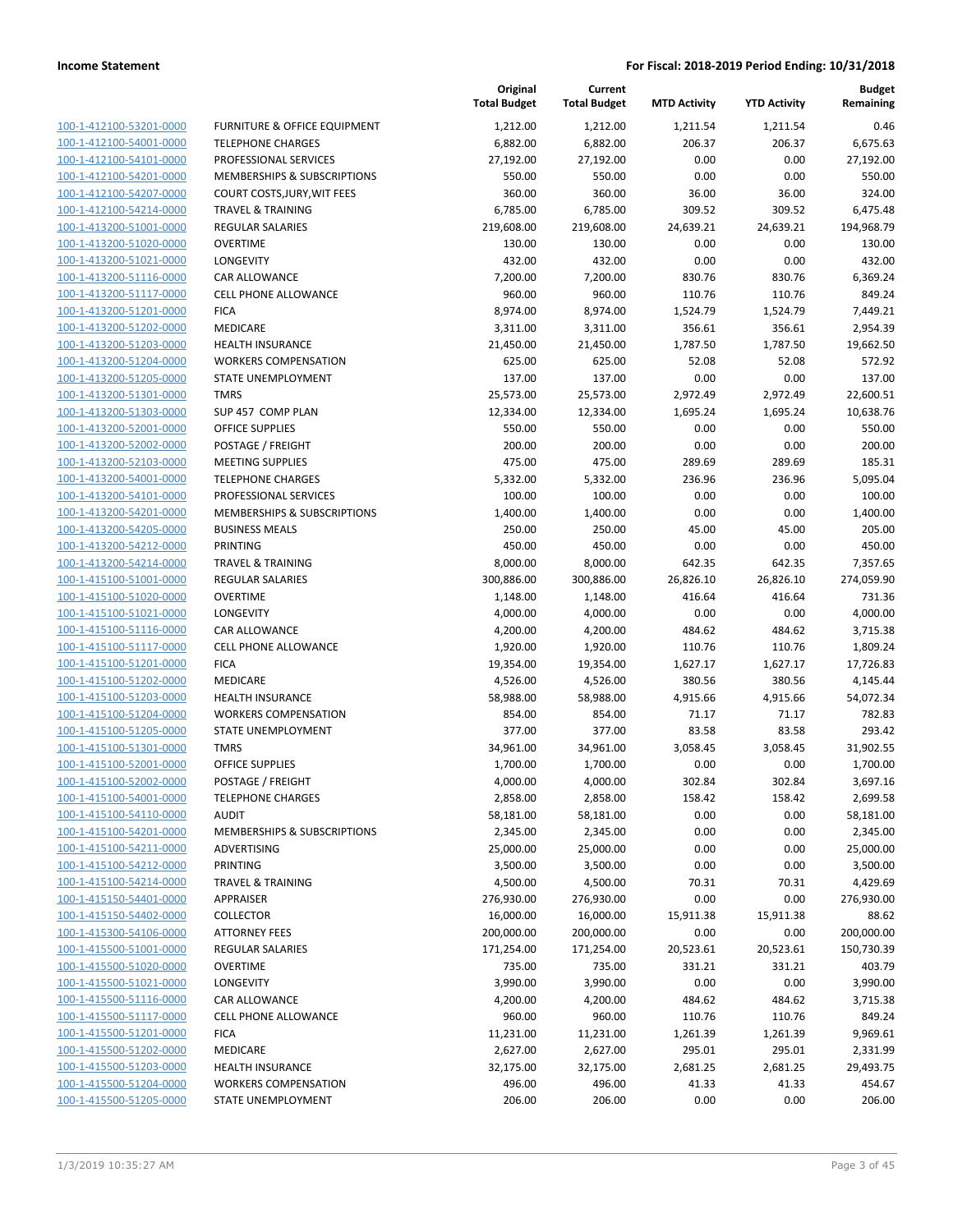| 100-1-412100-53201-0000                                   |
|-----------------------------------------------------------|
| 100-1-412100-54001-0000                                   |
| 100-1-412100-54101-0000                                   |
| 100-1-412100-54201-0000                                   |
| <u>100-1-412100-54207-0000</u>                            |
| 100-1-412100-54214-0000                                   |
| 100-1-413200-51001-0000                                   |
| 100-1-413200-51020-0000                                   |
| 100-1-413200-51021-0000                                   |
| 100-1-413200-51116-0000                                   |
| 100-1-413200-51117-0000                                   |
| 100-1-413200-51201-0000                                   |
| 100-1-413200-51202-0000                                   |
| 100-1-413200-51203-0000                                   |
| 100-1-413200-51204-0000                                   |
| <u>100-1-413200-51205-0000</u>                            |
| 100-1-413200-51301-0000                                   |
| 100-1-413200-51303-0000                                   |
| 100-1-413200-52001-0000                                   |
| 100-1-413200-52002-0000                                   |
| <u>100-1-413200-52103-0000</u>                            |
| 100-1-413200-54001-0000                                   |
| 100-1-413200-54101-0000                                   |
| 100-1-413200-54201-0000                                   |
| 100-1-413200-54205-0000                                   |
| 100-1-413200-54212-0000                                   |
| <u>100-1-413200-54214-0000</u>                            |
| 100-1-415100-51001-0000                                   |
| 100-1-415100-51020-0000                                   |
| 100-1-415100-51021-0000                                   |
| 100-1-415100-51116-0000                                   |
| 100-1-415100-51117-0000                                   |
| 100-1-415100-51201-0000                                   |
| 100-1-415100-51202-0000                                   |
|                                                           |
| <u>100-1-415100-51203-0000</u><br>100-1-415100-51204-0000 |
| 100-1-415100-51205-0000                                   |
|                                                           |
| 100-1-415100-51301-0000                                   |
| 100-1-415100-52001-0000                                   |
| 100-1-415100-52002-0000                                   |
| <u>100-1-415100-54001-0000</u>                            |
| <u>100-1-415100-54110-0000</u>                            |
| 100-1-415100-54201-0000                                   |
| 100-1-415100-54211-0000                                   |
| <u>100-1-415100-54212-0000</u>                            |
| <u>100-1-415100-54214-0000</u>                            |
| 100-1-415150-54401-0000                                   |
| <u>100-1-415150-54402-0000</u>                            |
| <u>100-1-415300-54106-0000</u>                            |
| <u>100-1-415500-51001-0000</u>                            |
| <u>100-1-415500-51020-0000</u>                            |
| 100-1-415500-51021-0000                                   |
| 100-1-415500-51116-0000                                   |
| <u>100-1-415500-51117-0000</u>                            |
| <u>100-1-415500-51201-0000</u>                            |
| <u>100-1-415500-51202-0000</u>                            |
| <u>100-1-415500-51203-0000</u>                            |
| <u>100-1-415500-51204-0000</u>                            |
| <u>100-1-415500-51205-0000</u>                            |

|                         |                              | Original<br><b>Total Budget</b> | Current<br><b>Total Budget</b> | <b>MTD Activity</b> | <b>YTD Activity</b> | <b>Budget</b><br>Remaining |
|-------------------------|------------------------------|---------------------------------|--------------------------------|---------------------|---------------------|----------------------------|
| 100-1-412100-53201-0000 | FURNITURE & OFFICE EQUIPMENT | 1,212.00                        | 1,212.00                       | 1,211.54            | 1,211.54            | 0.46                       |
| 100-1-412100-54001-0000 | <b>TELEPHONE CHARGES</b>     | 6,882.00                        | 6,882.00                       | 206.37              | 206.37              | 6,675.63                   |
| 100-1-412100-54101-0000 | PROFESSIONAL SERVICES        | 27,192.00                       | 27,192.00                      | 0.00                | 0.00                | 27,192.00                  |
| 100-1-412100-54201-0000 | MEMBERSHIPS & SUBSCRIPTIONS  | 550.00                          | 550.00                         | 0.00                | 0.00                | 550.00                     |
| 100-1-412100-54207-0000 | COURT COSTS, JURY, WIT FEES  | 360.00                          | 360.00                         | 36.00               | 36.00               | 324.00                     |
| 100-1-412100-54214-0000 | <b>TRAVEL &amp; TRAINING</b> | 6,785.00                        | 6,785.00                       | 309.52              | 309.52              | 6,475.48                   |
| 100-1-413200-51001-0000 | <b>REGULAR SALARIES</b>      | 219,608.00                      | 219,608.00                     | 24,639.21           | 24,639.21           | 194,968.79                 |
| 100-1-413200-51020-0000 | <b>OVERTIME</b>              | 130.00                          | 130.00                         | 0.00                | 0.00                | 130.00                     |
| 100-1-413200-51021-0000 | <b>LONGEVITY</b>             | 432.00                          | 432.00                         | 0.00                | 0.00                | 432.00                     |
| 100-1-413200-51116-0000 | CAR ALLOWANCE                | 7,200.00                        | 7,200.00                       | 830.76              | 830.76              | 6,369.24                   |
| 100-1-413200-51117-0000 | CELL PHONE ALLOWANCE         | 960.00                          | 960.00                         | 110.76              | 110.76              | 849.24                     |
| 100-1-413200-51201-0000 | <b>FICA</b>                  | 8,974.00                        | 8,974.00                       | 1,524.79            | 1,524.79            | 7,449.21                   |
| 100-1-413200-51202-0000 | MEDICARE                     | 3,311.00                        | 3,311.00                       | 356.61              | 356.61              | 2,954.39                   |
| 100-1-413200-51203-0000 | <b>HEALTH INSURANCE</b>      | 21,450.00                       | 21,450.00                      | 1,787.50            | 1,787.50            | 19,662.50                  |
| 100-1-413200-51204-0000 | <b>WORKERS COMPENSATION</b>  | 625.00                          | 625.00                         | 52.08               | 52.08               | 572.92                     |
| 100-1-413200-51205-0000 | STATE UNEMPLOYMENT           | 137.00                          | 137.00                         | 0.00                | 0.00                | 137.00                     |
| 100-1-413200-51301-0000 | <b>TMRS</b>                  | 25,573.00                       | 25,573.00                      | 2,972.49            | 2,972.49            | 22,600.51                  |
| 100-1-413200-51303-0000 | SUP 457 COMP PLAN            | 12,334.00                       | 12,334.00                      | 1,695.24            | 1,695.24            | 10,638.76                  |
| 100-1-413200-52001-0000 | <b>OFFICE SUPPLIES</b>       | 550.00                          | 550.00                         | 0.00                | 0.00                | 550.00                     |
| 100-1-413200-52002-0000 | POSTAGE / FREIGHT            | 200.00                          | 200.00                         | 0.00                | 0.00                | 200.00                     |
| 100-1-413200-52103-0000 | <b>MEETING SUPPLIES</b>      | 475.00                          | 475.00                         | 289.69              | 289.69              | 185.31                     |
| 100-1-413200-54001-0000 | <b>TELEPHONE CHARGES</b>     | 5,332.00                        | 5,332.00                       | 236.96              | 236.96              | 5,095.04                   |
| 100-1-413200-54101-0000 | PROFESSIONAL SERVICES        | 100.00                          | 100.00                         | 0.00                | 0.00                | 100.00                     |
| 100-1-413200-54201-0000 | MEMBERSHIPS & SUBSCRIPTIONS  | 1,400.00                        | 1,400.00                       | 0.00                | 0.00                | 1,400.00                   |
| 100-1-413200-54205-0000 | <b>BUSINESS MEALS</b>        | 250.00                          | 250.00                         | 45.00               | 45.00               | 205.00                     |
| 100-1-413200-54212-0000 | PRINTING                     | 450.00                          | 450.00                         | 0.00                | 0.00                | 450.00                     |
| 100-1-413200-54214-0000 | <b>TRAVEL &amp; TRAINING</b> | 8,000.00                        | 8,000.00                       | 642.35              | 642.35              | 7,357.65                   |
| 100-1-415100-51001-0000 | <b>REGULAR SALARIES</b>      | 300,886.00                      | 300,886.00                     | 26,826.10           | 26,826.10           | 274,059.90                 |
| 100-1-415100-51020-0000 | <b>OVERTIME</b>              | 1,148.00                        | 1,148.00                       | 416.64              | 416.64              | 731.36                     |
| 100-1-415100-51021-0000 | <b>LONGEVITY</b>             | 4,000.00                        | 4,000.00                       | 0.00                | 0.00                | 4,000.00                   |
| 100-1-415100-51116-0000 | <b>CAR ALLOWANCE</b>         | 4,200.00                        | 4,200.00                       | 484.62              | 484.62              | 3,715.38                   |
| 100-1-415100-51117-0000 | <b>CELL PHONE ALLOWANCE</b>  | 1,920.00                        | 1,920.00                       | 110.76              | 110.76              | 1,809.24                   |
| 100-1-415100-51201-0000 | <b>FICA</b>                  | 19,354.00                       | 19,354.00                      | 1,627.17            | 1,627.17            | 17,726.83                  |
| 100-1-415100-51202-0000 | MEDICARE                     | 4,526.00                        | 4,526.00                       | 380.56              | 380.56              | 4,145.44                   |
| 100-1-415100-51203-0000 | <b>HEALTH INSURANCE</b>      | 58,988.00                       | 58,988.00                      | 4,915.66            | 4,915.66            | 54,072.34                  |
| 100-1-415100-51204-0000 | <b>WORKERS COMPENSATION</b>  | 854.00                          | 854.00                         | 71.17               | 71.17               | 782.83                     |
| 100-1-415100-51205-0000 | STATE UNEMPLOYMENT           | 377.00                          | 377.00                         | 83.58               | 83.58               | 293.42                     |
| 100-1-415100-51301-0000 | <b>TMRS</b>                  | 34,961.00                       | 34,961.00                      | 3,058.45            | 3,058.45            | 31,902.55                  |
| 100-1-415100-52001-0000 | <b>OFFICE SUPPLIES</b>       | 1,700.00                        | 1,700.00                       | 0.00                | 0.00                | 1,700.00                   |
| 100-1-415100-52002-0000 | POSTAGE / FREIGHT            | 4,000.00                        | 4,000.00                       | 302.84              | 302.84              | 3,697.16                   |
| 100-1-415100-54001-0000 | <b>TELEPHONE CHARGES</b>     | 2,858.00                        | 2,858.00                       | 158.42              | 158.42              | 2,699.58                   |
| 100-1-415100-54110-0000 | <b>AUDIT</b>                 | 58,181.00                       | 58,181.00                      | 0.00                | 0.00                | 58,181.00                  |
| 100-1-415100-54201-0000 | MEMBERSHIPS & SUBSCRIPTIONS  | 2,345.00                        | 2,345.00                       | 0.00                | 0.00                | 2,345.00                   |
| 100-1-415100-54211-0000 | ADVERTISING                  | 25,000.00                       | 25,000.00                      | 0.00                | 0.00                | 25,000.00                  |
| 100-1-415100-54212-0000 | PRINTING                     | 3,500.00                        | 3,500.00                       | 0.00                | 0.00                | 3,500.00                   |
| 100-1-415100-54214-0000 | <b>TRAVEL &amp; TRAINING</b> | 4,500.00                        | 4,500.00                       | 70.31               | 70.31               | 4,429.69                   |
| 100-1-415150-54401-0000 | <b>APPRAISER</b>             | 276,930.00                      | 276,930.00                     | 0.00                | 0.00                | 276,930.00                 |
| 100-1-415150-54402-0000 | <b>COLLECTOR</b>             | 16,000.00                       | 16,000.00                      | 15,911.38           | 15,911.38           | 88.62                      |
| 100-1-415300-54106-0000 | <b>ATTORNEY FEES</b>         | 200,000.00                      | 200,000.00                     | 0.00                | 0.00                | 200,000.00                 |
| 100-1-415500-51001-0000 | <b>REGULAR SALARIES</b>      | 171,254.00                      | 171,254.00                     | 20,523.61           | 20,523.61           | 150,730.39                 |
| 100-1-415500-51020-0000 | <b>OVERTIME</b>              | 735.00                          | 735.00                         | 331.21              | 331.21              | 403.79                     |
| 100-1-415500-51021-0000 | LONGEVITY                    | 3,990.00                        | 3,990.00                       | 0.00                | 0.00                | 3,990.00                   |
| 100-1-415500-51116-0000 | CAR ALLOWANCE                | 4,200.00                        | 4,200.00                       | 484.62              | 484.62              | 3,715.38                   |
| 100-1-415500-51117-0000 | CELL PHONE ALLOWANCE         | 960.00                          | 960.00                         | 110.76              | 110.76              | 849.24                     |
| 100-1-415500-51201-0000 | <b>FICA</b>                  | 11,231.00                       | 11,231.00                      | 1,261.39            | 1,261.39            | 9,969.61                   |
| 100-1-415500-51202-0000 | MEDICARE                     | 2,627.00                        | 2,627.00                       | 295.01              | 295.01              | 2,331.99                   |
| 100-1-415500-51203-0000 | HEALTH INSURANCE             | 32,175.00                       | 32,175.00                      | 2,681.25            | 2,681.25            | 29,493.75                  |
| 100-1-415500-51204-0000 | <b>WORKERS COMPENSATION</b>  | 496.00                          | 496.00                         | 41.33               | 41.33               | 454.67                     |
| 100-1-415500-51205-0000 | STATE UNEMPLOYMENT           | 206.00                          | 206.00                         | 0.00                | 0.00                | 206.00                     |
|                         |                              |                                 |                                |                     |                     |                            |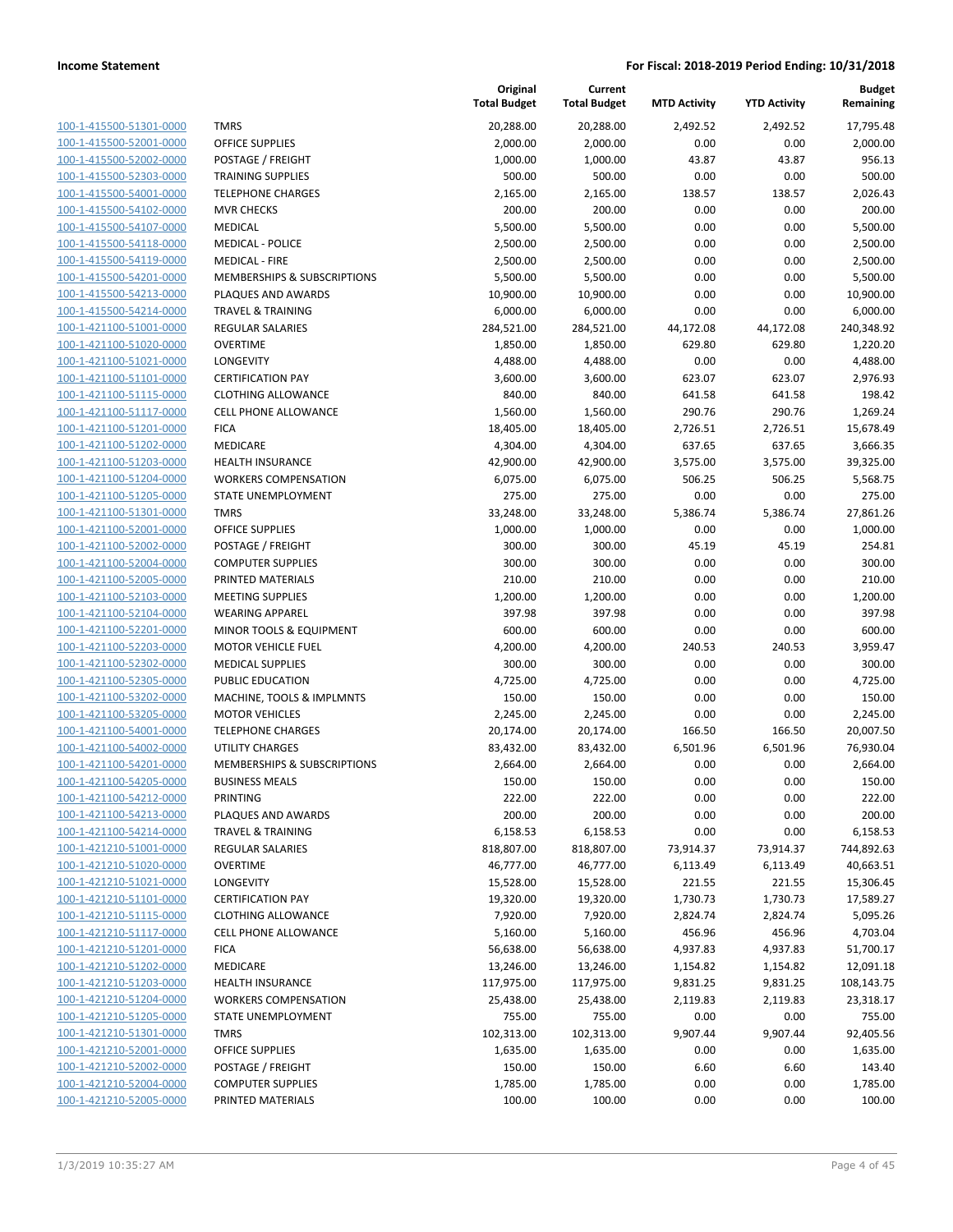| 100-1-415500-51301-0000        |
|--------------------------------|
| 100-1-415500-52001-0000        |
| 100-1-415500-52002-0000        |
| 100-1-415500-52303-0000        |
| <u>100-1-415500-54001-0000</u> |
| 100-1-415500-54102-0000        |
| 100-1-415500-54107-0000        |
| 100-1-415500-54118-0000        |
| 100-1-415500-54119-0000        |
| 100-1-415500-54201-0000        |
| 100-1-415500-54213-0000        |
| 100-1-415500-54214-0000        |
| 100-1-421100-51001-0000        |
| 100-1-421100-51020-0000        |
| <u>100-1-421100-51021-0000</u> |
|                                |
| 100-1-421100-51101-0000        |
| 100-1-421100-51115-0000        |
| 100-1-421100-51117-0000        |
| 100-1-421100-51201-0000        |
| <u>100-1-421100-51202-0000</u> |
| 100-1-421100-51203-0000        |
| 100-1-421100-51204-0000        |
| 100-1-421100-51205-0000        |
| 100-1-421100-51301-0000        |
| 100-1-421100-52001-0000        |
| 100-1-421100-52002-0000        |
| 100-1-421100-52004-0000        |
| 100-1-421100-52005-0000        |
| 100-1-421100-52103-0000        |
| 100-1-421100-52104-0000        |
| 100-1-421100-52201-0000        |
| 100-1-421100-52203-0000        |
|                                |
| 100-1-421100-52302-0000        |
| 100-1-421100-52305-0000        |
| 100-1-421100-53202-0000        |
| 100-1-421100-53205-0000        |
| 100-1-421100-54001-0000        |
| 100-1-421100-54002-0000        |
| 100-1-421100-54201-0000        |
| 100-1-421100-54205-0000        |
| 100-1-421100-54212-0000        |
| 100-1-421100-54213-0000        |
| 100-1-421100-54214-0000        |
| 100-1-421210-51001-0000        |
| 100-1-421210-51020-0000        |
| 100-1-421210-51021-0000        |
| 100-1-421210-51101-0000        |
| 100-1-421210-51115-0000        |
| 100-1-421210-51117-0000        |
|                                |
| <u>100-1-421210-51201-0000</u> |
| 100-1-421210-51202-0000        |
| 100-1-421210-51203-0000        |
| 100-1-421210-51204-0000        |
| <u>100-1-421210-51205-0000</u> |
| <u>100-1-421210-51301-0000</u> |
| 100-1-421210-52001-0000        |
| 100-1-421210-52002-0000        |
| 100-1-421210-52004-0000        |
| 100-1-421210-52005-0000        |
|                                |

|                                                    |                                                   | Original<br><b>Total Budget</b> | Current<br><b>Total Budget</b> | <b>MTD Activity</b> | <b>YTD Activity</b> | <b>Budget</b><br>Remaining |
|----------------------------------------------------|---------------------------------------------------|---------------------------------|--------------------------------|---------------------|---------------------|----------------------------|
| 100-1-415500-51301-0000                            | <b>TMRS</b>                                       | 20,288.00                       | 20,288.00                      | 2,492.52            | 2,492.52            | 17,795.48                  |
| 100-1-415500-52001-0000                            | <b>OFFICE SUPPLIES</b>                            | 2,000.00                        | 2,000.00                       | 0.00                | 0.00                | 2,000.00                   |
| 100-1-415500-52002-0000                            | POSTAGE / FREIGHT                                 | 1,000.00                        | 1,000.00                       | 43.87               | 43.87               | 956.13                     |
| 100-1-415500-52303-0000                            | <b>TRAINING SUPPLIES</b>                          | 500.00                          | 500.00                         | 0.00                | 0.00                | 500.00                     |
| 100-1-415500-54001-0000                            | <b>TELEPHONE CHARGES</b>                          | 2,165.00                        | 2,165.00                       | 138.57              | 138.57              | 2,026.43                   |
| 100-1-415500-54102-0000                            | <b>MVR CHECKS</b>                                 | 200.00                          | 200.00                         | 0.00                | 0.00                | 200.00                     |
| 100-1-415500-54107-0000                            | <b>MEDICAL</b>                                    | 5,500.00                        | 5,500.00                       | 0.00                | 0.00                | 5,500.00                   |
| 100-1-415500-54118-0000                            | <b>MEDICAL - POLICE</b>                           | 2,500.00                        | 2,500.00                       | 0.00                | 0.00                | 2,500.00                   |
| 100-1-415500-54119-0000                            | <b>MEDICAL - FIRE</b>                             | 2,500.00                        | 2,500.00                       | 0.00                | 0.00                | 2,500.00                   |
| 100-1-415500-54201-0000                            | MEMBERSHIPS & SUBSCRIPTIONS                       | 5,500.00                        | 5,500.00                       | 0.00                | 0.00                | 5,500.00                   |
| 100-1-415500-54213-0000                            | PLAQUES AND AWARDS                                | 10,900.00                       | 10,900.00                      | 0.00                | 0.00                | 10,900.00                  |
| 100-1-415500-54214-0000                            | <b>TRAVEL &amp; TRAINING</b>                      | 6,000.00                        | 6,000.00                       | 0.00                | 0.00                | 6,000.00                   |
| 100-1-421100-51001-0000                            | REGULAR SALARIES                                  | 284,521.00                      | 284,521.00                     | 44,172.08           | 44,172.08           | 240,348.92                 |
| 100-1-421100-51020-0000                            | <b>OVERTIME</b>                                   | 1,850.00                        | 1,850.00                       | 629.80              | 629.80              | 1,220.20                   |
| 100-1-421100-51021-0000                            | LONGEVITY                                         | 4,488.00                        | 4,488.00                       | 0.00                | 0.00                | 4,488.00                   |
| 100-1-421100-51101-0000                            | <b>CERTIFICATION PAY</b>                          | 3,600.00                        | 3,600.00                       | 623.07              | 623.07              | 2,976.93                   |
| 100-1-421100-51115-0000                            | <b>CLOTHING ALLOWANCE</b>                         | 840.00                          | 840.00                         | 641.58              | 641.58              | 198.42                     |
| 100-1-421100-51117-0000                            | CELL PHONE ALLOWANCE                              | 1,560.00                        | 1,560.00                       | 290.76              | 290.76              | 1,269.24                   |
| 100-1-421100-51201-0000                            | <b>FICA</b>                                       | 18,405.00                       | 18,405.00                      | 2,726.51            | 2,726.51            | 15,678.49                  |
| 100-1-421100-51202-0000                            | MEDICARE<br><b>HEALTH INSURANCE</b>               | 4,304.00                        | 4,304.00                       | 637.65              | 637.65              | 3,666.35                   |
| 100-1-421100-51203-0000                            |                                                   | 42,900.00                       | 42,900.00                      | 3,575.00            | 3,575.00            | 39,325.00<br>5,568.75      |
| 100-1-421100-51204-0000                            | <b>WORKERS COMPENSATION</b><br>STATE UNEMPLOYMENT | 6,075.00                        | 6,075.00                       | 506.25              | 506.25              | 275.00                     |
| 100-1-421100-51205-0000<br>100-1-421100-51301-0000 | <b>TMRS</b>                                       | 275.00                          | 275.00                         | 0.00                | 0.00                |                            |
| 100-1-421100-52001-0000                            | OFFICE SUPPLIES                                   | 33,248.00<br>1,000.00           | 33,248.00<br>1,000.00          | 5,386.74<br>0.00    | 5,386.74<br>0.00    | 27,861.26<br>1,000.00      |
| 100-1-421100-52002-0000                            | POSTAGE / FREIGHT                                 | 300.00                          | 300.00                         | 45.19               | 45.19               | 254.81                     |
| 100-1-421100-52004-0000                            | <b>COMPUTER SUPPLIES</b>                          | 300.00                          | 300.00                         | 0.00                | 0.00                | 300.00                     |
| 100-1-421100-52005-0000                            | PRINTED MATERIALS                                 | 210.00                          | 210.00                         | 0.00                | 0.00                | 210.00                     |
| 100-1-421100-52103-0000                            | <b>MEETING SUPPLIES</b>                           | 1,200.00                        | 1,200.00                       | 0.00                | 0.00                | 1,200.00                   |
| 100-1-421100-52104-0000                            | <b>WEARING APPAREL</b>                            | 397.98                          | 397.98                         | 0.00                | 0.00                | 397.98                     |
| 100-1-421100-52201-0000                            | MINOR TOOLS & EQUIPMENT                           | 600.00                          | 600.00                         | 0.00                | 0.00                | 600.00                     |
| 100-1-421100-52203-0000                            | <b>MOTOR VEHICLE FUEL</b>                         | 4,200.00                        | 4,200.00                       | 240.53              | 240.53              | 3,959.47                   |
| 100-1-421100-52302-0000                            | <b>MEDICAL SUPPLIES</b>                           | 300.00                          | 300.00                         | 0.00                | 0.00                | 300.00                     |
| 100-1-421100-52305-0000                            | PUBLIC EDUCATION                                  | 4,725.00                        | 4,725.00                       | 0.00                | 0.00                | 4,725.00                   |
| 100-1-421100-53202-0000                            | MACHINE, TOOLS & IMPLMNTS                         | 150.00                          | 150.00                         | 0.00                | 0.00                | 150.00                     |
| 100-1-421100-53205-0000                            | <b>MOTOR VEHICLES</b>                             | 2,245.00                        | 2,245.00                       | 0.00                | 0.00                | 2,245.00                   |
| 100-1-421100-54001-0000                            | <b>TELEPHONE CHARGES</b>                          | 20,174.00                       | 20,174.00                      | 166.50              | 166.50              | 20,007.50                  |
| 100-1-421100-54002-0000                            | UTILITY CHARGES                                   | 83,432.00                       | 83,432.00                      | 6,501.96            | 6,501.96            | 76,930.04                  |
| 100-1-421100-54201-0000                            | MEMBERSHIPS & SUBSCRIPTIONS                       | 2,664.00                        | 2,664.00                       | 0.00                | 0.00                | 2,664.00                   |
| 100-1-421100-54205-0000                            | <b>BUSINESS MEALS</b>                             | 150.00                          | 150.00                         | 0.00                | 0.00                | 150.00                     |
| 100-1-421100-54212-0000                            | PRINTING                                          | 222.00                          | 222.00                         | 0.00                | 0.00                | 222.00                     |
| 100-1-421100-54213-0000                            | PLAQUES AND AWARDS                                | 200.00                          | 200.00                         | 0.00                | 0.00                | 200.00                     |
| 100-1-421100-54214-0000                            | TRAVEL & TRAINING                                 | 6,158.53                        | 6,158.53                       | 0.00                | 0.00                | 6,158.53                   |
| 100-1-421210-51001-0000                            | REGULAR SALARIES                                  | 818,807.00                      | 818,807.00                     | 73,914.37           | 73,914.37           | 744,892.63                 |
| 100-1-421210-51020-0000                            | <b>OVERTIME</b>                                   | 46,777.00                       | 46,777.00                      | 6,113.49            | 6,113.49            | 40,663.51                  |
| 100-1-421210-51021-0000                            | LONGEVITY                                         | 15,528.00                       | 15,528.00                      | 221.55              | 221.55              | 15,306.45                  |
| 100-1-421210-51101-0000                            | <b>CERTIFICATION PAY</b>                          | 19,320.00                       | 19,320.00                      | 1,730.73            | 1,730.73            | 17,589.27                  |
| 100-1-421210-51115-0000                            | CLOTHING ALLOWANCE                                | 7,920.00                        | 7,920.00                       | 2,824.74            | 2,824.74            | 5,095.26                   |
| 100-1-421210-51117-0000                            | <b>CELL PHONE ALLOWANCE</b>                       | 5,160.00                        | 5,160.00                       | 456.96              | 456.96              | 4,703.04                   |
| 100-1-421210-51201-0000                            | <b>FICA</b>                                       | 56,638.00                       | 56,638.00                      | 4,937.83            | 4,937.83            | 51,700.17                  |
| 100-1-421210-51202-0000                            | <b>MEDICARE</b>                                   | 13,246.00<br>117,975.00         | 13,246.00                      | 1,154.82            | 1,154.82            | 12,091.18                  |
| 100-1-421210-51203-0000                            | <b>HEALTH INSURANCE</b>                           |                                 | 117,975.00                     | 9,831.25            | 9,831.25            | 108,143.75                 |
| 100-1-421210-51204-0000<br>100-1-421210-51205-0000 | <b>WORKERS COMPENSATION</b>                       | 25,438.00                       | 25,438.00                      | 2,119.83            | 2,119.83            | 23,318.17                  |
| 100-1-421210-51301-0000                            | STATE UNEMPLOYMENT<br><b>TMRS</b>                 | 755.00<br>102,313.00            | 755.00<br>102,313.00           | 0.00<br>9,907.44    | 0.00<br>9,907.44    | 755.00<br>92,405.56        |
| 100-1-421210-52001-0000                            | <b>OFFICE SUPPLIES</b>                            | 1,635.00                        | 1,635.00                       | 0.00                | 0.00                | 1,635.00                   |
| 100-1-421210-52002-0000                            | POSTAGE / FREIGHT                                 | 150.00                          | 150.00                         | 6.60                | 6.60                | 143.40                     |
| 100-1-421210-52004-0000                            | <b>COMPUTER SUPPLIES</b>                          | 1,785.00                        | 1,785.00                       | 0.00                | 0.00                | 1,785.00                   |
| 100-1-421210-52005-0000                            | PRINTED MATERIALS                                 | 100.00                          | 100.00                         | 0.00                | 0.00                | 100.00                     |
|                                                    |                                                   |                                 |                                |                     |                     |                            |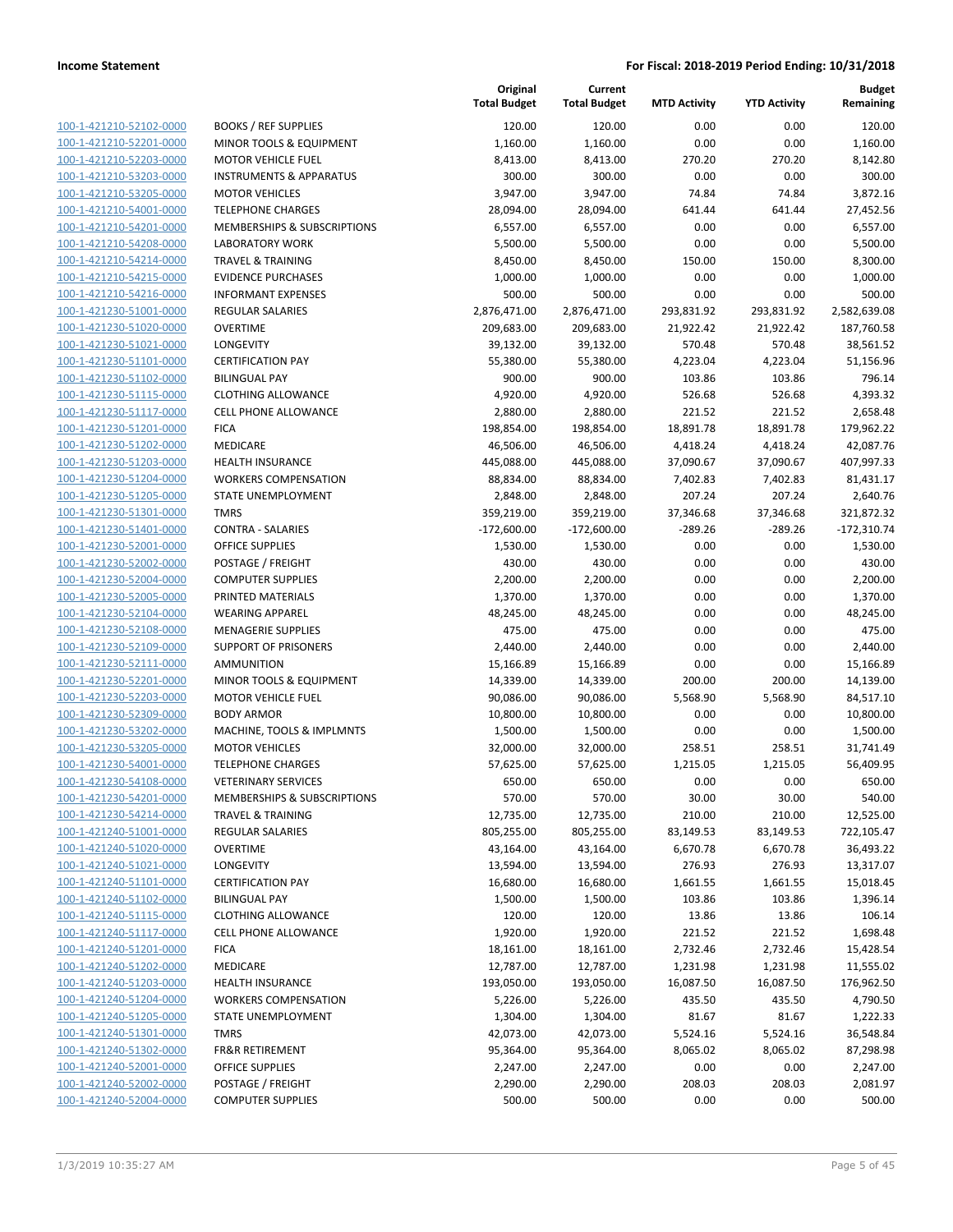| 100-1-421210-52102-0000        |
|--------------------------------|
| 100-1-421210-52201-0000        |
| 100-1-421210-52203-0000        |
| <u>100-1-421210-53203-0000</u> |
| 100-1-421210-53205-0000        |
| 100-1-421210-54001-0000        |
| 100-1-421210-54201-0000        |
| 100-1-421210-54208-0000        |
| <u>100-1-421210-54214-0000</u> |
|                                |
| 100-1-421210-54215-0000        |
| 100-1-421210-54216-0000        |
| 100-1-421230-51001-0000        |
| 100-1-421230-51020-0000        |
| <u>100-1-421230-51021-0000</u> |
| 100-1-421230-51101-0000        |
| 100-1-421230-51102-0000        |
| 100-1-421230-51115-0000        |
| <u>100-1-421230-51117-0000</u> |
| 100-1-421230-51201-0000        |
| 100-1-421230-51202-0000        |
| 100-1-421230-51203-0000        |
| 100-1-421230-51204-0000        |
|                                |
| 100-1-421230-51205-0000        |
| 100-1-421230-51301-0000        |
| 100-1-421230-51401-0000        |
| 100-1-421230-52001-0000        |
| 100-1-421230-52002-0000        |
| 100-1-421230-52004-0000        |
| <u>100-1-421230-52005-0000</u> |
| 100-1-421230-52104-0000        |
| 100-1-421230-52108-0000        |
| 100-1-421230-52109-0000        |
| <u>100-1-421230-52111-0000</u> |
| <u>100-1-421230-52201-0000</u> |
| 100-1-421230-52203-0000        |
| 100-1-421230-52309-0000        |
| 100-1-421230-53202-0000        |
| 100-1-421230-53205-0000        |
|                                |
| <u>100-1-421230-54001-0000</u> |
| 100-1-421230-54108-0000        |
| 100-1-421230-54201-0000        |
| 100-1-421230-54214-0000        |
| <u>100-1-421240-51001-0000</u> |
| <u>100-1-421240-51020-0000</u> |
| 100-1-421240-51021-0000        |
| <u>100-1-421240-51101-0000</u> |
| 100-1-421240-51102-0000        |
| <u>100-1-421240-51115-0000</u> |
| <u>100-1-421240-51117-0000</u> |
| <u>100-1-421240-51201-0000</u> |
| 100-1-421240-51202-0000        |
| 100-1-421240-51203-0000        |
|                                |
| <u>100-1-421240-51204-0000</u> |
| <u>100-1-421240-51205-0000</u> |
| <u>100-1-421240-51301-0000</u> |
| <u>100-1-421240-51302-0000</u> |
| 100-1-421240-52001-0000        |
| <u>100-1-421240-52002-0000</u> |
| <u>100-1-421240-52004-0000</u> |
|                                |

|                         |                                        | Original<br><b>Total Budget</b> | Current<br><b>Total Budget</b> | <b>MTD Activity</b> | <b>YTD Activity</b> | <b>Budget</b><br>Remaining |
|-------------------------|----------------------------------------|---------------------------------|--------------------------------|---------------------|---------------------|----------------------------|
| 100-1-421210-52102-0000 | <b>BOOKS / REF SUPPLIES</b>            | 120.00                          | 120.00                         | 0.00                | 0.00                | 120.00                     |
| 100-1-421210-52201-0000 | MINOR TOOLS & EQUIPMENT                | 1,160.00                        | 1,160.00                       | 0.00                | 0.00                | 1,160.00                   |
| 100-1-421210-52203-0000 | <b>MOTOR VEHICLE FUEL</b>              | 8,413.00                        | 8,413.00                       | 270.20              | 270.20              | 8,142.80                   |
| 100-1-421210-53203-0000 | <b>INSTRUMENTS &amp; APPARATUS</b>     | 300.00                          | 300.00                         | 0.00                | 0.00                | 300.00                     |
| 100-1-421210-53205-0000 | <b>MOTOR VEHICLES</b>                  | 3,947.00                        | 3,947.00                       | 74.84               | 74.84               | 3,872.16                   |
| 100-1-421210-54001-0000 | <b>TELEPHONE CHARGES</b>               | 28,094.00                       | 28,094.00                      | 641.44              | 641.44              | 27,452.56                  |
| 100-1-421210-54201-0000 | <b>MEMBERSHIPS &amp; SUBSCRIPTIONS</b> | 6,557.00                        | 6,557.00                       | 0.00                | 0.00                | 6,557.00                   |
| 100-1-421210-54208-0000 | <b>LABORATORY WORK</b>                 | 5,500.00                        | 5,500.00                       | 0.00                | 0.00                | 5,500.00                   |
| 100-1-421210-54214-0000 | <b>TRAVEL &amp; TRAINING</b>           | 8,450.00                        | 8,450.00                       | 150.00              | 150.00              | 8,300.00                   |
| 100-1-421210-54215-0000 | <b>EVIDENCE PURCHASES</b>              | 1,000.00                        | 1,000.00                       | 0.00                | 0.00                | 1,000.00                   |
| 100-1-421210-54216-0000 | <b>INFORMANT EXPENSES</b>              | 500.00                          | 500.00                         | 0.00                | 0.00                | 500.00                     |
| 100-1-421230-51001-0000 | <b>REGULAR SALARIES</b>                | 2,876,471.00                    | 2,876,471.00                   | 293,831.92          | 293,831.92          | 2,582,639.08               |
| 100-1-421230-51020-0000 | <b>OVERTIME</b>                        | 209,683.00                      | 209,683.00                     | 21,922.42           | 21,922.42           | 187,760.58                 |
| 100-1-421230-51021-0000 | LONGEVITY                              | 39,132.00                       | 39,132.00                      | 570.48              | 570.48              | 38,561.52                  |
| 100-1-421230-51101-0000 | <b>CERTIFICATION PAY</b>               | 55,380.00                       | 55,380.00                      | 4,223.04            | 4,223.04            | 51,156.96                  |
| 100-1-421230-51102-0000 | <b>BILINGUAL PAY</b>                   | 900.00                          | 900.00                         | 103.86              | 103.86              | 796.14                     |
| 100-1-421230-51115-0000 | <b>CLOTHING ALLOWANCE</b>              | 4,920.00                        | 4,920.00                       | 526.68              | 526.68              | 4,393.32                   |
| 100-1-421230-51117-0000 | <b>CELL PHONE ALLOWANCE</b>            | 2,880.00                        | 2,880.00                       | 221.52              | 221.52              | 2,658.48                   |
| 100-1-421230-51201-0000 | <b>FICA</b>                            | 198,854.00                      | 198,854.00                     | 18,891.78           | 18,891.78           | 179,962.22                 |
| 100-1-421230-51202-0000 | MEDICARE                               | 46,506.00                       | 46,506.00                      | 4,418.24            | 4,418.24            | 42,087.76                  |
| 100-1-421230-51203-0000 | <b>HEALTH INSURANCE</b>                | 445,088.00                      | 445,088.00                     | 37,090.67           | 37,090.67           | 407,997.33                 |
| 100-1-421230-51204-0000 | <b>WORKERS COMPENSATION</b>            | 88,834.00                       | 88,834.00                      | 7,402.83            | 7,402.83            | 81,431.17                  |
| 100-1-421230-51205-0000 | STATE UNEMPLOYMENT                     | 2,848.00                        | 2,848.00                       | 207.24              | 207.24              | 2,640.76                   |
| 100-1-421230-51301-0000 | <b>TMRS</b>                            | 359,219.00                      | 359,219.00                     | 37,346.68           | 37,346.68           | 321,872.32                 |
| 100-1-421230-51401-0000 | <b>CONTRA - SALARIES</b>               | $-172,600.00$                   | $-172,600.00$                  | $-289.26$           | $-289.26$           | $-172,310.74$              |
| 100-1-421230-52001-0000 | <b>OFFICE SUPPLIES</b>                 | 1,530.00                        | 1,530.00                       | 0.00                | 0.00                | 1,530.00                   |
| 100-1-421230-52002-0000 | POSTAGE / FREIGHT                      | 430.00                          | 430.00                         | 0.00                | 0.00                | 430.00                     |
| 100-1-421230-52004-0000 | <b>COMPUTER SUPPLIES</b>               | 2,200.00                        | 2,200.00                       | 0.00                | 0.00                | 2,200.00                   |
| 100-1-421230-52005-0000 | PRINTED MATERIALS                      | 1,370.00                        | 1,370.00                       | 0.00                | 0.00                | 1,370.00                   |
| 100-1-421230-52104-0000 | <b>WEARING APPAREL</b>                 | 48,245.00                       | 48,245.00                      | 0.00                | 0.00                | 48,245.00                  |
| 100-1-421230-52108-0000 | <b>MENAGERIE SUPPLIES</b>              | 475.00                          | 475.00                         | 0.00                | 0.00                | 475.00                     |
| 100-1-421230-52109-0000 | <b>SUPPORT OF PRISONERS</b>            | 2,440.00                        | 2,440.00                       | 0.00                | 0.00                | 2,440.00                   |
| 100-1-421230-52111-0000 | <b>AMMUNITION</b>                      | 15,166.89                       | 15,166.89                      | 0.00                | 0.00                | 15,166.89                  |
| 100-1-421230-52201-0000 | MINOR TOOLS & EQUIPMENT                | 14,339.00                       | 14,339.00                      | 200.00              | 200.00              | 14,139.00                  |
| 100-1-421230-52203-0000 | <b>MOTOR VEHICLE FUEL</b>              | 90,086.00                       | 90,086.00                      | 5,568.90            | 5,568.90            | 84,517.10                  |
| 100-1-421230-52309-0000 | <b>BODY ARMOR</b>                      | 10,800.00                       | 10,800.00                      | 0.00                | 0.00                | 10,800.00                  |
| 100-1-421230-53202-0000 | MACHINE, TOOLS & IMPLMNTS              | 1,500.00                        | 1,500.00                       | 0.00                | 0.00                | 1,500.00                   |
| 100-1-421230-53205-0000 | <b>MOTOR VEHICLES</b>                  | 32,000.00                       | 32,000.00                      | 258.51              | 258.51              | 31,741.49                  |
| 100-1-421230-54001-0000 | <b>TELEPHONE CHARGES</b>               | 57,625.00                       | 57,625.00                      | 1,215.05            | 1,215.05            | 56,409.95                  |
| 100-1-421230-54108-0000 | <b>VETERINARY SERVICES</b>             | 650.00                          | 650.00                         | 0.00                | 0.00                | 650.00                     |
| 100-1-421230-54201-0000 | MEMBERSHIPS & SUBSCRIPTIONS            | 570.00                          | 570.00                         | 30.00               | 30.00               | 540.00                     |
| 100-1-421230-54214-0000 | <b>TRAVEL &amp; TRAINING</b>           | 12,735.00                       | 12,735.00                      | 210.00              | 210.00              | 12,525.00                  |
| 100-1-421240-51001-0000 | REGULAR SALARIES                       | 805,255.00                      | 805,255.00                     | 83,149.53           | 83,149.53           | 722,105.47                 |
| 100-1-421240-51020-0000 | <b>OVERTIME</b>                        | 43,164.00                       | 43,164.00                      | 6,670.78            | 6,670.78            | 36,493.22                  |
| 100-1-421240-51021-0000 | LONGEVITY                              | 13,594.00                       | 13,594.00                      | 276.93              | 276.93              | 13,317.07                  |
| 100-1-421240-51101-0000 | <b>CERTIFICATION PAY</b>               | 16,680.00                       | 16,680.00                      | 1,661.55            | 1,661.55            | 15,018.45                  |
| 100-1-421240-51102-0000 | <b>BILINGUAL PAY</b>                   | 1,500.00                        | 1,500.00                       | 103.86              | 103.86              | 1,396.14                   |
| 100-1-421240-51115-0000 | <b>CLOTHING ALLOWANCE</b>              | 120.00                          | 120.00                         | 13.86               | 13.86               | 106.14                     |
| 100-1-421240-51117-0000 | CELL PHONE ALLOWANCE                   | 1,920.00                        | 1,920.00                       | 221.52              | 221.52              | 1,698.48                   |
| 100-1-421240-51201-0000 | <b>FICA</b>                            | 18,161.00                       | 18,161.00                      | 2,732.46            | 2,732.46            | 15,428.54                  |
| 100-1-421240-51202-0000 | MEDICARE                               | 12,787.00                       | 12,787.00                      | 1,231.98            | 1,231.98            | 11,555.02                  |
| 100-1-421240-51203-0000 | <b>HEALTH INSURANCE</b>                | 193,050.00                      | 193,050.00                     | 16,087.50           | 16,087.50           | 176,962.50                 |
| 100-1-421240-51204-0000 | <b>WORKERS COMPENSATION</b>            | 5,226.00                        | 5,226.00                       | 435.50              | 435.50              | 4,790.50                   |
| 100-1-421240-51205-0000 | STATE UNEMPLOYMENT                     | 1,304.00                        | 1,304.00                       | 81.67               | 81.67               | 1,222.33                   |
| 100-1-421240-51301-0000 | <b>TMRS</b>                            | 42,073.00                       | 42,073.00                      | 5,524.16            | 5,524.16            | 36,548.84                  |
| 100-1-421240-51302-0000 | <b>FR&amp;R RETIREMENT</b>             | 95,364.00                       | 95,364.00                      | 8,065.02            | 8,065.02            | 87,298.98                  |
| 100-1-421240-52001-0000 | <b>OFFICE SUPPLIES</b>                 | 2,247.00                        | 2,247.00                       | 0.00                | 0.00                | 2,247.00                   |
| 100-1-421240-52002-0000 | POSTAGE / FREIGHT                      | 2,290.00                        | 2,290.00                       | 208.03              | 208.03              | 2,081.97                   |
| 100-1-421240-52004-0000 | <b>COMPUTER SUPPLIES</b>               | 500.00                          | 500.00                         | 0.00                | 0.00                | 500.00                     |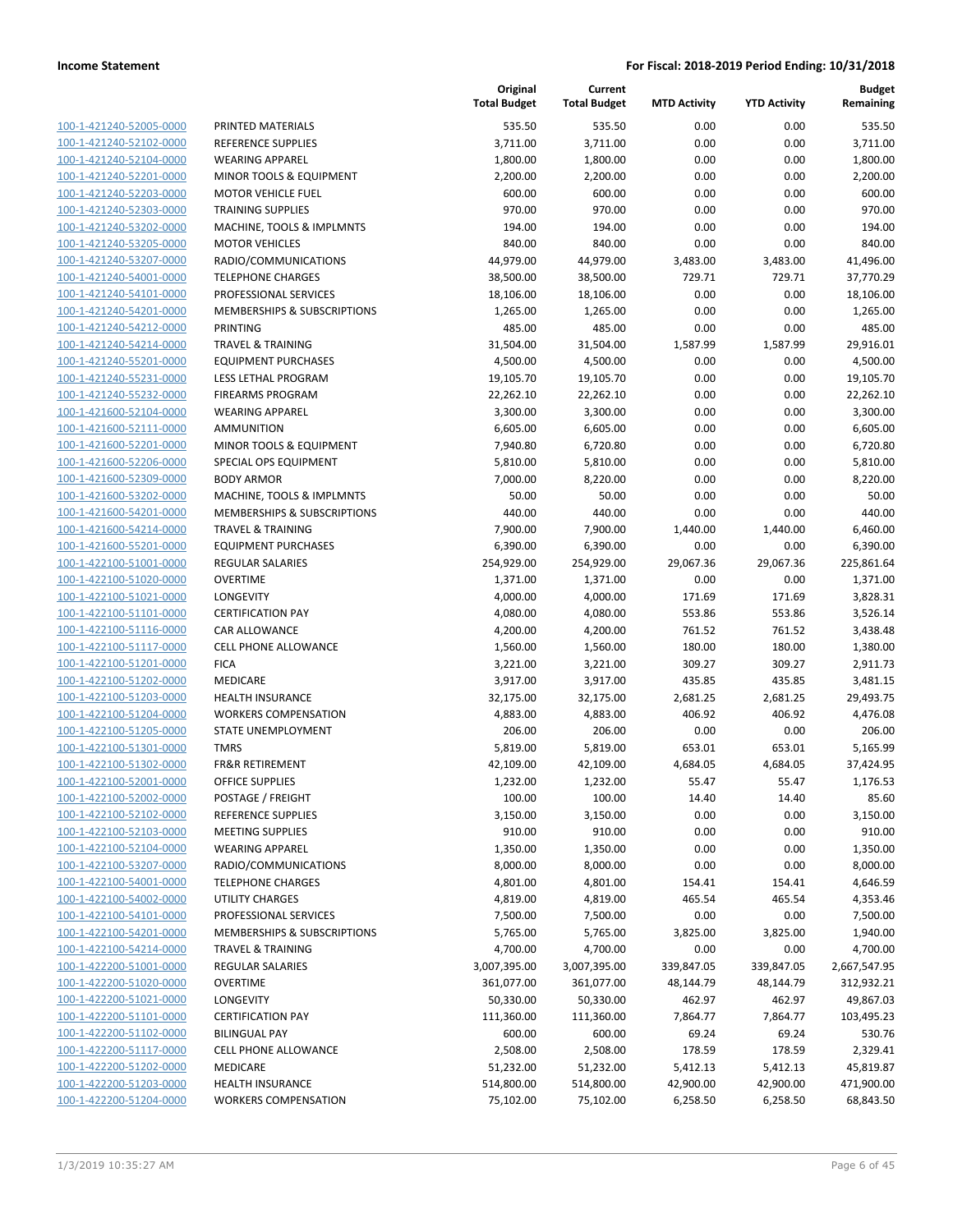| 100-1-421240-52005-0000        |
|--------------------------------|
| 100-1-421240-52102-0000        |
| 100-1-421240-52104-0000        |
| <u>100-1-421240-52201-0000</u> |
|                                |
| 100-1-421240-52203-0000        |
| 100-1-421240-52303-0000        |
| 100-1-421240-53202-0000        |
| 100-1-421240-53205-0000        |
| <u>100-1-421240-53207-0000</u> |
| 100-1-421240-54001-0000        |
| 100-1-421240-54101-0000        |
| 100-1-421240-54201-0000        |
| 100-1-421240-54212-0000        |
|                                |
| <u>100-1-421240-54214-0000</u> |
| 100-1-421240-55201-0000        |
| 100-1-421240-55231-0000        |
| 100-1-421240-55232-0000        |
| 100-1-421600-52104-0000        |
| <u>100-1-421600-52111-0000</u> |
| 100-1-421600-52201-0000        |
| 100-1-421600-52206-0000        |
| 100-1-421600-52309-0000        |
| 100-1-421600-53202-0000        |
|                                |
| <u>100-1-421600-54201-0000</u> |
| 100-1-421600-54214-0000        |
| 100-1-421600-55201-0000        |
| 100-1-422100-51001-0000        |
| 100-1-422100-51020-0000        |
| <u>100-1-422100-51021-0000</u> |
| 100-1-422100-51101-0000        |
| 100-1-422100-51116-0000        |
| 100-1-422100-51117-0000        |
| 100-1-422100-51201-0000        |
|                                |
| <u>100-1-422100-51202-0000</u> |
| 100-1-422100-51203-0000        |
| 100-1-422100-51204-0000        |
| 100-1-422100-51205-0000        |
| 100-1-422100-51301-0000        |
| 100-1-422100-51302-0000        |
| 100-1-422100-52001-0000        |
| 100-1-422100-52002-0000        |
| <u>100-1-422100-52102-0000</u> |
|                                |
| <u>100-1-422100-52103-0000</u> |
| <u>100-1-422100-52104-0000</u> |
| <u>100-1-422100-53207-0000</u> |
| 100-1-422100-54001-0000        |
| 100-1-422100-54002-0000        |
| <u>100-1-422100-54101-0000</u> |
| <u>100-1-422100-54201-0000</u> |
| <u>100-1-422100-54214-0000</u> |
| 100-1-422200-51001-0000        |
| 100-1-422200-51020-0000        |
|                                |
| 100-1-422200-51021-0000        |
| <u>100-1-422200-51101-0000</u> |
| <u>100-1-422200-51102-0000</u> |
| 100-1-422200-51117-0000        |
| 100-1-422200-51202-0000        |
| <u>100-1-422200-51203-0000</u> |
| <u>100-1-422200-51204-0000</u> |
|                                |

|                         |                              | Original<br><b>Total Budget</b> | Current<br><b>Total Budget</b> | <b>MTD Activity</b> | <b>YTD Activity</b> | <b>Budget</b><br>Remaining |
|-------------------------|------------------------------|---------------------------------|--------------------------------|---------------------|---------------------|----------------------------|
| 100-1-421240-52005-0000 | PRINTED MATERIALS            | 535.50                          | 535.50                         | 0.00                | 0.00                | 535.50                     |
| 100-1-421240-52102-0000 | <b>REFERENCE SUPPLIES</b>    | 3,711.00                        | 3,711.00                       | 0.00                | 0.00                | 3,711.00                   |
| 100-1-421240-52104-0000 | <b>WEARING APPAREL</b>       | 1,800.00                        | 1,800.00                       | 0.00                | 0.00                | 1,800.00                   |
| 100-1-421240-52201-0000 | MINOR TOOLS & EQUIPMENT      | 2,200.00                        | 2,200.00                       | 0.00                | 0.00                | 2,200.00                   |
| 100-1-421240-52203-0000 | <b>MOTOR VEHICLE FUEL</b>    | 600.00                          | 600.00                         | 0.00                | 0.00                | 600.00                     |
| 100-1-421240-52303-0000 | <b>TRAINING SUPPLIES</b>     | 970.00                          | 970.00                         | 0.00                | 0.00                | 970.00                     |
| 100-1-421240-53202-0000 | MACHINE, TOOLS & IMPLMNTS    | 194.00                          | 194.00                         | 0.00                | 0.00                | 194.00                     |
| 100-1-421240-53205-0000 | <b>MOTOR VEHICLES</b>        | 840.00                          | 840.00                         | 0.00                | 0.00                | 840.00                     |
| 100-1-421240-53207-0000 | RADIO/COMMUNICATIONS         | 44,979.00                       | 44,979.00                      | 3,483.00            | 3,483.00            | 41,496.00                  |
| 100-1-421240-54001-0000 | <b>TELEPHONE CHARGES</b>     | 38,500.00                       | 38,500.00                      | 729.71              | 729.71              | 37,770.29                  |
| 100-1-421240-54101-0000 | PROFESSIONAL SERVICES        | 18,106.00                       | 18,106.00                      | 0.00                | 0.00                | 18,106.00                  |
| 100-1-421240-54201-0000 | MEMBERSHIPS & SUBSCRIPTIONS  | 1,265.00                        | 1,265.00                       | 0.00                | 0.00                | 1,265.00                   |
| 100-1-421240-54212-0000 | <b>PRINTING</b>              | 485.00                          | 485.00                         | 0.00                | 0.00                | 485.00                     |
| 100-1-421240-54214-0000 | <b>TRAVEL &amp; TRAINING</b> | 31,504.00                       | 31,504.00                      | 1,587.99            | 1,587.99            | 29,916.01                  |
| 100-1-421240-55201-0000 | <b>EQUIPMENT PURCHASES</b>   | 4,500.00                        | 4,500.00                       | 0.00                | 0.00                | 4,500.00                   |
| 100-1-421240-55231-0000 | LESS LETHAL PROGRAM          | 19,105.70                       | 19,105.70                      | 0.00                | 0.00                | 19,105.70                  |
| 100-1-421240-55232-0000 | <b>FIREARMS PROGRAM</b>      | 22,262.10                       | 22,262.10                      | 0.00                | 0.00                | 22,262.10                  |
| 100-1-421600-52104-0000 | <b>WEARING APPAREL</b>       | 3,300.00                        | 3,300.00                       | 0.00                | 0.00                | 3,300.00                   |
| 100-1-421600-52111-0000 | <b>AMMUNITION</b>            | 6,605.00                        | 6,605.00                       | 0.00                | 0.00                | 6,605.00                   |
| 100-1-421600-52201-0000 | MINOR TOOLS & EQUIPMENT      | 7,940.80                        | 6,720.80                       | 0.00                | 0.00                | 6,720.80                   |
| 100-1-421600-52206-0000 | SPECIAL OPS EQUIPMENT        | 5,810.00                        | 5,810.00                       | 0.00                | 0.00                | 5,810.00                   |
| 100-1-421600-52309-0000 | <b>BODY ARMOR</b>            | 7,000.00                        | 8,220.00                       | 0.00                | 0.00                | 8,220.00                   |
| 100-1-421600-53202-0000 | MACHINE, TOOLS & IMPLMNTS    | 50.00                           | 50.00                          | 0.00                | 0.00                | 50.00                      |
| 100-1-421600-54201-0000 | MEMBERSHIPS & SUBSCRIPTIONS  | 440.00                          | 440.00                         | 0.00                | 0.00                | 440.00                     |
| 100-1-421600-54214-0000 | <b>TRAVEL &amp; TRAINING</b> | 7,900.00                        | 7,900.00                       | 1,440.00            | 1,440.00            | 6,460.00                   |
| 100-1-421600-55201-0000 | <b>EQUIPMENT PURCHASES</b>   | 6,390.00                        | 6,390.00                       | 0.00                | 0.00                | 6,390.00                   |
| 100-1-422100-51001-0000 | <b>REGULAR SALARIES</b>      | 254,929.00                      | 254,929.00                     | 29,067.36           | 29,067.36           | 225,861.64                 |
| 100-1-422100-51020-0000 | <b>OVERTIME</b>              | 1,371.00                        | 1,371.00                       | 0.00                | 0.00                | 1,371.00                   |
| 100-1-422100-51021-0000 | LONGEVITY                    | 4,000.00                        | 4,000.00                       | 171.69              | 171.69              | 3,828.31                   |
| 100-1-422100-51101-0000 | <b>CERTIFICATION PAY</b>     | 4,080.00                        | 4,080.00                       | 553.86              | 553.86              | 3,526.14                   |
| 100-1-422100-51116-0000 | CAR ALLOWANCE                | 4,200.00                        | 4,200.00                       | 761.52              | 761.52              | 3,438.48                   |
| 100-1-422100-51117-0000 | <b>CELL PHONE ALLOWANCE</b>  | 1,560.00                        | 1,560.00                       | 180.00              | 180.00              | 1,380.00                   |
| 100-1-422100-51201-0000 | <b>FICA</b>                  | 3,221.00                        | 3,221.00                       | 309.27              | 309.27              | 2,911.73                   |
| 100-1-422100-51202-0000 | MEDICARE                     | 3,917.00                        | 3,917.00                       | 435.85              | 435.85              | 3,481.15                   |
| 100-1-422100-51203-0000 | <b>HEALTH INSURANCE</b>      | 32,175.00                       | 32,175.00                      | 2,681.25            | 2,681.25            | 29,493.75                  |
| 100-1-422100-51204-0000 | <b>WORKERS COMPENSATION</b>  | 4,883.00                        | 4,883.00                       | 406.92              | 406.92              | 4,476.08                   |
| 100-1-422100-51205-0000 | <b>STATE UNEMPLOYMENT</b>    | 206.00                          | 206.00                         | 0.00                | 0.00                | 206.00                     |
| 100-1-422100-51301-0000 | <b>TMRS</b>                  | 5,819.00                        | 5,819.00                       | 653.01              | 653.01              | 5,165.99                   |
| 100-1-422100-51302-0000 | <b>FR&amp;R RETIREMENT</b>   | 42,109.00                       | 42,109.00                      | 4,684.05            | 4,684.05            | 37,424.95                  |
| 100-1-422100-52001-0000 | <b>OFFICE SUPPLIES</b>       | 1,232.00                        | 1,232.00                       | 55.47               | 55.47               | 1,176.53                   |
| 100-1-422100-52002-0000 | POSTAGE / FREIGHT            | 100.00                          | 100.00                         | 14.40               | 14.40               | 85.60                      |
| 100-1-422100-52102-0000 | REFERENCE SUPPLIES           | 3,150.00                        | 3,150.00                       | 0.00                | 0.00                | 3,150.00                   |
| 100-1-422100-52103-0000 | <b>MEETING SUPPLIES</b>      | 910.00                          | 910.00                         | 0.00                | 0.00                | 910.00                     |
| 100-1-422100-52104-0000 | <b>WEARING APPAREL</b>       | 1,350.00                        | 1,350.00                       | 0.00                | 0.00                | 1,350.00                   |
| 100-1-422100-53207-0000 | RADIO/COMMUNICATIONS         | 8,000.00                        | 8,000.00                       | 0.00                | 0.00                | 8,000.00                   |
| 100-1-422100-54001-0000 | <b>TELEPHONE CHARGES</b>     | 4,801.00                        | 4,801.00                       | 154.41              | 154.41              | 4,646.59                   |
| 100-1-422100-54002-0000 | <b>UTILITY CHARGES</b>       | 4,819.00                        | 4,819.00                       | 465.54              | 465.54              | 4,353.46                   |
| 100-1-422100-54101-0000 | PROFESSIONAL SERVICES        | 7,500.00                        | 7,500.00                       | 0.00                | 0.00                | 7,500.00                   |
| 100-1-422100-54201-0000 | MEMBERSHIPS & SUBSCRIPTIONS  | 5,765.00                        | 5,765.00                       | 3,825.00            | 3,825.00            | 1,940.00                   |
| 100-1-422100-54214-0000 | <b>TRAVEL &amp; TRAINING</b> | 4,700.00                        | 4,700.00                       | 0.00                | 0.00                | 4,700.00                   |
| 100-1-422200-51001-0000 | REGULAR SALARIES             | 3,007,395.00                    | 3,007,395.00                   | 339,847.05          | 339,847.05          | 2,667,547.95               |
| 100-1-422200-51020-0000 | <b>OVERTIME</b>              | 361,077.00                      | 361,077.00                     | 48,144.79           | 48,144.79           | 312,932.21                 |
| 100-1-422200-51021-0000 | LONGEVITY                    | 50,330.00                       | 50,330.00                      | 462.97              | 462.97              | 49,867.03                  |
| 100-1-422200-51101-0000 | <b>CERTIFICATION PAY</b>     | 111,360.00                      | 111,360.00                     | 7,864.77            | 7,864.77            | 103,495.23                 |
| 100-1-422200-51102-0000 | <b>BILINGUAL PAY</b>         | 600.00                          | 600.00                         | 69.24               | 69.24               | 530.76                     |
| 100-1-422200-51117-0000 | CELL PHONE ALLOWANCE         | 2,508.00                        | 2,508.00                       | 178.59              | 178.59              | 2,329.41                   |
| 100-1-422200-51202-0000 | MEDICARE                     | 51,232.00                       | 51,232.00                      | 5,412.13            | 5,412.13            | 45,819.87                  |
| 100-1-422200-51203-0000 | HEALTH INSURANCE             | 514,800.00                      | 514,800.00                     | 42,900.00           | 42,900.00           | 471,900.00                 |
| 100-1-422200-51204-0000 | <b>WORKERS COMPENSATION</b>  | 75,102.00                       | 75,102.00                      | 6,258.50            | 6,258.50            | 68,843.50                  |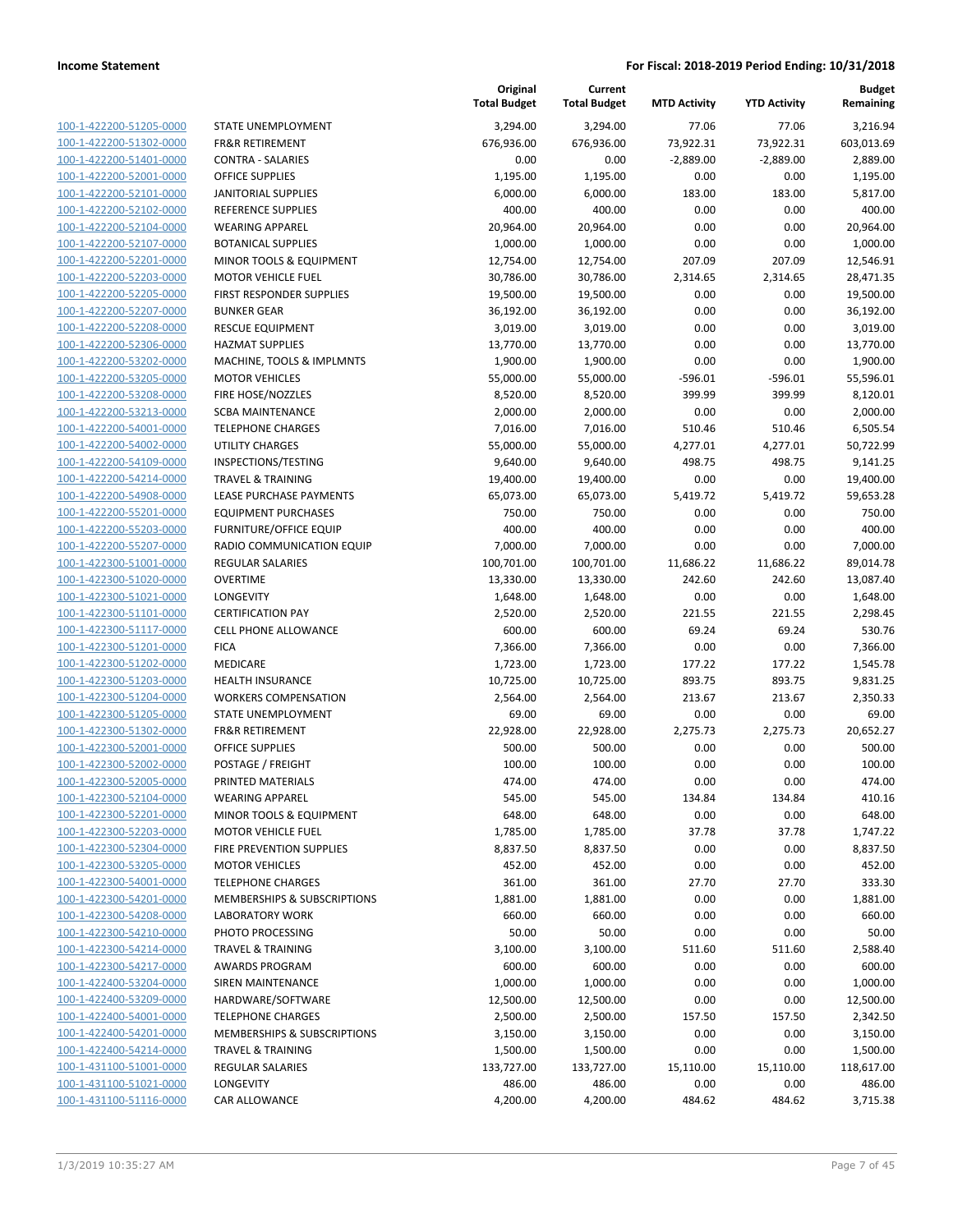**Current**

**Original**

**Budget**

| 100-1-422200-51205-0000        |
|--------------------------------|
| 100-1-422200-51302-0000        |
| <u>100-1-422200-51401-0000</u> |
| 100-1-422200-52001-0000        |
| 100-1-422200-52101-0000        |
| 100-1-422200-52102-0000        |
| 100-1-422200-52104-0000        |
| 100-1-422200-52107-0000        |
| 100-1-422200-52201-0000        |
| 100-1-422200-52203-0000        |
|                                |
| 100-1-422200-52205-0000        |
| 100-1-422200-52207-0000        |
| <u>100-1-422200-52208-0000</u> |
| 100-1-422200-52306-0000        |
| 100-1-422200-53202-0000        |
| 100-1-422200-53205-0000        |
| 100-1-422200-53208-0000        |
| 100-1-422200-53213-0000        |
| 100-1-422200-54001-0000        |
| 100-1-422200-54002-0000        |
| 100-1-422200-54109-0000        |
| 100-1-422200-54214-0000        |
|                                |
| 100-1-422200-54908-0000        |
| 100-1-422200-55201-0000        |
| 100-1-422200-55203-0000        |
| 100-1-422200-55207-0000        |
| 100-1-422300-51001-0000        |
| 100-1-422300-51020-0000        |
| 100-1-422300-51021-0000        |
| 100-1-422300-51101-0000        |
| 100-1-422300-51117-0000        |
| 100-1-422300-51201-0000        |
| <u>100-1-422300-51202-0000</u> |
| 100-1-422300-51203-0000        |
| 100-1-422300-51204-0000        |
| 100-1-422300-51205-0000        |
| 100-1-422300-51302-0000        |
|                                |
| <u>100-1-422300-52001-0000</u> |
| 100-1-422300-52002-0000        |
| 100-1-422300-52005-0000        |
| 100-1-422300-52104-0000        |
| 100-1-422300-52201-0000        |
| <u>100-1-422300-52203-0000</u> |
| <u>100-1-422300-52304-0000</u> |
| 100-1-422300-53205-0000        |
| <u>100-1-422300-54001-0000</u> |
| <u>100-1-422300-54201-0000</u> |
| <u>100-1-422300-54208-0000</u> |
| <u>100-1-422300-54210-0000</u> |
|                                |
| 100-1-422300-54214-0000        |
| 100-1-422300-54217-0000        |
| <u>100-1-422400-53204-0000</u> |
| <u>100-1-422400-53209-0000</u> |
| <u>100-1-422400-54001-0000</u> |
| <u>100-1-422400-54201-0000</u> |
| 100-1-422400-54214-0000        |
| <u>100-1-431100-51001-0000</u> |
| 100-1-431100-51021-0000        |
| <u>100-1-431100-51116-0000</u> |
|                                |

|                                                    |                                                       | <b>Total Budget</b>  | <b>Total Budget</b>  | <b>MTD Activity</b> | <b>YTD Activity</b> | Remaining            |
|----------------------------------------------------|-------------------------------------------------------|----------------------|----------------------|---------------------|---------------------|----------------------|
| 100-1-422200-51205-0000                            | STATE UNEMPLOYMENT                                    | 3,294.00             | 3,294.00             | 77.06               | 77.06               | 3,216.94             |
| 100-1-422200-51302-0000                            | <b>FR&amp;R RETIREMENT</b>                            | 676,936.00           | 676,936.00           | 73,922.31           | 73,922.31           | 603,013.69           |
| 100-1-422200-51401-0000                            | <b>CONTRA - SALARIES</b>                              | 0.00                 | 0.00                 | $-2,889.00$         | $-2,889.00$         | 2,889.00             |
| 100-1-422200-52001-0000                            | <b>OFFICE SUPPLIES</b>                                | 1,195.00             | 1,195.00             | 0.00                | 0.00                | 1,195.00             |
| 100-1-422200-52101-0000                            | <b>JANITORIAL SUPPLIES</b>                            | 6,000.00             | 6,000.00             | 183.00              | 183.00              | 5,817.00             |
| 100-1-422200-52102-0000                            | REFERENCE SUPPLIES                                    | 400.00               | 400.00               | 0.00                | 0.00                | 400.00               |
| 100-1-422200-52104-0000                            | <b>WEARING APPAREL</b>                                | 20,964.00            | 20,964.00            | 0.00                | 0.00                | 20,964.00            |
| 100-1-422200-52107-0000                            | <b>BOTANICAL SUPPLIES</b>                             | 1,000.00             | 1,000.00             | 0.00                | 0.00                | 1,000.00             |
| 100-1-422200-52201-0000                            | <b>MINOR TOOLS &amp; EQUIPMENT</b>                    | 12,754.00            | 12,754.00            | 207.09              | 207.09              | 12,546.91            |
| 100-1-422200-52203-0000                            | <b>MOTOR VEHICLE FUEL</b>                             | 30,786.00            | 30,786.00            | 2,314.65            | 2,314.65            | 28,471.35            |
| 100-1-422200-52205-0000                            | FIRST RESPONDER SUPPLIES                              | 19,500.00            | 19,500.00            | 0.00                | 0.00                | 19,500.00            |
| 100-1-422200-52207-0000                            | <b>BUNKER GEAR</b>                                    | 36,192.00            | 36,192.00            | 0.00                | 0.00                | 36,192.00            |
| 100-1-422200-52208-0000                            | <b>RESCUE EQUIPMENT</b>                               | 3,019.00             | 3,019.00             | 0.00                | 0.00                | 3,019.00             |
| 100-1-422200-52306-0000                            | <b>HAZMAT SUPPLIES</b>                                | 13,770.00            | 13,770.00            | 0.00                | 0.00                | 13,770.00            |
| 100-1-422200-53202-0000                            | MACHINE, TOOLS & IMPLMNTS                             | 1,900.00             | 1,900.00             | 0.00                | 0.00                | 1,900.00             |
| 100-1-422200-53205-0000                            | <b>MOTOR VEHICLES</b>                                 | 55,000.00            | 55,000.00            | $-596.01$           | $-596.01$           | 55,596.01            |
| 100-1-422200-53208-0000                            | FIRE HOSE/NOZZLES                                     | 8,520.00             | 8,520.00             | 399.99              | 399.99              | 8,120.01             |
| 100-1-422200-53213-0000                            | <b>SCBA MAINTENANCE</b>                               | 2,000.00             | 2,000.00             | 0.00                | 0.00                | 2,000.00             |
| 100-1-422200-54001-0000                            | <b>TELEPHONE CHARGES</b>                              | 7,016.00             | 7,016.00             | 510.46              | 510.46              | 6,505.54             |
| 100-1-422200-54002-0000                            | <b>UTILITY CHARGES</b>                                | 55,000.00            | 55,000.00            | 4,277.01            | 4,277.01            | 50,722.99            |
| 100-1-422200-54109-0000                            | INSPECTIONS/TESTING                                   | 9,640.00             | 9,640.00             | 498.75              | 498.75              | 9,141.25             |
| 100-1-422200-54214-0000                            | <b>TRAVEL &amp; TRAINING</b>                          | 19,400.00            | 19,400.00            | 0.00                | 0.00                | 19,400.00            |
| 100-1-422200-54908-0000                            | LEASE PURCHASE PAYMENTS                               | 65,073.00            | 65,073.00            | 5,419.72            | 5,419.72            | 59,653.28            |
| 100-1-422200-55201-0000                            | <b>EQUIPMENT PURCHASES</b>                            | 750.00               | 750.00               | 0.00                | 0.00                | 750.00               |
| 100-1-422200-55203-0000                            | <b>FURNITURE/OFFICE EQUIP</b>                         | 400.00               | 400.00               | 0.00                | 0.00                | 400.00               |
| 100-1-422200-55207-0000                            | RADIO COMMUNICATION EQUIP                             | 7,000.00             | 7,000.00             | 0.00                | 0.00                | 7,000.00             |
| 100-1-422300-51001-0000                            | <b>REGULAR SALARIES</b>                               | 100,701.00           | 100,701.00           | 11,686.22           | 11,686.22           | 89,014.78            |
| 100-1-422300-51020-0000                            | <b>OVERTIME</b>                                       | 13,330.00            | 13,330.00            | 242.60              | 242.60              | 13,087.40            |
| 100-1-422300-51021-0000                            | LONGEVITY                                             | 1,648.00             | 1,648.00             | 0.00                | 0.00                | 1,648.00             |
| 100-1-422300-51101-0000                            | <b>CERTIFICATION PAY</b>                              | 2,520.00             | 2,520.00             | 221.55              | 221.55              | 2,298.45             |
| 100-1-422300-51117-0000                            | <b>CELL PHONE ALLOWANCE</b>                           | 600.00               | 600.00               | 69.24               | 69.24               | 530.76               |
| 100-1-422300-51201-0000                            | <b>FICA</b>                                           | 7,366.00             | 7,366.00             | 0.00                | 0.00                | 7,366.00             |
| 100-1-422300-51202-0000                            | MEDICARE                                              | 1,723.00             | 1,723.00             | 177.22              | 177.22              | 1,545.78             |
| 100-1-422300-51203-0000                            | <b>HEALTH INSURANCE</b>                               | 10,725.00            | 10,725.00            | 893.75              | 893.75              | 9,831.25             |
| 100-1-422300-51204-0000                            | <b>WORKERS COMPENSATION</b>                           | 2,564.00             | 2,564.00             | 213.67              | 213.67              | 2,350.33             |
| 100-1-422300-51205-0000                            | STATE UNEMPLOYMENT                                    | 69.00                | 69.00                | 0.00                | 0.00                | 69.00                |
| 100-1-422300-51302-0000                            | FR&R RETIREMENT                                       | 22,928.00            | 22,928.00            | 2,275.73            | 2,275.73            | 20,652.27            |
| 100-1-422300-52001-0000                            | <b>OFFICE SUPPLIES</b>                                | 500.00               | 500.00               | 0.00                | 0.00                | 500.00               |
| 100-1-422300-52002-0000                            | POSTAGE / FREIGHT                                     | 100.00               | 100.00               | 0.00                | 0.00                | 100.00               |
| 100-1-422300-52005-0000                            | PRINTED MATERIALS                                     | 474.00               | 474.00               | 0.00                | 0.00                | 474.00               |
| 100-1-422300-52104-0000                            | <b>WEARING APPAREL</b>                                | 545.00               | 545.00               | 134.84              | 134.84              | 410.16               |
| 100-1-422300-52201-0000                            | MINOR TOOLS & EQUIPMENT                               | 648.00               | 648.00               | 0.00                | 0.00                | 648.00               |
| 100-1-422300-52203-0000                            | <b>MOTOR VEHICLE FUEL</b>                             | 1,785.00             | 1,785.00             | 37.78               | 37.78               | 1,747.22             |
| 100-1-422300-52304-0000<br>100-1-422300-53205-0000 | <b>FIRE PREVENTION SUPPLIES</b>                       | 8,837.50             | 8,837.50             | 0.00                | 0.00                | 8,837.50             |
|                                                    | <b>MOTOR VEHICLES</b>                                 | 452.00               | 452.00               | 0.00                | 0.00                | 452.00               |
| 100-1-422300-54001-0000                            | <b>TELEPHONE CHARGES</b>                              | 361.00               | 361.00               | 27.70               | 27.70               | 333.30               |
| 100-1-422300-54201-0000<br>100-1-422300-54208-0000 | MEMBERSHIPS & SUBSCRIPTIONS<br><b>LABORATORY WORK</b> | 1,881.00             | 1,881.00             | 0.00                | 0.00                | 1,881.00             |
| 100-1-422300-54210-0000                            |                                                       | 660.00               | 660.00               | 0.00                | 0.00                | 660.00               |
| 100-1-422300-54214-0000                            | PHOTO PROCESSING                                      | 50.00                | 50.00                | 0.00                | 0.00                | 50.00                |
| 100-1-422300-54217-0000                            | <b>TRAVEL &amp; TRAINING</b>                          | 3,100.00             | 3,100.00             | 511.60              | 511.60              | 2,588.40<br>600.00   |
|                                                    | AWARDS PROGRAM<br><b>SIREN MAINTENANCE</b>            | 600.00               | 600.00               | 0.00                | 0.00                |                      |
| 100-1-422400-53204-0000<br>100-1-422400-53209-0000 | HARDWARE/SOFTWARE                                     | 1,000.00             | 1,000.00             | 0.00                | 0.00                | 1,000.00             |
| 100-1-422400-54001-0000                            | <b>TELEPHONE CHARGES</b>                              | 12,500.00            | 12,500.00            | 0.00                | 0.00                | 12,500.00            |
| 100-1-422400-54201-0000                            | MEMBERSHIPS & SUBSCRIPTIONS                           | 2,500.00<br>3,150.00 | 2,500.00<br>3,150.00 | 157.50<br>0.00      | 157.50<br>0.00      | 2,342.50<br>3,150.00 |
| 100-1-422400-54214-0000                            | <b>TRAVEL &amp; TRAINING</b>                          | 1,500.00             | 1,500.00             | 0.00                | 0.00                | 1,500.00             |
| 100-1-431100-51001-0000                            | REGULAR SALARIES                                      | 133,727.00           | 133,727.00           | 15,110.00           | 15,110.00           | 118,617.00           |
| 100-1-431100-51021-0000                            | LONGEVITY                                             | 486.00               | 486.00               | 0.00                | 0.00                | 486.00               |
| 100-1-431100-51116-0000                            | CAR ALLOWANCE                                         | 4,200.00             | 4,200.00             | 484.62              | 484.62              | 3,715.38             |
|                                                    |                                                       |                      |                      |                     |                     |                      |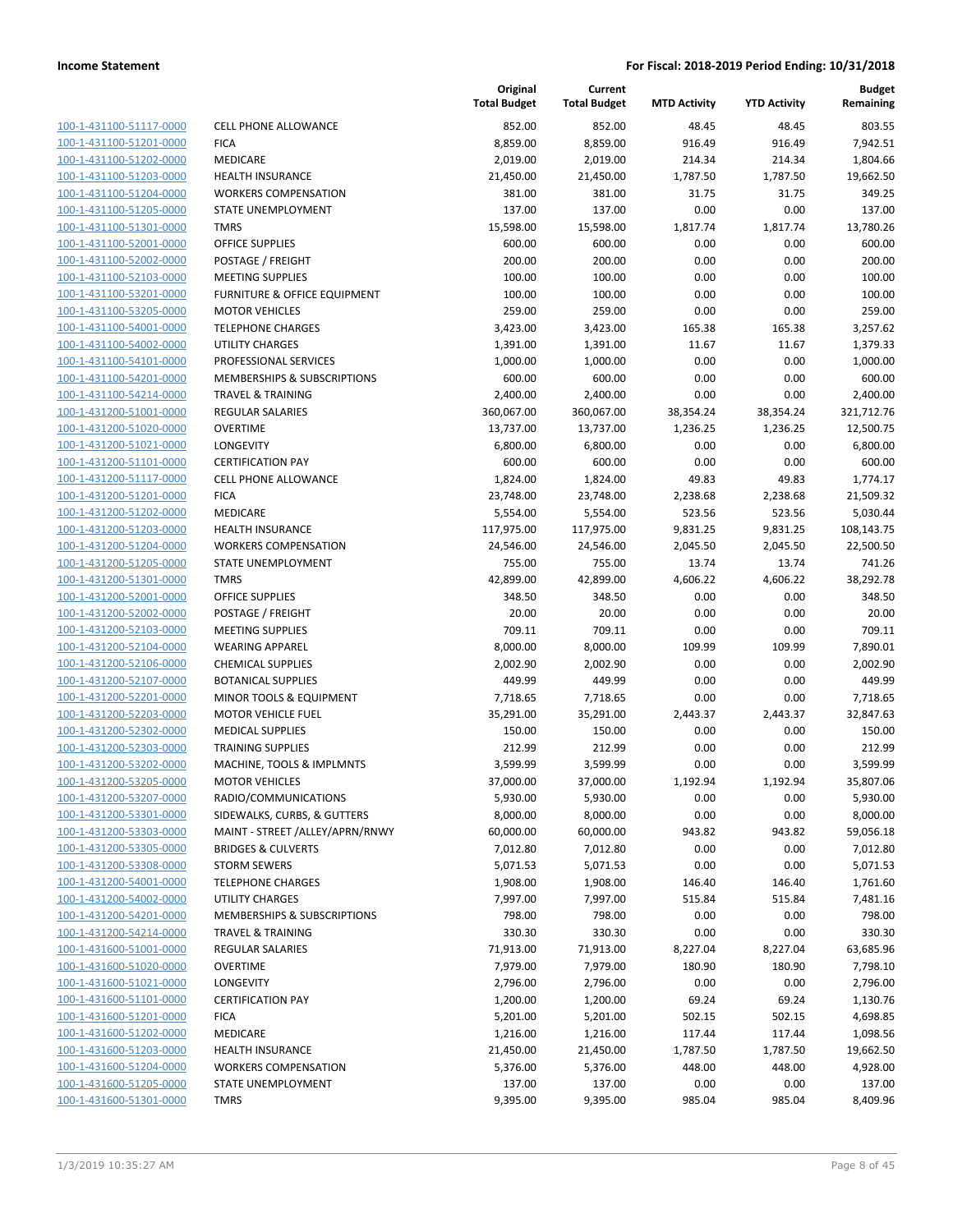| 100-1-431100-51117-0000        |
|--------------------------------|
| 100-1-431100-51201-0000        |
| 100-1-431100-51202-0000        |
| 100-1-431100-51203-0000        |
| 100-1-431100-51204-0000        |
| 100-1-431100-51205-0000        |
| 100-1-431100-51301-0000        |
| 100-1-431100-52001-0000        |
| <u>100-1-431100-52002-0000</u> |
| <u>100-1-431100-52103-0000</u> |
| 100-1-431100-53201-0000        |
| 100-1-431100-53205-0000        |
| 100-1-431100-54001-0000        |
| 100-1-431100-54002-0000        |
| <u>100-1-431100-54101-0000</u> |
| 100-1-431100-54201-0000        |
| 100-1-431100-54214-0000        |
| 100-1-431200-51001-0000        |
| <u>100-1-431200-51020-0000</u> |
| 100-1-431200-51021-0000        |
| 100-1-431200-51101-0000        |
| 100-1-431200-51117-0000        |
| 100-1-431200-51201-0000        |
| <u>100-1-431200-51202-0000</u> |
| 100-1-431200-51203-0000        |
| 100-1-431200-51204-0000        |
| 100-1-431200-51205-0000        |
|                                |
| 100-1-431200-51301-0000        |
| <u>100-1-431200-52001-0000</u> |
| 100-1-431200-52002-0000        |
| 100-1-431200-52103-0000        |
| 100-1-431200-52104-0000        |
| 100-1-431200-52106-0000        |
| <u>100-1-431200-52107-0000</u> |
| 100-1-431200-52201-0000        |
| 100-1-431200-52203-0000        |
| 100-1-431200-52302-0000        |
| 100-1-431200-52303-0000        |
| <u>100-1-431200-53202-0000</u> |
| 100-1-431200-53205-0000        |
| 100-1-431200-53207-0000        |
| <u>100-1-431200-53301-0000</u> |
| 100-1-431200-53303-0000        |
| 100-1-431200-53305-0000        |
| 100-1-431200-53308-0000        |
| <u>100-1-431200-54001-0000</u> |
| 100-1-431200-54002-0000        |
| 100-1-431200-54201-0000        |
| 100-1-431200-54214-0000        |
| <u>100-1-431600-51001-0000</u> |
| 100-1-431600-51020-0000        |
| 100-1-431600-51021-0000        |
| 100-1-431600-51101-0000        |
| <u>100-1-431600-51201-0000</u> |
| <u>100-1-431600-51202-0000</u> |
| <u>100-1-431600-51203-0000</u> |
| <u>100-1-431600-51204-0000</u> |
| 100-1-431600-51205-0000        |
| <u>100-1-431600-51301-0000</u> |
|                                |

|                         |                                 | Original<br><b>Total Budget</b> | Current<br><b>Total Budget</b> | <b>MTD Activity</b> | <b>YTD Activity</b> | <b>Budget</b><br>Remaining |
|-------------------------|---------------------------------|---------------------------------|--------------------------------|---------------------|---------------------|----------------------------|
| 100-1-431100-51117-0000 | <b>CELL PHONE ALLOWANCE</b>     | 852.00                          | 852.00                         | 48.45               | 48.45               | 803.55                     |
| 100-1-431100-51201-0000 | <b>FICA</b>                     | 8,859.00                        | 8,859.00                       | 916.49              | 916.49              | 7,942.51                   |
| 100-1-431100-51202-0000 | MEDICARE                        | 2,019.00                        | 2,019.00                       | 214.34              | 214.34              | 1,804.66                   |
| 100-1-431100-51203-0000 | <b>HEALTH INSURANCE</b>         | 21,450.00                       | 21,450.00                      | 1,787.50            | 1,787.50            | 19,662.50                  |
| 100-1-431100-51204-0000 | <b>WORKERS COMPENSATION</b>     | 381.00                          | 381.00                         | 31.75               | 31.75               | 349.25                     |
| 100-1-431100-51205-0000 | STATE UNEMPLOYMENT              | 137.00                          | 137.00                         | 0.00                | 0.00                | 137.00                     |
| 100-1-431100-51301-0000 | <b>TMRS</b>                     | 15,598.00                       | 15,598.00                      | 1,817.74            | 1,817.74            | 13,780.26                  |
| 100-1-431100-52001-0000 | <b>OFFICE SUPPLIES</b>          | 600.00                          | 600.00                         | 0.00                | 0.00                | 600.00                     |
| 100-1-431100-52002-0000 | POSTAGE / FREIGHT               | 200.00                          | 200.00                         | 0.00                | 0.00                | 200.00                     |
| 100-1-431100-52103-0000 | <b>MEETING SUPPLIES</b>         | 100.00                          | 100.00                         | 0.00                | 0.00                | 100.00                     |
| 100-1-431100-53201-0000 | FURNITURE & OFFICE EQUIPMENT    | 100.00                          | 100.00                         | 0.00                | 0.00                | 100.00                     |
| 100-1-431100-53205-0000 | <b>MOTOR VEHICLES</b>           | 259.00                          | 259.00                         | 0.00                | 0.00                | 259.00                     |
| 100-1-431100-54001-0000 | <b>TELEPHONE CHARGES</b>        | 3,423.00                        | 3,423.00                       | 165.38              | 165.38              | 3,257.62                   |
| 100-1-431100-54002-0000 | <b>UTILITY CHARGES</b>          | 1,391.00                        | 1,391.00                       | 11.67               | 11.67               | 1,379.33                   |
| 100-1-431100-54101-0000 | PROFESSIONAL SERVICES           | 1,000.00                        | 1,000.00                       | 0.00                | 0.00                | 1,000.00                   |
| 100-1-431100-54201-0000 | MEMBERSHIPS & SUBSCRIPTIONS     | 600.00                          | 600.00                         | 0.00                | 0.00                | 600.00                     |
| 100-1-431100-54214-0000 | <b>TRAVEL &amp; TRAINING</b>    | 2,400.00                        | 2,400.00                       | 0.00                | 0.00                | 2,400.00                   |
| 100-1-431200-51001-0000 | <b>REGULAR SALARIES</b>         | 360,067.00                      | 360,067.00                     | 38,354.24           | 38,354.24           | 321,712.76                 |
| 100-1-431200-51020-0000 | <b>OVERTIME</b>                 | 13,737.00                       | 13,737.00                      | 1,236.25            | 1,236.25            | 12,500.75                  |
| 100-1-431200-51021-0000 | LONGEVITY                       | 6,800.00                        | 6,800.00                       | 0.00                | 0.00                | 6,800.00                   |
| 100-1-431200-51101-0000 | <b>CERTIFICATION PAY</b>        | 600.00                          | 600.00                         | 0.00                | 0.00                | 600.00                     |
| 100-1-431200-51117-0000 | CELL PHONE ALLOWANCE            | 1,824.00                        | 1,824.00                       | 49.83               | 49.83               | 1,774.17                   |
| 100-1-431200-51201-0000 | <b>FICA</b>                     | 23,748.00                       | 23,748.00                      | 2,238.68            | 2,238.68            | 21,509.32                  |
| 100-1-431200-51202-0000 | <b>MEDICARE</b>                 | 5,554.00                        | 5,554.00                       | 523.56              | 523.56              | 5,030.44                   |
| 100-1-431200-51203-0000 | <b>HEALTH INSURANCE</b>         | 117,975.00                      | 117,975.00                     | 9,831.25            | 9,831.25            | 108,143.75                 |
| 100-1-431200-51204-0000 | <b>WORKERS COMPENSATION</b>     | 24,546.00                       | 24,546.00                      | 2,045.50            | 2,045.50            | 22,500.50                  |
| 100-1-431200-51205-0000 | STATE UNEMPLOYMENT              | 755.00                          | 755.00                         | 13.74               | 13.74               | 741.26                     |
| 100-1-431200-51301-0000 | <b>TMRS</b>                     | 42,899.00                       | 42,899.00                      | 4,606.22            | 4,606.22            | 38,292.78                  |
| 100-1-431200-52001-0000 | <b>OFFICE SUPPLIES</b>          | 348.50                          | 348.50                         | 0.00                | 0.00                | 348.50                     |
| 100-1-431200-52002-0000 | POSTAGE / FREIGHT               | 20.00                           | 20.00                          | 0.00                | 0.00                | 20.00                      |
| 100-1-431200-52103-0000 | <b>MEETING SUPPLIES</b>         | 709.11                          | 709.11                         | 0.00                | 0.00                | 709.11                     |
| 100-1-431200-52104-0000 | <b>WEARING APPAREL</b>          | 8,000.00                        | 8,000.00                       | 109.99              | 109.99              | 7,890.01                   |
| 100-1-431200-52106-0000 | <b>CHEMICAL SUPPLIES</b>        | 2,002.90                        | 2,002.90                       | 0.00                | 0.00                | 2,002.90                   |
| 100-1-431200-52107-0000 | <b>BOTANICAL SUPPLIES</b>       | 449.99                          | 449.99                         | 0.00                | 0.00                | 449.99                     |
| 100-1-431200-52201-0000 | MINOR TOOLS & EQUIPMENT         | 7,718.65                        | 7,718.65                       | 0.00                | 0.00                | 7,718.65                   |
| 100-1-431200-52203-0000 | <b>MOTOR VEHICLE FUEL</b>       | 35,291.00                       | 35,291.00                      | 2,443.37            | 2,443.37            | 32,847.63                  |
| 100-1-431200-52302-0000 | <b>MEDICAL SUPPLIES</b>         | 150.00                          | 150.00                         | 0.00                | 0.00                | 150.00                     |
| 100-1-431200-52303-0000 | <b>TRAINING SUPPLIES</b>        | 212.99                          | 212.99                         | 0.00                | 0.00                | 212.99                     |
| 100-1-431200-53202-0000 | MACHINE, TOOLS & IMPLMNTS       | 3,599.99                        | 3,599.99                       | 0.00                | 0.00                | 3,599.99                   |
| 100-1-431200-53205-0000 | <b>MOTOR VEHICLES</b>           | 37,000.00                       | 37,000.00                      | 1,192.94            | 1,192.94            | 35,807.06                  |
| 100-1-431200-53207-0000 | RADIO/COMMUNICATIONS            | 5,930.00                        | 5,930.00                       | 0.00                | 0.00                | 5,930.00                   |
| 100-1-431200-53301-0000 | SIDEWALKS, CURBS, & GUTTERS     | 8,000.00                        | 8,000.00                       | 0.00                | 0.00                | 8,000.00                   |
| 100-1-431200-53303-0000 | MAINT - STREET /ALLEY/APRN/RNWY | 60,000.00                       | 60,000.00                      | 943.82              | 943.82              | 59,056.18                  |
| 100-1-431200-53305-0000 | <b>BRIDGES &amp; CULVERTS</b>   | 7,012.80                        | 7,012.80                       | 0.00                | 0.00                | 7,012.80                   |
| 100-1-431200-53308-0000 | <b>STORM SEWERS</b>             | 5,071.53                        | 5,071.53                       | 0.00                | 0.00                | 5,071.53                   |
| 100-1-431200-54001-0000 | <b>TELEPHONE CHARGES</b>        | 1,908.00                        | 1,908.00                       | 146.40              | 146.40              | 1,761.60                   |
| 100-1-431200-54002-0000 | <b>UTILITY CHARGES</b>          | 7,997.00                        | 7,997.00                       | 515.84              | 515.84              | 7,481.16                   |
| 100-1-431200-54201-0000 | MEMBERSHIPS & SUBSCRIPTIONS     | 798.00                          | 798.00                         | 0.00                | 0.00                | 798.00                     |
| 100-1-431200-54214-0000 | <b>TRAVEL &amp; TRAINING</b>    | 330.30                          | 330.30                         | 0.00                | 0.00                | 330.30                     |
| 100-1-431600-51001-0000 | <b>REGULAR SALARIES</b>         | 71,913.00                       | 71,913.00                      | 8,227.04            | 8,227.04            | 63,685.96                  |
| 100-1-431600-51020-0000 | <b>OVERTIME</b>                 | 7,979.00                        | 7,979.00                       | 180.90              | 180.90              | 7,798.10                   |
| 100-1-431600-51021-0000 | LONGEVITY                       | 2,796.00                        | 2,796.00                       | 0.00                | 0.00                | 2,796.00                   |
| 100-1-431600-51101-0000 | <b>CERTIFICATION PAY</b>        | 1,200.00                        | 1,200.00                       | 69.24               | 69.24               | 1,130.76                   |
| 100-1-431600-51201-0000 | <b>FICA</b>                     | 5,201.00                        | 5,201.00                       | 502.15              | 502.15              | 4,698.85                   |
| 100-1-431600-51202-0000 | MEDICARE                        | 1,216.00                        | 1,216.00                       | 117.44              | 117.44              | 1,098.56                   |
| 100-1-431600-51203-0000 | <b>HEALTH INSURANCE</b>         | 21,450.00                       | 21,450.00                      | 1,787.50            | 1,787.50            | 19,662.50                  |
| 100-1-431600-51204-0000 | <b>WORKERS COMPENSATION</b>     | 5,376.00                        | 5,376.00                       | 448.00              | 448.00              | 4,928.00                   |
| 100-1-431600-51205-0000 | STATE UNEMPLOYMENT              | 137.00                          | 137.00                         | 0.00                | 0.00                | 137.00                     |
| 100-1-431600-51301-0000 | <b>TMRS</b>                     | 9,395.00                        | 9,395.00                       | 985.04              | 985.04              | 8,409.96                   |
|                         |                                 |                                 |                                |                     |                     |                            |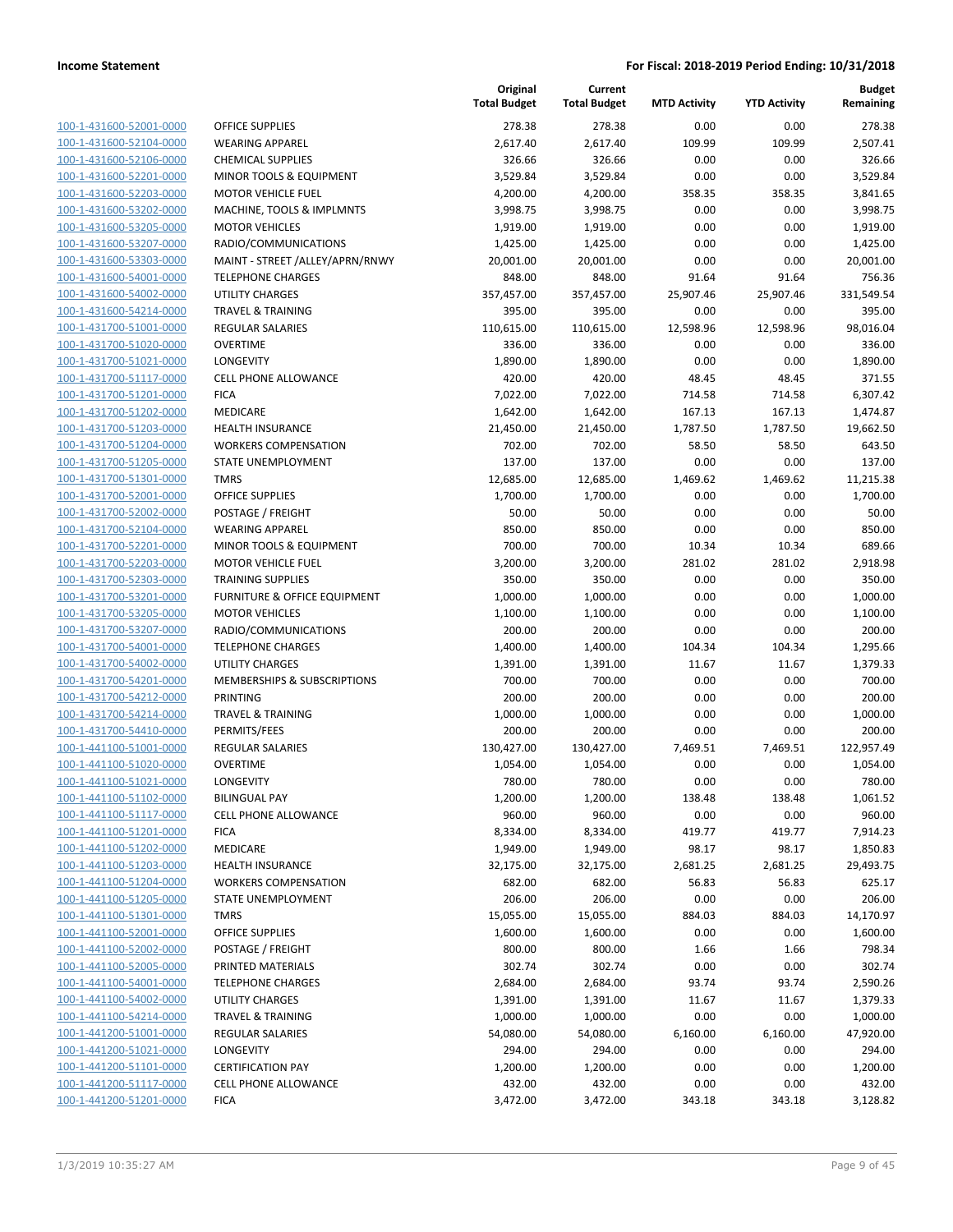|                                                    |                                                       | Original<br><b>Total Budget</b> | Current<br><b>Total Budget</b> | <b>MTD Activity</b> | <b>YTD Activity</b> | <b>Budget</b><br>Remaining |
|----------------------------------------------------|-------------------------------------------------------|---------------------------------|--------------------------------|---------------------|---------------------|----------------------------|
| 100-1-431600-52001-0000                            | OFFICE SUPPLIES                                       | 278.38                          | 278.38                         | 0.00                | 0.00                | 278.38                     |
| 100-1-431600-52104-0000                            | <b>WEARING APPAREL</b>                                | 2,617.40                        | 2,617.40                       | 109.99              | 109.99              | 2,507.41                   |
| 100-1-431600-52106-0000                            | <b>CHEMICAL SUPPLIES</b>                              | 326.66                          | 326.66                         | 0.00                | 0.00                | 326.66                     |
| 100-1-431600-52201-0000                            | <b>MINOR TOOLS &amp; EQUIPMENT</b>                    | 3,529.84                        | 3,529.84                       | 0.00                | 0.00                | 3,529.84                   |
| 100-1-431600-52203-0000                            | <b>MOTOR VEHICLE FUEL</b>                             | 4,200.00                        | 4,200.00                       | 358.35              | 358.35              | 3,841.65                   |
| 100-1-431600-53202-0000                            | MACHINE, TOOLS & IMPLMNTS                             | 3,998.75                        | 3,998.75                       | 0.00                | 0.00                | 3,998.75                   |
| 100-1-431600-53205-0000                            | <b>MOTOR VEHICLES</b>                                 | 1,919.00                        | 1,919.00                       | 0.00                | 0.00                | 1,919.00                   |
| 100-1-431600-53207-0000                            | RADIO/COMMUNICATIONS                                  | 1,425.00                        | 1,425.00                       | 0.00                | 0.00                | 1,425.00                   |
| 100-1-431600-53303-0000                            | MAINT - STREET /ALLEY/APRN/RNWY                       | 20,001.00                       | 20,001.00                      | 0.00                | 0.00                | 20,001.00                  |
| 100-1-431600-54001-0000                            | <b>TELEPHONE CHARGES</b>                              | 848.00                          | 848.00                         | 91.64               | 91.64               | 756.36                     |
| 100-1-431600-54002-0000                            | <b>UTILITY CHARGES</b>                                | 357,457.00                      | 357,457.00                     | 25,907.46           | 25,907.46           | 331,549.54                 |
| 100-1-431600-54214-0000                            | <b>TRAVEL &amp; TRAINING</b>                          | 395.00                          | 395.00                         | 0.00                | 0.00                | 395.00                     |
| 100-1-431700-51001-0000                            | REGULAR SALARIES                                      | 110,615.00                      | 110,615.00                     | 12,598.96           | 12,598.96           | 98,016.04                  |
| 100-1-431700-51020-0000                            | <b>OVERTIME</b>                                       | 336.00                          | 336.00                         | 0.00                | 0.00                | 336.00                     |
| 100-1-431700-51021-0000                            | <b>LONGEVITY</b>                                      | 1,890.00                        | 1,890.00                       | 0.00                | 0.00                | 1,890.00                   |
| 100-1-431700-51117-0000                            | <b>CELL PHONE ALLOWANCE</b>                           | 420.00                          | 420.00                         | 48.45               | 48.45               | 371.55                     |
| 100-1-431700-51201-0000                            | <b>FICA</b>                                           | 7,022.00                        | 7,022.00                       | 714.58              | 714.58              | 6,307.42                   |
| 100-1-431700-51202-0000                            | <b>MEDICARE</b>                                       | 1,642.00                        | 1,642.00                       | 167.13              | 167.13              | 1,474.87                   |
| 100-1-431700-51203-0000                            | <b>HEALTH INSURANCE</b>                               | 21,450.00                       | 21,450.00                      | 1,787.50            | 1,787.50            | 19,662.50                  |
| 100-1-431700-51204-0000                            | <b>WORKERS COMPENSATION</b>                           | 702.00                          | 702.00                         | 58.50               | 58.50               | 643.50                     |
| 100-1-431700-51205-0000                            | <b>STATE UNEMPLOYMENT</b>                             | 137.00                          | 137.00                         | 0.00                | 0.00                | 137.00                     |
| 100-1-431700-51301-0000                            | <b>TMRS</b>                                           | 12,685.00                       | 12,685.00                      | 1,469.62            | 1,469.62            | 11,215.38                  |
| 100-1-431700-52001-0000                            | OFFICE SUPPLIES                                       | 1,700.00                        | 1,700.00                       | 0.00                | 0.00                | 1,700.00                   |
| 100-1-431700-52002-0000                            | POSTAGE / FREIGHT                                     | 50.00                           | 50.00                          | 0.00                | 0.00                | 50.00                      |
| 100-1-431700-52104-0000                            | <b>WEARING APPAREL</b>                                | 850.00                          | 850.00                         | 0.00                | 0.00                | 850.00                     |
| 100-1-431700-52201-0000                            | MINOR TOOLS & EQUIPMENT                               | 700.00                          | 700.00                         | 10.34               | 10.34               | 689.66                     |
| 100-1-431700-52203-0000                            | <b>MOTOR VEHICLE FUEL</b>                             | 3,200.00                        | 3,200.00                       | 281.02              | 281.02              | 2,918.98                   |
| 100-1-431700-52303-0000                            | <b>TRAINING SUPPLIES</b>                              | 350.00                          | 350.00                         | 0.00                | 0.00                | 350.00                     |
| 100-1-431700-53201-0000                            | FURNITURE & OFFICE EQUIPMENT<br><b>MOTOR VEHICLES</b> | 1,000.00<br>1,100.00            | 1,000.00                       | 0.00<br>0.00        | 0.00<br>0.00        | 1,000.00<br>1,100.00       |
| 100-1-431700-53205-0000<br>100-1-431700-53207-0000 | RADIO/COMMUNICATIONS                                  | 200.00                          | 1,100.00<br>200.00             | 0.00                | 0.00                | 200.00                     |
| 100-1-431700-54001-0000                            | <b>TELEPHONE CHARGES</b>                              | 1,400.00                        | 1,400.00                       | 104.34              | 104.34              | 1,295.66                   |
| 100-1-431700-54002-0000                            | UTILITY CHARGES                                       | 1,391.00                        | 1,391.00                       | 11.67               | 11.67               | 1,379.33                   |
| 100-1-431700-54201-0000                            | MEMBERSHIPS & SUBSCRIPTIONS                           | 700.00                          | 700.00                         | 0.00                | 0.00                | 700.00                     |
| 100-1-431700-54212-0000                            | PRINTING                                              | 200.00                          | 200.00                         | 0.00                | 0.00                | 200.00                     |
| 100-1-431700-54214-0000                            | <b>TRAVEL &amp; TRAINING</b>                          | 1,000.00                        | 1,000.00                       | 0.00                | 0.00                | 1,000.00                   |
| 100-1-431700-54410-0000                            | PERMITS/FEES                                          | 200.00                          | 200.00                         | 0.00                | 0.00                | 200.00                     |
| 100-1-441100-51001-0000                            | REGULAR SALARIES                                      | 130,427.00                      | 130,427.00                     | 7,469.51            | 7,469.51            | 122,957.49                 |
| 100-1-441100-51020-0000                            | <b>OVERTIME</b>                                       | 1,054.00                        | 1,054.00                       | 0.00                | 0.00                | 1,054.00                   |
| 100-1-441100-51021-0000                            | LONGEVITY                                             | 780.00                          | 780.00                         | 0.00                | 0.00                | 780.00                     |
| 100-1-441100-51102-0000                            | <b>BILINGUAL PAY</b>                                  | 1,200.00                        | 1,200.00                       | 138.48              | 138.48              | 1,061.52                   |
| 100-1-441100-51117-0000                            | <b>CELL PHONE ALLOWANCE</b>                           | 960.00                          | 960.00                         | 0.00                | 0.00                | 960.00                     |
| 100-1-441100-51201-0000                            | <b>FICA</b>                                           | 8,334.00                        | 8,334.00                       | 419.77              | 419.77              | 7,914.23                   |
| 100-1-441100-51202-0000                            | MEDICARE                                              | 1,949.00                        | 1,949.00                       | 98.17               | 98.17               | 1,850.83                   |
| 100-1-441100-51203-0000                            | HEALTH INSURANCE                                      | 32,175.00                       | 32,175.00                      | 2,681.25            | 2,681.25            | 29,493.75                  |
| 100-1-441100-51204-0000                            | <b>WORKERS COMPENSATION</b>                           | 682.00                          | 682.00                         | 56.83               | 56.83               | 625.17                     |
| 100-1-441100-51205-0000                            | STATE UNEMPLOYMENT                                    | 206.00                          | 206.00                         | 0.00                | 0.00                | 206.00                     |
| 100-1-441100-51301-0000                            | TMRS                                                  | 15,055.00                       | 15,055.00                      | 884.03              | 884.03              | 14,170.97                  |
| 100-1-441100-52001-0000                            | OFFICE SUPPLIES                                       | 1,600.00                        | 1,600.00                       | 0.00                | 0.00                | 1,600.00                   |
| 100-1-441100-52002-0000                            | POSTAGE / FREIGHT                                     | 800.00                          | 800.00                         | 1.66                | 1.66                | 798.34                     |
| 100-1-441100-52005-0000                            | PRINTED MATERIALS                                     | 302.74                          | 302.74                         | 0.00                | 0.00                | 302.74                     |
| 100-1-441100-54001-0000                            | <b>TELEPHONE CHARGES</b>                              | 2,684.00                        | 2,684.00                       | 93.74               | 93.74               | 2,590.26                   |
| 100-1-441100-54002-0000                            | UTILITY CHARGES                                       | 1,391.00                        | 1,391.00                       | 11.67               | 11.67               | 1,379.33                   |
| 100-1-441100-54214-0000                            | <b>TRAVEL &amp; TRAINING</b>                          | 1,000.00                        | 1,000.00                       | 0.00                | 0.00                | 1,000.00                   |
| 100-1-441200-51001-0000                            | REGULAR SALARIES                                      | 54,080.00                       | 54,080.00                      | 6,160.00            | 6,160.00            | 47,920.00                  |
| 100-1-441200-51021-0000                            | LONGEVITY                                             | 294.00                          | 294.00                         | 0.00                | 0.00                | 294.00                     |
| 100-1-441200-51101-0000                            | <b>CERTIFICATION PAY</b>                              | 1,200.00                        | 1,200.00                       | 0.00                | 0.00                | 1,200.00                   |
| 100-1-441200-51117-0000                            | <b>CELL PHONE ALLOWANCE</b>                           | 432.00                          | 432.00                         | 0.00                | 0.00                | 432.00                     |
| 100-1-441200-51201-0000                            | <b>FICA</b>                                           | 3,472.00                        | 3,472.00                       | 343.18              | 343.18              | 3,128.82                   |
|                                                    |                                                       |                                 |                                |                     |                     |                            |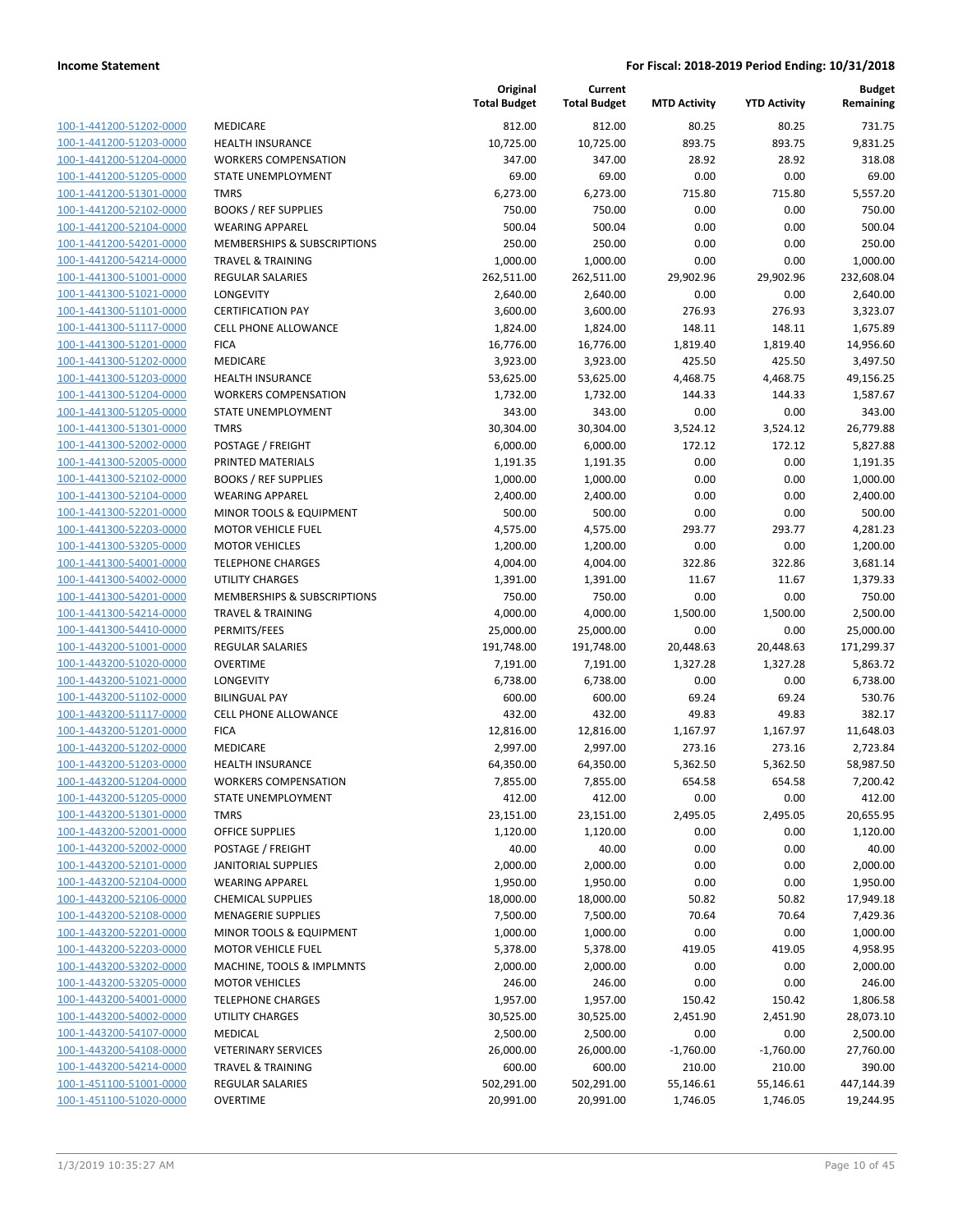**Current**

**Original**

**Budget**

| 100-1-441200-51202-0000        |
|--------------------------------|
| 100-1-441200-51203-0000        |
| 100-1-441200-51204-0000        |
| 100-1-441200-51205-0000        |
| 100-1-441200-51301-0000        |
| 100-1-441200-52102-0000        |
| 100-1-441200-52104-0000        |
| 100-1-441200-54201-0000        |
| 100-1-441200-54214-0000        |
| <u>100-1-441300-51001-0000</u> |
| 100-1-441300-51021-0000        |
| 100-1-441300-51101-<br>$-0000$ |
| 100-1-441300-51117-0000        |
| 100-1-441300-51201-0000        |
| <u>100-1-441300-51202-0000</u> |
| 100-1-441300-51203-0000        |
| 100-1-441300-51204-0000        |
| 100-1-441300-51205-0000        |
| 100-1-441300-51301-0000        |
| 100-1-441300-52002-0000        |
| 100-1-441300-52005-0000        |
| 100-1-441300-52102-0000        |
|                                |
| 100-1-441300-52104-0000        |
| 100-1-441300-52201-0000        |
| <u>100-1-441300-52203-0000</u> |
| 100-1-441300-53205-0000        |
| 100-1-441300-54001-0000        |
| 100-1-441300-54002-0000        |
| 100-1-441300-54201-0000        |
| 100-1-441300-54214-0000        |
| 100-1-441300-54410-0000        |
| 100-1-443200-51001-0000        |
| 100-1-443200-51020-0000        |
| 100-1-443200-51021-0000        |
| <u>100-1-443200-51102-0000</u> |
| 100-1-443200-51117-0000        |
| 100-1-443200-51201-0000        |
| 100-1-443200-51202-0000        |
| 100-1-443200-51203-0000        |
| 100-1-443200-51204-0000        |
| 100-1-443200-51205-0000        |
| <u>100-1-443200-51301-0000</u> |
| 100-1-443200-52001-0000        |
| <u>100-1-443200-52002-0000</u> |
| 100-1-443200-52101-0000        |
| 100-1-443200-52104-0000        |
| 100-1-443200-52106-0000        |
| <u>100-1-443200-52108-0000</u> |
| 100-1-443200-52201-0000        |
| <u>100-1-443200-52203-0000</u> |
| <u>100-1-443200-53202-0000</u> |
| 100-1-443200-53205-0000        |
|                                |
| 100-1-443200-54001-0000        |
| <u>100-1-443200-54002-0000</u> |
| 100-1-443200-54107-0000        |
| <u>100-1-443200-54108-0000</u> |
| <u>100-1-443200-54214-0000</u> |
| 100-1-451100-51001-0000        |
| <u>100-1-451100-51020-0000</u> |

|                                                        | <b>Total Budget</b>   |
|--------------------------------------------------------|-----------------------|
| MEDICARE                                               | 812.00                |
| <b>HEALTH INSURANCE</b>                                | 10,725.00             |
| <b>WORKERS COMPENSATION</b>                            | 347.00                |
| STATE UNEMPLOYMENT                                     | 69.00                 |
| <b>TMRS</b>                                            | 6,273.00              |
| <b>BOOKS / REF SUPPLIES</b>                            | 750.00                |
| WEARING APPAREL                                        | 500.04                |
| <b>MEMBERSHIPS &amp; SUBSCRIPTIONS</b>                 | 250.00                |
| TRAVEL & TRAINING                                      | 1,000.00              |
| REGULAR SALARIES                                       | 262,511.00            |
| LONGEVITY                                              | 2,640.00              |
| <b>CERTIFICATION PAY</b>                               | 3,600.00              |
| <b>CELL PHONE ALLOWANCE</b>                            | 1,824.00              |
| <b>FICA</b>                                            | 16,776.00             |
| MEDICARE                                               | 3,923.00              |
| HEALTH INSURANCE                                       | 53,625.00             |
| <b>WORKERS COMPENSATION</b>                            | 1,732.00              |
| STATE UNEMPLOYMENT                                     | 343.00                |
| <b>TMRS</b>                                            | 30,304.00             |
| POSTAGE / FREIGHT                                      | 6,000.00              |
| PRINTED MATERIALS                                      | 1,191.35              |
| <b>BOOKS / REF SUPPLIES</b>                            | 1,000.00              |
| WEARING APPAREL                                        | 2,400.00              |
| MINOR TOOLS & EQUIPMENT                                | 500.00                |
| MOTOR VEHICLE FUEL                                     | 4,575.00              |
| <b>MOTOR VEHICLES</b>                                  | 1,200.00              |
| <b>TELEPHONE CHARGES</b>                               | 4,004.00              |
| UTILITY CHARGES                                        | 1,391.00              |
| <b>MEMBERSHIPS &amp; SUBSCRIPTIONS</b>                 | 750.00                |
| TRAVEL & TRAINING                                      | 4,000.00              |
| PERMITS/FEES                                           | 25,000.00             |
| REGULAR SALARIES                                       | 191,748.00            |
| OVERTIME                                               | 7,191.00              |
| LONGEVITY                                              | 6,738.00              |
| <b>BILINGUAL PAY</b>                                   | 600.00                |
| <b>CELL PHONE ALLOWANCE</b>                            | 432.00                |
| <b>FICA</b>                                            | 12,816.00             |
| MEDICARE                                               | 2,997.00              |
| <b>HEALTH INSURANCE</b><br><b>WORKERS COMPENSATION</b> | 64,350.00             |
|                                                        | 7,855.00              |
| STATE UNEMPLOYMENT<br>TMRS                             | 412.00                |
| OFFICE SUPPLIES                                        | 23,151.00<br>1,120.00 |
| POSTAGE / FREIGHT                                      | 40.00                 |
| JANITORIAL SUPPLIES                                    | 2,000.00              |
| WEARING APPAREL                                        | 1,950.00              |
| <b>CHEMICAL SUPPLIES</b>                               | 18,000.00             |
| <b>MENAGERIE SUPPLIES</b>                              | 7,500.00              |
| MINOR TOOLS & EQUIPMENT                                | 1,000.00              |
| MOTOR VEHICLE FUEL                                     | 5,378.00              |
| MACHINE, TOOLS & IMPLMNTS                              | 2,000.00              |
| <b>MOTOR VEHICLES</b>                                  | 246.00                |
| <b>TELEPHONE CHARGES</b>                               | 1,957.00              |
| UTILITY CHARGES                                        | 30,525.00             |
| MEDICAL                                                | 2,500.00              |
| <b>VETERINARY SERVICES</b>                             | 26,000.00             |
| TRAVEL & TRAINING                                      | 600.00                |
| REGULAR SALARIES                                       | 502,291.00            |
|                                                        |                       |

|                                                    |                                                      | <b>Total Budget</b>  | <b>Total Budget</b>  | <b>MTD Activity</b> | <b>YTD Activity</b> | Remaining            |
|----------------------------------------------------|------------------------------------------------------|----------------------|----------------------|---------------------|---------------------|----------------------|
| 100-1-441200-51202-0000                            | MEDICARE                                             | 812.00               | 812.00               | 80.25               | 80.25               | 731.75               |
| 100-1-441200-51203-0000                            | <b>HEALTH INSURANCE</b>                              | 10,725.00            | 10,725.00            | 893.75              | 893.75              | 9,831.25             |
| 100-1-441200-51204-0000                            | <b>WORKERS COMPENSATION</b>                          | 347.00               | 347.00               | 28.92               | 28.92               | 318.08               |
| 100-1-441200-51205-0000                            | <b>STATE UNEMPLOYMENT</b>                            | 69.00                | 69.00                | 0.00                | 0.00                | 69.00                |
| 100-1-441200-51301-0000                            | <b>TMRS</b>                                          | 6,273.00             | 6,273.00             | 715.80              | 715.80              | 5,557.20             |
| 100-1-441200-52102-0000                            | <b>BOOKS / REF SUPPLIES</b>                          | 750.00               | 750.00               | 0.00                | 0.00                | 750.00               |
| 100-1-441200-52104-0000                            | <b>WEARING APPAREL</b>                               | 500.04               | 500.04               | 0.00                | 0.00                | 500.04               |
| 100-1-441200-54201-0000                            | <b>MEMBERSHIPS &amp; SUBSCRIPTIONS</b>               | 250.00               | 250.00               | 0.00                | 0.00                | 250.00               |
| 100-1-441200-54214-0000                            | <b>TRAVEL &amp; TRAINING</b>                         | 1,000.00             | 1,000.00             | 0.00                | 0.00                | 1,000.00             |
| 100-1-441300-51001-0000                            | <b>REGULAR SALARIES</b>                              | 262,511.00           | 262,511.00           | 29,902.96           | 29,902.96           | 232,608.04           |
| 100-1-441300-51021-0000                            | <b>LONGEVITY</b>                                     | 2,640.00             | 2,640.00             | 0.00                | 0.00                | 2,640.00             |
| 100-1-441300-51101-0000                            | <b>CERTIFICATION PAY</b>                             | 3,600.00             | 3,600.00             | 276.93              | 276.93              | 3,323.07             |
| 100-1-441300-51117-0000                            | CELL PHONE ALLOWANCE                                 | 1,824.00             | 1,824.00             | 148.11              | 148.11              | 1,675.89             |
| 100-1-441300-51201-0000                            | <b>FICA</b>                                          | 16,776.00            | 16,776.00            | 1,819.40            | 1,819.40            | 14,956.60            |
| 100-1-441300-51202-0000                            | MEDICARE                                             | 3,923.00             | 3,923.00             | 425.50              | 425.50              | 3,497.50             |
| 100-1-441300-51203-0000                            | <b>HEALTH INSURANCE</b>                              | 53,625.00            | 53,625.00            | 4,468.75            | 4,468.75            | 49,156.25            |
| 100-1-441300-51204-0000                            | <b>WORKERS COMPENSATION</b>                          | 1,732.00             | 1,732.00             | 144.33              | 144.33              | 1,587.67             |
| 100-1-441300-51205-0000                            | <b>STATE UNEMPLOYMENT</b>                            | 343.00               | 343.00               | 0.00                | 0.00                | 343.00               |
| 100-1-441300-51301-0000                            | <b>TMRS</b>                                          | 30,304.00            | 30,304.00            | 3,524.12            | 3,524.12            | 26,779.88            |
| 100-1-441300-52002-0000                            | POSTAGE / FREIGHT                                    | 6,000.00             | 6,000.00             | 172.12              | 172.12              | 5,827.88             |
| 100-1-441300-52005-0000                            | PRINTED MATERIALS                                    | 1,191.35             | 1,191.35             | 0.00                | 0.00                | 1,191.35             |
| 100-1-441300-52102-0000                            | <b>BOOKS / REF SUPPLIES</b>                          | 1,000.00             | 1,000.00             | 0.00                | 0.00                | 1,000.00             |
| 100-1-441300-52104-0000                            | <b>WEARING APPAREL</b>                               | 2,400.00             | 2,400.00             | 0.00                | 0.00                | 2,400.00             |
| 100-1-441300-52201-0000                            | MINOR TOOLS & EQUIPMENT<br><b>MOTOR VEHICLE FUEL</b> | 500.00               | 500.00               | 0.00                | 0.00<br>293.77      | 500.00               |
| 100-1-441300-52203-0000<br>100-1-441300-53205-0000 | <b>MOTOR VEHICLES</b>                                | 4,575.00<br>1,200.00 | 4,575.00<br>1,200.00 | 293.77<br>0.00      | 0.00                | 4,281.23<br>1,200.00 |
| 100-1-441300-54001-0000                            | <b>TELEPHONE CHARGES</b>                             | 4,004.00             | 4,004.00             | 322.86              | 322.86              | 3,681.14             |
| 100-1-441300-54002-0000                            | <b>UTILITY CHARGES</b>                               | 1,391.00             | 1,391.00             | 11.67               | 11.67               | 1,379.33             |
| 100-1-441300-54201-0000                            | MEMBERSHIPS & SUBSCRIPTIONS                          | 750.00               | 750.00               | 0.00                | 0.00                | 750.00               |
| 100-1-441300-54214-0000                            | TRAVEL & TRAINING                                    | 4,000.00             | 4,000.00             | 1,500.00            | 1,500.00            | 2,500.00             |
| 100-1-441300-54410-0000                            | PERMITS/FEES                                         | 25,000.00            | 25,000.00            | 0.00                | 0.00                | 25,000.00            |
| 100-1-443200-51001-0000                            | <b>REGULAR SALARIES</b>                              | 191,748.00           | 191,748.00           | 20,448.63           | 20,448.63           | 171,299.37           |
| 100-1-443200-51020-0000                            | <b>OVERTIME</b>                                      | 7,191.00             | 7,191.00             | 1,327.28            | 1,327.28            | 5,863.72             |
| 100-1-443200-51021-0000                            | <b>LONGEVITY</b>                                     | 6,738.00             | 6,738.00             | 0.00                | 0.00                | 6,738.00             |
| 100-1-443200-51102-0000                            | <b>BILINGUAL PAY</b>                                 | 600.00               | 600.00               | 69.24               | 69.24               | 530.76               |
| 100-1-443200-51117-0000                            | CELL PHONE ALLOWANCE                                 | 432.00               | 432.00               | 49.83               | 49.83               | 382.17               |
| 100-1-443200-51201-0000                            | <b>FICA</b>                                          | 12,816.00            | 12,816.00            | 1,167.97            | 1,167.97            | 11,648.03            |
| 100-1-443200-51202-0000                            | <b>MEDICARE</b>                                      | 2,997.00             | 2,997.00             | 273.16              | 273.16              | 2,723.84             |
| 100-1-443200-51203-0000                            | <b>HEALTH INSURANCE</b>                              | 64,350.00            | 64,350.00            | 5,362.50            | 5,362.50            | 58,987.50            |
| 100-1-443200-51204-0000                            | <b>WORKERS COMPENSATION</b>                          | 7,855.00             | 7,855.00             | 654.58              | 654.58              | 7,200.42             |
| 100-1-443200-51205-0000                            | STATE UNEMPLOYMENT                                   | 412.00               | 412.00               | 0.00                | 0.00                | 412.00               |
| 100-1-443200-51301-0000                            | <b>TMRS</b>                                          | 23,151.00            | 23,151.00            | 2,495.05            | 2,495.05            | 20,655.95            |
| 100-1-443200-52001-0000                            | <b>OFFICE SUPPLIES</b>                               | 1,120.00             | 1,120.00             | 0.00                | 0.00                | 1,120.00             |
| 100-1-443200-52002-0000                            | POSTAGE / FREIGHT                                    | 40.00                | 40.00                | 0.00                | 0.00                | 40.00                |
| 100-1-443200-52101-0000                            | <b>JANITORIAL SUPPLIES</b>                           | 2,000.00             | 2,000.00             | 0.00                | 0.00                | 2,000.00             |
| 100-1-443200-52104-0000                            | <b>WEARING APPAREL</b>                               | 1,950.00             | 1,950.00             | 0.00                | 0.00                | 1,950.00             |
| 100-1-443200-52106-0000                            | <b>CHEMICAL SUPPLIES</b>                             | 18,000.00            | 18,000.00            | 50.82               | 50.82               | 17,949.18            |
| 100-1-443200-52108-0000                            | <b>MENAGERIE SUPPLIES</b>                            | 7,500.00             | 7,500.00             | 70.64               | 70.64               | 7,429.36             |
| 100-1-443200-52201-0000                            | MINOR TOOLS & EQUIPMENT                              | 1,000.00             | 1,000.00             | 0.00                | 0.00                | 1,000.00             |
| 100-1-443200-52203-0000                            | <b>MOTOR VEHICLE FUEL</b>                            | 5,378.00             | 5,378.00             | 419.05              | 419.05              | 4,958.95             |
| 100-1-443200-53202-0000                            | MACHINE, TOOLS & IMPLMNTS                            | 2,000.00             | 2,000.00             | 0.00                | 0.00                | 2,000.00             |
| 100-1-443200-53205-0000                            | <b>MOTOR VEHICLES</b>                                | 246.00               | 246.00               | 0.00                | 0.00                | 246.00               |
| 100-1-443200-54001-0000                            | <b>TELEPHONE CHARGES</b>                             | 1,957.00             | 1,957.00             | 150.42              | 150.42              | 1,806.58             |
| 100-1-443200-54002-0000                            | <b>UTILITY CHARGES</b>                               | 30,525.00            | 30,525.00            | 2,451.90            | 2,451.90            | 28,073.10            |
| 100-1-443200-54107-0000                            | MEDICAL                                              | 2,500.00             | 2,500.00             | 0.00                | 0.00                | 2,500.00             |
| 100-1-443200-54108-0000                            | <b>VETERINARY SERVICES</b>                           | 26,000.00            | 26,000.00            | $-1,760.00$         | $-1,760.00$         | 27,760.00            |
| 100-1-443200-54214-0000                            | <b>TRAVEL &amp; TRAINING</b>                         | 600.00               | 600.00               | 210.00              | 210.00              | 390.00               |
| 100-1-451100-51001-0000                            | REGULAR SALARIES                                     | 502,291.00           | 502,291.00           | 55,146.61           | 55,146.61           | 447,144.39           |
| 100-1-451100-51020-0000                            | <b>OVERTIME</b>                                      | 20,991.00            | 20,991.00            | 1,746.05            | 1,746.05            | 19,244.95            |
|                                                    |                                                      |                      |                      |                     |                     |                      |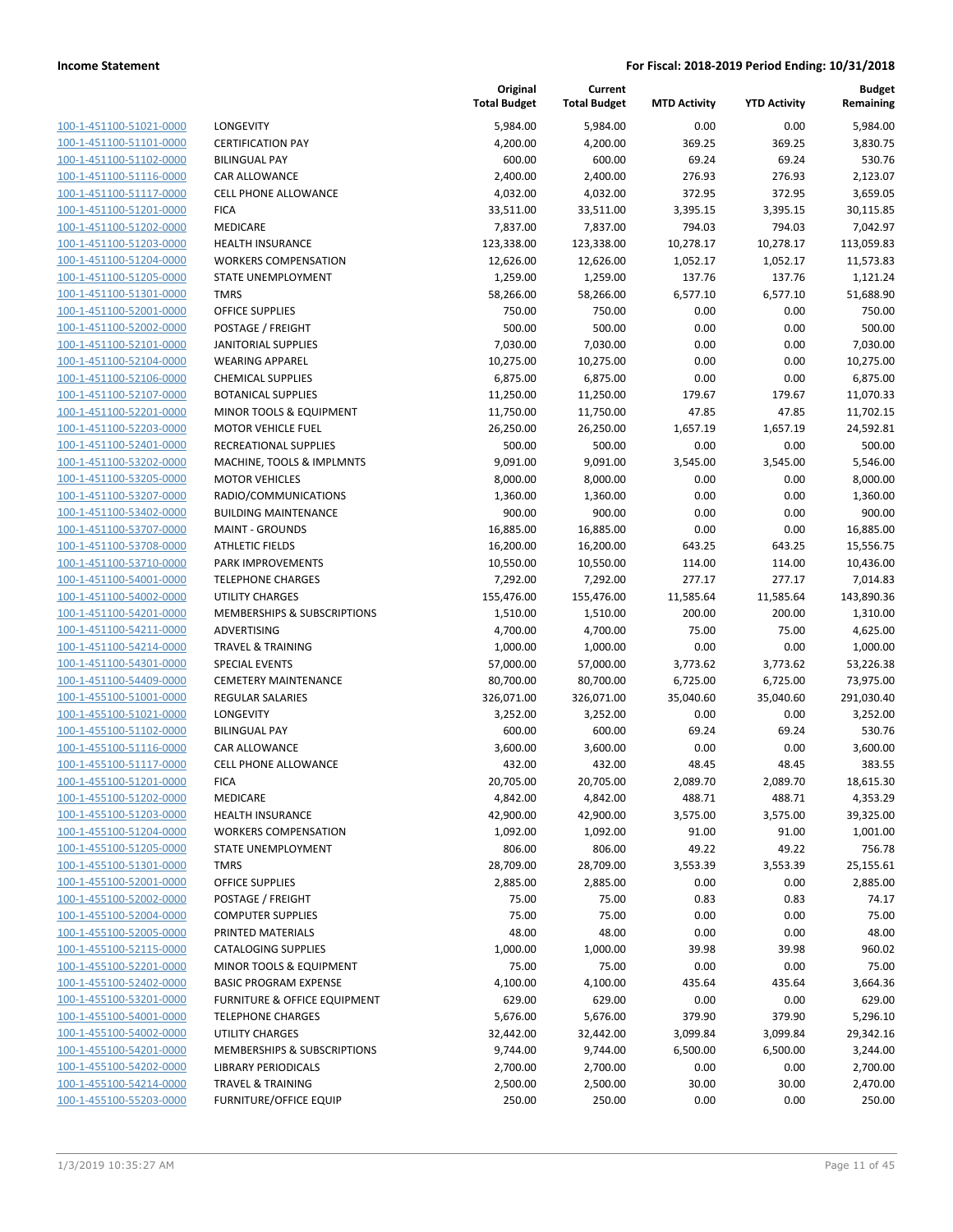| 100-1-451100-51021-0000        |
|--------------------------------|
| 100-1-451100-51101-0000        |
| 100-1-451100-51102-0000        |
| 100-1-451100-51116-0000        |
| 100-1-451100-51117-0000        |
| 100-1-451100-51201-0000        |
| 100-1-451100-51202-0000        |
| 100-1-451100-51203-0000        |
| 100-1-451100-51204-0000        |
| 100-1-451100-51205-0000        |
|                                |
| 100-1-451100-51301-0000        |
| 100-1-451100-52001-0000        |
| 100-1-451100-52002-0000        |
| 100-1-451100-52101-0000        |
| 100-1-451100-52104-0000        |
| 100-1-451100-52106-0000        |
| 100-1-451100-52107-0000        |
| 100-1-451100-52201-0000        |
| 100-1-451100-52203-0000        |
| 100-1-451100-52401-0000        |
| 100-1-451100-53202-0000        |
| 100-1-451100-53205-0000        |
| 100-1-451100-53207-0000        |
| 100-1-451100-53402-0000        |
|                                |
| 100-1-451100-53707-0000        |
| 100-1-451100-53708-0000        |
| 100-1-451100-53710-0000        |
| 100-1-451100-54001-0000        |
| 100-1-451100-54002-0000        |
| 100-1-451100-54201-0000        |
| 100-1-451100-54211-0000        |
| 100-1-451100-54214-0000        |
| 100-1-451100-54301-0000        |
| 100-1-451100-54409-0000        |
| 100-1-455100-51001-0000        |
| 100-1-455100-51021-0000        |
| 100-1-455100-51102-0000        |
| 100-1-455100-51116-0000        |
| 100-1-455100-51117-0000        |
| 100-1-455100-51201-0000        |
|                                |
| 100-1-455100-51202-0000        |
| 100-1-455100-51203-0000        |
| 100-1-455100-51204-0000        |
| 100-1-455100-51205-0000        |
| 100-1-455100-51301-0000        |
| 100-1-455100-52001-0000        |
| 100-1-455100-52002-0000        |
| <u>100-1-455100-52004-0000</u> |
| 100-1-455100-52005-0000        |
| 100-1-455100-52115-0000        |
| 100-1-455100-52201-0000        |
| 100-1-455100-52402-0000        |
|                                |
| 100-1-455100-53201-0000        |
| <u>100-1-455100-54001-0000</u> |
| 100-1-455100-54002-0000        |
| 100-1-455100-54201-0000        |
| 100-1-455100-54202-0000        |
| 100-1-455100-54214-0000        |
| <u>100-1-455100-55203-0000</u> |

|                         |                                         | Original<br><b>Total Budget</b> | Current<br><b>Total Budget</b> | <b>MTD Activity</b> | <b>YTD Activity</b> | <b>Budget</b><br>Remaining |
|-------------------------|-----------------------------------------|---------------------------------|--------------------------------|---------------------|---------------------|----------------------------|
| 100-1-451100-51021-0000 | LONGEVITY                               | 5,984.00                        | 5,984.00                       | 0.00                | 0.00                | 5,984.00                   |
| 100-1-451100-51101-0000 | <b>CERTIFICATION PAY</b>                | 4,200.00                        | 4,200.00                       | 369.25              | 369.25              | 3,830.75                   |
| 100-1-451100-51102-0000 | <b>BILINGUAL PAY</b>                    | 600.00                          | 600.00                         | 69.24               | 69.24               | 530.76                     |
| 100-1-451100-51116-0000 | <b>CAR ALLOWANCE</b>                    | 2,400.00                        | 2,400.00                       | 276.93              | 276.93              | 2,123.07                   |
| 100-1-451100-51117-0000 | <b>CELL PHONE ALLOWANCE</b>             | 4,032.00                        | 4,032.00                       | 372.95              | 372.95              | 3,659.05                   |
| 100-1-451100-51201-0000 | <b>FICA</b>                             | 33,511.00                       | 33,511.00                      | 3,395.15            | 3,395.15            | 30,115.85                  |
| 100-1-451100-51202-0000 | MEDICARE                                | 7,837.00                        | 7,837.00                       | 794.03              | 794.03              | 7,042.97                   |
| 100-1-451100-51203-0000 | HEALTH INSURANCE                        | 123,338.00                      | 123,338.00                     | 10,278.17           | 10,278.17           | 113,059.83                 |
| 100-1-451100-51204-0000 | <b>WORKERS COMPENSATION</b>             | 12,626.00                       | 12,626.00                      | 1,052.17            | 1,052.17            | 11,573.83                  |
| 100-1-451100-51205-0000 | STATE UNEMPLOYMENT                      | 1,259.00                        | 1,259.00                       | 137.76              | 137.76              | 1,121.24                   |
| 100-1-451100-51301-0000 | <b>TMRS</b>                             | 58,266.00                       | 58,266.00                      | 6,577.10            | 6,577.10            | 51,688.90                  |
| 100-1-451100-52001-0000 | <b>OFFICE SUPPLIES</b>                  | 750.00                          | 750.00                         | 0.00                | 0.00                | 750.00                     |
| 100-1-451100-52002-0000 | POSTAGE / FREIGHT                       | 500.00                          | 500.00                         | 0.00                | 0.00                | 500.00                     |
| 100-1-451100-52101-0000 | <b>JANITORIAL SUPPLIES</b>              | 7,030.00                        | 7,030.00                       | 0.00                | 0.00                | 7,030.00                   |
| 100-1-451100-52104-0000 | <b>WEARING APPAREL</b>                  | 10,275.00                       | 10,275.00                      | 0.00                | 0.00                | 10,275.00                  |
| 100-1-451100-52106-0000 | <b>CHEMICAL SUPPLIES</b>                | 6,875.00                        | 6,875.00                       | 0.00                | 0.00                | 6,875.00                   |
| 100-1-451100-52107-0000 | <b>BOTANICAL SUPPLIES</b>               | 11,250.00                       | 11,250.00                      | 179.67              | 179.67              | 11,070.33                  |
| 100-1-451100-52201-0000 | MINOR TOOLS & EQUIPMENT                 | 11,750.00                       | 11,750.00                      | 47.85               | 47.85               | 11,702.15                  |
| 100-1-451100-52203-0000 | <b>MOTOR VEHICLE FUEL</b>               | 26,250.00                       | 26,250.00                      | 1,657.19            | 1,657.19            | 24,592.81                  |
| 100-1-451100-52401-0000 | <b>RECREATIONAL SUPPLIES</b>            | 500.00                          | 500.00                         | 0.00                | 0.00                | 500.00                     |
| 100-1-451100-53202-0000 | MACHINE, TOOLS & IMPLMNTS               | 9,091.00                        | 9,091.00                       | 3,545.00            | 3,545.00            | 5,546.00                   |
| 100-1-451100-53205-0000 | <b>MOTOR VEHICLES</b>                   | 8,000.00                        | 8,000.00                       | 0.00                | 0.00                | 8,000.00                   |
| 100-1-451100-53207-0000 | RADIO/COMMUNICATIONS                    | 1,360.00                        | 1,360.00                       | 0.00                | 0.00                | 1,360.00                   |
| 100-1-451100-53402-0000 | <b>BUILDING MAINTENANCE</b>             | 900.00                          | 900.00                         | 0.00                | 0.00                | 900.00                     |
| 100-1-451100-53707-0000 | <b>MAINT - GROUNDS</b>                  | 16,885.00                       | 16,885.00                      | 0.00                | 0.00                | 16,885.00                  |
| 100-1-451100-53708-0000 | <b>ATHLETIC FIELDS</b>                  | 16,200.00                       | 16,200.00                      | 643.25              | 643.25              | 15,556.75                  |
| 100-1-451100-53710-0000 | PARK IMPROVEMENTS                       | 10,550.00                       | 10,550.00                      | 114.00              | 114.00              | 10,436.00                  |
| 100-1-451100-54001-0000 | <b>TELEPHONE CHARGES</b>                | 7,292.00                        | 7,292.00                       | 277.17              | 277.17              | 7,014.83                   |
| 100-1-451100-54002-0000 | <b>UTILITY CHARGES</b>                  | 155,476.00                      | 155,476.00                     | 11,585.64           | 11,585.64           | 143,890.36                 |
| 100-1-451100-54201-0000 | MEMBERSHIPS & SUBSCRIPTIONS             | 1,510.00                        | 1,510.00                       | 200.00              | 200.00              | 1,310.00                   |
| 100-1-451100-54211-0000 | ADVERTISING                             | 4,700.00                        | 4,700.00                       | 75.00               | 75.00               | 4,625.00                   |
| 100-1-451100-54214-0000 | <b>TRAVEL &amp; TRAINING</b>            | 1,000.00                        | 1,000.00                       | 0.00                | 0.00                | 1,000.00                   |
| 100-1-451100-54301-0000 | <b>SPECIAL EVENTS</b>                   | 57,000.00                       | 57,000.00                      | 3,773.62            | 3,773.62            | 53,226.38                  |
| 100-1-451100-54409-0000 | <b>CEMETERY MAINTENANCE</b>             | 80,700.00                       | 80,700.00                      | 6,725.00            | 6,725.00            | 73,975.00                  |
| 100-1-455100-51001-0000 | <b>REGULAR SALARIES</b>                 | 326,071.00                      | 326,071.00                     | 35,040.60           | 35,040.60           | 291,030.40                 |
| 100-1-455100-51021-0000 | LONGEVITY                               | 3,252.00                        | 3,252.00                       | 0.00                | 0.00                | 3,252.00                   |
| 100-1-455100-51102-0000 | <b>BILINGUAL PAY</b>                    | 600.00                          | 600.00                         | 69.24               | 69.24               | 530.76                     |
| 100-1-455100-51116-0000 | CAR ALLOWANCE                           | 3,600.00                        | 3,600.00                       | 0.00                | 0.00                | 3,600.00                   |
| 100-1-455100-51117-0000 | <b>CELL PHONE ALLOWANCE</b>             | 432.00                          | 432.00                         | 48.45               | 48.45               | 383.55                     |
| 100-1-455100-51201-0000 | <b>FICA</b>                             | 20,705.00                       | 20,705.00                      | 2,089.70            | 2,089.70            | 18,615.30                  |
| 100-1-455100-51202-0000 | MEDICARE                                | 4,842.00                        | 4,842.00                       | 488.71              | 488.71              | 4,353.29                   |
| 100-1-455100-51203-0000 | <b>HEALTH INSURANCE</b>                 | 42,900.00                       | 42,900.00                      | 3,575.00            | 3,575.00            | 39,325.00                  |
| 100-1-455100-51204-0000 | <b>WORKERS COMPENSATION</b>             | 1,092.00                        | 1,092.00                       | 91.00               | 91.00               | 1,001.00                   |
| 100-1-455100-51205-0000 | <b>STATE UNEMPLOYMENT</b>               | 806.00                          | 806.00                         | 49.22               | 49.22               | 756.78                     |
| 100-1-455100-51301-0000 | <b>TMRS</b>                             | 28,709.00                       | 28,709.00                      | 3,553.39            | 3,553.39            | 25,155.61                  |
| 100-1-455100-52001-0000 | OFFICE SUPPLIES                         | 2,885.00                        | 2,885.00                       | 0.00                | 0.00                | 2,885.00                   |
| 100-1-455100-52002-0000 | POSTAGE / FREIGHT                       | 75.00                           | 75.00                          | 0.83                | 0.83                | 74.17                      |
| 100-1-455100-52004-0000 | <b>COMPUTER SUPPLIES</b>                | 75.00                           | 75.00                          | 0.00                | 0.00                | 75.00                      |
| 100-1-455100-52005-0000 | PRINTED MATERIALS                       | 48.00                           | 48.00                          | 0.00                | 0.00                | 48.00                      |
| 100-1-455100-52115-0000 | <b>CATALOGING SUPPLIES</b>              | 1,000.00                        | 1,000.00                       | 39.98               | 39.98               | 960.02                     |
| 100-1-455100-52201-0000 | MINOR TOOLS & EQUIPMENT                 | 75.00                           | 75.00                          | 0.00                | 0.00                | 75.00                      |
| 100-1-455100-52402-0000 | <b>BASIC PROGRAM EXPENSE</b>            | 4,100.00                        | 4,100.00                       | 435.64              | 435.64              | 3,664.36                   |
| 100-1-455100-53201-0000 | <b>FURNITURE &amp; OFFICE EQUIPMENT</b> | 629.00                          | 629.00                         | 0.00                | 0.00                | 629.00                     |
| 100-1-455100-54001-0000 | <b>TELEPHONE CHARGES</b>                | 5,676.00                        | 5,676.00                       | 379.90              | 379.90              | 5,296.10                   |
| 100-1-455100-54002-0000 | <b>UTILITY CHARGES</b>                  | 32,442.00                       | 32,442.00                      | 3,099.84            | 3,099.84            | 29,342.16                  |
| 100-1-455100-54201-0000 | MEMBERSHIPS & SUBSCRIPTIONS             | 9,744.00                        | 9,744.00                       | 6,500.00            | 6,500.00            | 3,244.00                   |
| 100-1-455100-54202-0000 | <b>LIBRARY PERIODICALS</b>              | 2,700.00                        | 2,700.00                       | 0.00                | 0.00                | 2,700.00                   |
| 100-1-455100-54214-0000 | <b>TRAVEL &amp; TRAINING</b>            | 2,500.00                        | 2,500.00                       | 30.00               | 30.00               | 2,470.00                   |
| 100-1-455100-55203-0000 | <b>FURNITURE/OFFICE EQUIP</b>           | 250.00                          | 250.00                         | 0.00                | 0.00                | 250.00                     |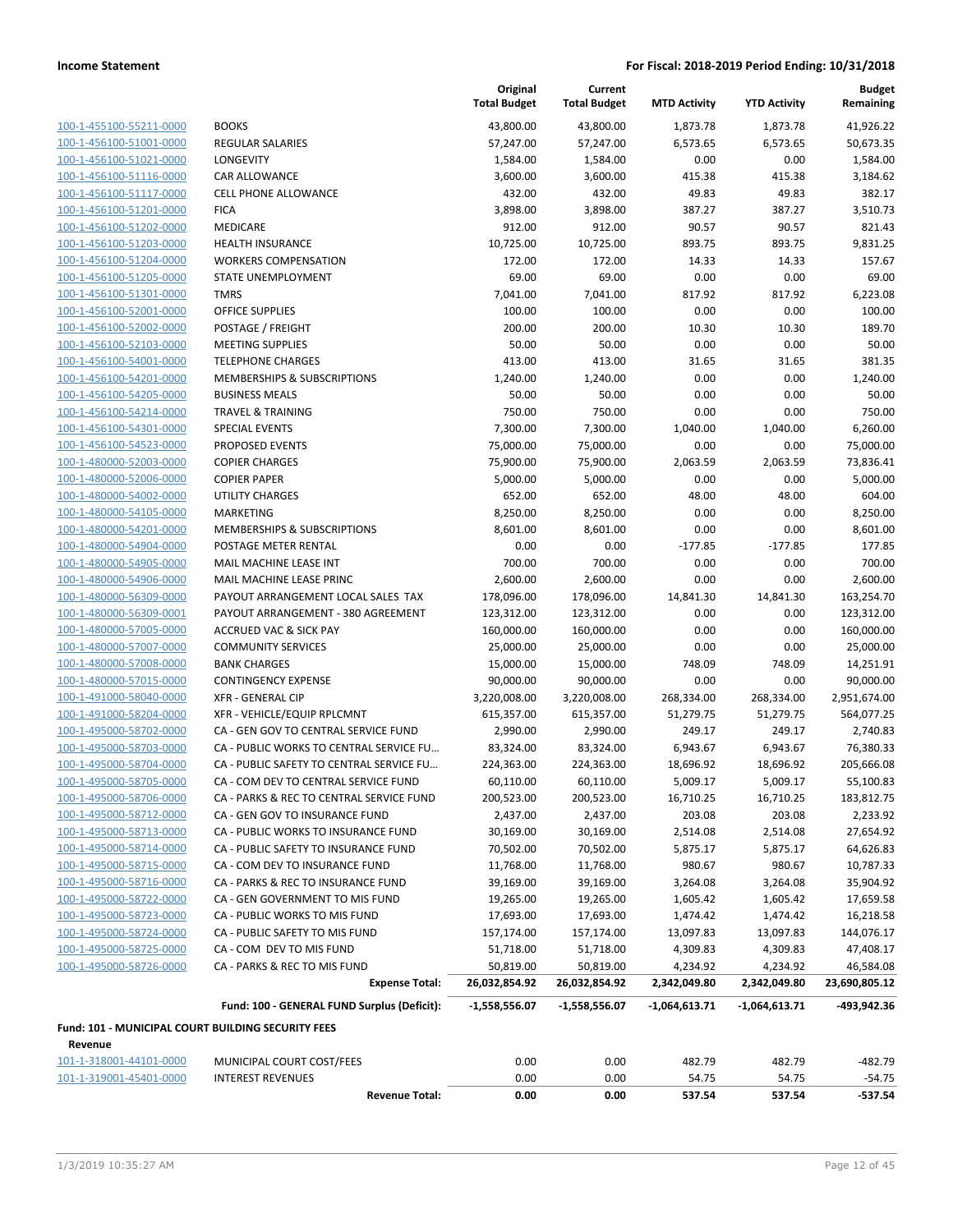| 100-1-455100-55211-0000                       |
|-----------------------------------------------|
| 100-1-456100-51001-0000                       |
| 100-1-456100-51021-0000                       |
| 100-1-456100-51116-0000                       |
| 100-1-456100-51117-0000                       |
| 100-1-456100-51201-0000                       |
| 100-1-456100-51202-0000                       |
| 100-1-456100-51203-0000                       |
| $100 - 1$<br>-456100-51204-0000               |
| 100-1-456100-51205-0000                       |
| 100-1-456100-51301-0000                       |
| 100-1-456100-52001-0000                       |
| 100-1-456100-52002-0000                       |
| $100 - 1$<br>-456100-52103-0000               |
| 100-1-456100-54001-0000                       |
| 100-1-456100-54201-0000                       |
| 100-1-456100-54205-0000                       |
| 100-1-456100-54214-0000                       |
| $100 -$<br>$1-$<br>$-456100 - 54301$<br>-0000 |
| 100-1-456100-54523-0000                       |
| 100-1-480000-52003-0000                       |
| 100-1-480000-52006-0000                       |
| 100-1-480000-54002-0000                       |
| $100 - 1$<br>480000-54105-0000                |
| 100-1-480000-54201-0000                       |
| 100-1-480000-54904-0000                       |
| 100-1-480000-54905-0000                       |
| 100-1-480000-54906-0000                       |
| $100 -$<br>-480000-56309-0000<br>1.           |
| 100-1-480000-56309-0001                       |
| 100-1-480000-57005-0000                       |
| 100-1-480000-57007-0000                       |
| 100-1-480000-57008-0000                       |
| 100-1-480000-57015-0000                       |
| 100-1-491000-58040-0000                       |
| 100-1-491000-58204-0000                       |
|                                               |
| 100-1-495000-58702-0000                       |
| 100-1-495000-58703-0000                       |
| 100-1-495000-58704-0000                       |
| 100-1-495000-58705-0000                       |
| 100-1-495000-58706-0000                       |
| <u>100-1-495000-58712-0000</u>                |
| 100-1-495000-58713-0000                       |
| 100-1-495000-58714-0000                       |
| 100-1-495000-58715-0000                       |
| 100-1-495000-58716-0000                       |
| 100-1-495000-58722-0000                       |
| 100-1-495000-58723-0000                       |
| 100-1-495000-58724-0000                       |
| 100-1-495000-58725-0000                       |
| 100-1-495000-58726-0000                       |

|                                                    |                                             | Original<br><b>Total Budget</b> | Current<br><b>Total Budget</b> | <b>MTD Activity</b>      | <b>YTD Activity</b>      | <b>Budget</b><br>Remaining |
|----------------------------------------------------|---------------------------------------------|---------------------------------|--------------------------------|--------------------------|--------------------------|----------------------------|
| 100-1-455100-55211-0000                            | <b>BOOKS</b>                                | 43,800.00                       | 43,800.00                      | 1,873.78                 | 1,873.78                 | 41,926.22                  |
| 100-1-456100-51001-0000                            | REGULAR SALARIES                            | 57,247.00                       | 57,247.00                      | 6,573.65                 | 6,573.65                 | 50,673.35                  |
| 100-1-456100-51021-0000                            | LONGEVITY                                   | 1,584.00                        | 1,584.00                       | 0.00                     | 0.00                     | 1,584.00                   |
| 100-1-456100-51116-0000                            | CAR ALLOWANCE                               | 3,600.00                        | 3,600.00                       | 415.38                   | 415.38                   | 3,184.62                   |
| 100-1-456100-51117-0000                            | <b>CELL PHONE ALLOWANCE</b>                 | 432.00                          | 432.00                         | 49.83                    | 49.83                    | 382.17                     |
| 100-1-456100-51201-0000                            | <b>FICA</b>                                 | 3,898.00                        | 3,898.00                       | 387.27                   | 387.27                   | 3,510.73                   |
| 100-1-456100-51202-0000                            | MEDICARE                                    | 912.00                          | 912.00                         | 90.57                    | 90.57                    | 821.43                     |
| 100-1-456100-51203-0000                            | <b>HEALTH INSURANCE</b>                     | 10,725.00                       | 10,725.00                      | 893.75                   | 893.75                   | 9,831.25                   |
| 100-1-456100-51204-0000                            | <b>WORKERS COMPENSATION</b>                 | 172.00                          | 172.00                         | 14.33                    | 14.33                    | 157.67                     |
| 100-1-456100-51205-0000                            | STATE UNEMPLOYMENT                          | 69.00                           | 69.00                          | 0.00                     | 0.00                     | 69.00                      |
| 100-1-456100-51301-0000                            | <b>TMRS</b>                                 | 7,041.00                        | 7,041.00                       | 817.92                   | 817.92                   | 6,223.08                   |
| 100-1-456100-52001-0000                            | OFFICE SUPPLIES                             | 100.00                          | 100.00                         | 0.00                     | 0.00                     | 100.00                     |
| 100-1-456100-52002-0000                            | POSTAGE / FREIGHT                           | 200.00                          | 200.00                         | 10.30                    | 10.30                    | 189.70                     |
| 100-1-456100-52103-0000                            | <b>MEETING SUPPLIES</b>                     | 50.00                           | 50.00                          | 0.00                     | 0.00                     | 50.00                      |
| 100-1-456100-54001-0000                            | <b>TELEPHONE CHARGES</b>                    | 413.00                          | 413.00                         | 31.65                    | 31.65                    | 381.35                     |
| 100-1-456100-54201-0000                            | MEMBERSHIPS & SUBSCRIPTIONS                 | 1,240.00                        | 1,240.00                       | 0.00                     | 0.00                     | 1,240.00                   |
| 100-1-456100-54205-0000                            | <b>BUSINESS MEALS</b>                       | 50.00                           | 50.00                          | 0.00                     | 0.00                     | 50.00                      |
| 100-1-456100-54214-0000                            | <b>TRAVEL &amp; TRAINING</b>                | 750.00                          | 750.00                         | 0.00                     | 0.00                     | 750.00                     |
| 100-1-456100-54301-0000                            | <b>SPECIAL EVENTS</b>                       | 7,300.00                        | 7,300.00                       | 1,040.00                 | 1,040.00                 | 6,260.00                   |
| 100-1-456100-54523-0000                            | PROPOSED EVENTS                             | 75,000.00                       | 75,000.00                      | 0.00                     | 0.00                     | 75,000.00                  |
| 100-1-480000-52003-0000                            | <b>COPIER CHARGES</b>                       | 75,900.00                       | 75,900.00                      | 2,063.59                 | 2,063.59                 | 73,836.41                  |
| 100-1-480000-52006-0000                            | <b>COPIER PAPER</b>                         | 5,000.00                        | 5,000.00                       | 0.00                     | 0.00                     | 5,000.00                   |
| 100-1-480000-54002-0000                            | <b>UTILITY CHARGES</b>                      | 652.00                          | 652.00                         | 48.00                    | 48.00                    | 604.00                     |
| 100-1-480000-54105-0000                            | <b>MARKETING</b>                            | 8,250.00                        | 8,250.00                       | 0.00                     | 0.00                     | 8,250.00                   |
| 100-1-480000-54201-0000                            | MEMBERSHIPS & SUBSCRIPTIONS                 | 8,601.00                        | 8,601.00                       | 0.00                     | 0.00                     | 8,601.00                   |
| 100-1-480000-54904-0000                            | POSTAGE METER RENTAL                        | 0.00                            | 0.00                           | $-177.85$                | $-177.85$                | 177.85                     |
| 100-1-480000-54905-0000                            | MAIL MACHINE LEASE INT                      | 700.00                          | 700.00                         | 0.00                     | 0.00                     | 700.00                     |
| 100-1-480000-54906-0000                            | MAIL MACHINE LEASE PRINC                    | 2,600.00                        | 2,600.00                       | 0.00                     | 0.00                     | 2,600.00                   |
| 100-1-480000-56309-0000                            | PAYOUT ARRANGEMENT LOCAL SALES TAX          | 178,096.00                      | 178,096.00                     | 14,841.30                | 14,841.30                | 163,254.70                 |
| 100-1-480000-56309-0001                            | PAYOUT ARRANGEMENT - 380 AGREEMENT          | 123,312.00                      | 123,312.00                     | 0.00                     | 0.00                     | 123,312.00                 |
| 100-1-480000-57005-0000                            | <b>ACCRUED VAC &amp; SICK PAY</b>           | 160,000.00                      | 160,000.00                     | 0.00                     | 0.00                     | 160,000.00                 |
| 100-1-480000-57007-0000                            | <b>COMMUNITY SERVICES</b>                   | 25,000.00                       | 25,000.00                      | 0.00                     | 0.00                     | 25,000.00                  |
| 100-1-480000-57008-0000                            | <b>BANK CHARGES</b>                         | 15,000.00                       | 15,000.00                      | 748.09                   | 748.09                   | 14,251.91                  |
| 100-1-480000-57015-0000                            | <b>CONTINGENCY EXPENSE</b>                  | 90,000.00                       | 90,000.00                      | 0.00                     | 0.00                     | 90,000.00                  |
| 100-1-491000-58040-0000                            | <b>XFR - GENERAL CIP</b>                    | 3,220,008.00                    | 3,220,008.00                   | 268,334.00               | 268,334.00               | 2,951,674.00               |
| 100-1-491000-58204-0000                            | XFR - VEHICLE/EQUIP RPLCMNT                 | 615,357.00                      | 615,357.00                     | 51,279.75                | 51,279.75                | 564,077.25                 |
| 100-1-495000-58702-0000                            | CA - GEN GOV TO CENTRAL SERVICE FUND        | 2,990.00                        | 2,990.00                       | 249.17                   | 249.17                   | 2,740.83                   |
| 100-1-495000-58703-0000                            | CA - PUBLIC WORKS TO CENTRAL SERVICE FU     | 83,324.00                       | 83,324.00                      | 6,943.67                 | 6,943.67                 | 76,380.33                  |
| 100-1-495000-58704-0000                            | CA - PUBLIC SAFETY TO CENTRAL SERVICE FU    | 224,363.00                      | 224,363.00                     | 18,696.92                | 18,696.92                | 205,666.08                 |
| 100-1-495000-58705-0000                            | CA - COM DEV TO CENTRAL SERVICE FUND        | 60,110.00                       | 60,110.00                      | 5,009.17                 | 5,009.17                 | 55,100.83                  |
| 100-1-495000-58706-0000                            | CA - PARKS & REC TO CENTRAL SERVICE FUND    | 200,523.00                      | 200,523.00                     | 16,710.25                | 16,710.25                | 183,812.75                 |
| 100-1-495000-58712-0000                            | CA - GEN GOV TO INSURANCE FUND              | 2,437.00                        | 2,437.00                       | 203.08                   | 203.08                   | 2,233.92                   |
| 100-1-495000-58713-0000                            | CA - PUBLIC WORKS TO INSURANCE FUND         | 30,169.00                       | 30,169.00                      | 2,514.08                 | 2,514.08                 | 27,654.92                  |
| 100-1-495000-58714-0000                            | CA - PUBLIC SAFETY TO INSURANCE FUND        | 70,502.00                       | 70,502.00                      | 5,875.17                 | 5,875.17                 | 64,626.83                  |
| 100-1-495000-58715-0000                            | CA - COM DEV TO INSURANCE FUND              | 11,768.00                       | 11,768.00                      | 980.67                   | 980.67                   | 10,787.33                  |
| 100-1-495000-58716-0000                            | CA - PARKS & REC TO INSURANCE FUND          | 39,169.00                       | 39,169.00                      | 3,264.08                 | 3,264.08                 | 35,904.92                  |
| 100-1-495000-58722-0000                            | CA - GEN GOVERNMENT TO MIS FUND             | 19,265.00                       | 19,265.00                      | 1,605.42                 | 1,605.42                 | 17,659.58                  |
| 100-1-495000-58723-0000                            | CA - PUBLIC WORKS TO MIS FUND               | 17,693.00                       | 17,693.00                      | 1,474.42                 | 1,474.42                 | 16,218.58                  |
| 100-1-495000-58724-0000                            | CA - PUBLIC SAFETY TO MIS FUND              | 157,174.00                      | 157,174.00                     | 13,097.83                | 13,097.83                | 144,076.17                 |
| 100-1-495000-58725-0000                            | CA - COM DEV TO MIS FUND                    | 51,718.00                       | 51,718.00                      | 4,309.83                 | 4,309.83                 | 47,408.17                  |
| 100-1-495000-58726-0000                            | CA - PARKS & REC TO MIS FUND                | 50,819.00                       | 50,819.00                      |                          |                          | 46,584.08                  |
|                                                    | <b>Expense Total:</b>                       | 26,032,854.92                   | 26,032,854.92                  | 4,234.92<br>2,342,049.80 | 4,234.92<br>2,342,049.80 | 23,690,805.12              |
|                                                    | Fund: 100 - GENERAL FUND Surplus (Deficit): | $-1,558,556.07$                 | $-1,558,556.07$                | $-1,064,613.71$          | $-1,064,613.71$          | -493,942.36                |
| Fund: 101 - MUNICIPAL COURT BUILDING SECURITY FEES |                                             |                                 |                                |                          |                          |                            |
| Revenue                                            |                                             |                                 |                                |                          |                          |                            |
| 101-1-318001-44101-0000                            | MUNICIPAL COURT COST/FEES                   | 0.00                            | 0.00                           | 482.79                   | 482.79                   | $-482.79$                  |
| 101-1-319001-45401-0000                            | <b>INTEREST REVENUES</b>                    | 0.00                            | 0.00                           | 54.75                    | 54.75                    | $-54.75$                   |
|                                                    | <b>Revenue Total:</b>                       | 0.00                            | 0.00                           | 537.54                   | 537.54                   | $-537.54$                  |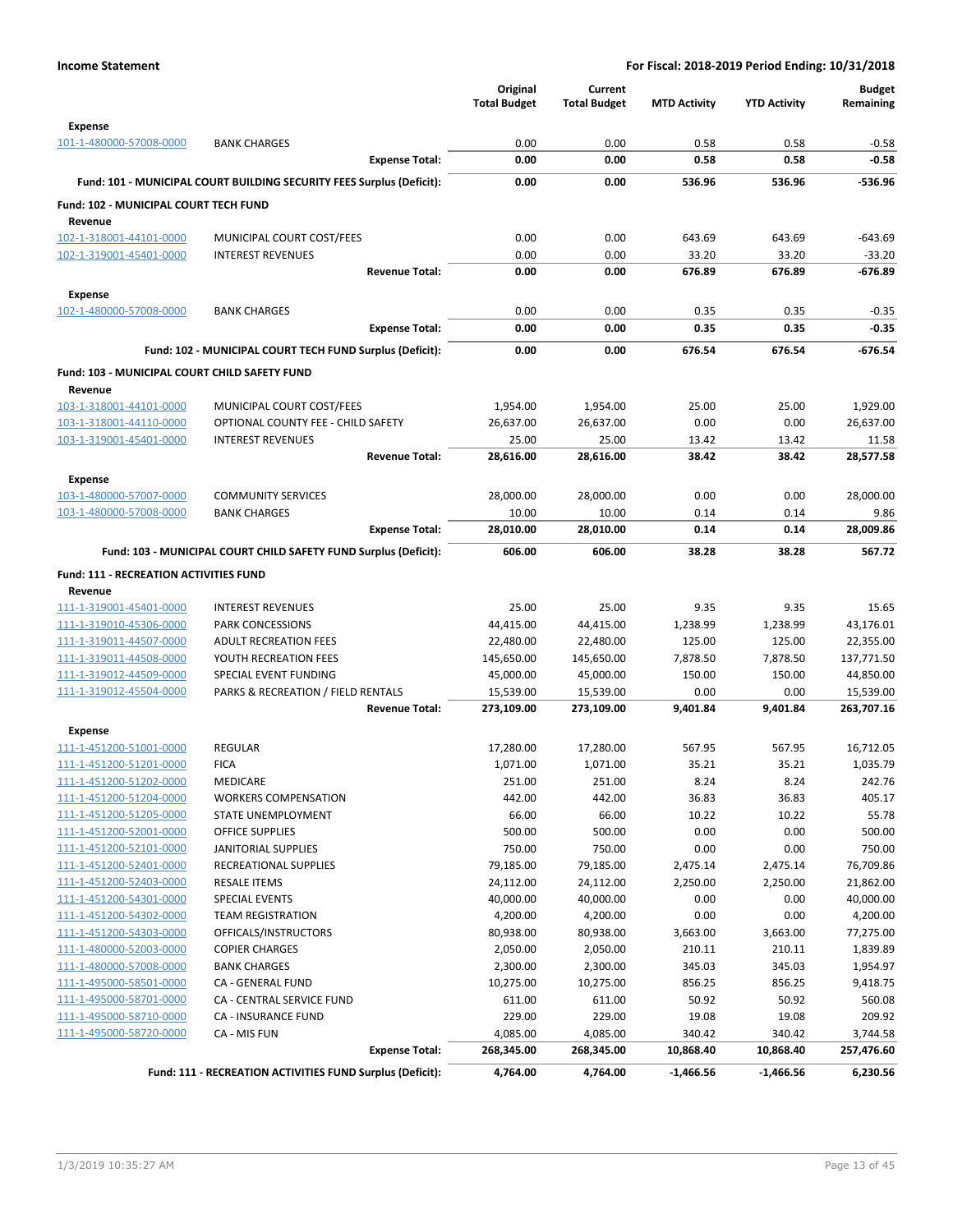|                                                    |                                                                       | Original<br><b>Total Budget</b> | Current<br><b>Total Budget</b> | <b>MTD Activity</b> | <b>YTD Activity</b> | <b>Budget</b><br>Remaining |
|----------------------------------------------------|-----------------------------------------------------------------------|---------------------------------|--------------------------------|---------------------|---------------------|----------------------------|
| <b>Expense</b><br>101-1-480000-57008-0000          | <b>BANK CHARGES</b>                                                   | 0.00                            | 0.00                           | 0.58                | 0.58                | $-0.58$                    |
|                                                    | <b>Expense Total:</b>                                                 | 0.00                            | 0.00                           | 0.58                | 0.58                | $-0.58$                    |
|                                                    | Fund: 101 - MUNICIPAL COURT BUILDING SECURITY FEES Surplus (Deficit): | 0.00                            | 0.00                           | 536.96              | 536.96              | $-536.96$                  |
| Fund: 102 - MUNICIPAL COURT TECH FUND              |                                                                       |                                 |                                |                     |                     |                            |
| Revenue<br>102-1-318001-44101-0000                 | MUNICIPAL COURT COST/FEES                                             | 0.00                            | 0.00                           | 643.69              | 643.69              | $-643.69$                  |
| 102-1-319001-45401-0000                            | <b>INTEREST REVENUES</b>                                              | 0.00                            | 0.00                           | 33.20               | 33.20               | $-33.20$                   |
|                                                    | <b>Revenue Total:</b>                                                 | 0.00                            | 0.00                           | 676.89              | 676.89              | $-676.89$                  |
| <b>Expense</b>                                     |                                                                       |                                 |                                |                     |                     |                            |
| 102-1-480000-57008-0000                            | <b>BANK CHARGES</b>                                                   | 0.00                            | 0.00                           | 0.35                | 0.35                | $-0.35$                    |
|                                                    | <b>Expense Total:</b>                                                 | 0.00                            | 0.00                           | 0.35                | 0.35                | $-0.35$                    |
|                                                    | Fund: 102 - MUNICIPAL COURT TECH FUND Surplus (Deficit):              | 0.00                            | 0.00                           | 676.54              | 676.54              | $-676.54$                  |
| Fund: 103 - MUNICIPAL COURT CHILD SAFETY FUND      |                                                                       |                                 |                                |                     |                     |                            |
| Revenue                                            |                                                                       |                                 |                                |                     |                     |                            |
| 103-1-318001-44101-0000                            | MUNICIPAL COURT COST/FEES                                             | 1,954.00                        | 1,954.00                       | 25.00               | 25.00               | 1,929.00                   |
| 103-1-318001-44110-0000                            | OPTIONAL COUNTY FEE - CHILD SAFETY                                    | 26,637.00                       | 26,637.00                      | 0.00                | 0.00                | 26,637.00                  |
| 103-1-319001-45401-0000                            | <b>INTEREST REVENUES</b>                                              | 25.00                           | 25.00                          | 13.42               | 13.42               | 11.58                      |
|                                                    | <b>Revenue Total:</b>                                                 | 28,616.00                       | 28,616.00                      | 38.42               | 38.42               | 28.577.58                  |
| <b>Expense</b>                                     |                                                                       |                                 |                                |                     |                     |                            |
| 103-1-480000-57007-0000                            | <b>COMMUNITY SERVICES</b>                                             | 28,000.00                       | 28,000.00                      | 0.00                | 0.00                | 28,000.00                  |
| 103-1-480000-57008-0000                            | <b>BANK CHARGES</b>                                                   | 10.00                           | 10.00                          | 0.14                | 0.14                | 9.86                       |
|                                                    | <b>Expense Total:</b>                                                 | 28,010.00                       | 28,010.00                      | 0.14                | 0.14                | 28,009.86                  |
|                                                    | Fund: 103 - MUNICIPAL COURT CHILD SAFETY FUND Surplus (Deficit):      | 606.00                          | 606.00                         | 38.28               | 38.28               | 567.72                     |
| Fund: 111 - RECREATION ACTIVITIES FUND             |                                                                       |                                 |                                |                     |                     |                            |
| Revenue                                            |                                                                       |                                 |                                |                     |                     |                            |
| 111-1-319001-45401-0000                            | <b>INTEREST REVENUES</b>                                              | 25.00                           | 25.00                          | 9.35                | 9.35                | 15.65                      |
| 111-1-319010-45306-0000                            | <b>PARK CONCESSIONS</b>                                               | 44,415.00                       | 44,415.00                      | 1,238.99            | 1,238.99            | 43,176.01                  |
| 111-1-319011-44507-0000                            | <b>ADULT RECREATION FEES</b>                                          | 22,480.00                       | 22,480.00                      | 125.00              | 125.00              | 22,355.00                  |
| 111-1-319011-44508-0000                            | YOUTH RECREATION FEES                                                 | 145,650.00                      | 145,650.00                     | 7,878.50            | 7,878.50            | 137,771.50                 |
| 111-1-319012-44509-0000                            | SPECIAL EVENT FUNDING                                                 | 45,000.00                       | 45,000.00                      | 150.00              | 150.00              | 44,850.00                  |
| 111-1-319012-45504-0000                            | PARKS & RECREATION / FIELD RENTALS<br><b>Revenue Total:</b>           | 15,539.00                       | 15,539.00                      | 0.00<br>9,401.84    | 0.00<br>9,401.84    | 15,539.00<br>263,707.16    |
|                                                    |                                                                       | 273,109.00                      | 273,109.00                     |                     |                     |                            |
| <b>Expense</b>                                     |                                                                       |                                 |                                |                     |                     |                            |
| 111-1-451200-51001-0000                            | <b>REGULAR</b>                                                        | 17,280.00                       | 17,280.00                      | 567.95              | 567.95              | 16,712.05                  |
| 111-1-451200-51201-0000<br>111-1-451200-51202-0000 | <b>FICA</b><br>MEDICARE                                               | 1,071.00<br>251.00              | 1,071.00<br>251.00             | 35.21<br>8.24       | 35.21<br>8.24       | 1,035.79<br>242.76         |
| 111-1-451200-51204-0000                            | <b>WORKERS COMPENSATION</b>                                           | 442.00                          | 442.00                         | 36.83               | 36.83               | 405.17                     |
| 111-1-451200-51205-0000                            | STATE UNEMPLOYMENT                                                    | 66.00                           | 66.00                          | 10.22               | 10.22               | 55.78                      |
| 111-1-451200-52001-0000                            | OFFICE SUPPLIES                                                       | 500.00                          | 500.00                         | 0.00                | 0.00                | 500.00                     |
| 111-1-451200-52101-0000                            | <b>JANITORIAL SUPPLIES</b>                                            | 750.00                          | 750.00                         | 0.00                | 0.00                | 750.00                     |
| 111-1-451200-52401-0000                            | RECREATIONAL SUPPLIES                                                 | 79,185.00                       | 79,185.00                      | 2,475.14            | 2,475.14            | 76,709.86                  |
| 111-1-451200-52403-0000                            | <b>RESALE ITEMS</b>                                                   | 24,112.00                       | 24,112.00                      | 2,250.00            | 2,250.00            | 21,862.00                  |
| 111-1-451200-54301-0000                            | SPECIAL EVENTS                                                        | 40,000.00                       | 40,000.00                      | 0.00                | 0.00                | 40,000.00                  |
| 111-1-451200-54302-0000                            | <b>TEAM REGISTRATION</b>                                              | 4,200.00                        | 4,200.00                       | 0.00                | 0.00                | 4,200.00                   |
| 111-1-451200-54303-0000                            | OFFICALS/INSTRUCTORS                                                  | 80,938.00                       | 80,938.00                      | 3,663.00            | 3,663.00            | 77,275.00                  |
| 111-1-480000-52003-0000                            | <b>COPIER CHARGES</b>                                                 | 2,050.00                        | 2,050.00                       | 210.11              | 210.11              | 1,839.89                   |
| 111-1-480000-57008-0000                            | <b>BANK CHARGES</b>                                                   | 2,300.00                        | 2,300.00                       | 345.03              | 345.03              | 1,954.97                   |
| 111-1-495000-58501-0000                            | CA - GENERAL FUND                                                     | 10,275.00                       | 10,275.00                      | 856.25              | 856.25              | 9,418.75                   |
| 111-1-495000-58701-0000<br>111-1-495000-58710-0000 | CA - CENTRAL SERVICE FUND<br>CA - INSURANCE FUND                      | 611.00<br>229.00                | 611.00<br>229.00               | 50.92<br>19.08      | 50.92<br>19.08      | 560.08<br>209.92           |
| 111-1-495000-58720-0000                            | CA - MIS FUN                                                          | 4,085.00                        | 4,085.00                       | 340.42              | 340.42              | 3,744.58                   |
|                                                    | <b>Expense Total:</b>                                                 | 268,345.00                      | 268,345.00                     | 10,868.40           | 10,868.40           | 257,476.60                 |
|                                                    | Fund: 111 - RECREATION ACTIVITIES FUND Surplus (Deficit):             | 4,764.00                        | 4,764.00                       | $-1,466.56$         | $-1,466.56$         | 6,230.56                   |
|                                                    |                                                                       |                                 |                                |                     |                     |                            |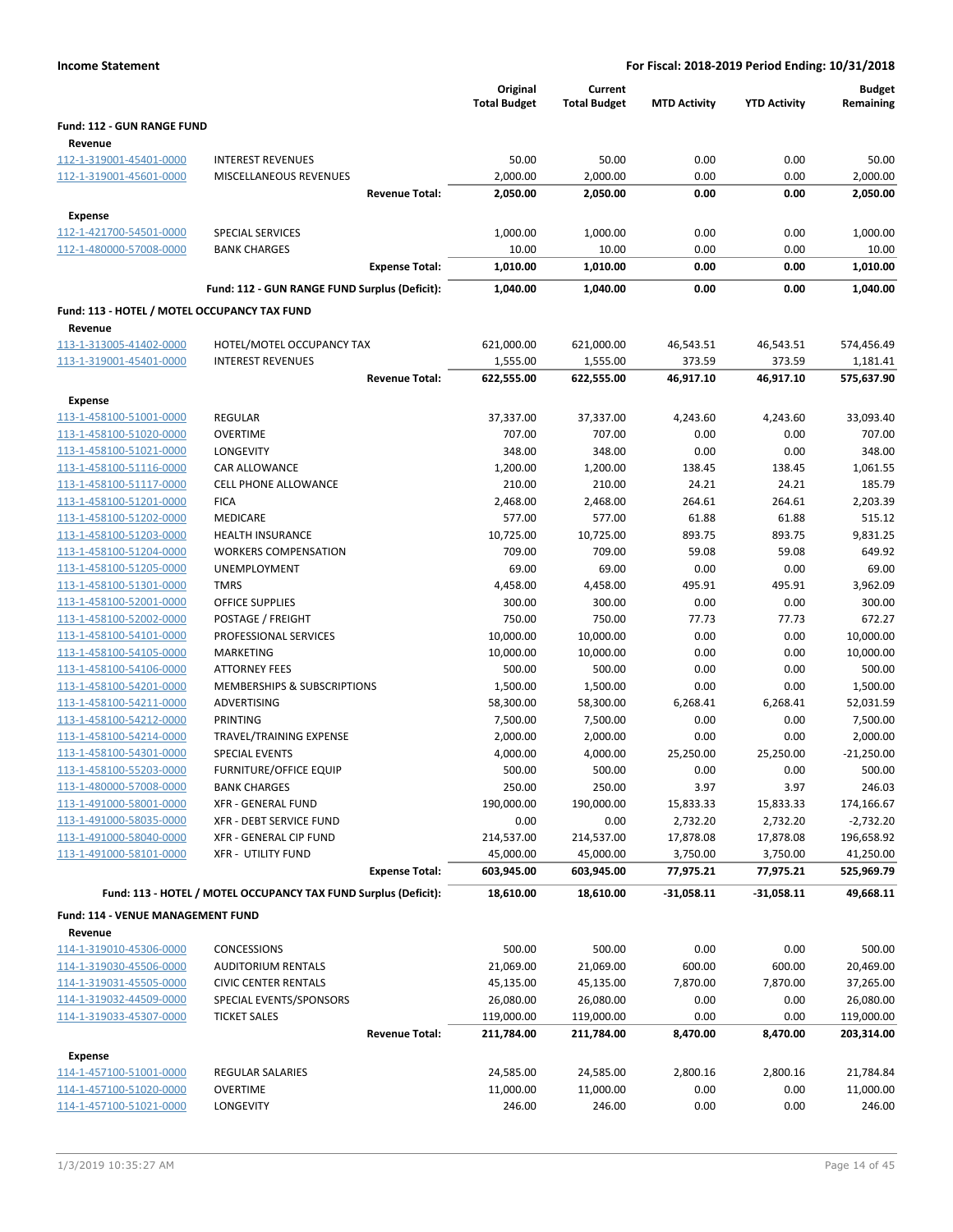|                                              |                                                                 | Original<br><b>Total Budget</b> | Current<br><b>Total Budget</b> | <b>MTD Activity</b> | <b>YTD Activity</b> | <b>Budget</b><br>Remaining |
|----------------------------------------------|-----------------------------------------------------------------|---------------------------------|--------------------------------|---------------------|---------------------|----------------------------|
| Fund: 112 - GUN RANGE FUND<br>Revenue        |                                                                 |                                 |                                |                     |                     |                            |
| 112-1-319001-45401-0000                      | <b>INTEREST REVENUES</b>                                        | 50.00                           | 50.00                          | 0.00                | 0.00                | 50.00                      |
| 112-1-319001-45601-0000                      | MISCELLANEOUS REVENUES                                          | 2,000.00                        | 2,000.00                       | 0.00                | 0.00                | 2,000.00                   |
|                                              | <b>Revenue Total:</b>                                           | 2,050.00                        | 2,050.00                       | 0.00                | 0.00                | 2,050.00                   |
| <b>Expense</b>                               |                                                                 |                                 |                                |                     |                     |                            |
| 112-1-421700-54501-0000                      | <b>SPECIAL SERVICES</b>                                         | 1,000.00                        | 1,000.00                       | 0.00                | 0.00                | 1,000.00                   |
| 112-1-480000-57008-0000                      | <b>BANK CHARGES</b>                                             | 10.00                           | 10.00                          | 0.00                | 0.00                | 10.00                      |
|                                              | <b>Expense Total:</b>                                           | 1,010.00                        | 1,010.00                       | 0.00                | 0.00                | 1,010.00                   |
|                                              | Fund: 112 - GUN RANGE FUND Surplus (Deficit):                   | 1,040.00                        | 1,040.00                       | 0.00                | 0.00                | 1,040.00                   |
| Fund: 113 - HOTEL / MOTEL OCCUPANCY TAX FUND |                                                                 |                                 |                                |                     |                     |                            |
| Revenue                                      |                                                                 |                                 |                                |                     |                     |                            |
| 113-1-313005-41402-0000                      | HOTEL/MOTEL OCCUPANCY TAX                                       | 621,000.00                      | 621,000.00                     | 46,543.51           | 46,543.51           | 574,456.49                 |
| 113-1-319001-45401-0000                      | <b>INTEREST REVENUES</b>                                        | 1,555.00                        | 1,555.00                       | 373.59              | 373.59              | 1,181.41                   |
|                                              | <b>Revenue Total:</b>                                           | 622,555.00                      | 622,555.00                     | 46,917.10           | 46,917.10           | 575,637.90                 |
| <b>Expense</b>                               |                                                                 |                                 |                                |                     |                     |                            |
| 113-1-458100-51001-0000                      | <b>REGULAR</b>                                                  | 37,337.00                       | 37,337.00                      | 4,243.60            | 4,243.60            | 33,093.40                  |
| 113-1-458100-51020-0000                      | <b>OVERTIME</b>                                                 | 707.00                          | 707.00                         | 0.00                | 0.00                | 707.00                     |
| 113-1-458100-51021-0000                      | LONGEVITY                                                       | 348.00                          | 348.00                         | 0.00                | 0.00                | 348.00                     |
| 113-1-458100-51116-0000                      | CAR ALLOWANCE                                                   | 1,200.00                        | 1,200.00                       | 138.45              | 138.45              | 1,061.55                   |
| 113-1-458100-51117-0000                      | <b>CELL PHONE ALLOWANCE</b>                                     | 210.00                          | 210.00                         | 24.21               | 24.21               | 185.79                     |
| 113-1-458100-51201-0000                      | <b>FICA</b>                                                     | 2,468.00                        | 2,468.00                       | 264.61              | 264.61              | 2,203.39                   |
| 113-1-458100-51202-0000                      | MEDICARE                                                        | 577.00                          | 577.00                         | 61.88               | 61.88               | 515.12                     |
| 113-1-458100-51203-0000                      | <b>HEALTH INSURANCE</b>                                         | 10,725.00                       | 10,725.00                      | 893.75              | 893.75              | 9,831.25                   |
| 113-1-458100-51204-0000                      | <b>WORKERS COMPENSATION</b>                                     | 709.00                          | 709.00                         | 59.08               | 59.08               | 649.92                     |
| 113-1-458100-51205-0000                      | UNEMPLOYMENT                                                    | 69.00                           | 69.00                          | 0.00                | 0.00                | 69.00                      |
| 113-1-458100-51301-0000                      | <b>TMRS</b>                                                     | 4,458.00                        | 4,458.00                       | 495.91              | 495.91              | 3,962.09                   |
| 113-1-458100-52001-0000                      | <b>OFFICE SUPPLIES</b>                                          | 300.00                          | 300.00                         | 0.00                | 0.00                | 300.00                     |
| 113-1-458100-52002-0000                      | POSTAGE / FREIGHT                                               | 750.00                          | 750.00                         | 77.73               | 77.73               | 672.27                     |
| 113-1-458100-54101-0000                      | PROFESSIONAL SERVICES                                           | 10,000.00                       | 10,000.00                      | 0.00                | 0.00                | 10,000.00                  |
| 113-1-458100-54105-0000                      | <b>MARKETING</b>                                                | 10,000.00                       | 10,000.00                      | 0.00                | 0.00                | 10,000.00                  |
| 113-1-458100-54106-0000                      | <b>ATTORNEY FEES</b>                                            | 500.00                          | 500.00                         | 0.00                | 0.00                | 500.00                     |
| 113-1-458100-54201-0000                      | <b>MEMBERSHIPS &amp; SUBSCRIPTIONS</b>                          | 1,500.00                        | 1,500.00                       | 0.00                | 0.00                | 1,500.00                   |
| 113-1-458100-54211-0000                      | ADVERTISING                                                     | 58,300.00                       | 58,300.00                      | 6,268.41            | 6,268.41            | 52,031.59                  |
| 113-1-458100-54212-0000                      | PRINTING                                                        | 7,500.00                        | 7,500.00                       | 0.00                | 0.00                | 7,500.00                   |
| 113-1-458100-54214-0000                      | TRAVEL/TRAINING EXPENSE                                         | 2,000.00                        | 2,000.00                       | 0.00                | 0.00                | 2,000.00                   |
| 113-1-458100-54301-0000                      | SPECIAL EVENTS                                                  | 4,000.00                        | 4,000.00                       | 25,250.00           | 25,250.00           | $-21,250.00$               |
| 113-1-458100-55203-0000                      | FURNITURE/OFFICE EQUIP                                          | 500.00                          | 500.00                         | 0.00                | 0.00                | 500.00                     |
| 113-1-480000-57008-0000                      | <b>BANK CHARGES</b>                                             | 250.00                          | 250.00                         | 3.97                | 3.97                | 246.03                     |
| 113-1-491000-58001-0000                      | <b>XFR - GENERAL FUND</b>                                       | 190,000.00                      | 190,000.00                     | 15,833.33           | 15,833.33           | 174,166.67                 |
| 113-1-491000-58035-0000                      | XFR - DEBT SERVICE FUND                                         | 0.00                            | 0.00                           | 2,732.20            | 2,732.20            | $-2,732.20$                |
| 113-1-491000-58040-0000                      | XFR - GENERAL CIP FUND                                          | 214,537.00                      | 214,537.00                     | 17,878.08           | 17,878.08           | 196,658.92                 |
| 113-1-491000-58101-0000                      | <b>XFR - UTILITY FUND</b><br><b>Expense Total:</b>              | 45,000.00<br>603,945.00         | 45,000.00                      | 3,750.00            | 3,750.00            | 41,250.00<br>525,969.79    |
|                                              |                                                                 |                                 | 603,945.00                     | 77,975.21           | 77,975.21           |                            |
|                                              | Fund: 113 - HOTEL / MOTEL OCCUPANCY TAX FUND Surplus (Deficit): | 18,610.00                       | 18,610.00                      | $-31,058.11$        | $-31,058.11$        | 49,668.11                  |
| Fund: 114 - VENUE MANAGEMENT FUND            |                                                                 |                                 |                                |                     |                     |                            |
| Revenue<br>114-1-319010-45306-0000           | <b>CONCESSIONS</b>                                              | 500.00                          | 500.00                         | 0.00                | 0.00                | 500.00                     |
| 114-1-319030-45506-0000                      | <b>AUDITORIUM RENTALS</b>                                       | 21,069.00                       | 21,069.00                      | 600.00              | 600.00              | 20,469.00                  |
| 114-1-319031-45505-0000                      | <b>CIVIC CENTER RENTALS</b>                                     | 45,135.00                       | 45,135.00                      | 7,870.00            | 7,870.00            | 37,265.00                  |
| 114-1-319032-44509-0000                      | SPECIAL EVENTS/SPONSORS                                         | 26,080.00                       | 26,080.00                      | 0.00                | 0.00                | 26,080.00                  |
| 114-1-319033-45307-0000                      | <b>TICKET SALES</b>                                             | 119,000.00                      | 119,000.00                     | 0.00                | 0.00                | 119,000.00                 |
|                                              | <b>Revenue Total:</b>                                           | 211,784.00                      | 211,784.00                     | 8,470.00            | 8,470.00            | 203,314.00                 |
|                                              |                                                                 |                                 |                                |                     |                     |                            |
| <b>Expense</b>                               |                                                                 |                                 |                                |                     |                     |                            |
| 114-1-457100-51001-0000                      | REGULAR SALARIES                                                | 24,585.00                       | 24,585.00                      | 2,800.16            | 2,800.16            | 21,784.84                  |
| 114-1-457100-51020-0000                      | OVERTIME                                                        | 11,000.00                       | 11,000.00                      | 0.00                | 0.00                | 11,000.00                  |
| 114-1-457100-51021-0000                      | LONGEVITY                                                       | 246.00                          | 246.00                         | 0.00                | 0.00                | 246.00                     |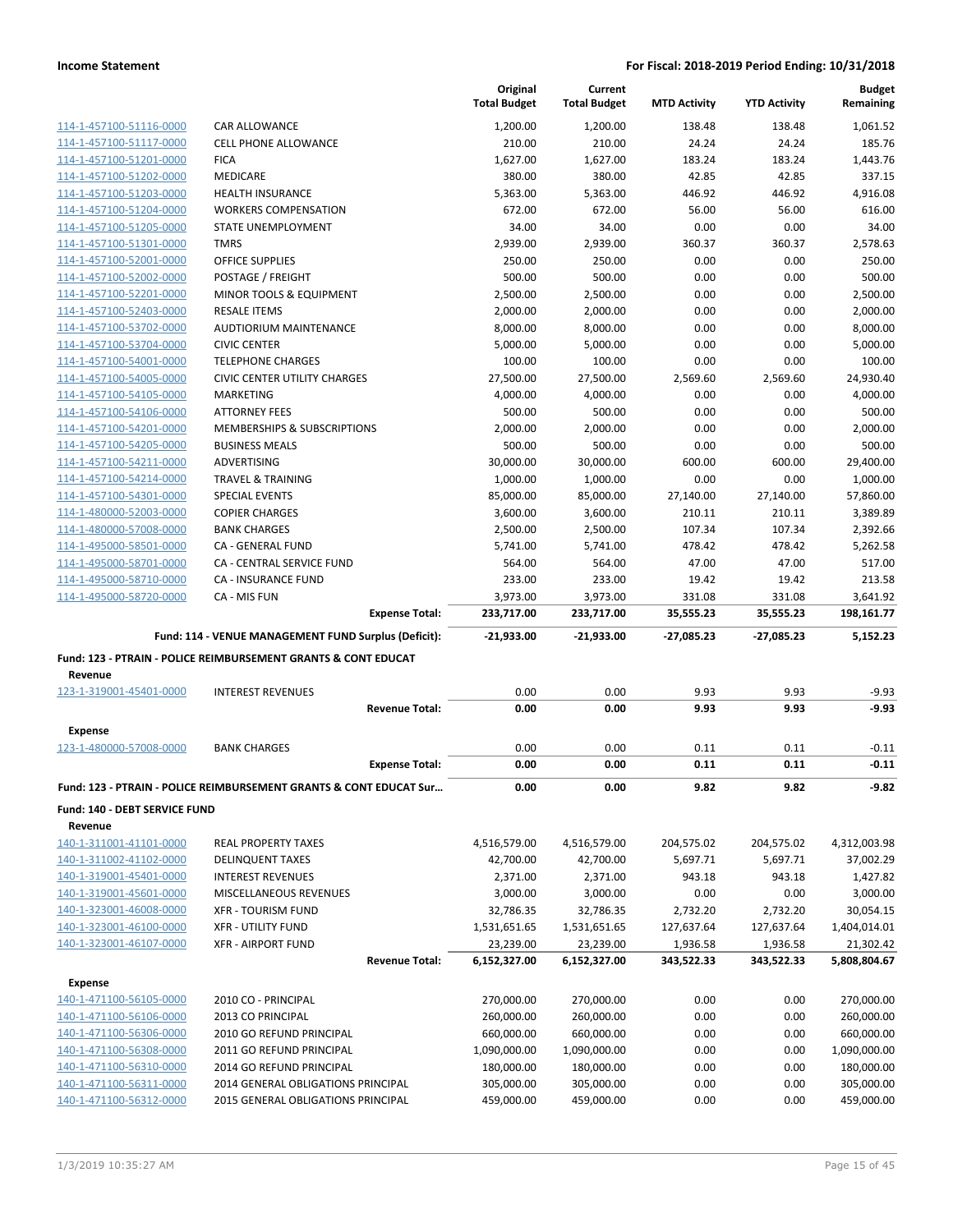|                                                    |                                                                               | Original<br><b>Total Budget</b> | Current<br><b>Total Budget</b> | <b>MTD Activity</b> | <b>YTD Activity</b> | <b>Budget</b><br>Remaining |
|----------------------------------------------------|-------------------------------------------------------------------------------|---------------------------------|--------------------------------|---------------------|---------------------|----------------------------|
| 114-1-457100-51116-0000                            | <b>CAR ALLOWANCE</b>                                                          | 1,200.00                        | 1,200.00                       | 138.48              | 138.48              | 1,061.52                   |
| 114-1-457100-51117-0000                            | <b>CELL PHONE ALLOWANCE</b>                                                   | 210.00                          | 210.00                         | 24.24               | 24.24               | 185.76                     |
| 114-1-457100-51201-0000                            | <b>FICA</b>                                                                   | 1,627.00                        | 1,627.00                       | 183.24              | 183.24              | 1,443.76                   |
| 114-1-457100-51202-0000                            | <b>MEDICARE</b>                                                               | 380.00                          | 380.00                         | 42.85               | 42.85               | 337.15                     |
| 114-1-457100-51203-0000                            | <b>HEALTH INSURANCE</b>                                                       | 5,363.00                        | 5,363.00                       | 446.92              | 446.92              | 4,916.08                   |
| 114-1-457100-51204-0000                            | <b>WORKERS COMPENSATION</b>                                                   | 672.00                          | 672.00                         | 56.00               | 56.00               | 616.00                     |
| 114-1-457100-51205-0000                            | STATE UNEMPLOYMENT                                                            | 34.00                           | 34.00                          | 0.00                | 0.00                | 34.00                      |
| 114-1-457100-51301-0000                            | <b>TMRS</b>                                                                   | 2,939.00                        | 2,939.00                       | 360.37              | 360.37              | 2,578.63                   |
| 114-1-457100-52001-0000                            | <b>OFFICE SUPPLIES</b>                                                        | 250.00                          | 250.00                         | 0.00                | 0.00                | 250.00                     |
| 114-1-457100-52002-0000                            | POSTAGE / FREIGHT                                                             | 500.00                          | 500.00                         | 0.00                | 0.00                | 500.00                     |
| 114-1-457100-52201-0000                            | MINOR TOOLS & EQUIPMENT                                                       | 2,500.00                        | 2,500.00                       | 0.00                | 0.00                | 2,500.00                   |
| 114-1-457100-52403-0000                            | <b>RESALE ITEMS</b>                                                           | 2,000.00                        | 2,000.00                       | 0.00                | 0.00                | 2,000.00                   |
| 114-1-457100-53702-0000                            | <b>AUDTIORIUM MAINTENANCE</b>                                                 | 8,000.00                        | 8,000.00                       | 0.00                | 0.00                | 8,000.00                   |
| 114-1-457100-53704-0000                            | <b>CIVIC CENTER</b>                                                           | 5,000.00                        | 5,000.00                       | 0.00                | 0.00                | 5,000.00                   |
| 114-1-457100-54001-0000                            | <b>TELEPHONE CHARGES</b>                                                      | 100.00                          | 100.00                         | 0.00                | 0.00                | 100.00                     |
| 114-1-457100-54005-0000                            | <b>CIVIC CENTER UTILITY CHARGES</b>                                           | 27,500.00                       | 27,500.00                      | 2,569.60            | 2,569.60            | 24,930.40                  |
| 114-1-457100-54105-0000                            | <b>MARKETING</b>                                                              | 4,000.00                        | 4,000.00                       | 0.00                | 0.00                | 4,000.00                   |
| 114-1-457100-54106-0000                            | <b>ATTORNEY FEES</b>                                                          | 500.00                          | 500.00                         | 0.00                | 0.00                | 500.00                     |
| 114-1-457100-54201-0000                            | MEMBERSHIPS & SUBSCRIPTIONS                                                   | 2,000.00<br>500.00              | 2,000.00                       | 0.00<br>0.00        | 0.00<br>0.00        | 2,000.00<br>500.00         |
| 114-1-457100-54205-0000<br>114-1-457100-54211-0000 | <b>BUSINESS MEALS</b><br><b>ADVERTISING</b>                                   | 30,000.00                       | 500.00<br>30,000.00            | 600.00              | 600.00              | 29,400.00                  |
| 114-1-457100-54214-0000                            | <b>TRAVEL &amp; TRAINING</b>                                                  | 1,000.00                        | 1,000.00                       | 0.00                | 0.00                | 1,000.00                   |
| 114-1-457100-54301-0000                            | <b>SPECIAL EVENTS</b>                                                         | 85,000.00                       | 85,000.00                      | 27,140.00           | 27,140.00           | 57,860.00                  |
| 114-1-480000-52003-0000                            | <b>COPIER CHARGES</b>                                                         | 3,600.00                        | 3,600.00                       | 210.11              | 210.11              | 3,389.89                   |
| 114-1-480000-57008-0000                            | <b>BANK CHARGES</b>                                                           | 2,500.00                        | 2,500.00                       | 107.34              | 107.34              | 2,392.66                   |
| 114-1-495000-58501-0000                            | CA - GENERAL FUND                                                             | 5,741.00                        | 5,741.00                       | 478.42              | 478.42              | 5,262.58                   |
| 114-1-495000-58701-0000                            | CA - CENTRAL SERVICE FUND                                                     | 564.00                          | 564.00                         | 47.00               | 47.00               | 517.00                     |
| 114-1-495000-58710-0000                            | <b>CA - INSURANCE FUND</b>                                                    | 233.00                          | 233.00                         | 19.42               | 19.42               | 213.58                     |
| 114-1-495000-58720-0000                            | CA - MIS FUN                                                                  | 3,973.00                        | 3,973.00                       | 331.08              | 331.08              | 3,641.92                   |
|                                                    | <b>Expense Total:</b>                                                         | 233,717.00                      | 233,717.00                     | 35,555.23           | 35,555.23           | 198,161.77                 |
|                                                    | Fund: 114 - VENUE MANAGEMENT FUND Surplus (Deficit):                          | $-21,933.00$                    | $-21,933.00$                   | $-27,085.23$        | $-27,085.23$        | 5,152.23                   |
|                                                    |                                                                               |                                 |                                |                     |                     |                            |
|                                                    | <b>Fund: 123 - PTRAIN - POLICE REIMBURSEMENT GRANTS &amp; CONT EDUCAT</b>     |                                 |                                |                     |                     |                            |
| Revenue                                            |                                                                               |                                 |                                |                     |                     |                            |
| 123-1-319001-45401-0000                            | <b>INTEREST REVENUES</b>                                                      | 0.00                            | 0.00                           | 9.93                | 9.93                | $-9.93$                    |
|                                                    | <b>Revenue Total:</b>                                                         | 0.00                            | 0.00                           | 9.93                | 9.93                | $-9.93$                    |
| <b>Expense</b>                                     |                                                                               |                                 |                                |                     |                     |                            |
| 123-1-480000-57008-0000                            | <b>BANK CHARGES</b>                                                           | 0.00                            | 0.00                           | 0.11                | 0.11                | $-0.11$                    |
|                                                    | <b>Expense Total:</b>                                                         | 0.00                            | 0.00                           | 0.11                | 0.11                | $-0.11$                    |
|                                                    | <b>Fund: 123 - PTRAIN - POLICE REIMBURSEMENT GRANTS &amp; CONT EDUCAT Sur</b> | 0.00                            | 0.00                           | 9.82                | 9.82                | $-9.82$                    |
| Fund: 140 - DEBT SERVICE FUND                      |                                                                               |                                 |                                |                     |                     |                            |
| Revenue                                            |                                                                               |                                 |                                |                     |                     |                            |
| 140-1-311001-41101-0000                            | <b>REAL PROPERTY TAXES</b>                                                    | 4,516,579.00                    | 4,516,579.00                   | 204,575.02          | 204,575.02          | 4,312,003.98               |
| 140-1-311002-41102-0000                            | <b>DELINQUENT TAXES</b>                                                       | 42,700.00                       | 42,700.00                      | 5,697.71            | 5,697.71            | 37,002.29                  |
| 140-1-319001-45401-0000                            | <b>INTEREST REVENUES</b>                                                      | 2,371.00                        | 2,371.00                       | 943.18              | 943.18              | 1,427.82                   |
| 140-1-319001-45601-0000                            | MISCELLANEOUS REVENUES                                                        | 3,000.00                        | 3,000.00                       | 0.00                | 0.00                | 3,000.00                   |
| 140-1-323001-46008-0000                            | <b>XFR - TOURISM FUND</b>                                                     | 32,786.35                       | 32,786.35                      | 2,732.20            | 2,732.20            | 30,054.15                  |
| 140-1-323001-46100-0000                            | <b>XFR - UTILITY FUND</b>                                                     | 1,531,651.65                    | 1,531,651.65                   | 127,637.64          | 127,637.64          | 1,404,014.01               |
| 140-1-323001-46107-0000                            | <b>XFR - AIRPORT FUND</b>                                                     | 23,239.00                       | 23,239.00                      | 1,936.58            | 1,936.58            | 21,302.42                  |
|                                                    | <b>Revenue Total:</b>                                                         | 6,152,327.00                    | 6,152,327.00                   | 343,522.33          | 343,522.33          | 5,808,804.67               |
| <b>Expense</b>                                     |                                                                               |                                 |                                |                     |                     |                            |
| 140-1-471100-56105-0000                            | 2010 CO - PRINCIPAL                                                           | 270,000.00                      | 270,000.00                     | 0.00                | 0.00                | 270,000.00                 |
| 140-1-471100-56106-0000<br>140-1-471100-56306-0000 | 2013 CO PRINCIPAL<br>2010 GO REFUND PRINCIPAL                                 | 260,000.00<br>660,000.00        | 260,000.00<br>660,000.00       | 0.00<br>0.00        | 0.00<br>0.00        | 260,000.00<br>660,000.00   |
| 140-1-471100-56308-0000                            | 2011 GO REFUND PRINCIPAL                                                      | 1,090,000.00                    | 1,090,000.00                   | 0.00                | 0.00                | 1,090,000.00               |
| 140-1-471100-56310-0000                            | 2014 GO REFUND PRINCIPAL                                                      | 180,000.00                      | 180,000.00                     | 0.00                | 0.00                | 180,000.00                 |
| 140-1-471100-56311-0000                            | 2014 GENERAL OBLIGATIONS PRINCIPAL                                            | 305,000.00                      | 305,000.00                     | 0.00                | 0.00                | 305,000.00                 |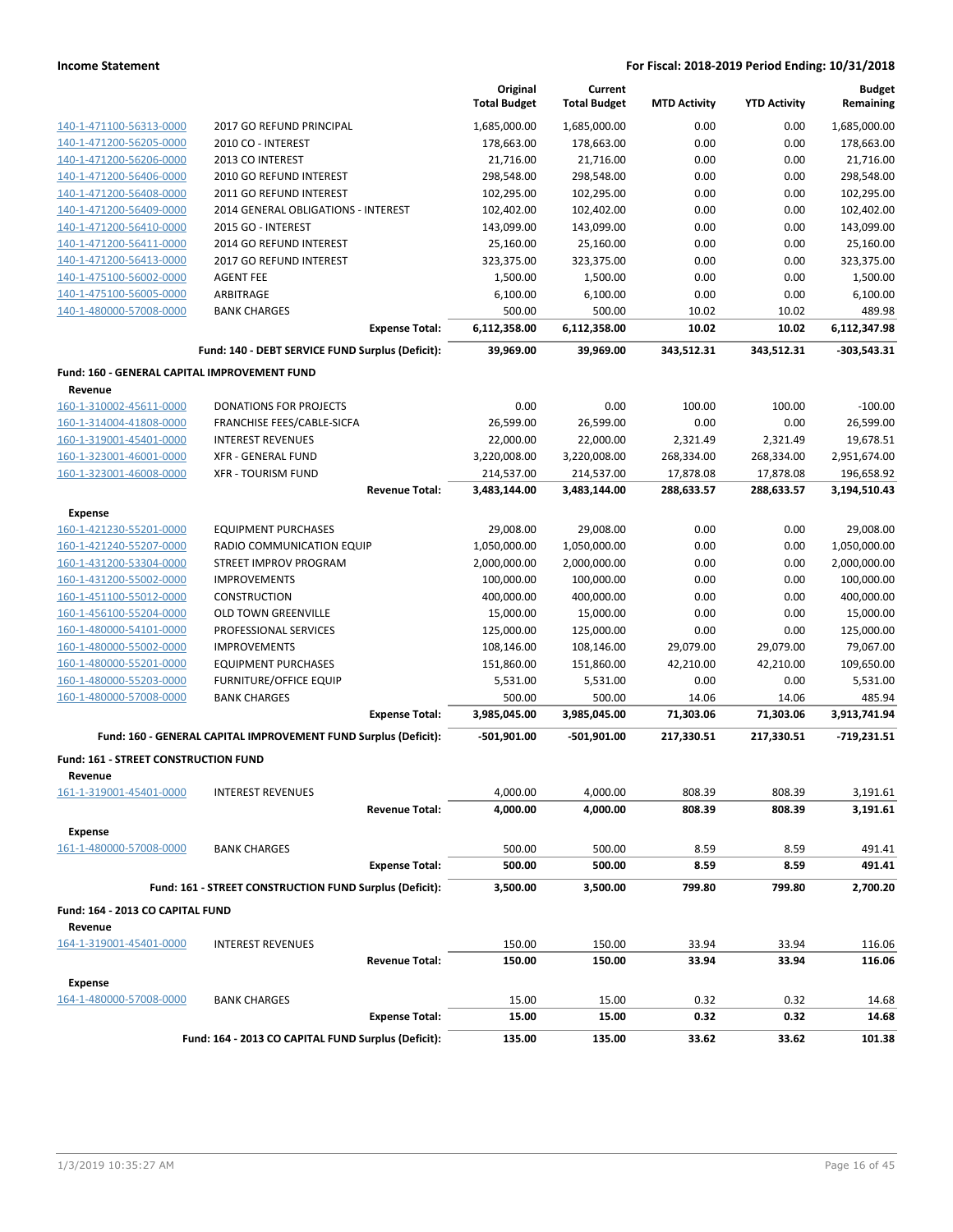|                                              |                                                                 | Original<br><b>Total Budget</b> | Current<br><b>Total Budget</b> | <b>MTD Activity</b> | <b>YTD Activity</b> | <b>Budget</b><br>Remaining |
|----------------------------------------------|-----------------------------------------------------------------|---------------------------------|--------------------------------|---------------------|---------------------|----------------------------|
| 140-1-471100-56313-0000                      | 2017 GO REFUND PRINCIPAL                                        | 1,685,000.00                    | 1,685,000.00                   | 0.00                | 0.00                | 1,685,000.00               |
| 140-1-471200-56205-0000                      | 2010 CO - INTEREST                                              | 178,663.00                      | 178,663.00                     | 0.00                | 0.00                | 178,663.00                 |
| 140-1-471200-56206-0000                      | 2013 CO INTEREST                                                | 21,716.00                       | 21,716.00                      | 0.00                | 0.00                | 21,716.00                  |
| 140-1-471200-56406-0000                      | 2010 GO REFUND INTEREST                                         | 298,548.00                      | 298,548.00                     | 0.00                | 0.00                | 298,548.00                 |
| 140-1-471200-56408-0000                      | 2011 GO REFUND INTEREST                                         | 102,295.00                      | 102,295.00                     | 0.00                | 0.00                | 102,295.00                 |
| 140-1-471200-56409-0000                      | 2014 GENERAL OBLIGATIONS - INTEREST                             | 102,402.00                      | 102,402.00                     | 0.00                | 0.00                | 102,402.00                 |
| 140-1-471200-56410-0000                      | 2015 GO - INTEREST                                              | 143,099.00                      | 143,099.00                     | 0.00                | 0.00                | 143,099.00                 |
| 140-1-471200-56411-0000                      | 2014 GO REFUND INTEREST                                         | 25,160.00                       | 25,160.00                      | 0.00                | 0.00                | 25,160.00                  |
| 140-1-471200-56413-0000                      | 2017 GO REFUND INTEREST                                         | 323,375.00                      | 323,375.00                     | 0.00                | 0.00                | 323,375.00                 |
| 140-1-475100-56002-0000                      | <b>AGENT FEE</b>                                                | 1,500.00                        | 1,500.00                       | 0.00                | 0.00                | 1,500.00                   |
| 140-1-475100-56005-0000                      | ARBITRAGE                                                       | 6,100.00                        | 6,100.00                       | 0.00                | 0.00                | 6,100.00                   |
| 140-1-480000-57008-0000                      | <b>BANK CHARGES</b>                                             | 500.00                          | 500.00                         | 10.02               | 10.02               | 489.98                     |
|                                              | <b>Expense Total:</b>                                           | 6,112,358.00                    | 6,112,358.00                   | 10.02               | 10.02               | 6,112,347.98               |
|                                              | Fund: 140 - DEBT SERVICE FUND Surplus (Deficit):                | 39,969.00                       | 39,969.00                      | 343,512.31          | 343,512.31          | $-303,543.31$              |
| Fund: 160 - GENERAL CAPITAL IMPROVEMENT FUND |                                                                 |                                 |                                |                     |                     |                            |
| Revenue                                      |                                                                 |                                 |                                |                     |                     |                            |
| 160-1-310002-45611-0000                      | <b>DONATIONS FOR PROJECTS</b>                                   | 0.00                            | 0.00                           | 100.00              | 100.00              | $-100.00$                  |
| 160-1-314004-41808-0000                      | FRANCHISE FEES/CABLE-SICFA                                      | 26,599.00                       | 26,599.00                      | 0.00                | 0.00                | 26,599.00                  |
| 160-1-319001-45401-0000                      | <b>INTEREST REVENUES</b>                                        | 22,000.00                       | 22,000.00                      | 2,321.49            | 2,321.49            | 19,678.51                  |
| 160-1-323001-46001-0000                      | <b>XFR - GENERAL FUND</b>                                       | 3,220,008.00                    | 3,220,008.00                   | 268,334.00          | 268,334.00          | 2,951,674.00               |
| 160-1-323001-46008-0000                      | <b>XFR - TOURISM FUND</b>                                       | 214,537.00                      | 214,537.00                     | 17,878.08           | 17,878.08           | 196,658.92                 |
|                                              | <b>Revenue Total:</b>                                           | 3,483,144.00                    | 3,483,144.00                   | 288,633.57          | 288,633.57          | 3,194,510.43               |
| <b>Expense</b>                               |                                                                 |                                 |                                |                     |                     |                            |
| 160-1-421230-55201-0000                      | <b>EQUIPMENT PURCHASES</b>                                      | 29,008.00                       | 29,008.00                      | 0.00                | 0.00                | 29,008.00                  |
| 160-1-421240-55207-0000                      | RADIO COMMUNICATION EQUIP                                       | 1,050,000.00                    | 1,050,000.00                   | 0.00                | 0.00                | 1,050,000.00               |
| 160-1-431200-53304-0000                      | STREET IMPROV PROGRAM                                           | 2,000,000.00                    | 2,000,000.00                   | 0.00                | 0.00                | 2,000,000.00               |
| 160-1-431200-55002-0000                      | <b>IMPROVEMENTS</b>                                             | 100,000.00                      | 100,000.00                     | 0.00                | 0.00                | 100,000.00                 |
| 160-1-451100-55012-0000                      | <b>CONSTRUCTION</b>                                             | 400,000.00                      | 400,000.00                     | 0.00                | 0.00                | 400,000.00                 |
| 160-1-456100-55204-0000                      | <b>OLD TOWN GREENVILLE</b>                                      | 15,000.00                       | 15,000.00                      | 0.00                | 0.00                | 15,000.00                  |
| 160-1-480000-54101-0000                      | PROFESSIONAL SERVICES                                           | 125,000.00                      | 125,000.00                     | 0.00                | 0.00                | 125,000.00                 |
| 160-1-480000-55002-0000                      | <b>IMPROVEMENTS</b>                                             | 108,146.00                      | 108,146.00                     | 29,079.00           | 29,079.00           | 79,067.00                  |
| 160-1-480000-55201-0000                      | <b>EQUIPMENT PURCHASES</b>                                      | 151,860.00                      | 151,860.00                     | 42,210.00           | 42,210.00           | 109,650.00                 |
| 160-1-480000-55203-0000                      | <b>FURNITURE/OFFICE EQUIP</b>                                   | 5,531.00                        | 5,531.00                       | 0.00                | 0.00                | 5,531.00                   |
| 160-1-480000-57008-0000                      | <b>BANK CHARGES</b>                                             | 500.00                          | 500.00                         | 14.06               | 14.06               | 485.94                     |
|                                              | <b>Expense Total:</b>                                           | 3,985,045.00                    | 3,985,045.00                   | 71,303.06           | 71,303.06           | 3,913,741.94               |
|                                              | Fund: 160 - GENERAL CAPITAL IMPROVEMENT FUND Surplus (Deficit): | $-501,901.00$                   | $-501,901.00$                  | 217,330.51          | 217,330.51          | $-719,231.51$              |
| Fund: 161 - STREET CONSTRUCTION FUND         |                                                                 |                                 |                                |                     |                     |                            |
| Revenue                                      |                                                                 |                                 |                                |                     |                     |                            |
| 161-1-319001-45401-0000                      | <b>INTEREST REVENUES</b>                                        | 4,000.00                        | 4,000.00                       | 808.39              | 808.39              | 3,191.61                   |
|                                              | <b>Revenue Total:</b>                                           | 4,000.00                        | 4,000.00                       | 808.39              | 808.39              | 3,191.61                   |
| <b>Expense</b>                               |                                                                 |                                 |                                |                     |                     |                            |
| 161-1-480000-57008-0000                      | <b>BANK CHARGES</b>                                             | 500.00                          | 500.00                         | 8.59                | 8.59                | 491.41                     |
|                                              | <b>Expense Total:</b>                                           | 500.00                          | 500.00                         | 8.59                | 8.59                | 491.41                     |
|                                              | Fund: 161 - STREET CONSTRUCTION FUND Surplus (Deficit):         | 3,500.00                        | 3,500.00                       | 799.80              | 799.80              | 2,700.20                   |
| Fund: 164 - 2013 CO CAPITAL FUND             |                                                                 |                                 |                                |                     |                     |                            |
| Revenue                                      |                                                                 |                                 |                                |                     |                     |                            |
| 164-1-319001-45401-0000                      | <b>INTEREST REVENUES</b>                                        | 150.00                          | 150.00                         | 33.94               | 33.94               | 116.06                     |
|                                              | <b>Revenue Total:</b>                                           | 150.00                          | 150.00                         | 33.94               | 33.94               | 116.06                     |
| <b>Expense</b>                               |                                                                 |                                 |                                |                     |                     |                            |
| 164-1-480000-57008-0000                      | <b>BANK CHARGES</b>                                             | 15.00                           | 15.00                          | 0.32                | 0.32                | 14.68                      |
|                                              | <b>Expense Total:</b>                                           | 15.00                           | 15.00                          | 0.32                | 0.32                | 14.68                      |
|                                              | Fund: 164 - 2013 CO CAPITAL FUND Surplus (Deficit):             | 135.00                          | 135.00                         | 33.62               | 33.62               | 101.38                     |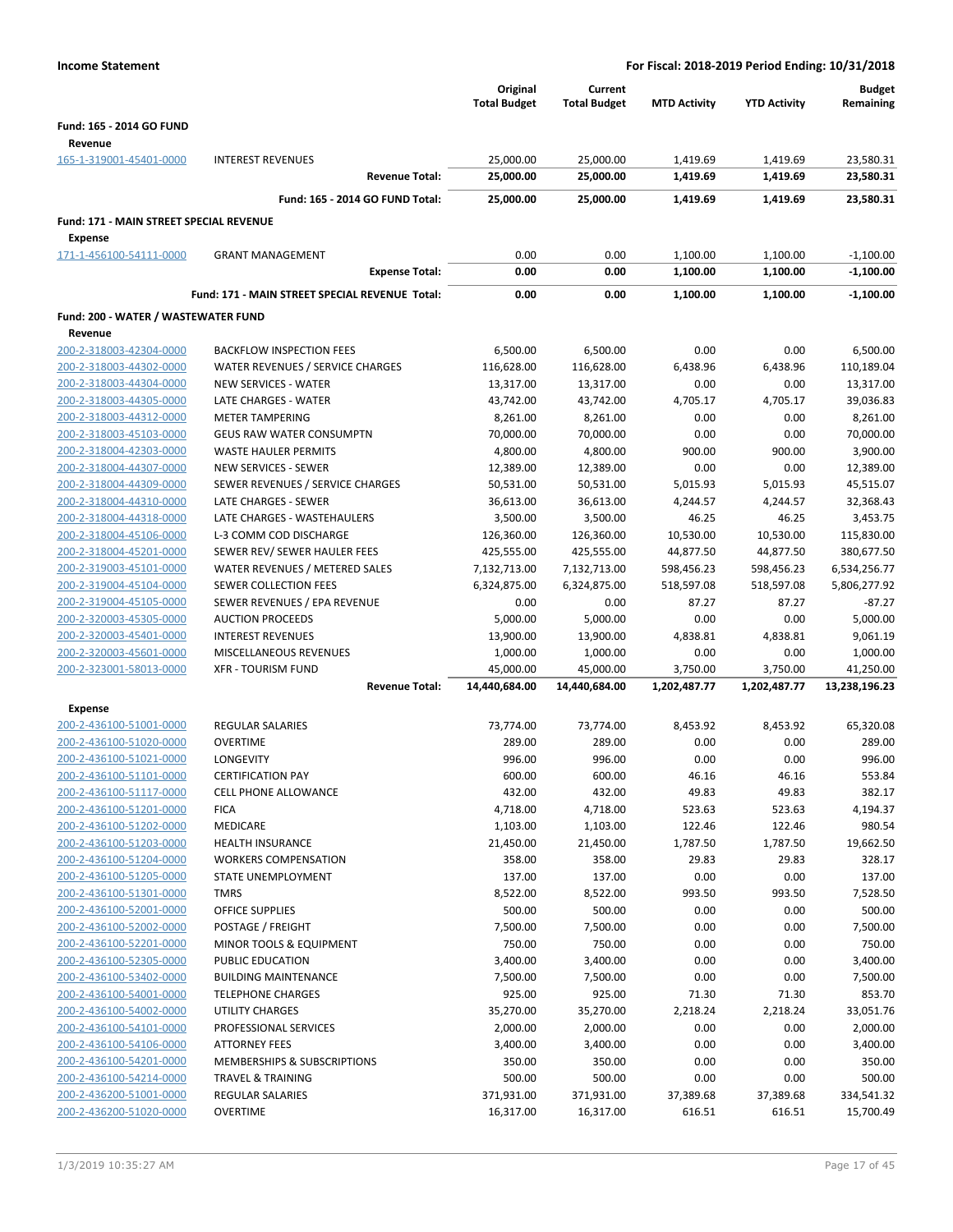| <b>Income Statement</b>                                   |                                                                 | For Fiscal: 2018-2019 Period Ending: 10/31/2018 |                                |                      |                      |                            |
|-----------------------------------------------------------|-----------------------------------------------------------------|-------------------------------------------------|--------------------------------|----------------------|----------------------|----------------------------|
|                                                           |                                                                 | Original<br><b>Total Budget</b>                 | Current<br><b>Total Budget</b> | <b>MTD Activity</b>  | <b>YTD Activity</b>  | <b>Budget</b><br>Remaining |
| <b>Fund: 165 - 2014 GO FUND</b>                           |                                                                 |                                                 |                                |                      |                      |                            |
| Revenue                                                   |                                                                 |                                                 |                                |                      |                      |                            |
| 165-1-319001-45401-0000                                   | <b>INTEREST REVENUES</b><br><b>Revenue Total:</b>               | 25,000.00<br>25,000.00                          | 25,000.00<br>25,000.00         | 1,419.69<br>1,419.69 | 1,419.69<br>1,419.69 | 23,580.31<br>23,580.31     |
|                                                           |                                                                 |                                                 |                                |                      |                      |                            |
|                                                           | Fund: 165 - 2014 GO FUND Total:                                 | 25,000.00                                       | 25,000.00                      | 1,419.69             | 1,419.69             | 23,580.31                  |
| Fund: 171 - MAIN STREET SPECIAL REVENUE<br><b>Expense</b> |                                                                 |                                                 |                                |                      |                      |                            |
| 171-1-456100-54111-0000                                   | <b>GRANT MANAGEMENT</b>                                         | 0.00                                            | 0.00                           | 1,100.00             | 1,100.00             | $-1,100.00$                |
|                                                           | <b>Expense Total:</b>                                           | 0.00                                            | 0.00                           | 1,100.00             | 1,100.00             | $-1,100.00$                |
|                                                           | Fund: 171 - MAIN STREET SPECIAL REVENUE Total:                  | 0.00                                            | 0.00                           | 1,100.00             | 1,100.00             | $-1,100.00$                |
| Fund: 200 - WATER / WASTEWATER FUND                       |                                                                 |                                                 |                                |                      |                      |                            |
| Revenue                                                   |                                                                 |                                                 |                                |                      |                      |                            |
| 200-2-318003-42304-0000                                   | <b>BACKFLOW INSPECTION FEES</b>                                 | 6,500.00                                        | 6,500.00                       | 0.00                 | 0.00                 | 6,500.00                   |
| 200-2-318003-44302-0000<br>200-2-318003-44304-0000        | WATER REVENUES / SERVICE CHARGES<br><b>NEW SERVICES - WATER</b> | 116,628.00<br>13,317.00                         | 116,628.00<br>13,317.00        | 6,438.96<br>0.00     | 6,438.96<br>0.00     | 110,189.04<br>13,317.00    |
| 200-2-318003-44305-0000                                   | LATE CHARGES - WATER                                            | 43,742.00                                       | 43,742.00                      | 4,705.17             | 4,705.17             | 39,036.83                  |
| 200-2-318003-44312-0000                                   | <b>METER TAMPERING</b>                                          | 8,261.00                                        | 8,261.00                       | 0.00                 | 0.00                 | 8,261.00                   |
| 200-2-318003-45103-0000                                   | <b>GEUS RAW WATER CONSUMPTN</b>                                 | 70,000.00                                       | 70,000.00                      | 0.00                 | 0.00                 | 70,000.00                  |
| 200-2-318004-42303-0000                                   | <b>WASTE HAULER PERMITS</b>                                     | 4,800.00                                        | 4,800.00                       | 900.00               | 900.00               | 3,900.00                   |
| 200-2-318004-44307-0000                                   | <b>NEW SERVICES - SEWER</b>                                     | 12,389.00                                       | 12,389.00                      | 0.00                 | 0.00                 | 12,389.00                  |
| 200-2-318004-44309-0000                                   | SEWER REVENUES / SERVICE CHARGES                                | 50,531.00                                       | 50,531.00                      | 5,015.93             | 5,015.93             | 45,515.07                  |
| 200-2-318004-44310-0000                                   | LATE CHARGES - SEWER                                            | 36,613.00                                       | 36,613.00                      | 4,244.57             | 4,244.57             | 32,368.43                  |
| 200-2-318004-44318-0000                                   | LATE CHARGES - WASTEHAULERS                                     | 3,500.00                                        | 3,500.00                       | 46.25                | 46.25                | 3,453.75                   |
| 200-2-318004-45106-0000                                   | L-3 COMM COD DISCHARGE                                          | 126,360.00                                      | 126,360.00                     | 10,530.00            | 10,530.00            | 115,830.00                 |
| 200-2-318004-45201-0000                                   | SEWER REV/ SEWER HAULER FEES                                    | 425,555.00                                      | 425,555.00                     | 44,877.50            | 44,877.50            | 380,677.50                 |
| 200-2-319003-45101-0000                                   | WATER REVENUES / METERED SALES                                  | 7,132,713.00                                    | 7,132,713.00                   | 598,456.23           | 598,456.23           | 6,534,256.77               |
| 200-2-319004-45104-0000                                   | SEWER COLLECTION FEES                                           | 6,324,875.00                                    | 6,324,875.00                   | 518,597.08           | 518,597.08           | 5,806,277.92               |
| 200-2-319004-45105-0000                                   | SEWER REVENUES / EPA REVENUE                                    | 0.00                                            | 0.00                           | 87.27                | 87.27                | $-87.27$                   |
| 200-2-320003-45305-0000                                   | <b>AUCTION PROCEEDS</b>                                         | 5,000.00                                        | 5,000.00                       | 0.00                 | 0.00                 | 5,000.00                   |
| 200-2-320003-45401-0000                                   | <b>INTEREST REVENUES</b>                                        | 13,900.00                                       | 13,900.00                      | 4,838.81             | 4,838.81             | 9,061.19                   |
| 200-2-320003-45601-0000<br>200-2-323001-58013-0000        | MISCELLANEOUS REVENUES<br><b>XFR - TOURISM FUND</b>             | 1,000.00<br>45,000.00                           | 1,000.00<br>45,000.00          | 0.00<br>3,750.00     | 0.00<br>3,750.00     | 1,000.00<br>41,250.00      |
|                                                           | <b>Revenue Total:</b>                                           | 14,440,684.00                                   | 14,440,684.00                  | 1,202,487.77         | 1,202,487.77         | 13,238,196.23              |
|                                                           |                                                                 |                                                 |                                |                      |                      |                            |
| <b>Expense</b><br>200-2-436100-51001-0000                 | <b>REGULAR SALARIES</b>                                         | 73,774.00                                       | 73,774.00                      | 8,453.92             | 8,453.92             | 65,320.08                  |
| 200-2-436100-51020-0000                                   | <b>OVERTIME</b>                                                 | 289.00                                          | 289.00                         | 0.00                 | 0.00                 | 289.00                     |
| 200-2-436100-51021-0000                                   | <b>LONGEVITY</b>                                                | 996.00                                          | 996.00                         | 0.00                 | 0.00                 | 996.00                     |
| 200-2-436100-51101-0000                                   | <b>CERTIFICATION PAY</b>                                        | 600.00                                          | 600.00                         | 46.16                | 46.16                | 553.84                     |
| 200-2-436100-51117-0000                                   | <b>CELL PHONE ALLOWANCE</b>                                     | 432.00                                          | 432.00                         | 49.83                | 49.83                | 382.17                     |
| 200-2-436100-51201-0000                                   | <b>FICA</b>                                                     | 4,718.00                                        | 4,718.00                       | 523.63               | 523.63               | 4,194.37                   |
| 200-2-436100-51202-0000                                   | MEDICARE                                                        | 1,103.00                                        | 1,103.00                       | 122.46               | 122.46               | 980.54                     |
| 200-2-436100-51203-0000                                   | <b>HEALTH INSURANCE</b>                                         | 21,450.00                                       | 21,450.00                      | 1,787.50             | 1,787.50             | 19,662.50                  |
| 200-2-436100-51204-0000                                   | <b>WORKERS COMPENSATION</b>                                     | 358.00                                          | 358.00                         | 29.83                | 29.83                | 328.17                     |
| 200-2-436100-51205-0000                                   | STATE UNEMPLOYMENT                                              | 137.00                                          | 137.00                         | 0.00                 | 0.00                 | 137.00                     |
| 200-2-436100-51301-0000                                   | <b>TMRS</b>                                                     | 8,522.00                                        | 8,522.00                       | 993.50               | 993.50               | 7,528.50                   |
| 200-2-436100-52001-0000                                   | OFFICE SUPPLIES                                                 | 500.00                                          | 500.00                         | 0.00                 | 0.00                 | 500.00                     |
| 200-2-436100-52002-0000                                   | POSTAGE / FREIGHT                                               | 7,500.00                                        | 7,500.00                       | 0.00                 | 0.00                 | 7,500.00                   |
| 200-2-436100-52201-0000                                   | MINOR TOOLS & EQUIPMENT                                         | 750.00                                          | 750.00                         | 0.00                 | 0.00                 | 750.00                     |
| 200-2-436100-52305-0000                                   | PUBLIC EDUCATION                                                | 3,400.00                                        | 3,400.00                       | 0.00                 | 0.00                 | 3,400.00                   |
| 200-2-436100-53402-0000<br>200-2-436100-54001-0000        | <b>BUILDING MAINTENANCE</b><br><b>TELEPHONE CHARGES</b>         | 7,500.00<br>925.00                              | 7,500.00<br>925.00             | 0.00<br>71.30        | 0.00<br>71.30        | 7,500.00<br>853.70         |
| 200-2-436100-54002-0000                                   | UTILITY CHARGES                                                 | 35,270.00                                       | 35,270.00                      | 2,218.24             | 2,218.24             | 33,051.76                  |
| 200-2-436100-54101-0000                                   | PROFESSIONAL SERVICES                                           | 2,000.00                                        | 2,000.00                       | 0.00                 | 0.00                 | 2,000.00                   |
| 200-2-436100-54106-0000                                   | <b>ATTORNEY FEES</b>                                            | 3,400.00                                        | 3,400.00                       | 0.00                 | 0.00                 | 3,400.00                   |
| 200-2-436100-54201-0000                                   | MEMBERSHIPS & SUBSCRIPTIONS                                     | 350.00                                          | 350.00                         | 0.00                 | 0.00                 | 350.00                     |
| 200-2-436100-54214-0000                                   | TRAVEL & TRAINING                                               | 500.00                                          | 500.00                         | 0.00                 | 0.00                 | 500.00                     |
| 200-2-436200-51001-0000                                   | <b>REGULAR SALARIES</b>                                         | 371,931.00                                      | 371,931.00                     | 37,389.68            | 37,389.68            | 334,541.32                 |
| 200-2-436200-51020-0000                                   | <b>OVERTIME</b>                                                 | 16,317.00                                       | 16,317.00                      | 616.51               | 616.51               | 15,700.49                  |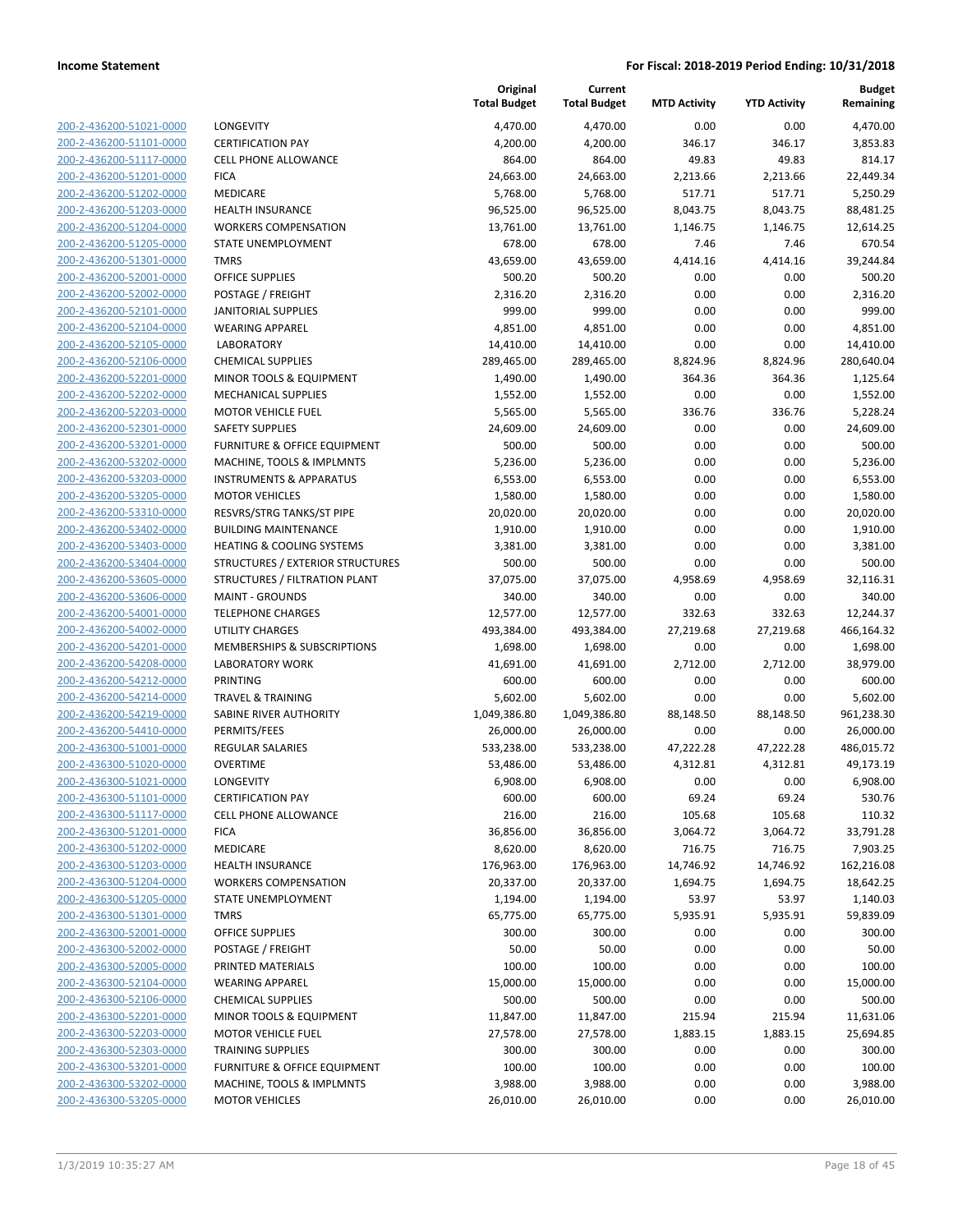| 200-2-436200-51021-0000                                   |
|-----------------------------------------------------------|
| 200-2-436200-51101-0000                                   |
| 200-2-436200-51117-0000                                   |
| 200-2-436200-51201-0000                                   |
| <u>200-2-436200-51202-0000</u>                            |
| 200-2-436200-51203-0000                                   |
| 200-2-436200-51204-0000                                   |
| 200-2-436200-51205-0000                                   |
| 200-2-436200-51301-0000                                   |
| <u>200-2-436200-52001-0000</u>                            |
| 200-2-436200-52002-0000                                   |
| 200-2-436200-52101-0000                                   |
| 200-2-436200-52104-0000                                   |
| 200-2-436200-52105-0000                                   |
| <u>200-2-436200-52106-0000</u>                            |
| 200-2-436200-52201-0000                                   |
| 200-2-436200-52202-0000                                   |
| 200-2-436200-52203-0000                                   |
| 200-2-436200-52301-0000                                   |
| 200-2-436200-53201-0000                                   |
| 200-2-436200-53202-0000                                   |
| 200-2-436200-53203-0000                                   |
| 200-2-436200-53205-0000                                   |
| 200-2-436200-53310-0000                                   |
| 200-2-436200-53402-0000                                   |
| 200-2-436200-53403-0000                                   |
| 200-2-436200-53404-0000                                   |
| 200-2-436200-53605-0000                                   |
| 200-2-436200-53606-0000                                   |
| <u>200-2-436200-54001-0000</u>                            |
| 200-2-436200-54002-0000                                   |
| 200-2-436200-54201-0000                                   |
| 200-2-436200-54208-0000                                   |
| 200-2-436200-54212-0000                                   |
| <u>200-2-436200-54214-0000</u>                            |
| 200-2-436200-54219-0000                                   |
| 200-2-436200-54410-0000                                   |
| 200-2-436300-51001-0000                                   |
| 200-2-436300-51020-0000                                   |
| 200-2-436300-51021-0000<br>200-2-436300-51101-0000        |
|                                                           |
| <u>200-2-436300-51117-0000</u>                            |
| 200-2-436300-51201-0000<br>200-2-436300-51202-0000        |
|                                                           |
| <u>200-2-436300-51203-0000</u>                            |
| <u>200-2-436300-51204-0000</u>                            |
| <u>200-2-436300-51205-0000</u><br>200-2-436300-51301-0000 |
| 200-2-436300-52001-0000                                   |
| <u>200-2-436300-52002-0000</u>                            |
| 200-2-436300-52005-0000                                   |
| <u>200-2-436300-52104-0000</u>                            |
| 200-2-436300-52106-0000                                   |
| 200-2-436300-52201-0000                                   |
| <u>200-2-436300-52203-0000</u>                            |
| 200-2-436300-52303-0000                                   |
| 200-2-436300-53201-0000                                   |
| 200-2-436300-53202-0000                                   |
| 200-2-436300-53205-0000                                   |
|                                                           |

|                         |                                         | Original<br><b>Total Budget</b> | Current<br><b>Total Budget</b> | <b>MTD Activity</b> | <b>YTD Activity</b> | <b>Budget</b><br>Remaining |
|-------------------------|-----------------------------------------|---------------------------------|--------------------------------|---------------------|---------------------|----------------------------|
| 200-2-436200-51021-0000 | LONGEVITY                               | 4,470.00                        | 4,470.00                       | 0.00                | 0.00                | 4,470.00                   |
| 200-2-436200-51101-0000 | <b>CERTIFICATION PAY</b>                | 4,200.00                        | 4,200.00                       | 346.17              | 346.17              | 3,853.83                   |
| 200-2-436200-51117-0000 | <b>CELL PHONE ALLOWANCE</b>             | 864.00                          | 864.00                         | 49.83               | 49.83               | 814.17                     |
| 200-2-436200-51201-0000 | <b>FICA</b>                             | 24,663.00                       | 24,663.00                      | 2,213.66            | 2,213.66            | 22,449.34                  |
| 200-2-436200-51202-0000 | MEDICARE                                | 5,768.00                        | 5,768.00                       | 517.71              | 517.71              | 5,250.29                   |
| 200-2-436200-51203-0000 | <b>HEALTH INSURANCE</b>                 | 96,525.00                       | 96,525.00                      | 8,043.75            | 8,043.75            | 88,481.25                  |
| 200-2-436200-51204-0000 | <b>WORKERS COMPENSATION</b>             | 13,761.00                       | 13,761.00                      | 1,146.75            | 1,146.75            | 12,614.25                  |
| 200-2-436200-51205-0000 | STATE UNEMPLOYMENT                      | 678.00                          | 678.00                         | 7.46                | 7.46                | 670.54                     |
| 200-2-436200-51301-0000 | <b>TMRS</b>                             | 43,659.00                       | 43,659.00                      | 4,414.16            | 4,414.16            | 39,244.84                  |
| 200-2-436200-52001-0000 | <b>OFFICE SUPPLIES</b>                  | 500.20                          | 500.20                         | 0.00                | 0.00                | 500.20                     |
| 200-2-436200-52002-0000 | POSTAGE / FREIGHT                       | 2,316.20                        | 2,316.20                       | 0.00                | 0.00                | 2,316.20                   |
| 200-2-436200-52101-0000 | <b>JANITORIAL SUPPLIES</b>              | 999.00                          | 999.00                         | 0.00                | 0.00                | 999.00                     |
| 200-2-436200-52104-0000 | <b>WEARING APPAREL</b>                  | 4,851.00                        | 4,851.00                       | 0.00                | 0.00                | 4,851.00                   |
| 200-2-436200-52105-0000 | <b>LABORATORY</b>                       | 14,410.00                       | 14,410.00                      | 0.00                | 0.00                | 14,410.00                  |
| 200-2-436200-52106-0000 | <b>CHEMICAL SUPPLIES</b>                | 289,465.00                      | 289,465.00                     | 8,824.96            | 8,824.96            | 280,640.04                 |
| 200-2-436200-52201-0000 | MINOR TOOLS & EQUIPMENT                 | 1,490.00                        | 1,490.00                       | 364.36              | 364.36              | 1,125.64                   |
| 200-2-436200-52202-0000 | MECHANICAL SUPPLIES                     | 1,552.00                        | 1,552.00                       | 0.00                | 0.00                | 1,552.00                   |
| 200-2-436200-52203-0000 | <b>MOTOR VEHICLE FUEL</b>               | 5,565.00                        | 5,565.00                       | 336.76              | 336.76              | 5,228.24                   |
| 200-2-436200-52301-0000 | <b>SAFETY SUPPLIES</b>                  | 24,609.00                       | 24,609.00                      | 0.00                | 0.00                | 24,609.00                  |
| 200-2-436200-53201-0000 | <b>FURNITURE &amp; OFFICE EQUIPMENT</b> | 500.00                          | 500.00                         | 0.00                | 0.00                | 500.00                     |
| 200-2-436200-53202-0000 | MACHINE, TOOLS & IMPLMNTS               | 5,236.00                        | 5,236.00                       | 0.00                | 0.00                | 5,236.00                   |
| 200-2-436200-53203-0000 | <b>INSTRUMENTS &amp; APPARATUS</b>      | 6,553.00                        | 6,553.00                       | 0.00                | 0.00                | 6,553.00                   |
| 200-2-436200-53205-0000 | <b>MOTOR VEHICLES</b>                   | 1,580.00                        | 1,580.00                       | 0.00                | 0.00                | 1,580.00                   |
| 200-2-436200-53310-0000 | RESVRS/STRG TANKS/ST PIPE               | 20,020.00                       | 20,020.00                      | 0.00                | 0.00                | 20,020.00                  |
| 200-2-436200-53402-0000 | <b>BUILDING MAINTENANCE</b>             | 1,910.00                        | 1,910.00                       | 0.00                | 0.00                | 1,910.00                   |
| 200-2-436200-53403-0000 | HEATING & COOLING SYSTEMS               | 3,381.00                        | 3,381.00                       | 0.00                | 0.00                | 3,381.00                   |
| 200-2-436200-53404-0000 | STRUCTURES / EXTERIOR STRUCTURES        | 500.00                          | 500.00                         | 0.00                | 0.00                | 500.00                     |
| 200-2-436200-53605-0000 | STRUCTURES / FILTRATION PLANT           | 37,075.00                       | 37,075.00                      | 4,958.69            | 4,958.69            | 32,116.31                  |
| 200-2-436200-53606-0000 | <b>MAINT - GROUNDS</b>                  | 340.00                          | 340.00                         | 0.00                | 0.00                | 340.00                     |
| 200-2-436200-54001-0000 | <b>TELEPHONE CHARGES</b>                | 12,577.00                       | 12,577.00                      | 332.63              | 332.63              | 12,244.37                  |
| 200-2-436200-54002-0000 | <b>UTILITY CHARGES</b>                  | 493,384.00                      | 493,384.00                     | 27,219.68           | 27,219.68           | 466,164.32                 |
| 200-2-436200-54201-0000 | MEMBERSHIPS & SUBSCRIPTIONS             | 1,698.00                        | 1,698.00                       | 0.00                | 0.00                | 1,698.00                   |
| 200-2-436200-54208-0000 | <b>LABORATORY WORK</b>                  | 41,691.00                       | 41,691.00                      | 2,712.00            | 2,712.00            | 38,979.00                  |
| 200-2-436200-54212-0000 | <b>PRINTING</b>                         | 600.00                          | 600.00                         | 0.00                | 0.00                | 600.00                     |
| 200-2-436200-54214-0000 | <b>TRAVEL &amp; TRAINING</b>            | 5,602.00                        | 5,602.00                       | 0.00                | 0.00                | 5,602.00                   |
| 200-2-436200-54219-0000 | SABINE RIVER AUTHORITY                  | 1,049,386.80                    | 1,049,386.80                   | 88,148.50           | 88,148.50           | 961,238.30                 |
| 200-2-436200-54410-0000 | PERMITS/FEES                            | 26,000.00                       | 26,000.00                      | 0.00                | 0.00                | 26,000.00                  |
| 200-2-436300-51001-0000 | REGULAR SALARIES                        | 533,238.00                      | 533,238.00                     | 47,222.28           | 47,222.28           | 486,015.72                 |
| 200-2-436300-51020-0000 | <b>OVERTIME</b>                         | 53,486.00                       | 53,486.00                      | 4,312.81            | 4,312.81            | 49,173.19                  |
| 200-2-436300-51021-0000 | LONGEVITY                               | 6,908.00                        | 6,908.00                       | $0.00\,$            | 0.00                | 6,908.00                   |
| 200-2-436300-51101-0000 | <b>CERTIFICATION PAY</b>                | 600.00                          | 600.00                         | 69.24               | 69.24               | 530.76                     |
| 200-2-436300-51117-0000 | CELL PHONE ALLOWANCE                    | 216.00                          | 216.00                         | 105.68              | 105.68              | 110.32                     |
| 200-2-436300-51201-0000 | <b>FICA</b>                             | 36,856.00                       | 36,856.00                      | 3,064.72            | 3,064.72            | 33,791.28                  |
| 200-2-436300-51202-0000 | MEDICARE                                | 8,620.00                        | 8,620.00                       | 716.75              | 716.75              | 7,903.25                   |
| 200-2-436300-51203-0000 | <b>HEALTH INSURANCE</b>                 | 176,963.00                      | 176,963.00                     | 14,746.92           | 14,746.92           | 162,216.08                 |
| 200-2-436300-51204-0000 | <b>WORKERS COMPENSATION</b>             | 20,337.00                       | 20,337.00                      | 1,694.75            | 1,694.75            | 18,642.25                  |
| 200-2-436300-51205-0000 | STATE UNEMPLOYMENT                      | 1,194.00                        | 1,194.00                       | 53.97               | 53.97               | 1,140.03                   |
| 200-2-436300-51301-0000 | <b>TMRS</b>                             | 65,775.00                       | 65,775.00                      | 5,935.91            | 5,935.91            | 59,839.09                  |
| 200-2-436300-52001-0000 | <b>OFFICE SUPPLIES</b>                  | 300.00                          | 300.00                         | 0.00                | 0.00                | 300.00                     |
| 200-2-436300-52002-0000 | POSTAGE / FREIGHT                       | 50.00                           | 50.00                          | 0.00                | 0.00                | 50.00                      |
| 200-2-436300-52005-0000 | PRINTED MATERIALS                       | 100.00                          | 100.00                         | 0.00                | 0.00                | 100.00                     |
| 200-2-436300-52104-0000 | <b>WEARING APPAREL</b>                  | 15,000.00                       | 15,000.00                      | 0.00                | 0.00                | 15,000.00                  |
| 200-2-436300-52106-0000 | <b>CHEMICAL SUPPLIES</b>                | 500.00                          | 500.00                         | 0.00                | 0.00                | 500.00                     |
| 200-2-436300-52201-0000 | MINOR TOOLS & EQUIPMENT                 | 11,847.00                       | 11,847.00                      | 215.94              | 215.94              | 11,631.06                  |
| 200-2-436300-52203-0000 | <b>MOTOR VEHICLE FUEL</b>               | 27,578.00                       | 27,578.00                      | 1,883.15            | 1,883.15            | 25,694.85                  |
| 200-2-436300-52303-0000 | <b>TRAINING SUPPLIES</b>                | 300.00                          | 300.00                         | 0.00                | 0.00                | 300.00                     |
| 200-2-436300-53201-0000 | FURNITURE & OFFICE EQUIPMENT            | 100.00                          | 100.00                         | 0.00                | 0.00                | 100.00                     |
| 200-2-436300-53202-0000 | MACHINE, TOOLS & IMPLMNTS               | 3,988.00                        | 3,988.00                       | 0.00                | 0.00                | 3,988.00                   |
| 200-2-436300-53205-0000 | <b>MOTOR VEHICLES</b>                   | 26,010.00                       | 26,010.00                      | 0.00                | 0.00                | 26,010.00                  |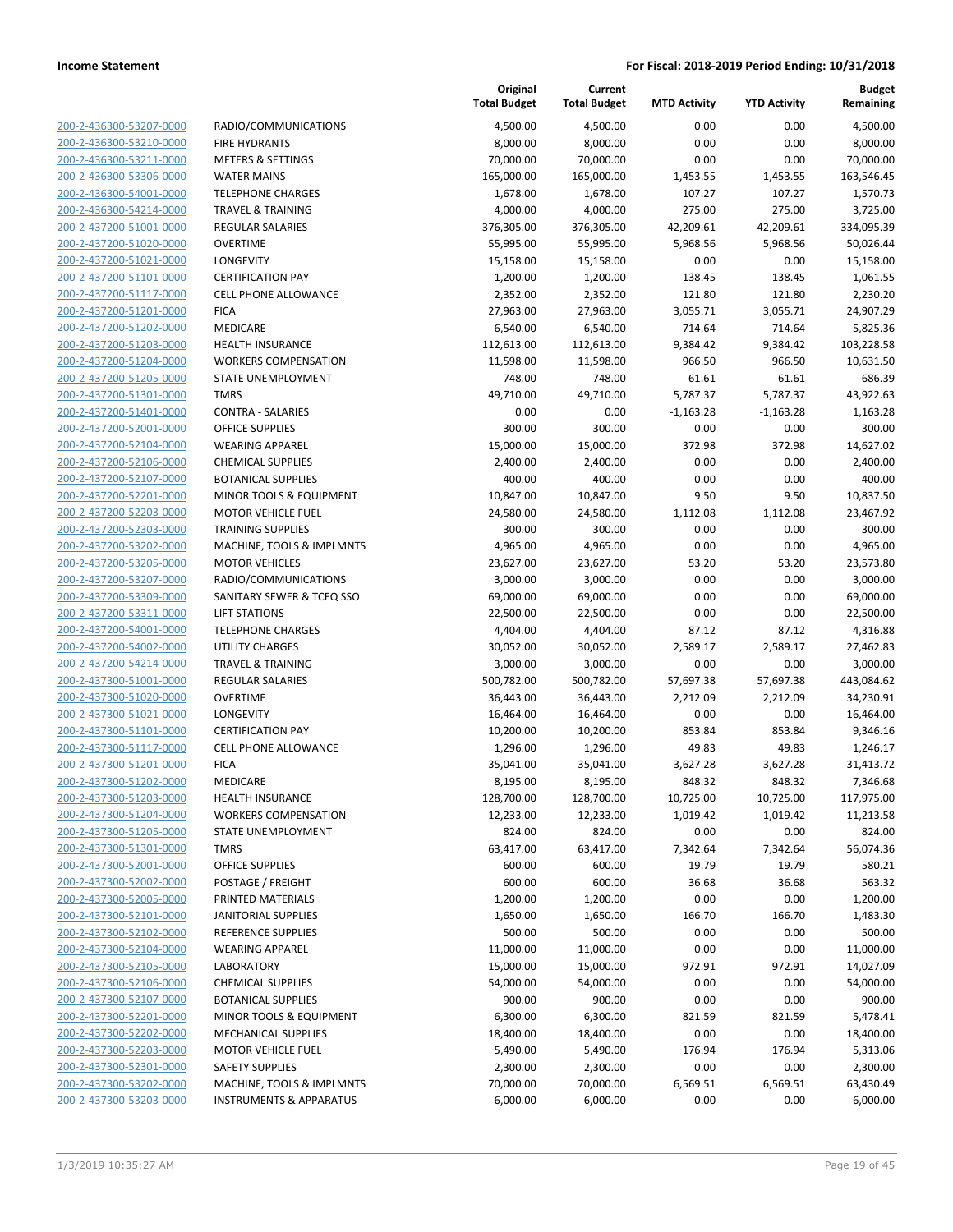200-2-436300-53207-0000 200-2-436300-53210-0000 200-2-436300-53211-0000 200-2-436300-53306-0000 200-2-436300-54001-0000 200-2-436300-54214-0000 200-2-437200-51001-0000 200-2-437200-51020-0000 200-2-437200-51021-0000 200-2-437200-51101-0000 200-2-437200-51117-0000 200-2-437200-51201-0000 200-2-437200-51202-0000 200-2-437200-51203-0000 200-2-437200-51204-0000 200-2-437200-51205-0000 200-2-437200-51301-0000 200-2-437200-51401-0000 200-2-437200-52001-0000 200-2-437200-52104-0000 200-2-437200-52106-0000 200-2-437200-52107-0000 200-2-437200-52201-0000 200-2-437200-52203-0000 200-2-437200-52303-0000 200-2-437200-53202-0000 200-2-437200-53205-0000 200-2-437200-53207-0000 200-2-437200-53309-0000 200-2-437200-53311-0000 200-2-437200-54001-0000 200-2-437200-54002-0000 200-2-437200-54214-0000 200-2-437300-51001-0000 200-2-437300-51020-0000 200-2-437300-51021-0000 200-2-437300-51101-0000 200-2-437300-51117-0000 200-2-437300-51201-0000 200-2-437300-51202-0000 200-2-437300-51203-0000 200-2-437300-51204-0000 200-2-437300-51205-0000 200-2-437300-51301-0000 200-2-437300-52001-0000 200-2-437300-52002-0000 200-2-437300-52005-0000 200-2-437300-52101-0000 200-2-437300-52102-0000 200-2-437300-52104-0000 200-2-437300-52105-0000 200-2-437300-52106-0000 200-2-437300-52107-0000 BOTANICAL SUPPLIES 900.00 900.00 0.00 0.00 900.00 200-2-437300-52201-0000 200-2-437300-52202-0000 200-2-437300-52203-0000 200-2-437300-52301-0000 200-2-437300-53202-0000 200-2-437300-53203-0000

|                                    | Original<br><b>Total Budget</b> | Current<br><b>Total Budget</b> | <b>MTD Activity</b> | <b>YTD Activity</b> | <b>Budget</b><br>Remaining |
|------------------------------------|---------------------------------|--------------------------------|---------------------|---------------------|----------------------------|
| RADIO/COMMUNICATIONS               | 4,500.00                        | 4,500.00                       | 0.00                | 0.00                | 4,500.00                   |
| <b>FIRE HYDRANTS</b>               | 8,000.00                        | 8,000.00                       | 0.00                | 0.00                | 8,000.00                   |
| <b>METERS &amp; SETTINGS</b>       | 70,000.00                       | 70,000.00                      | 0.00                | 0.00                | 70,000.00                  |
| <b>WATER MAINS</b>                 | 165,000.00                      | 165,000.00                     | 1,453.55            | 1,453.55            | 163,546.45                 |
| <b>TELEPHONE CHARGES</b>           | 1,678.00                        | 1,678.00                       | 107.27              | 107.27              | 1,570.73                   |
| <b>TRAVEL &amp; TRAINING</b>       | 4,000.00                        | 4,000.00                       | 275.00              | 275.00              | 3,725.00                   |
| <b>REGULAR SALARIES</b>            | 376,305.00                      | 376,305.00                     | 42,209.61           | 42,209.61           | 334,095.39                 |
| <b>OVERTIME</b>                    | 55,995.00                       | 55,995.00                      | 5,968.56            | 5,968.56            | 50,026.44                  |
| LONGEVITY                          | 15,158.00                       | 15,158.00                      | 0.00                | 0.00                | 15,158.00                  |
| <b>CERTIFICATION PAY</b>           | 1,200.00                        | 1,200.00                       | 138.45              | 138.45              | 1,061.55                   |
| <b>CELL PHONE ALLOWANCE</b>        | 2,352.00                        | 2,352.00                       | 121.80              | 121.80              | 2,230.20                   |
| <b>FICA</b>                        | 27,963.00                       | 27,963.00                      | 3,055.71            | 3,055.71            | 24,907.29                  |
| MEDICARE                           | 6,540.00                        | 6,540.00                       | 714.64              | 714.64              | 5,825.36                   |
| <b>HEALTH INSURANCE</b>            | 112,613.00                      | 112,613.00                     | 9,384.42            | 9,384.42            | 103,228.58                 |
| <b>WORKERS COMPENSATION</b>        | 11,598.00                       | 11,598.00                      | 966.50              | 966.50              | 10,631.50                  |
| STATE UNEMPLOYMENT                 | 748.00                          | 748.00                         | 61.61               | 61.61               | 686.39                     |
| <b>TMRS</b>                        | 49,710.00                       | 49,710.00                      | 5,787.37            | 5,787.37            | 43,922.63                  |
| <b>CONTRA - SALARIES</b>           | 0.00                            | 0.00                           | $-1,163.28$         | $-1,163.28$         | 1,163.28                   |
| <b>OFFICE SUPPLIES</b>             | 300.00                          | 300.00                         | 0.00                | 0.00                | 300.00                     |
| <b>WEARING APPAREL</b>             | 15,000.00                       | 15,000.00                      | 372.98              | 372.98              | 14,627.02                  |
| <b>CHEMICAL SUPPLIES</b>           | 2,400.00                        | 2,400.00                       | 0.00                | 0.00                | 2,400.00                   |
| <b>BOTANICAL SUPPLIES</b>          | 400.00                          | 400.00                         | 0.00                | 0.00                | 400.00                     |
| MINOR TOOLS & EQUIPMENT            | 10,847.00                       | 10,847.00                      | 9.50                | 9.50                | 10,837.50                  |
| <b>MOTOR VEHICLE FUEL</b>          | 24,580.00                       | 24,580.00                      | 1,112.08            | 1,112.08            | 23,467.92                  |
| <b>TRAINING SUPPLIES</b>           | 300.00                          | 300.00                         | 0.00                | 0.00                | 300.00                     |
| MACHINE, TOOLS & IMPLMNTS          | 4,965.00                        | 4,965.00                       | 0.00                | 0.00                | 4,965.00                   |
| <b>MOTOR VEHICLES</b>              | 23,627.00                       | 23,627.00                      | 53.20               | 53.20               | 23,573.80                  |
| RADIO/COMMUNICATIONS               | 3,000.00                        | 3,000.00                       | 0.00                | 0.00                | 3,000.00                   |
| SANITARY SEWER & TCEQ SSO          | 69,000.00                       | 69,000.00                      | 0.00                | 0.00                | 69,000.00                  |
| <b>LIFT STATIONS</b>               | 22,500.00                       | 22,500.00                      | 0.00                | 0.00                | 22,500.00                  |
| <b>TELEPHONE CHARGES</b>           | 4,404.00                        | 4,404.00                       | 87.12               | 87.12               | 4,316.88                   |
| <b>UTILITY CHARGES</b>             | 30,052.00                       | 30,052.00                      | 2,589.17            | 2,589.17            | 27,462.83                  |
| <b>TRAVEL &amp; TRAINING</b>       | 3,000.00                        | 3,000.00                       | 0.00                | 0.00                | 3,000.00                   |
| <b>REGULAR SALARIES</b>            | 500,782.00                      | 500,782.00                     | 57,697.38           | 57,697.38           | 443,084.62                 |
| <b>OVERTIME</b>                    | 36,443.00                       | 36,443.00                      | 2,212.09            | 2,212.09            | 34,230.91                  |
| LONGEVITY                          | 16,464.00                       | 16,464.00                      | 0.00                | 0.00                | 16,464.00                  |
| <b>CERTIFICATION PAY</b>           | 10,200.00                       | 10,200.00                      | 853.84              | 853.84              | 9,346.16                   |
| CELL PHONE ALLOWANCE               | 1,296.00                        | 1,296.00                       | 49.83               | 49.83               | 1,246.17                   |
| <b>FICA</b>                        | 35,041.00                       | 35,041.00                      | 3,627.28            | 3,627.28            | 31,413.72                  |
| MEDICARE                           | 8,195.00                        | 8,195.00                       | 848.32              | 848.32              | 7,346.68                   |
| <b>HEALTH INSURANCE</b>            | 128,700.00                      | 128,700.00                     | 10,725.00           | 10,725.00           | 117,975.00                 |
| <b>WORKERS COMPENSATION</b>        | 12,233.00                       | 12,233.00                      | 1,019.42            | 1,019.42            | 11,213.58                  |
| STATE UNEMPLOYMENT                 | 824.00                          | 824.00                         | 0.00                | 0.00                | 824.00                     |
| <b>TMRS</b>                        | 63,417.00                       | 63,417.00                      | 7,342.64            | 7,342.64            | 56,074.36                  |
| OFFICE SUPPLIES                    | 600.00                          | 600.00                         | 19.79               | 19.79               | 580.21                     |
| POSTAGE / FREIGHT                  | 600.00                          | 600.00                         | 36.68               | 36.68               | 563.32                     |
| PRINTED MATERIALS                  | 1,200.00                        | 1,200.00                       | 0.00                | 0.00                | 1,200.00                   |
| <b>JANITORIAL SUPPLIES</b>         | 1,650.00                        | 1,650.00                       | 166.70              | 166.70              | 1,483.30                   |
| <b>REFERENCE SUPPLIES</b>          | 500.00                          | 500.00                         | 0.00                | 0.00                | 500.00                     |
| <b>WEARING APPAREL</b>             | 11,000.00                       | 11,000.00                      | 0.00                | 0.00                | 11,000.00                  |
| <b>LABORATORY</b>                  | 15,000.00                       | 15,000.00                      | 972.91              | 972.91              | 14,027.09                  |
| <b>CHEMICAL SUPPLIES</b>           | 54,000.00                       | 54,000.00                      | 0.00                | 0.00                | 54,000.00                  |
| <b>BOTANICAL SUPPLIES</b>          | 900.00                          | 900.00                         | 0.00                | 0.00                | 900.00                     |
| MINOR TOOLS & EQUIPMENT            | 6,300.00                        | 6,300.00                       | 821.59              | 821.59              | 5,478.41                   |
| MECHANICAL SUPPLIES                | 18,400.00                       | 18,400.00                      | 0.00                | 0.00                | 18,400.00                  |
| <b>MOTOR VEHICLE FUEL</b>          | 5,490.00                        | 5,490.00                       | 176.94              | 176.94              | 5,313.06                   |
| SAFETY SUPPLIES                    | 2,300.00                        | 2,300.00                       | 0.00                | 0.00                | 2,300.00                   |
| MACHINE, TOOLS & IMPLMNTS          | 70,000.00                       | 70,000.00                      | 6,569.51            | 6,569.51            | 63,430.49                  |
| <b>INSTRUMENTS &amp; APPARATUS</b> | 6,000.00                        | 6,000.00                       | 0.00                | 0.00                | 6,000.00                   |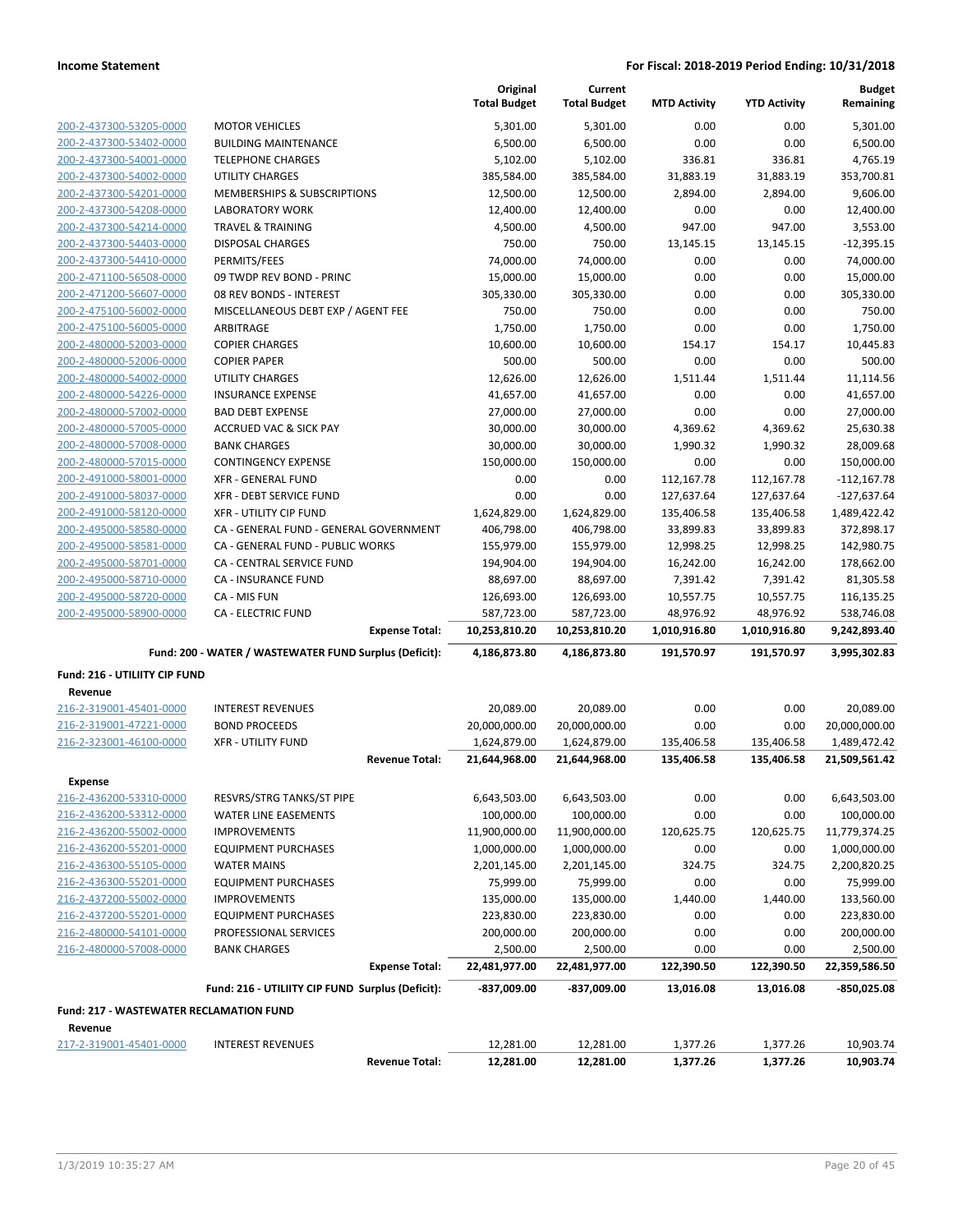|                                                |                                                                                 | Original<br><b>Total Budget</b> | Current<br><b>Total Budget</b> | <b>MTD Activity</b>        | <b>YTD Activity</b>        | <b>Budget</b><br>Remaining   |
|------------------------------------------------|---------------------------------------------------------------------------------|---------------------------------|--------------------------------|----------------------------|----------------------------|------------------------------|
| 200-2-437300-53205-0000                        | <b>MOTOR VEHICLES</b>                                                           | 5,301.00                        | 5,301.00                       | 0.00                       | 0.00                       | 5,301.00                     |
| 200-2-437300-53402-0000                        | <b>BUILDING MAINTENANCE</b>                                                     | 6,500.00                        | 6,500.00                       | 0.00                       | 0.00                       | 6,500.00                     |
| 200-2-437300-54001-0000                        | <b>TELEPHONE CHARGES</b>                                                        | 5,102.00                        | 5,102.00                       | 336.81                     | 336.81                     | 4,765.19                     |
| 200-2-437300-54002-0000                        | <b>UTILITY CHARGES</b>                                                          | 385,584.00                      | 385,584.00                     | 31,883.19                  | 31,883.19                  | 353,700.81                   |
| 200-2-437300-54201-0000                        | MEMBERSHIPS & SUBSCRIPTIONS                                                     | 12,500.00                       | 12,500.00                      | 2,894.00                   | 2,894.00                   | 9,606.00                     |
| 200-2-437300-54208-0000                        | <b>LABORATORY WORK</b>                                                          | 12,400.00                       | 12,400.00                      | 0.00                       | 0.00                       | 12,400.00                    |
| 200-2-437300-54214-0000                        | <b>TRAVEL &amp; TRAINING</b>                                                    | 4,500.00                        | 4,500.00                       | 947.00                     | 947.00                     | 3,553.00                     |
| 200-2-437300-54403-0000                        | <b>DISPOSAL CHARGES</b>                                                         | 750.00                          | 750.00                         | 13,145.15                  | 13,145.15                  | $-12,395.15$                 |
| 200-2-437300-54410-0000                        | PERMITS/FEES                                                                    | 74,000.00                       | 74,000.00                      | 0.00                       | 0.00                       | 74,000.00                    |
| 200-2-471100-56508-0000                        | 09 TWDP REV BOND - PRINC                                                        | 15,000.00                       | 15,000.00                      | 0.00                       | 0.00                       | 15,000.00                    |
| 200-2-471200-56607-0000                        | 08 REV BONDS - INTEREST                                                         | 305,330.00                      | 305,330.00                     | 0.00                       | 0.00                       | 305,330.00                   |
| 200-2-475100-56002-0000                        | MISCELLANEOUS DEBT EXP / AGENT FEE                                              | 750.00                          | 750.00                         | 0.00                       | 0.00                       | 750.00                       |
| 200-2-475100-56005-0000                        | ARBITRAGE                                                                       | 1,750.00                        | 1,750.00                       | 0.00                       | 0.00                       | 1,750.00                     |
| 200-2-480000-52003-0000                        | <b>COPIER CHARGES</b>                                                           | 10,600.00                       | 10,600.00                      | 154.17                     | 154.17                     | 10,445.83                    |
| 200-2-480000-52006-0000                        | <b>COPIER PAPER</b>                                                             | 500.00                          | 500.00                         | 0.00                       | 0.00                       | 500.00                       |
| 200-2-480000-54002-0000                        | UTILITY CHARGES                                                                 | 12,626.00                       | 12,626.00                      | 1,511.44                   | 1,511.44                   | 11,114.56                    |
| 200-2-480000-54226-0000                        | <b>INSURANCE EXPENSE</b>                                                        | 41,657.00                       | 41,657.00                      | 0.00                       | 0.00                       | 41,657.00                    |
| 200-2-480000-57002-0000                        | <b>BAD DEBT EXPENSE</b>                                                         | 27,000.00                       | 27,000.00                      | 0.00                       | 0.00                       | 27,000.00                    |
| 200-2-480000-57005-0000                        | <b>ACCRUED VAC &amp; SICK PAY</b>                                               | 30,000.00                       | 30,000.00                      | 4,369.62                   | 4,369.62                   | 25,630.38                    |
| 200-2-480000-57008-0000                        | <b>BANK CHARGES</b>                                                             | 30,000.00                       | 30,000.00                      | 1,990.32                   | 1,990.32                   | 28,009.68                    |
| 200-2-480000-57015-0000                        | <b>CONTINGENCY EXPENSE</b>                                                      | 150,000.00                      | 150,000.00                     | 0.00                       | 0.00                       | 150,000.00                   |
| 200-2-491000-58001-0000                        | <b>XFR - GENERAL FUND</b>                                                       | 0.00                            | 0.00                           | 112,167.78                 | 112,167.78                 | $-112,167.78$                |
| 200-2-491000-58037-0000                        | XFR - DEBT SERVICE FUND                                                         | 0.00                            | 0.00                           | 127,637.64                 | 127,637.64                 | $-127,637.64$                |
| 200-2-491000-58120-0000                        | <b>XFR - UTILITY CIP FUND</b>                                                   | 1,624,829.00                    | 1,624,829.00                   | 135,406.58                 | 135,406.58                 | 1,489,422.42                 |
| 200-2-495000-58580-0000                        | CA - GENERAL FUND - GENERAL GOVERNMENT                                          | 406,798.00                      | 406,798.00                     | 33,899.83                  | 33,899.83                  | 372,898.17                   |
| 200-2-495000-58581-0000                        | CA - GENERAL FUND - PUBLIC WORKS                                                | 155,979.00                      | 155,979.00                     | 12,998.25                  | 12,998.25                  | 142,980.75                   |
| 200-2-495000-58701-0000                        | CA - CENTRAL SERVICE FUND                                                       | 194,904.00                      | 194,904.00                     | 16,242.00                  | 16,242.00                  | 178,662.00                   |
| 200-2-495000-58710-0000                        | <b>CA - INSURANCE FUND</b>                                                      | 88,697.00                       | 88,697.00                      | 7,391.42                   | 7,391.42                   | 81,305.58                    |
| 200-2-495000-58720-0000                        | CA - MIS FUN                                                                    | 126,693.00                      | 126,693.00                     | 10,557.75                  | 10,557.75                  | 116,135.25                   |
| 200-2-495000-58900-0000                        | <b>CA - ELECTRIC FUND</b>                                                       | 587,723.00                      | 587,723.00                     | 48,976.92                  | 48,976.92                  | 538,746.08                   |
|                                                | <b>Expense Total:</b><br>Fund: 200 - WATER / WASTEWATER FUND Surplus (Deficit): | 10,253,810.20<br>4,186,873.80   | 10,253,810.20<br>4,186,873.80  | 1,010,916.80<br>191,570.97 | 1,010,916.80<br>191,570.97 | 9,242,893.40<br>3,995,302.83 |
|                                                |                                                                                 |                                 |                                |                            |                            |                              |
| Fund: 216 - UTILIITY CIP FUND<br>Revenue       |                                                                                 |                                 |                                |                            |                            |                              |
| 216-2-319001-45401-0000                        | <b>INTEREST REVENUES</b>                                                        | 20,089.00                       | 20,089.00                      | 0.00                       | 0.00                       | 20,089.00                    |
| 216-2-319001-47221-0000                        | <b>BOND PROCEEDS</b>                                                            | 20,000,000.00                   | 20,000,000.00                  | 0.00                       | 0.00                       | 20,000,000.00                |
| 216-2-323001-46100-0000                        | <b>XFR - UTILITY FUND</b>                                                       | 1,624,879.00                    | 1,624,879.00                   | 135,406.58                 | 135,406.58                 | 1,489,472.42                 |
|                                                | <b>Revenue Total:</b>                                                           | 21,644,968.00                   | 21,644,968.00                  | 135,406.58                 | 135,406.58                 | 21,509,561.42                |
| <b>Expense</b>                                 |                                                                                 |                                 |                                |                            |                            |                              |
| 216-2-436200-53310-0000                        | RESVRS/STRG TANKS/ST PIPE                                                       | 6,643,503.00                    | 6,643,503.00                   | 0.00                       | 0.00                       | 6,643,503.00                 |
| 216-2-436200-53312-0000                        | <b>WATER LINE EASEMENTS</b>                                                     | 100,000.00                      | 100,000.00                     | 0.00                       | 0.00                       | 100,000.00                   |
| 216-2-436200-55002-0000                        | <b>IMPROVEMENTS</b>                                                             | 11,900,000.00                   | 11,900,000.00                  | 120,625.75                 | 120,625.75                 | 11,779,374.25                |
| 216-2-436200-55201-0000                        | <b>EQUIPMENT PURCHASES</b>                                                      | 1,000,000.00                    | 1,000,000.00                   | 0.00                       | 0.00                       | 1,000,000.00                 |
| 216-2-436300-55105-0000                        | <b>WATER MAINS</b>                                                              | 2,201,145.00                    | 2,201,145.00                   | 324.75                     | 324.75                     | 2,200,820.25                 |
| 216-2-436300-55201-0000                        | <b>EQUIPMENT PURCHASES</b>                                                      | 75,999.00                       | 75,999.00                      | 0.00                       | 0.00                       | 75,999.00                    |
| 216-2-437200-55002-0000                        | <b>IMPROVEMENTS</b>                                                             | 135,000.00                      | 135,000.00                     | 1,440.00                   | 1,440.00                   | 133,560.00                   |
| 216-2-437200-55201-0000                        | <b>EQUIPMENT PURCHASES</b>                                                      | 223,830.00                      | 223,830.00                     | 0.00                       | 0.00                       | 223,830.00                   |
| 216-2-480000-54101-0000                        | PROFESSIONAL SERVICES                                                           | 200,000.00                      | 200,000.00                     | 0.00                       | 0.00                       | 200,000.00                   |
| 216-2-480000-57008-0000                        | <b>BANK CHARGES</b>                                                             | 2,500.00                        | 2,500.00                       | 0.00                       | 0.00                       | 2,500.00                     |
|                                                | <b>Expense Total:</b>                                                           | 22,481,977.00                   | 22,481,977.00                  | 122,390.50                 | 122,390.50                 | 22,359,586.50                |
|                                                | Fund: 216 - UTILIITY CIP FUND Surplus (Deficit):                                | -837,009.00                     | -837,009.00                    | 13,016.08                  | 13,016.08                  | -850,025.08                  |
| <b>Fund: 217 - WASTEWATER RECLAMATION FUND</b> |                                                                                 |                                 |                                |                            |                            |                              |
| Revenue                                        |                                                                                 |                                 |                                |                            |                            |                              |
| 217-2-319001-45401-0000                        | <b>INTEREST REVENUES</b>                                                        | 12,281.00                       | 12,281.00                      | 1,377.26                   | 1,377.26                   | 10,903.74                    |
|                                                | <b>Revenue Total:</b>                                                           | 12,281.00                       | 12,281.00                      | 1,377.26                   | 1,377.26                   | 10,903.74                    |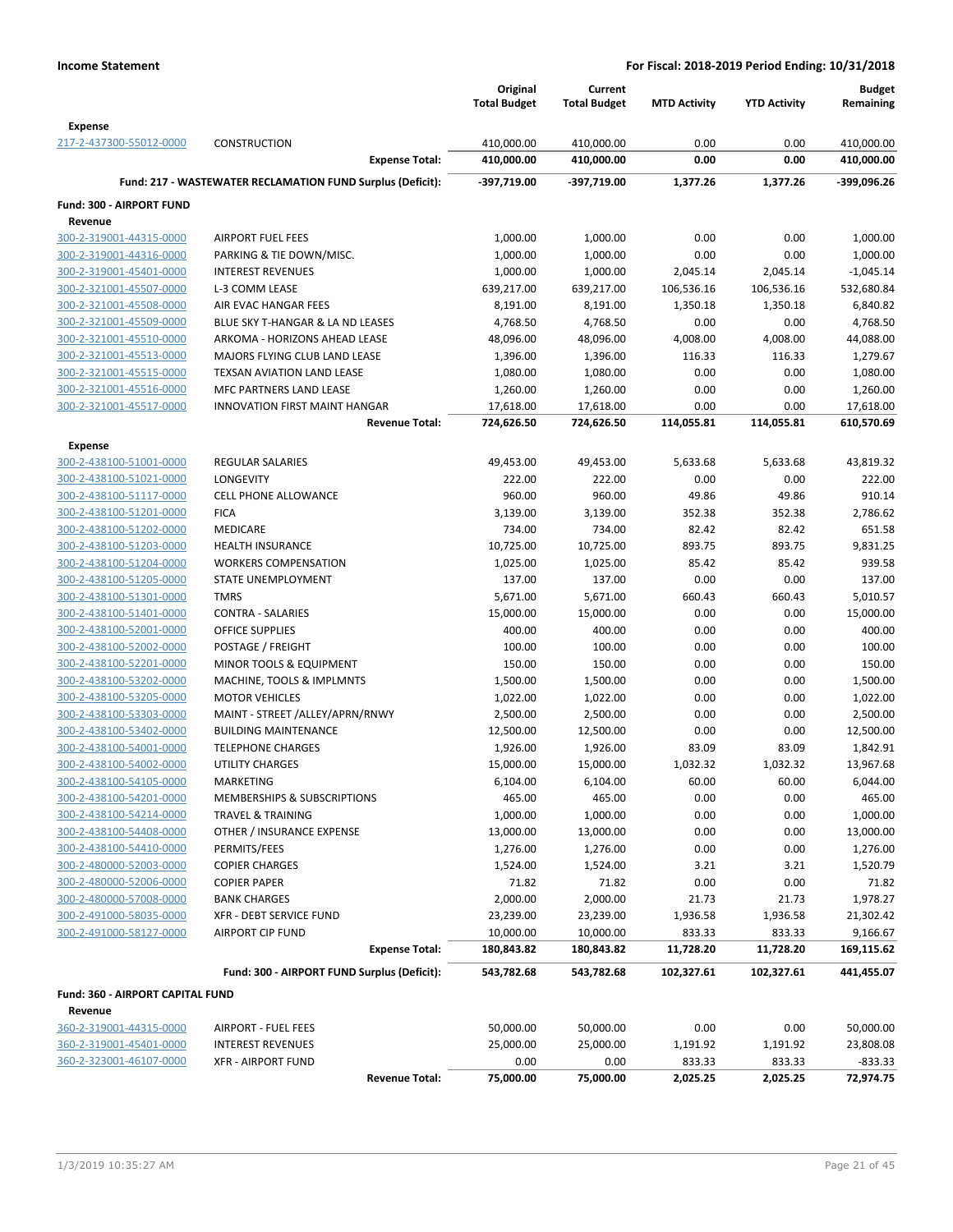|                                                    |                                                            | Original<br><b>Total Budget</b> | Current<br><b>Total Budget</b> | <b>MTD Activity</b> | <b>YTD Activity</b> | <b>Budget</b><br>Remaining |
|----------------------------------------------------|------------------------------------------------------------|---------------------------------|--------------------------------|---------------------|---------------------|----------------------------|
|                                                    |                                                            |                                 |                                |                     |                     |                            |
| <b>Expense</b><br>217-2-437300-55012-0000          |                                                            |                                 | 410,000.00                     |                     |                     | 410,000.00                 |
|                                                    | <b>CONSTRUCTION</b><br><b>Expense Total:</b>               | 410,000.00<br>410,000.00        | 410,000.00                     | 0.00<br>0.00        | 0.00<br>0.00        | 410,000.00                 |
|                                                    | Fund: 217 - WASTEWATER RECLAMATION FUND Surplus (Deficit): | -397,719.00                     | -397,719.00                    | 1,377.26            | 1,377.26            | -399,096.26                |
|                                                    |                                                            |                                 |                                |                     |                     |                            |
| Fund: 300 - AIRPORT FUND                           |                                                            |                                 |                                |                     |                     |                            |
| Revenue                                            |                                                            |                                 |                                |                     |                     |                            |
| 300-2-319001-44315-0000                            | <b>AIRPORT FUEL FEES</b>                                   | 1,000.00                        | 1,000.00                       | 0.00                | 0.00                | 1,000.00                   |
| 300-2-319001-44316-0000                            | PARKING & TIE DOWN/MISC.                                   | 1,000.00                        | 1,000.00                       | 0.00                | 0.00                | 1,000.00                   |
| 300-2-319001-45401-0000                            | <b>INTEREST REVENUES</b>                                   | 1,000.00                        | 1,000.00                       | 2,045.14            | 2,045.14            | $-1,045.14$                |
| 300-2-321001-45507-0000                            | L-3 COMM LEASE                                             | 639,217.00                      | 639,217.00                     | 106,536.16          | 106,536.16          | 532,680.84                 |
| 300-2-321001-45508-0000                            | AIR EVAC HANGAR FEES                                       | 8,191.00                        | 8,191.00                       | 1,350.18            | 1,350.18            | 6,840.82                   |
| 300-2-321001-45509-0000                            | BLUE SKY T-HANGAR & LA ND LEASES                           | 4,768.50                        | 4,768.50                       | 0.00                | 0.00                | 4,768.50                   |
| 300-2-321001-45510-0000                            | ARKOMA - HORIZONS AHEAD LEASE                              | 48,096.00                       | 48,096.00                      | 4,008.00            | 4,008.00            | 44,088.00                  |
| 300-2-321001-45513-0000<br>300-2-321001-45515-0000 | MAJORS FLYING CLUB LAND LEASE                              | 1,396.00                        | 1,396.00                       | 116.33              | 116.33              | 1,279.67                   |
|                                                    | TEXSAN AVIATION LAND LEASE<br>MFC PARTNERS LAND LEASE      | 1,080.00                        | 1,080.00                       | 0.00<br>0.00        | 0.00<br>0.00        | 1,080.00                   |
| 300-2-321001-45516-0000                            | <b>INNOVATION FIRST MAINT HANGAR</b>                       | 1,260.00                        | 1,260.00                       | 0.00                | 0.00                | 1,260.00                   |
| 300-2-321001-45517-0000                            | <b>Revenue Total:</b>                                      | 17,618.00<br>724,626.50         | 17,618.00<br>724,626.50        | 114,055.81          | 114,055.81          | 17,618.00<br>610,570.69    |
|                                                    |                                                            |                                 |                                |                     |                     |                            |
| <b>Expense</b><br>300-2-438100-51001-0000          | <b>REGULAR SALARIES</b>                                    |                                 |                                |                     |                     | 43,819.32                  |
|                                                    |                                                            | 49,453.00                       | 49,453.00                      | 5,633.68            | 5,633.68            | 222.00                     |
| 300-2-438100-51021-0000                            | LONGEVITY                                                  | 222.00                          | 222.00                         | 0.00                | 0.00                |                            |
| 300-2-438100-51117-0000<br>300-2-438100-51201-0000 | <b>CELL PHONE ALLOWANCE</b>                                | 960.00                          | 960.00                         | 49.86               | 49.86               | 910.14                     |
|                                                    | <b>FICA</b><br><b>MEDICARE</b>                             | 3,139.00<br>734.00              | 3,139.00<br>734.00             | 352.38<br>82.42     | 352.38<br>82.42     | 2,786.62<br>651.58         |
| 300-2-438100-51202-0000                            | <b>HEALTH INSURANCE</b>                                    | 10,725.00                       | 10,725.00                      | 893.75              | 893.75              | 9,831.25                   |
| 300-2-438100-51203-0000<br>300-2-438100-51204-0000 | <b>WORKERS COMPENSATION</b>                                | 1,025.00                        | 1,025.00                       | 85.42               | 85.42               | 939.58                     |
| 300-2-438100-51205-0000                            | STATE UNEMPLOYMENT                                         | 137.00                          | 137.00                         | 0.00                | 0.00                | 137.00                     |
| 300-2-438100-51301-0000                            | <b>TMRS</b>                                                | 5,671.00                        | 5,671.00                       | 660.43              | 660.43              | 5,010.57                   |
| 300-2-438100-51401-0000                            | <b>CONTRA - SALARIES</b>                                   | 15,000.00                       | 15,000.00                      | 0.00                | 0.00                | 15,000.00                  |
| 300-2-438100-52001-0000                            | <b>OFFICE SUPPLIES</b>                                     | 400.00                          | 400.00                         | 0.00                | 0.00                | 400.00                     |
| 300-2-438100-52002-0000                            | POSTAGE / FREIGHT                                          | 100.00                          | 100.00                         | 0.00                | 0.00                | 100.00                     |
| 300-2-438100-52201-0000                            | MINOR TOOLS & EQUIPMENT                                    | 150.00                          | 150.00                         | 0.00                | 0.00                | 150.00                     |
| 300-2-438100-53202-0000                            | MACHINE, TOOLS & IMPLMNTS                                  | 1,500.00                        | 1,500.00                       | 0.00                | 0.00                | 1,500.00                   |
| 300-2-438100-53205-0000                            | <b>MOTOR VEHICLES</b>                                      | 1,022.00                        | 1,022.00                       | 0.00                | 0.00                | 1,022.00                   |
| 300-2-438100-53303-0000                            | MAINT - STREET /ALLEY/APRN/RNWY                            | 2,500.00                        | 2,500.00                       | 0.00                | 0.00                | 2,500.00                   |
| 300-2-438100-53402-0000                            | <b>BUILDING MAINTENANCE</b>                                | 12,500.00                       | 12,500.00                      | 0.00                | 0.00                | 12,500.00                  |
| 300-2-438100-54001-0000                            | <b>TELEPHONE CHARGES</b>                                   | 1,926.00                        | 1,926.00                       | 83.09               | 83.09               | 1,842.91                   |
| 300-2-438100-54002-0000                            | <b>UTILITY CHARGES</b>                                     | 15,000.00                       | 15,000.00                      | 1,032.32            | 1,032.32            | 13,967.68                  |
| 300-2-438100-54105-0000                            | MARKETING                                                  | 6,104.00                        | 6,104.00                       | 60.00               | 60.00               | 6,044.00                   |
| 300-2-438100-54201-0000                            | MEMBERSHIPS & SUBSCRIPTIONS                                | 465.00                          | 465.00                         | 0.00                | 0.00                | 465.00                     |
| 300-2-438100-54214-0000                            | <b>TRAVEL &amp; TRAINING</b>                               | 1,000.00                        | 1,000.00                       | 0.00                | 0.00                | 1,000.00                   |
| 300-2-438100-54408-0000                            | OTHER / INSURANCE EXPENSE                                  | 13,000.00                       | 13,000.00                      | 0.00                | 0.00                | 13,000.00                  |
| 300-2-438100-54410-0000                            | PERMITS/FEES                                               | 1,276.00                        | 1,276.00                       | 0.00                | 0.00                | 1,276.00                   |
| 300-2-480000-52003-0000                            | <b>COPIER CHARGES</b>                                      | 1,524.00                        | 1,524.00                       | 3.21                | 3.21                | 1,520.79                   |
| 300-2-480000-52006-0000                            | <b>COPIER PAPER</b>                                        | 71.82                           | 71.82                          | 0.00                | 0.00                | 71.82                      |
| 300-2-480000-57008-0000                            | <b>BANK CHARGES</b>                                        | 2,000.00                        | 2,000.00                       | 21.73               | 21.73               | 1,978.27                   |
| 300-2-491000-58035-0000                            | XFR - DEBT SERVICE FUND                                    | 23,239.00                       | 23,239.00                      | 1,936.58            | 1,936.58            | 21,302.42                  |
| 300-2-491000-58127-0000                            | <b>AIRPORT CIP FUND</b>                                    | 10,000.00                       | 10,000.00                      | 833.33              | 833.33              | 9,166.67                   |
|                                                    | <b>Expense Total:</b>                                      | 180,843.82                      | 180,843.82                     | 11,728.20           | 11,728.20           | 169,115.62                 |
|                                                    | Fund: 300 - AIRPORT FUND Surplus (Deficit):                | 543,782.68                      | 543,782.68                     | 102,327.61          | 102,327.61          | 441,455.07                 |
| Fund: 360 - AIRPORT CAPITAL FUND                   |                                                            |                                 |                                |                     |                     |                            |
| Revenue                                            |                                                            |                                 |                                |                     |                     |                            |
| 360-2-319001-44315-0000                            | <b>AIRPORT - FUEL FEES</b>                                 | 50,000.00                       | 50,000.00                      | 0.00                | 0.00                | 50,000.00                  |
| 360-2-319001-45401-0000                            | <b>INTEREST REVENUES</b>                                   | 25,000.00                       | 25,000.00                      | 1,191.92            | 1,191.92            | 23,808.08                  |
| 360-2-323001-46107-0000                            | <b>XFR - AIRPORT FUND</b>                                  | 0.00                            | 0.00                           | 833.33              | 833.33              | $-833.33$                  |
|                                                    | <b>Revenue Total:</b>                                      | 75,000.00                       | 75,000.00                      | 2,025.25            | 2,025.25            | 72,974.75                  |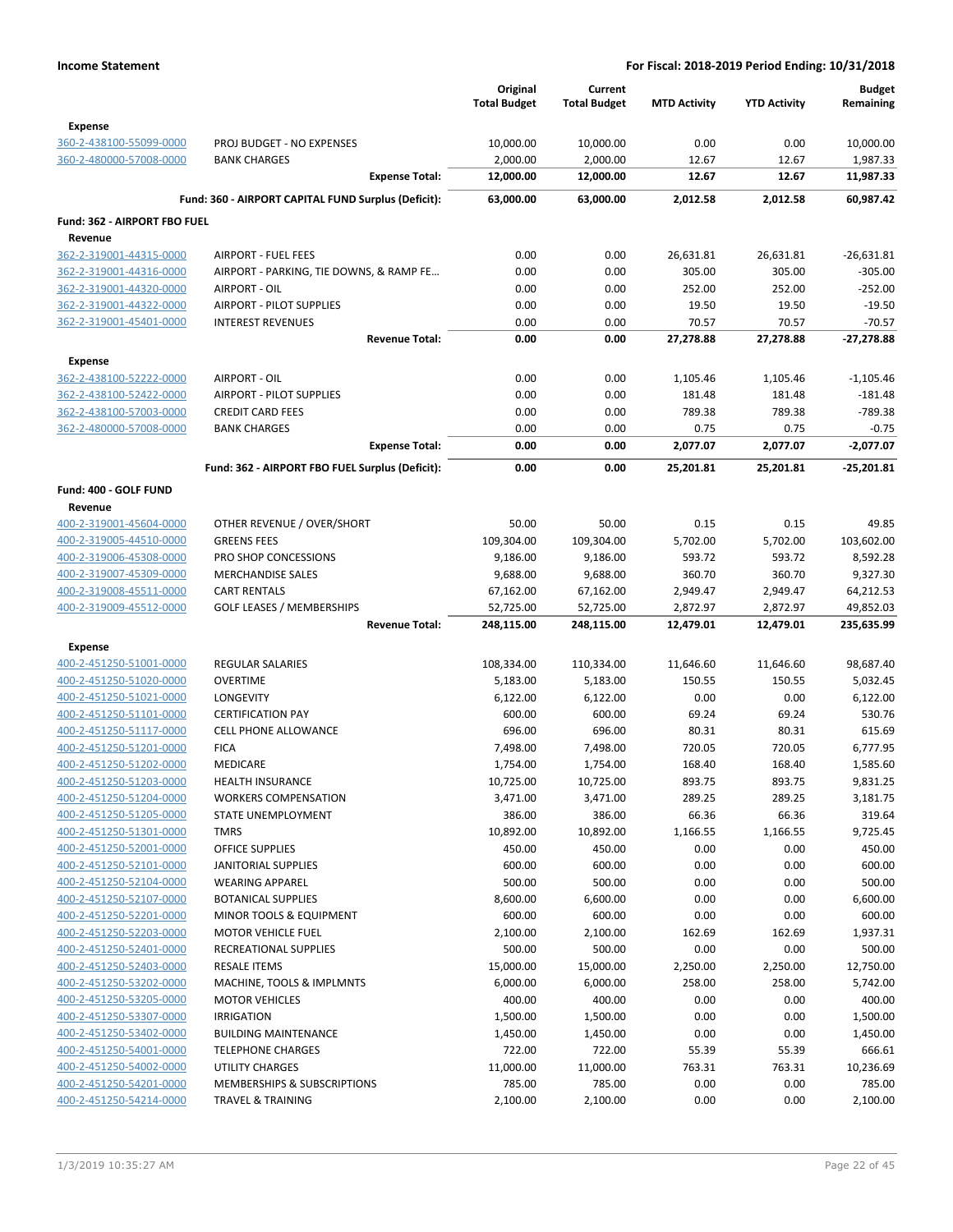|                                                    |                                                                       | Original<br><b>Total Budget</b> | Current<br><b>Total Budget</b> | <b>MTD Activity</b> | <b>YTD Activity</b> | <b>Budget</b><br>Remaining |
|----------------------------------------------------|-----------------------------------------------------------------------|---------------------------------|--------------------------------|---------------------|---------------------|----------------------------|
| <b>Expense</b>                                     |                                                                       |                                 |                                |                     |                     |                            |
| 360-2-438100-55099-0000                            | PROJ BUDGET - NO EXPENSES                                             | 10,000.00                       | 10,000.00                      | 0.00                | 0.00                | 10,000.00                  |
| 360-2-480000-57008-0000                            | <b>BANK CHARGES</b>                                                   | 2,000.00<br>12,000.00           | 2,000.00                       | 12.67<br>12.67      | 12.67<br>12.67      | 1,987.33                   |
|                                                    | <b>Expense Total:</b>                                                 |                                 | 12,000.00                      |                     |                     | 11,987.33                  |
|                                                    | Fund: 360 - AIRPORT CAPITAL FUND Surplus (Deficit):                   | 63,000.00                       | 63,000.00                      | 2,012.58            | 2,012.58            | 60,987.42                  |
| Fund: 362 - AIRPORT FBO FUEL                       |                                                                       |                                 |                                |                     |                     |                            |
| Revenue                                            |                                                                       |                                 |                                |                     |                     |                            |
| 362-2-319001-44315-0000                            | <b>AIRPORT - FUEL FEES</b><br>AIRPORT - PARKING, TIE DOWNS, & RAMP FE | 0.00                            | 0.00                           | 26,631.81           | 26,631.81           | $-26,631.81$               |
| 362-2-319001-44316-0000<br>362-2-319001-44320-0000 | AIRPORT - OIL                                                         | 0.00<br>0.00                    | 0.00<br>0.00                   | 305.00<br>252.00    | 305.00<br>252.00    | $-305.00$<br>$-252.00$     |
| 362-2-319001-44322-0000                            | AIRPORT - PILOT SUPPLIES                                              | 0.00                            | 0.00                           | 19.50               | 19.50               | $-19.50$                   |
| 362-2-319001-45401-0000                            | <b>INTEREST REVENUES</b>                                              | 0.00                            | 0.00                           | 70.57               | 70.57               | $-70.57$                   |
|                                                    | <b>Revenue Total:</b>                                                 | 0.00                            | 0.00                           | 27,278.88           | 27,278.88           | -27,278.88                 |
| Expense                                            |                                                                       |                                 |                                |                     |                     |                            |
| 362-2-438100-52222-0000                            | AIRPORT - OIL                                                         | 0.00                            | 0.00                           | 1,105.46            | 1,105.46            | $-1,105.46$                |
| 362-2-438100-52422-0000                            | AIRPORT - PILOT SUPPLIES                                              | 0.00                            | 0.00                           | 181.48              | 181.48              | $-181.48$                  |
| 362-2-438100-57003-0000                            | <b>CREDIT CARD FEES</b>                                               | 0.00                            | 0.00                           | 789.38              | 789.38              | $-789.38$                  |
| 362-2-480000-57008-0000                            | <b>BANK CHARGES</b>                                                   | 0.00                            | 0.00                           | 0.75                | 0.75                | $-0.75$                    |
|                                                    | <b>Expense Total:</b>                                                 | 0.00                            | 0.00                           | 2,077.07            | 2,077.07            | $-2,077.07$                |
|                                                    | Fund: 362 - AIRPORT FBO FUEL Surplus (Deficit):                       | 0.00                            | 0.00                           | 25,201.81           | 25,201.81           | $-25,201.81$               |
| Fund: 400 - GOLF FUND                              |                                                                       |                                 |                                |                     |                     |                            |
| Revenue                                            |                                                                       |                                 |                                |                     |                     |                            |
| 400-2-319001-45604-0000                            | OTHER REVENUE / OVER/SHORT                                            | 50.00                           | 50.00                          | 0.15                | 0.15                | 49.85                      |
| 400-2-319005-44510-0000                            | <b>GREENS FEES</b>                                                    | 109,304.00                      | 109,304.00                     | 5,702.00            | 5,702.00            | 103,602.00                 |
| 400-2-319006-45308-0000                            | PRO SHOP CONCESSIONS                                                  | 9,186.00                        | 9,186.00                       | 593.72              | 593.72              | 8,592.28                   |
| 400-2-319007-45309-0000<br>400-2-319008-45511-0000 | <b>MERCHANDISE SALES</b><br><b>CART RENTALS</b>                       | 9,688.00<br>67,162.00           | 9,688.00<br>67,162.00          | 360.70<br>2,949.47  | 360.70<br>2,949.47  | 9,327.30<br>64,212.53      |
| 400-2-319009-45512-0000                            | <b>GOLF LEASES / MEMBERSHIPS</b>                                      | 52,725.00                       | 52,725.00                      | 2,872.97            | 2,872.97            | 49,852.03                  |
|                                                    | <b>Revenue Total:</b>                                                 | 248,115.00                      | 248,115.00                     | 12,479.01           | 12,479.01           | 235,635.99                 |
| <b>Expense</b>                                     |                                                                       |                                 |                                |                     |                     |                            |
| 400-2-451250-51001-0000                            | <b>REGULAR SALARIES</b>                                               | 108,334.00                      | 110,334.00                     | 11,646.60           | 11,646.60           | 98,687.40                  |
| 400-2-451250-51020-0000                            | <b>OVERTIME</b>                                                       | 5,183.00                        | 5,183.00                       | 150.55              | 150.55              | 5,032.45                   |
| 400-2-451250-51021-0000                            | <b>LONGEVITY</b>                                                      | 6,122.00                        | 6,122.00                       | 0.00                | 0.00                | 6,122.00                   |
| 400-2-451250-51101-0000                            | <b>CERTIFICATION PAY</b>                                              | 600.00                          | 600.00                         | 69.24               | 69.24               | 530.76                     |
| 400-2-451250-51117-0000                            | <b>CELL PHONE ALLOWANCE</b>                                           | 696.00                          | 696.00                         | 80.31               | 80.31               | 615.69                     |
| 400-2-451250-51201-0000                            | <b>FICA</b>                                                           | 7,498.00                        | 7,498.00                       | 720.05              | 720.05              | 6,777.95                   |
| 400-2-451250-51202-0000                            | MEDICARE                                                              | 1,754.00                        | 1,754.00                       | 168.40              | 168.40              | 1,585.60                   |
| 400-2-451250-51203-0000                            | HEALTH INSURANCE                                                      | 10,725.00                       | 10,725.00                      | 893.75              | 893.75              | 9,831.25                   |
| 400-2-451250-51204-0000                            | <b>WORKERS COMPENSATION</b>                                           | 3,471.00                        | 3,471.00                       | 289.25              | 289.25              | 3,181.75                   |
| 400-2-451250-51205-0000                            | <b>STATE UNEMPLOYMENT</b>                                             | 386.00                          | 386.00                         | 66.36               | 66.36               | 319.64                     |
| 400-2-451250-51301-0000                            | <b>TMRS</b>                                                           | 10,892.00                       | 10,892.00                      | 1,166.55            | 1,166.55            | 9,725.45                   |
| 400-2-451250-52001-0000                            | <b>OFFICE SUPPLIES</b>                                                | 450.00                          | 450.00                         | 0.00                | 0.00                | 450.00                     |
| 400-2-451250-52101-0000                            | JANITORIAL SUPPLIES                                                   | 600.00                          | 600.00                         | 0.00                | 0.00                | 600.00                     |
| 400-2-451250-52104-0000                            | <b>WEARING APPAREL</b>                                                | 500.00                          | 500.00                         | 0.00                | 0.00                | 500.00                     |
| 400-2-451250-52107-0000                            | <b>BOTANICAL SUPPLIES</b>                                             | 8,600.00                        | 6,600.00                       | 0.00                | 0.00                | 6,600.00                   |
| 400-2-451250-52201-0000                            | MINOR TOOLS & EQUIPMENT                                               | 600.00                          | 600.00                         | 0.00                | 0.00                | 600.00                     |
| 400-2-451250-52203-0000                            | <b>MOTOR VEHICLE FUEL</b>                                             | 2,100.00                        | 2,100.00                       | 162.69              | 162.69              | 1,937.31                   |
| 400-2-451250-52401-0000                            | RECREATIONAL SUPPLIES                                                 | 500.00                          | 500.00                         | 0.00                | 0.00                | 500.00                     |
| 400-2-451250-52403-0000                            | <b>RESALE ITEMS</b>                                                   | 15,000.00                       | 15,000.00                      | 2,250.00            | 2,250.00            | 12,750.00                  |
| 400-2-451250-53202-0000                            | MACHINE, TOOLS & IMPLMNTS                                             | 6,000.00                        | 6,000.00                       | 258.00              | 258.00              | 5,742.00                   |
| 400-2-451250-53205-0000<br>400-2-451250-53307-0000 | <b>MOTOR VEHICLES</b><br><b>IRRIGATION</b>                            | 400.00<br>1,500.00              | 400.00<br>1,500.00             | 0.00<br>0.00        | 0.00<br>0.00        | 400.00<br>1,500.00         |
| 400-2-451250-53402-0000                            | <b>BUILDING MAINTENANCE</b>                                           | 1,450.00                        | 1,450.00                       | 0.00                | 0.00                | 1,450.00                   |
| 400-2-451250-54001-0000                            | <b>TELEPHONE CHARGES</b>                                              | 722.00                          | 722.00                         | 55.39               | 55.39               | 666.61                     |
| 400-2-451250-54002-0000                            | <b>UTILITY CHARGES</b>                                                | 11,000.00                       | 11,000.00                      | 763.31              | 763.31              | 10,236.69                  |
| 400-2-451250-54201-0000                            | MEMBERSHIPS & SUBSCRIPTIONS                                           | 785.00                          | 785.00                         | 0.00                | 0.00                | 785.00                     |
| 400-2-451250-54214-0000                            | <b>TRAVEL &amp; TRAINING</b>                                          | 2,100.00                        | 2,100.00                       | 0.00                | 0.00                | 2,100.00                   |
|                                                    |                                                                       |                                 |                                |                     |                     |                            |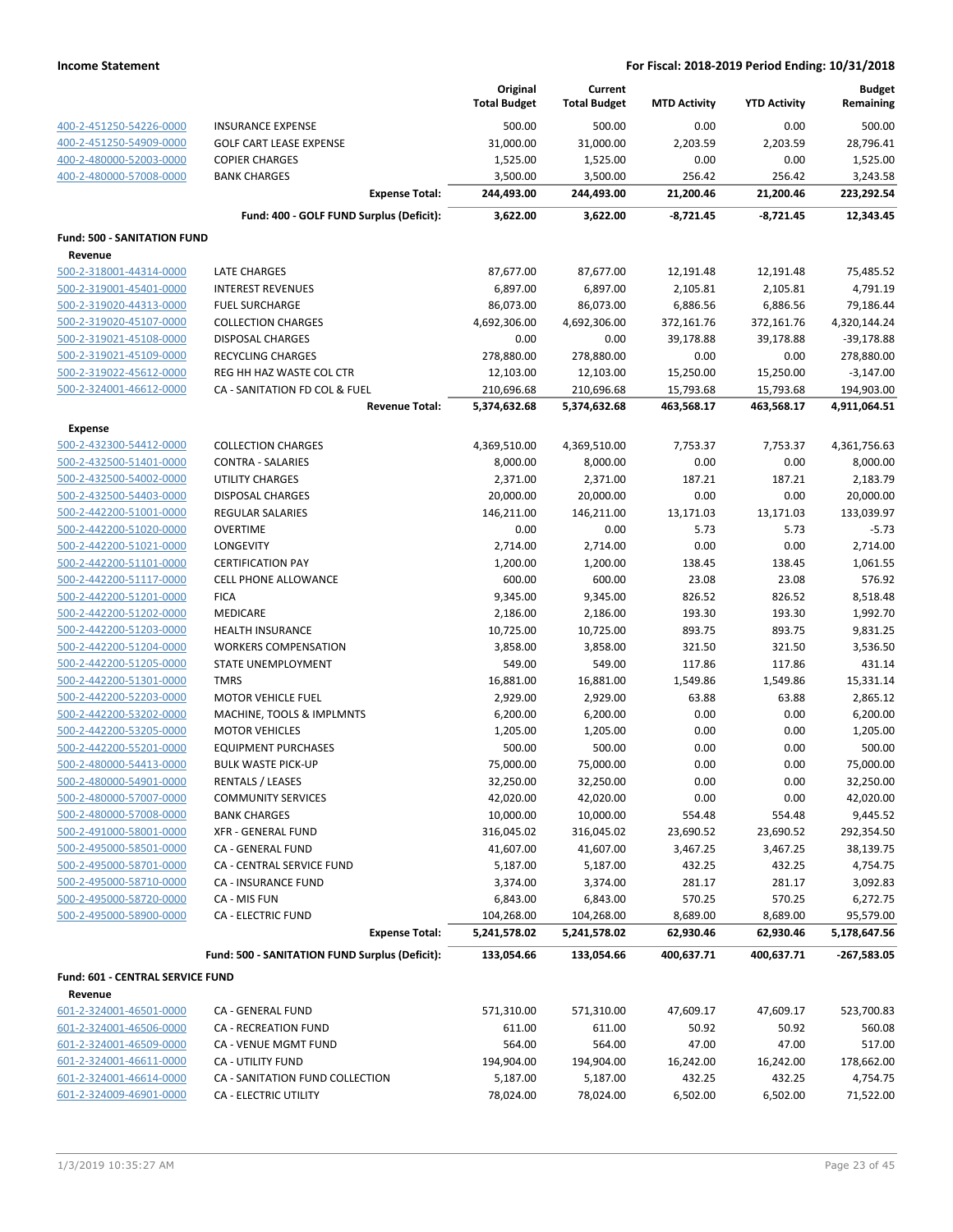|                                                    |                                                | Original<br><b>Total Budget</b> | Current<br><b>Total Budget</b> | <b>MTD Activity</b> | <b>YTD Activity</b> | <b>Budget</b><br>Remaining |
|----------------------------------------------------|------------------------------------------------|---------------------------------|--------------------------------|---------------------|---------------------|----------------------------|
| 400-2-451250-54226-0000                            | <b>INSURANCE EXPENSE</b>                       | 500.00                          | 500.00                         | 0.00                | 0.00                | 500.00                     |
| 400-2-451250-54909-0000                            | <b>GOLF CART LEASE EXPENSE</b>                 | 31,000.00                       | 31,000.00                      | 2,203.59            | 2,203.59            | 28,796.41                  |
| 400-2-480000-52003-0000                            | <b>COPIER CHARGES</b>                          | 1,525.00                        | 1,525.00                       | 0.00                | 0.00                | 1,525.00                   |
| 400-2-480000-57008-0000                            | <b>BANK CHARGES</b>                            | 3,500.00                        | 3,500.00                       | 256.42              | 256.42              | 3,243.58                   |
|                                                    | <b>Expense Total:</b>                          | 244,493.00                      | 244,493.00                     | 21,200.46           | 21,200.46           | 223,292.54                 |
|                                                    | Fund: 400 - GOLF FUND Surplus (Deficit):       | 3,622.00                        | 3,622.00                       | $-8,721.45$         | $-8,721.45$         | 12,343.45                  |
| <b>Fund: 500 - SANITATION FUND</b>                 |                                                |                                 |                                |                     |                     |                            |
| Revenue                                            |                                                |                                 |                                |                     |                     |                            |
| 500-2-318001-44314-0000                            | LATE CHARGES                                   | 87,677.00                       | 87,677.00                      | 12,191.48           | 12,191.48           | 75,485.52                  |
| 500-2-319001-45401-0000                            | <b>INTEREST REVENUES</b>                       | 6,897.00                        | 6,897.00                       | 2,105.81            | 2,105.81            | 4,791.19                   |
| 500-2-319020-44313-0000                            | <b>FUEL SURCHARGE</b>                          | 86,073.00                       | 86,073.00                      | 6,886.56            | 6,886.56            | 79,186.44                  |
| 500-2-319020-45107-0000                            | <b>COLLECTION CHARGES</b>                      | 4,692,306.00                    | 4,692,306.00                   | 372,161.76          | 372,161.76          | 4,320,144.24               |
| 500-2-319021-45108-0000                            | <b>DISPOSAL CHARGES</b>                        | 0.00                            | 0.00                           | 39,178.88           | 39,178.88           | $-39,178.88$               |
| 500-2-319021-45109-0000                            | <b>RECYCLING CHARGES</b>                       | 278,880.00                      | 278,880.00                     | 0.00                | 0.00                | 278,880.00                 |
| 500-2-319022-45612-0000                            | REG HH HAZ WASTE COL CTR                       | 12,103.00                       | 12,103.00                      | 15,250.00           | 15,250.00           | $-3,147.00$                |
| 500-2-324001-46612-0000                            | CA - SANITATION FD COL & FUEL                  | 210,696.68                      | 210,696.68                     | 15,793.68           | 15,793.68           | 194,903.00                 |
|                                                    | <b>Revenue Total:</b>                          | 5,374,632.68                    | 5,374,632.68                   | 463,568.17          | 463,568.17          | 4,911,064.51               |
| <b>Expense</b>                                     |                                                |                                 |                                |                     |                     |                            |
| 500-2-432300-54412-0000                            | <b>COLLECTION CHARGES</b>                      | 4,369,510.00                    | 4,369,510.00                   | 7,753.37            | 7,753.37            | 4,361,756.63               |
| 500-2-432500-51401-0000                            | <b>CONTRA - SALARIES</b>                       | 8,000.00                        | 8,000.00                       | 0.00                | 0.00                | 8,000.00                   |
| 500-2-432500-54002-0000                            | <b>UTILITY CHARGES</b>                         | 2,371.00                        | 2,371.00                       | 187.21              | 187.21              | 2,183.79                   |
| 500-2-432500-54403-0000                            | DISPOSAL CHARGES                               | 20,000.00                       | 20,000.00                      | 0.00                | 0.00                | 20,000.00                  |
| 500-2-442200-51001-0000                            | REGULAR SALARIES                               | 146,211.00                      | 146,211.00                     | 13,171.03           | 13,171.03           | 133,039.97                 |
| 500-2-442200-51020-0000                            | <b>OVERTIME</b>                                | 0.00                            | 0.00                           | 5.73                | 5.73                | $-5.73$                    |
| 500-2-442200-51021-0000                            | LONGEVITY                                      | 2,714.00                        | 2,714.00                       | 0.00                | 0.00                | 2,714.00                   |
| 500-2-442200-51101-0000                            | <b>CERTIFICATION PAY</b>                       | 1,200.00                        | 1,200.00                       | 138.45              | 138.45              | 1,061.55                   |
| 500-2-442200-51117-0000                            | <b>CELL PHONE ALLOWANCE</b>                    | 600.00                          | 600.00                         | 23.08               | 23.08               | 576.92                     |
| 500-2-442200-51201-0000                            | <b>FICA</b>                                    | 9,345.00                        | 9,345.00                       | 826.52              | 826.52              | 8,518.48                   |
| 500-2-442200-51202-0000                            | <b>MEDICARE</b>                                | 2,186.00                        | 2,186.00                       | 193.30              | 193.30              | 1,992.70                   |
| 500-2-442200-51203-0000                            | <b>HEALTH INSURANCE</b>                        | 10,725.00                       | 10,725.00                      | 893.75              | 893.75              | 9,831.25                   |
| 500-2-442200-51204-0000                            | <b>WORKERS COMPENSATION</b>                    | 3,858.00                        | 3,858.00                       | 321.50              | 321.50              | 3,536.50                   |
| 500-2-442200-51205-0000                            | STATE UNEMPLOYMENT                             | 549.00                          | 549.00                         | 117.86              | 117.86              | 431.14                     |
| 500-2-442200-51301-0000                            | <b>TMRS</b><br><b>MOTOR VEHICLE FUEL</b>       | 16,881.00                       | 16,881.00                      | 1,549.86            | 1,549.86            | 15,331.14                  |
| 500-2-442200-52203-0000<br>500-2-442200-53202-0000 | MACHINE, TOOLS & IMPLMNTS                      | 2,929.00                        | 2,929.00                       | 63.88<br>0.00       | 63.88<br>0.00       | 2,865.12<br>6,200.00       |
| 500-2-442200-53205-0000                            | <b>MOTOR VEHICLES</b>                          | 6,200.00<br>1,205.00            | 6,200.00<br>1,205.00           | 0.00                | 0.00                | 1,205.00                   |
| 500-2-442200-55201-0000                            | <b>EQUIPMENT PURCHASES</b>                     | 500.00                          | 500.00                         | 0.00                | 0.00                | 500.00                     |
| 500-2-480000-54413-0000                            | <b>BULK WASTE PICK-UP</b>                      | 75,000.00                       | 75,000.00                      | 0.00                | 0.00                | 75,000.00                  |
| 500-2-480000-54901-0000                            | RENTALS / LEASES                               | 32,250.00                       | 32,250.00                      | 0.00                | 0.00                | 32,250.00                  |
| 500-2-480000-57007-0000                            | <b>COMMUNITY SERVICES</b>                      | 42,020.00                       | 42,020.00                      | 0.00                | 0.00                | 42,020.00                  |
| 500-2-480000-57008-0000                            | <b>BANK CHARGES</b>                            | 10,000.00                       | 10,000.00                      | 554.48              | 554.48              | 9,445.52                   |
| 500-2-491000-58001-0000                            | <b>XFR - GENERAL FUND</b>                      | 316,045.02                      | 316,045.02                     | 23,690.52           | 23,690.52           | 292,354.50                 |
| 500-2-495000-58501-0000                            | CA - GENERAL FUND                              | 41,607.00                       | 41,607.00                      | 3,467.25            | 3,467.25            | 38,139.75                  |
| 500-2-495000-58701-0000                            | CA - CENTRAL SERVICE FUND                      | 5,187.00                        | 5,187.00                       | 432.25              | 432.25              | 4,754.75                   |
| 500-2-495000-58710-0000                            | CA - INSURANCE FUND                            | 3,374.00                        | 3,374.00                       | 281.17              | 281.17              | 3,092.83                   |
| 500-2-495000-58720-0000                            | CA - MIS FUN                                   | 6,843.00                        | 6,843.00                       | 570.25              | 570.25              | 6,272.75                   |
| 500-2-495000-58900-0000                            | <b>CA - ELECTRIC FUND</b>                      | 104,268.00                      | 104,268.00                     | 8,689.00            | 8,689.00            | 95,579.00                  |
|                                                    | <b>Expense Total:</b>                          | 5,241,578.02                    | 5,241,578.02                   | 62,930.46           | 62,930.46           | 5,178,647.56               |
|                                                    | Fund: 500 - SANITATION FUND Surplus (Deficit): | 133,054.66                      | 133,054.66                     | 400,637.71          | 400,637.71          | $-267,583.05$              |
| Fund: 601 - CENTRAL SERVICE FUND                   |                                                |                                 |                                |                     |                     |                            |
| Revenue                                            |                                                |                                 |                                |                     |                     |                            |
| 601-2-324001-46501-0000                            | CA - GENERAL FUND                              | 571,310.00                      | 571,310.00                     | 47,609.17           | 47,609.17           | 523,700.83                 |
| 601-2-324001-46506-0000                            | CA - RECREATION FUND                           | 611.00                          | 611.00                         | 50.92               | 50.92               | 560.08                     |
| 601-2-324001-46509-0000                            | CA - VENUE MGMT FUND                           | 564.00                          | 564.00                         | 47.00               | 47.00               | 517.00                     |
| 601-2-324001-46611-0000                            | <b>CA - UTILITY FUND</b>                       | 194,904.00                      | 194,904.00                     | 16,242.00           | 16,242.00           | 178,662.00                 |
| 601-2-324001-46614-0000                            | CA - SANITATION FUND COLLECTION                | 5,187.00                        | 5,187.00                       | 432.25              | 432.25              | 4,754.75                   |
| 601-2-324009-46901-0000                            | CA - ELECTRIC UTILITY                          | 78,024.00                       | 78,024.00                      | 6,502.00            | 6,502.00            | 71,522.00                  |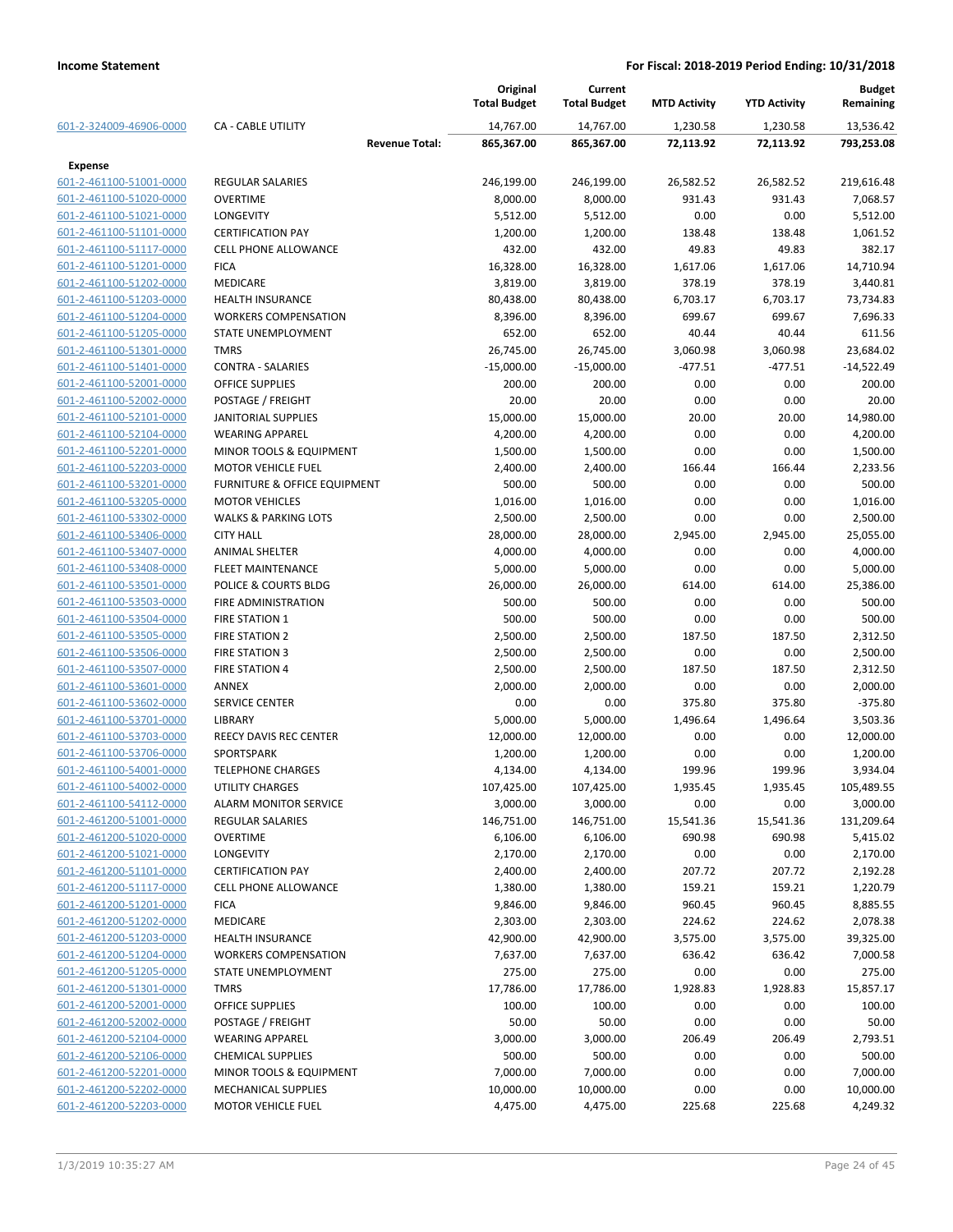|                         |                                 | Original<br><b>Total Budget</b> | Current<br><b>Total Budget</b> | <b>MTD Activity</b> | <b>YTD Activity</b> | <b>Budget</b><br>Remaining |
|-------------------------|---------------------------------|---------------------------------|--------------------------------|---------------------|---------------------|----------------------------|
| 601-2-324009-46906-0000 | <b>CA - CABLE UTILITY</b>       | 14,767.00                       | 14,767.00                      | 1,230.58            | 1,230.58            | 13,536.42                  |
|                         | <b>Revenue Total:</b>           | 865,367.00                      | 865,367.00                     | 72,113.92           | 72,113.92           | 793,253.08                 |
| <b>Expense</b>          |                                 |                                 |                                |                     |                     |                            |
| 601-2-461100-51001-0000 | <b>REGULAR SALARIES</b>         | 246,199.00                      | 246,199.00                     | 26,582.52           | 26,582.52           | 219,616.48                 |
| 601-2-461100-51020-0000 | <b>OVERTIME</b>                 | 8,000.00                        | 8,000.00                       | 931.43              | 931.43              | 7,068.57                   |
| 601-2-461100-51021-0000 | <b>LONGEVITY</b>                | 5,512.00                        | 5,512.00                       | 0.00                | 0.00                | 5,512.00                   |
| 601-2-461100-51101-0000 | <b>CERTIFICATION PAY</b>        | 1,200.00                        | 1,200.00                       | 138.48              | 138.48              | 1,061.52                   |
| 601-2-461100-51117-0000 | <b>CELL PHONE ALLOWANCE</b>     | 432.00                          | 432.00                         | 49.83               | 49.83               | 382.17                     |
| 601-2-461100-51201-0000 | <b>FICA</b>                     | 16,328.00                       | 16,328.00                      | 1,617.06            | 1,617.06            | 14,710.94                  |
| 601-2-461100-51202-0000 | <b>MEDICARE</b>                 | 3,819.00                        | 3,819.00                       | 378.19              | 378.19              | 3,440.81                   |
| 601-2-461100-51203-0000 | <b>HEALTH INSURANCE</b>         | 80,438.00                       | 80,438.00                      | 6,703.17            | 6,703.17            | 73,734.83                  |
| 601-2-461100-51204-0000 | <b>WORKERS COMPENSATION</b>     | 8,396.00                        | 8,396.00                       | 699.67              | 699.67              | 7,696.33                   |
| 601-2-461100-51205-0000 | STATE UNEMPLOYMENT              | 652.00                          | 652.00                         | 40.44               | 40.44               | 611.56                     |
| 601-2-461100-51301-0000 | <b>TMRS</b>                     | 26,745.00                       | 26,745.00                      | 3,060.98            | 3,060.98            | 23,684.02                  |
| 601-2-461100-51401-0000 | <b>CONTRA - SALARIES</b>        | $-15,000.00$                    | $-15,000.00$                   | $-477.51$           | $-477.51$           | $-14,522.49$               |
| 601-2-461100-52001-0000 | <b>OFFICE SUPPLIES</b>          | 200.00                          | 200.00                         | 0.00                | 0.00                | 200.00                     |
| 601-2-461100-52002-0000 | POSTAGE / FREIGHT               | 20.00                           | 20.00                          | 0.00                | 0.00                | 20.00                      |
| 601-2-461100-52101-0000 | <b>JANITORIAL SUPPLIES</b>      | 15,000.00                       | 15,000.00                      | 20.00               | 20.00               | 14,980.00                  |
| 601-2-461100-52104-0000 | <b>WEARING APPAREL</b>          | 4,200.00                        | 4,200.00                       | 0.00                | 0.00                | 4,200.00                   |
| 601-2-461100-52201-0000 | MINOR TOOLS & EQUIPMENT         | 1,500.00                        | 1,500.00                       | 0.00                | 0.00                | 1,500.00                   |
| 601-2-461100-52203-0000 | <b>MOTOR VEHICLE FUEL</b>       | 2,400.00                        | 2,400.00                       | 166.44              | 166.44              | 2,233.56                   |
| 601-2-461100-53201-0000 | FURNITURE & OFFICE EQUIPMENT    | 500.00                          | 500.00                         | 0.00                | 0.00                | 500.00                     |
| 601-2-461100-53205-0000 | <b>MOTOR VEHICLES</b>           | 1,016.00                        | 1,016.00                       | 0.00                | 0.00                | 1,016.00                   |
| 601-2-461100-53302-0000 | <b>WALKS &amp; PARKING LOTS</b> | 2,500.00                        | 2,500.00                       | 0.00                | 0.00                | 2,500.00                   |
| 601-2-461100-53406-0000 | <b>CITY HALL</b>                | 28,000.00                       | 28,000.00                      | 2,945.00            | 2,945.00            | 25,055.00                  |
| 601-2-461100-53407-0000 | <b>ANIMAL SHELTER</b>           | 4,000.00                        | 4,000.00                       | 0.00                | 0.00                | 4,000.00                   |
| 601-2-461100-53408-0000 | FLEET MAINTENANCE               | 5,000.00                        | 5,000.00                       | 0.00                | 0.00                | 5,000.00                   |
| 601-2-461100-53501-0000 | POLICE & COURTS BLDG            | 26,000.00                       | 26,000.00                      | 614.00              | 614.00              | 25,386.00                  |
| 601-2-461100-53503-0000 | FIRE ADMINISTRATION             | 500.00                          | 500.00                         | 0.00                | 0.00                | 500.00                     |
| 601-2-461100-53504-0000 | <b>FIRE STATION 1</b>           | 500.00                          | 500.00                         | 0.00                | 0.00                | 500.00                     |
| 601-2-461100-53505-0000 | <b>FIRE STATION 2</b>           | 2,500.00                        | 2,500.00                       | 187.50              | 187.50              | 2,312.50                   |
| 601-2-461100-53506-0000 | <b>FIRE STATION 3</b>           | 2,500.00                        | 2,500.00                       | 0.00                | 0.00                | 2,500.00                   |
| 601-2-461100-53507-0000 | <b>FIRE STATION 4</b>           | 2,500.00                        | 2,500.00                       | 187.50              | 187.50              | 2,312.50                   |
| 601-2-461100-53601-0000 | <b>ANNEX</b>                    | 2,000.00                        | 2,000.00                       | 0.00                | 0.00                | 2,000.00                   |
| 601-2-461100-53602-0000 | <b>SERVICE CENTER</b>           | 0.00                            | 0.00                           | 375.80              | 375.80              | $-375.80$                  |
| 601-2-461100-53701-0000 | <b>LIBRARY</b>                  | 5,000.00                        | 5,000.00                       | 1,496.64            | 1,496.64            | 3,503.36                   |
| 601-2-461100-53703-0000 | REECY DAVIS REC CENTER          | 12,000.00                       | 12,000.00                      | 0.00                | 0.00                | 12,000.00                  |
| 601-2-461100-53706-0000 | SPORTSPARK                      | 1,200.00                        | 1,200.00                       | 0.00                | 0.00                | 1,200.00                   |
| 601-2-461100-54001-0000 | <b>TELEPHONE CHARGES</b>        | 4,134.00                        | 4,134.00                       | 199.96              | 199.96              | 3,934.04                   |
| 601-2-461100-54002-0000 | UTILITY CHARGES                 | 107,425.00                      | 107,425.00                     | 1,935.45            | 1,935.45            | 105,489.55                 |
| 601-2-461100-54112-0000 | ALARM MONITOR SERVICE           | 3,000.00                        | 3,000.00                       | 0.00                | 0.00                | 3,000.00                   |
| 601-2-461200-51001-0000 | <b>REGULAR SALARIES</b>         | 146,751.00                      | 146,751.00                     | 15,541.36           | 15,541.36           | 131,209.64                 |
| 601-2-461200-51020-0000 | <b>OVERTIME</b>                 | 6,106.00                        | 6,106.00                       | 690.98              | 690.98              | 5,415.02                   |
| 601-2-461200-51021-0000 | <b>LONGEVITY</b>                | 2,170.00                        | 2,170.00                       | 0.00                | 0.00                | 2,170.00                   |
| 601-2-461200-51101-0000 | <b>CERTIFICATION PAY</b>        | 2,400.00                        | 2,400.00                       | 207.72              | 207.72              | 2,192.28                   |
| 601-2-461200-51117-0000 | <b>CELL PHONE ALLOWANCE</b>     | 1,380.00                        | 1,380.00                       | 159.21              | 159.21              | 1,220.79                   |
| 601-2-461200-51201-0000 | <b>FICA</b>                     | 9,846.00                        | 9,846.00                       | 960.45              | 960.45              | 8,885.55                   |
| 601-2-461200-51202-0000 | <b>MEDICARE</b>                 | 2,303.00                        | 2,303.00                       | 224.62              | 224.62              | 2,078.38                   |
| 601-2-461200-51203-0000 | <b>HEALTH INSURANCE</b>         | 42,900.00                       | 42,900.00                      | 3,575.00            | 3,575.00            | 39,325.00                  |
| 601-2-461200-51204-0000 | <b>WORKERS COMPENSATION</b>     | 7,637.00                        | 7,637.00                       | 636.42              | 636.42              | 7,000.58                   |
| 601-2-461200-51205-0000 | STATE UNEMPLOYMENT              | 275.00                          | 275.00                         | 0.00                | 0.00                | 275.00                     |
| 601-2-461200-51301-0000 | <b>TMRS</b>                     | 17,786.00                       | 17,786.00                      | 1,928.83            | 1,928.83            | 15,857.17                  |
| 601-2-461200-52001-0000 | <b>OFFICE SUPPLIES</b>          | 100.00                          | 100.00                         | 0.00                | 0.00                | 100.00                     |
| 601-2-461200-52002-0000 | POSTAGE / FREIGHT               | 50.00                           | 50.00                          | 0.00                | 0.00                | 50.00                      |
| 601-2-461200-52104-0000 | <b>WEARING APPAREL</b>          | 3,000.00                        | 3,000.00                       | 206.49              | 206.49              | 2,793.51                   |
| 601-2-461200-52106-0000 | <b>CHEMICAL SUPPLIES</b>        | 500.00                          | 500.00                         | 0.00                | 0.00                | 500.00                     |
| 601-2-461200-52201-0000 | MINOR TOOLS & EQUIPMENT         | 7,000.00                        | 7,000.00                       | 0.00                | 0.00                | 7,000.00                   |
| 601-2-461200-52202-0000 | <b>MECHANICAL SUPPLIES</b>      | 10,000.00                       | 10,000.00                      | 0.00                | 0.00                | 10,000.00                  |
| 601-2-461200-52203-0000 | <b>MOTOR VEHICLE FUEL</b>       | 4,475.00                        | 4,475.00                       | 225.68              | 225.68              | 4,249.32                   |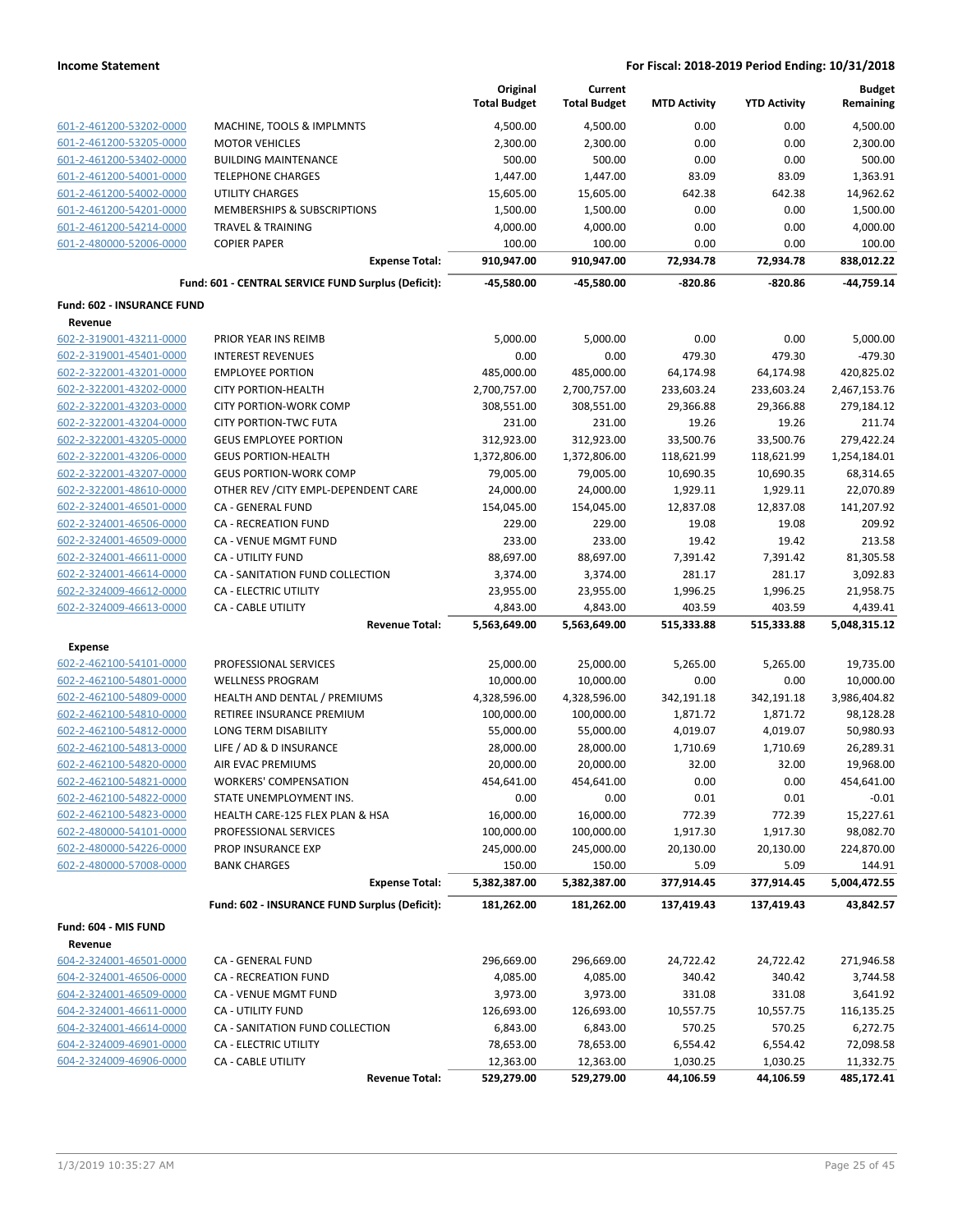|                                   |                                                     | Original<br><b>Total Budget</b> | Current<br><b>Total Budget</b> | <b>MTD Activity</b> | <b>YTD Activity</b> | <b>Budget</b><br>Remaining |
|-----------------------------------|-----------------------------------------------------|---------------------------------|--------------------------------|---------------------|---------------------|----------------------------|
| 601-2-461200-53202-0000           | MACHINE, TOOLS & IMPLMNTS                           | 4,500.00                        | 4,500.00                       | 0.00                | 0.00                | 4,500.00                   |
| 601-2-461200-53205-0000           | <b>MOTOR VEHICLES</b>                               | 2,300.00                        | 2,300.00                       | 0.00                | 0.00                | 2,300.00                   |
| 601-2-461200-53402-0000           | <b>BUILDING MAINTENANCE</b>                         | 500.00                          | 500.00                         | 0.00                | 0.00                | 500.00                     |
| 601-2-461200-54001-0000           | <b>TELEPHONE CHARGES</b>                            | 1,447.00                        | 1,447.00                       | 83.09               | 83.09               | 1,363.91                   |
| 601-2-461200-54002-0000           | <b>UTILITY CHARGES</b>                              | 15,605.00                       | 15,605.00                      | 642.38              | 642.38              | 14,962.62                  |
| 601-2-461200-54201-0000           | MEMBERSHIPS & SUBSCRIPTIONS                         | 1,500.00                        | 1,500.00                       | 0.00                | 0.00                | 1,500.00                   |
| 601-2-461200-54214-0000           | <b>TRAVEL &amp; TRAINING</b>                        | 4,000.00                        | 4,000.00                       | 0.00                | 0.00                | 4,000.00                   |
| 601-2-480000-52006-0000           | <b>COPIER PAPER</b>                                 | 100.00                          | 100.00                         | 0.00                | 0.00                | 100.00                     |
|                                   | <b>Expense Total:</b>                               | 910,947.00                      | 910,947.00                     | 72,934.78           | 72,934.78           | 838,012.22                 |
|                                   | Fund: 601 - CENTRAL SERVICE FUND Surplus (Deficit): | -45,580.00                      | $-45,580.00$                   | $-820.86$           | $-820.86$           | $-44,759.14$               |
| <b>Fund: 602 - INSURANCE FUND</b> |                                                     |                                 |                                |                     |                     |                            |
| Revenue                           |                                                     |                                 |                                |                     |                     |                            |
| 602-2-319001-43211-0000           | PRIOR YEAR INS REIMB                                | 5,000.00                        | 5,000.00                       | 0.00                | 0.00                | 5,000.00                   |
| 602-2-319001-45401-0000           | <b>INTEREST REVENUES</b>                            | 0.00                            | 0.00                           | 479.30              | 479.30              | $-479.30$                  |
| 602-2-322001-43201-0000           | <b>EMPLOYEE PORTION</b>                             | 485,000.00                      | 485,000.00                     | 64,174.98           | 64,174.98           | 420,825.02                 |
| 602-2-322001-43202-0000           | <b>CITY PORTION-HEALTH</b>                          | 2,700,757.00                    | 2,700,757.00                   | 233,603.24          | 233,603.24          | 2,467,153.76               |
| 602-2-322001-43203-0000           | <b>CITY PORTION-WORK COMP</b>                       | 308,551.00                      | 308,551.00                     | 29,366.88           | 29,366.88           | 279,184.12                 |
| 602-2-322001-43204-0000           | <b>CITY PORTION-TWC FUTA</b>                        | 231.00                          | 231.00                         | 19.26               | 19.26               | 211.74                     |
| 602-2-322001-43205-0000           | <b>GEUS EMPLOYEE PORTION</b>                        | 312,923.00                      | 312,923.00                     | 33,500.76           | 33,500.76           | 279,422.24                 |
| 602-2-322001-43206-0000           | <b>GEUS PORTION-HEALTH</b>                          | 1,372,806.00                    | 1,372,806.00                   | 118,621.99          | 118,621.99          | 1,254,184.01               |
| 602-2-322001-43207-0000           | <b>GEUS PORTION-WORK COMP</b>                       | 79,005.00                       | 79,005.00                      | 10,690.35           | 10,690.35           | 68,314.65                  |
| 602-2-322001-48610-0000           | OTHER REV / CITY EMPL-DEPENDENT CARE                | 24,000.00                       | 24,000.00                      | 1,929.11            | 1,929.11            | 22,070.89                  |
| 602-2-324001-46501-0000           | CA - GENERAL FUND                                   | 154,045.00                      | 154,045.00                     | 12,837.08           | 12,837.08           | 141,207.92                 |
| 602-2-324001-46506-0000           | <b>CA - RECREATION FUND</b>                         | 229.00                          | 229.00                         | 19.08               | 19.08               | 209.92                     |
| 602-2-324001-46509-0000           | CA - VENUE MGMT FUND                                | 233.00                          | 233.00                         | 19.42               | 19.42               | 213.58                     |
| 602-2-324001-46611-0000           | <b>CA - UTILITY FUND</b>                            | 88,697.00                       | 88,697.00                      | 7,391.42            | 7,391.42            | 81,305.58                  |
| 602-2-324001-46614-0000           | CA - SANITATION FUND COLLECTION                     | 3,374.00                        | 3,374.00                       | 281.17              | 281.17              | 3,092.83                   |
| 602-2-324009-46612-0000           | CA - ELECTRIC UTILITY                               | 23,955.00                       | 23,955.00                      | 1,996.25            | 1,996.25            | 21,958.75                  |
| 602-2-324009-46613-0000           | CA - CABLE UTILITY                                  | 4,843.00                        | 4,843.00                       | 403.59              | 403.59              | 4,439.41                   |
|                                   | <b>Revenue Total:</b>                               | 5,563,649.00                    | 5,563,649.00                   | 515,333.88          | 515,333.88          | 5,048,315.12               |
| <b>Expense</b>                    |                                                     |                                 |                                |                     |                     |                            |
| 602-2-462100-54101-0000           | PROFESSIONAL SERVICES                               | 25,000.00                       | 25,000.00                      | 5,265.00            | 5,265.00            | 19,735.00                  |
| 602-2-462100-54801-0000           | <b>WELLNESS PROGRAM</b>                             | 10,000.00                       | 10,000.00                      | 0.00                | 0.00                | 10,000.00                  |
| 602-2-462100-54809-0000           | HEALTH AND DENTAL / PREMIUMS                        | 4,328,596.00                    | 4,328,596.00                   | 342,191.18          | 342,191.18          | 3,986,404.82               |
| 602-2-462100-54810-0000           | RETIREE INSURANCE PREMIUM                           | 100,000.00                      | 100,000.00                     | 1,871.72            | 1,871.72            | 98,128.28                  |
| 602-2-462100-54812-0000           | LONG TERM DISABILITY                                | 55,000.00                       | 55,000.00                      | 4,019.07            | 4,019.07            | 50,980.93                  |
| 602-2-462100-54813-0000           | LIFE / AD & D INSURANCE                             | 28,000.00                       | 28,000.00                      | 1,710.69            | 1,710.69            | 26,289.31                  |
| 602-2-462100-54820-0000           | AIR EVAC PREMIUMS                                   | 20,000.00                       | 20,000.00                      | 32.00               | 32.00               | 19,968.00                  |
| 602-2-462100-54821-0000           | <b>WORKERS' COMPENSATION</b>                        | 454,641.00                      | 454,641.00                     | 0.00                | 0.00                | 454,641.00                 |
| 602-2-462100-54822-0000           | STATE UNEMPLOYMENT INS.                             | 0.00                            | 0.00                           | 0.01                | 0.01                | $-0.01$                    |
| 602-2-462100-54823-0000           | HEALTH CARE-125 FLEX PLAN & HSA                     | 16,000.00                       | 16,000.00                      | 772.39              | 772.39              | 15,227.61                  |
| 602-2-480000-54101-0000           | PROFESSIONAL SERVICES                               | 100,000.00                      | 100,000.00                     | 1,917.30            | 1,917.30            | 98,082.70                  |
| 602-2-480000-54226-0000           | <b>PROP INSURANCE EXP</b>                           | 245,000.00                      | 245,000.00                     | 20,130.00           | 20,130.00           | 224,870.00                 |
| 602-2-480000-57008-0000           | <b>BANK CHARGES</b>                                 | 150.00                          | 150.00                         | 5.09                | 5.09                | 144.91                     |
|                                   | <b>Expense Total:</b>                               | 5,382,387.00                    | 5,382,387.00                   | 377,914.45          | 377,914.45          | 5,004,472.55               |
|                                   | Fund: 602 - INSURANCE FUND Surplus (Deficit):       | 181,262.00                      | 181,262.00                     | 137,419.43          | 137,419.43          | 43,842.57                  |
| Fund: 604 - MIS FUND              |                                                     |                                 |                                |                     |                     |                            |
| Revenue                           |                                                     |                                 |                                |                     |                     |                            |
| 604-2-324001-46501-0000           | <b>CA - GENERAL FUND</b>                            | 296,669.00                      | 296,669.00                     | 24,722.42           | 24,722.42           | 271,946.58                 |
| 604-2-324001-46506-0000           | CA - RECREATION FUND                                | 4,085.00                        | 4,085.00                       | 340.42              | 340.42              | 3,744.58                   |
| 604-2-324001-46509-0000           | CA - VENUE MGMT FUND                                | 3,973.00                        | 3,973.00                       | 331.08              | 331.08              | 3,641.92                   |
| 604-2-324001-46611-0000           | CA - UTILITY FUND                                   | 126,693.00                      | 126,693.00                     | 10,557.75           | 10,557.75           | 116,135.25                 |
| 604-2-324001-46614-0000           | CA - SANITATION FUND COLLECTION                     | 6,843.00                        | 6,843.00                       | 570.25              | 570.25              | 6,272.75                   |
| 604-2-324009-46901-0000           | CA - ELECTRIC UTILITY                               | 78,653.00                       | 78,653.00                      | 6,554.42            | 6,554.42            | 72,098.58                  |
| 604-2-324009-46906-0000           | CA - CABLE UTILITY                                  | 12,363.00                       | 12,363.00                      | 1,030.25            | 1,030.25            | 11,332.75                  |
|                                   | <b>Revenue Total:</b>                               | 529,279.00                      | 529,279.00                     | 44,106.59           | 44,106.59           | 485,172.41                 |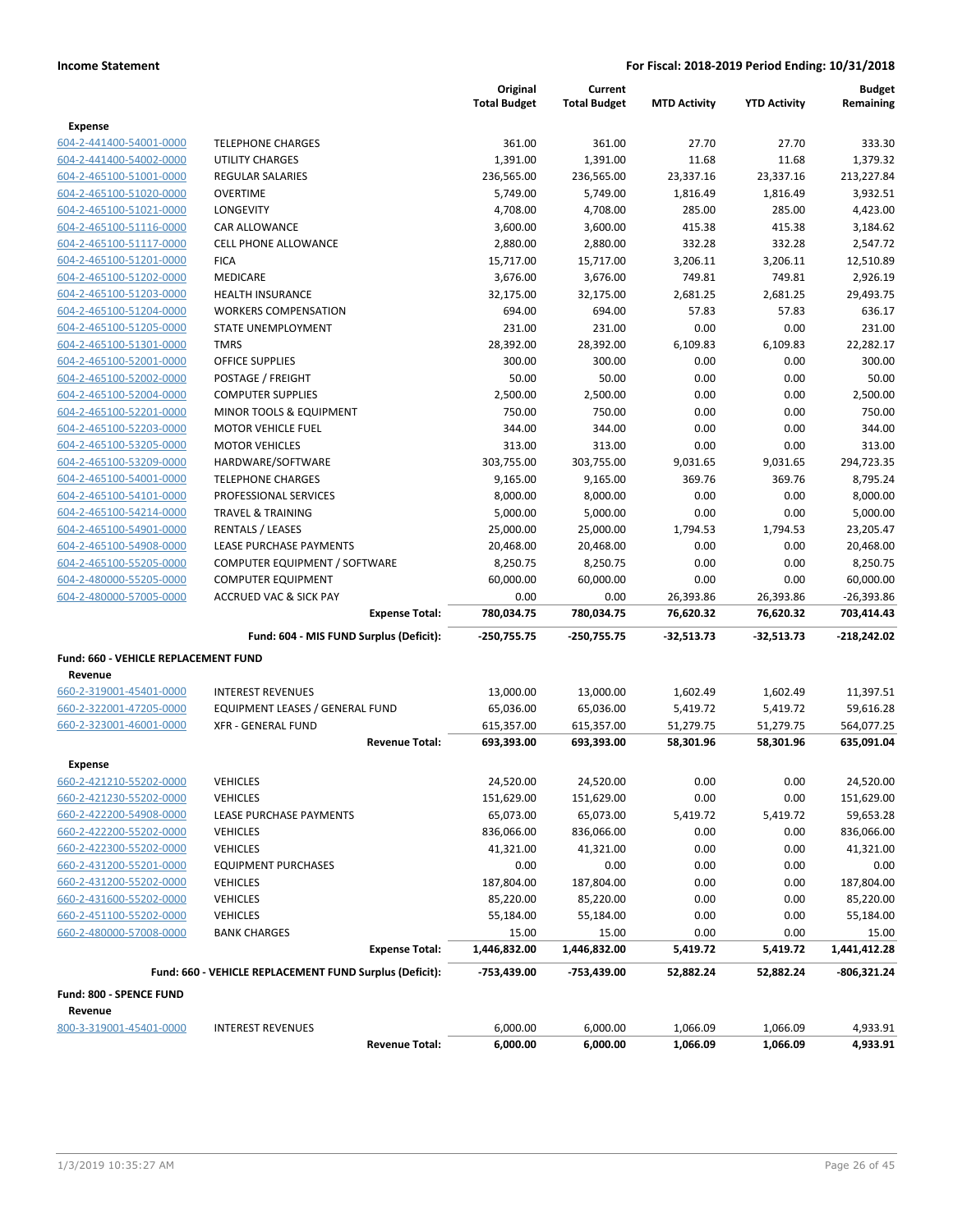|                                      |                                                         | Original<br><b>Total Budget</b> | Current<br><b>Total Budget</b> | <b>MTD Activity</b>  | <b>YTD Activity</b>  | <b>Budget</b><br>Remaining |
|--------------------------------------|---------------------------------------------------------|---------------------------------|--------------------------------|----------------------|----------------------|----------------------------|
| <b>Expense</b>                       |                                                         |                                 |                                |                      |                      |                            |
| 604-2-441400-54001-0000              | <b>TELEPHONE CHARGES</b>                                | 361.00                          | 361.00                         | 27.70                | 27.70                | 333.30                     |
| 604-2-441400-54002-0000              | <b>UTILITY CHARGES</b>                                  | 1,391.00                        | 1,391.00                       | 11.68                | 11.68                | 1,379.32                   |
| 604-2-465100-51001-0000              | <b>REGULAR SALARIES</b>                                 | 236,565.00                      | 236,565.00                     | 23,337.16            | 23,337.16            | 213,227.84                 |
| 604-2-465100-51020-0000              | <b>OVERTIME</b>                                         | 5,749.00                        | 5,749.00                       | 1,816.49             | 1,816.49             | 3,932.51                   |
| 604-2-465100-51021-0000              | LONGEVITY                                               | 4,708.00                        | 4,708.00                       | 285.00               | 285.00               | 4,423.00                   |
| 604-2-465100-51116-0000              | CAR ALLOWANCE                                           | 3,600.00                        | 3,600.00                       | 415.38               | 415.38               | 3,184.62                   |
| 604-2-465100-51117-0000              | <b>CELL PHONE ALLOWANCE</b>                             | 2,880.00                        | 2,880.00                       | 332.28               | 332.28               | 2,547.72                   |
| 604-2-465100-51201-0000              | <b>FICA</b>                                             | 15,717.00                       | 15,717.00                      | 3,206.11             | 3,206.11             | 12,510.89                  |
| 604-2-465100-51202-0000              | MEDICARE                                                | 3,676.00                        | 3,676.00                       | 749.81               | 749.81               | 2,926.19                   |
| 604-2-465100-51203-0000              | <b>HEALTH INSURANCE</b>                                 | 32,175.00                       | 32,175.00                      | 2,681.25             | 2,681.25             | 29,493.75                  |
| 604-2-465100-51204-0000              | <b>WORKERS COMPENSATION</b>                             | 694.00                          | 694.00                         | 57.83                | 57.83                | 636.17                     |
| 604-2-465100-51205-0000              | STATE UNEMPLOYMENT                                      | 231.00                          | 231.00                         | 0.00                 | 0.00                 | 231.00                     |
| 604-2-465100-51301-0000              | <b>TMRS</b>                                             | 28,392.00                       | 28,392.00                      | 6,109.83             | 6,109.83             | 22,282.17                  |
| 604-2-465100-52001-0000              | <b>OFFICE SUPPLIES</b>                                  | 300.00                          | 300.00                         | 0.00                 | 0.00                 | 300.00                     |
| 604-2-465100-52002-0000              | POSTAGE / FREIGHT                                       | 50.00                           | 50.00                          | 0.00                 | 0.00                 | 50.00                      |
| 604-2-465100-52004-0000              | <b>COMPUTER SUPPLIES</b>                                | 2,500.00                        | 2,500.00                       | 0.00                 | 0.00                 | 2,500.00                   |
| 604-2-465100-52201-0000              | MINOR TOOLS & EQUIPMENT                                 | 750.00                          | 750.00                         | 0.00                 | 0.00                 | 750.00                     |
| 604-2-465100-52203-0000              | <b>MOTOR VEHICLE FUEL</b>                               | 344.00                          | 344.00                         | 0.00                 | 0.00                 | 344.00                     |
| 604-2-465100-53205-0000              | <b>MOTOR VEHICLES</b>                                   | 313.00                          | 313.00                         | 0.00                 | 0.00                 | 313.00                     |
| 604-2-465100-53209-0000              | HARDWARE/SOFTWARE                                       | 303,755.00                      | 303,755.00                     | 9,031.65             | 9,031.65             | 294,723.35                 |
| 604-2-465100-54001-0000              | <b>TELEPHONE CHARGES</b>                                | 9,165.00                        | 9,165.00                       | 369.76               | 369.76               | 8,795.24                   |
| 604-2-465100-54101-0000              | PROFESSIONAL SERVICES                                   | 8,000.00                        | 8,000.00                       | 0.00                 | 0.00                 | 8,000.00                   |
| 604-2-465100-54214-0000              | <b>TRAVEL &amp; TRAINING</b>                            | 5,000.00                        | 5,000.00                       | 0.00                 | 0.00                 | 5,000.00                   |
| 604-2-465100-54901-0000              | RENTALS / LEASES                                        | 25,000.00                       | 25,000.00                      | 1,794.53             | 1,794.53             | 23,205.47                  |
| 604-2-465100-54908-0000              | LEASE PURCHASE PAYMENTS                                 | 20,468.00                       | 20,468.00                      | 0.00                 | 0.00                 | 20,468.00                  |
| 604-2-465100-55205-0000              | COMPUTER EQUIPMENT / SOFTWARE                           | 8,250.75                        | 8,250.75                       | 0.00                 | 0.00                 | 8,250.75                   |
| 604-2-480000-55205-0000              | <b>COMPUTER EQUIPMENT</b>                               | 60,000.00                       | 60,000.00                      | 0.00                 | 0.00                 | 60,000.00                  |
| 604-2-480000-57005-0000              | <b>ACCRUED VAC &amp; SICK PAY</b>                       | 0.00                            | 0.00                           | 26,393.86            | 26,393.86            | $-26,393.86$               |
|                                      | <b>Expense Total:</b>                                   | 780,034.75                      | 780,034.75                     | 76,620.32            | 76,620.32            | 703,414.43                 |
|                                      | Fund: 604 - MIS FUND Surplus (Deficit):                 | -250,755.75                     | -250,755.75                    | -32,513.73           | -32,513.73           | $-218,242.02$              |
| Fund: 660 - VEHICLE REPLACEMENT FUND |                                                         |                                 |                                |                      |                      |                            |
| Revenue                              |                                                         |                                 |                                |                      |                      |                            |
| 660-2-319001-45401-0000              | <b>INTEREST REVENUES</b>                                | 13,000.00                       | 13,000.00                      | 1,602.49             | 1,602.49             | 11,397.51                  |
| 660-2-322001-47205-0000              | EQUIPMENT LEASES / GENERAL FUND                         | 65,036.00                       | 65,036.00                      | 5,419.72             | 5,419.72             | 59,616.28                  |
| 660-2-323001-46001-0000              | <b>XFR - GENERAL FUND</b>                               | 615,357.00                      | 615,357.00                     | 51,279.75            | 51,279.75            | 564,077.25                 |
|                                      | <b>Revenue Total:</b>                                   | 693,393.00                      | 693,393.00                     | 58,301.96            | 58,301.96            | 635,091.04                 |
| Expense                              |                                                         |                                 |                                |                      |                      |                            |
| 660-2-421210-55202-0000              | <b>VEHICLES</b>                                         | 24,520.00                       | 24,520.00                      | 0.00                 | 0.00                 | 24,520.00                  |
| 660-2-421230-55202-0000              | <b>VEHICLES</b>                                         | 151,629.00                      | 151,629.00                     | 0.00                 | 0.00                 | 151,629.00                 |
| 660-2-422200-54908-0000              | LEASE PURCHASE PAYMENTS                                 | 65,073.00                       | 65,073.00                      | 5,419.72             | 5,419.72             | 59,653.28                  |
| 660-2-422200-55202-0000              | <b>VEHICLES</b>                                         | 836,066.00                      | 836,066.00                     | 0.00                 | 0.00                 | 836,066.00                 |
| 660-2-422300-55202-0000              | <b>VEHICLES</b>                                         | 41,321.00                       | 41,321.00                      | 0.00                 | 0.00                 | 41,321.00                  |
| 660-2-431200-55201-0000              | <b>EQUIPMENT PURCHASES</b>                              | 0.00                            | 0.00                           | 0.00                 | 0.00                 | 0.00                       |
| 660-2-431200-55202-0000              | <b>VEHICLES</b>                                         | 187,804.00                      | 187,804.00                     | 0.00                 | 0.00                 | 187,804.00                 |
| 660-2-431600-55202-0000              | <b>VEHICLES</b>                                         | 85,220.00                       | 85,220.00                      | 0.00                 | 0.00                 | 85,220.00                  |
| 660-2-451100-55202-0000              | <b>VEHICLES</b>                                         | 55,184.00                       | 55,184.00                      | 0.00                 | 0.00                 | 55,184.00                  |
| 660-2-480000-57008-0000              | <b>BANK CHARGES</b>                                     | 15.00                           | 15.00                          | 0.00                 | 0.00                 | 15.00                      |
|                                      | <b>Expense Total:</b>                                   | 1,446,832.00                    | 1,446,832.00                   | 5,419.72             | 5,419.72             | 1,441,412.28               |
|                                      | Fund: 660 - VEHICLE REPLACEMENT FUND Surplus (Deficit): | -753,439.00                     | -753,439.00                    | 52,882.24            | 52,882.24            | -806,321.24                |
| Fund: 800 - SPENCE FUND              |                                                         |                                 |                                |                      |                      |                            |
| Revenue                              |                                                         |                                 |                                |                      |                      |                            |
| 800-3-319001-45401-0000              | <b>INTEREST REVENUES</b><br><b>Revenue Total:</b>       | 6,000.00<br>6,000.00            | 6,000.00<br>6,000.00           | 1,066.09<br>1,066.09 | 1,066.09<br>1,066.09 | 4,933.91<br>4,933.91       |
|                                      |                                                         |                                 |                                |                      |                      |                            |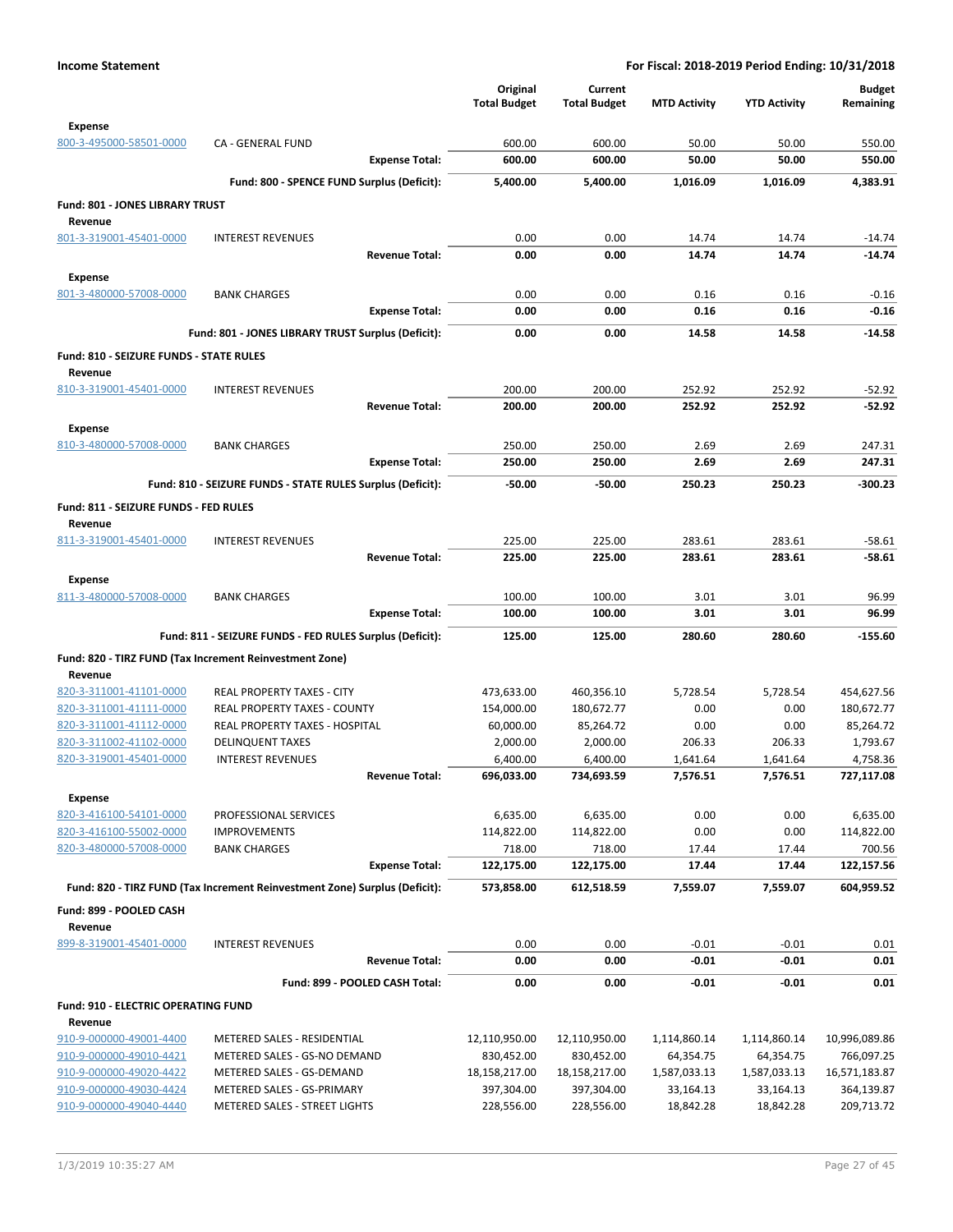|                                                    |                                                                            | Original                    | Current                     |                           |                           | <b>Budget</b>               |
|----------------------------------------------------|----------------------------------------------------------------------------|-----------------------------|-----------------------------|---------------------------|---------------------------|-----------------------------|
|                                                    |                                                                            | <b>Total Budget</b>         | <b>Total Budget</b>         | <b>MTD Activity</b>       | <b>YTD Activity</b>       | Remaining                   |
| <b>Expense</b>                                     |                                                                            |                             |                             |                           |                           |                             |
| 800-3-495000-58501-0000                            | CA - GENERAL FUND                                                          | 600.00                      | 600.00                      | 50.00                     | 50.00                     | 550.00                      |
|                                                    | <b>Expense Total:</b>                                                      | 600.00                      | 600.00                      | 50.00                     | 50.00                     | 550.00                      |
|                                                    | Fund: 800 - SPENCE FUND Surplus (Deficit):                                 | 5,400.00                    | 5,400.00                    | 1,016.09                  | 1,016.09                  | 4,383.91                    |
| Fund: 801 - JONES LIBRARY TRUST                    |                                                                            |                             |                             |                           |                           |                             |
| Revenue                                            |                                                                            |                             |                             |                           |                           |                             |
| 801-3-319001-45401-0000                            | <b>INTEREST REVENUES</b>                                                   | 0.00                        | 0.00                        | 14.74                     | 14.74                     | $-14.74$                    |
|                                                    | <b>Revenue Total:</b>                                                      | 0.00                        | 0.00                        | 14.74                     | 14.74                     | $-14.74$                    |
| <b>Expense</b>                                     |                                                                            |                             |                             |                           |                           |                             |
| 801-3-480000-57008-0000                            | <b>BANK CHARGES</b>                                                        | 0.00                        | 0.00                        | 0.16                      | 0.16                      | $-0.16$                     |
|                                                    | <b>Expense Total:</b>                                                      | 0.00                        | 0.00                        | 0.16                      | 0.16                      | $-0.16$                     |
|                                                    | Fund: 801 - JONES LIBRARY TRUST Surplus (Deficit):                         | 0.00                        | 0.00                        | 14.58                     | 14.58                     | $-14.58$                    |
| Fund: 810 - SEIZURE FUNDS - STATE RULES            |                                                                            |                             |                             |                           |                           |                             |
| Revenue                                            |                                                                            |                             |                             |                           |                           |                             |
| 810-3-319001-45401-0000                            | <b>INTEREST REVENUES</b>                                                   | 200.00                      | 200.00                      | 252.92                    | 252.92                    | $-52.92$                    |
|                                                    | <b>Revenue Total:</b>                                                      | 200.00                      | 200.00                      | 252.92                    | 252.92                    | $-52.92$                    |
| Expense                                            |                                                                            |                             |                             |                           |                           |                             |
| 810-3-480000-57008-0000                            | <b>BANK CHARGES</b>                                                        | 250.00                      | 250.00                      | 2.69                      | 2.69                      | 247.31                      |
|                                                    | <b>Expense Total:</b>                                                      | 250.00                      | 250.00                      | 2.69                      | 2.69                      | 247.31                      |
|                                                    | Fund: 810 - SEIZURE FUNDS - STATE RULES Surplus (Deficit):                 | $-50.00$                    | $-50.00$                    | 250.23                    | 250.23                    | $-300.23$                   |
| Fund: 811 - SEIZURE FUNDS - FED RULES              |                                                                            |                             |                             |                           |                           |                             |
| Revenue                                            |                                                                            |                             |                             |                           |                           |                             |
| 811-3-319001-45401-0000                            | <b>INTEREST REVENUES</b>                                                   | 225.00                      | 225.00                      | 283.61                    | 283.61                    | $-58.61$                    |
|                                                    | <b>Revenue Total:</b>                                                      | 225.00                      | 225.00                      | 283.61                    | 283.61                    | $-58.61$                    |
| <b>Expense</b>                                     |                                                                            |                             |                             |                           |                           |                             |
| 811-3-480000-57008-0000                            | <b>BANK CHARGES</b>                                                        | 100.00                      | 100.00                      | 3.01                      | 3.01                      | 96.99                       |
|                                                    | <b>Expense Total:</b>                                                      | 100.00                      | 100.00                      | 3.01                      | 3.01                      | 96.99                       |
|                                                    | Fund: 811 - SEIZURE FUNDS - FED RULES Surplus (Deficit):                   | 125.00                      | 125.00                      | 280.60                    | 280.60                    | $-155.60$                   |
|                                                    | Fund: 820 - TIRZ FUND (Tax Increment Reinvestment Zone)                    |                             |                             |                           |                           |                             |
| Revenue                                            |                                                                            |                             |                             |                           |                           |                             |
| 820-3-311001-41101-0000                            | REAL PROPERTY TAXES - CITY                                                 | 473,633.00                  | 460,356.10                  | 5,728.54                  | 5,728.54                  | 454,627.56                  |
| 820-3-311001-41111-0000                            | REAL PROPERTY TAXES - COUNTY                                               | 154,000.00                  | 180,672.77                  | 0.00                      | 0.00                      | 180,672.77                  |
| 820-3-311001-41112-0000                            | REAL PROPERTY TAXES - HOSPITAL                                             | 60,000.00                   | 85,264.72                   | 0.00                      | 0.00                      | 85,264.72                   |
| 820-3-311002-41102-0000                            | <b>DELINQUENT TAXES</b>                                                    | 2,000.00                    | 2,000.00                    | 206.33                    | 206.33                    | 1,793.67                    |
| 820-3-319001-45401-0000                            | <b>INTEREST REVENUES</b>                                                   | 6,400.00                    | 6,400.00                    | 1,641.64                  | 1,641.64                  | 4,758.36                    |
|                                                    | <b>Revenue Total:</b>                                                      | 696,033.00                  | 734,693.59                  | 7,576.51                  | 7,576.51                  | 727,117.08                  |
| <b>Expense</b>                                     |                                                                            |                             |                             |                           |                           |                             |
| 820-3-416100-54101-0000                            | PROFESSIONAL SERVICES                                                      | 6,635.00                    | 6,635.00                    | 0.00                      | 0.00                      | 6,635.00                    |
| 820-3-416100-55002-0000                            | <b>IMPROVEMENTS</b>                                                        | 114,822.00                  | 114,822.00                  | 0.00                      | 0.00                      | 114,822.00                  |
| 820-3-480000-57008-0000                            | <b>BANK CHARGES</b><br><b>Expense Total:</b>                               | 718.00<br>122,175.00        | 718.00<br>122,175.00        | 17.44<br>17.44            | 17.44<br>17.44            | 700.56<br>122,157.56        |
|                                                    |                                                                            |                             |                             |                           |                           |                             |
|                                                    | Fund: 820 - TIRZ FUND (Tax Increment Reinvestment Zone) Surplus (Deficit): | 573,858.00                  | 612,518.59                  | 7,559.07                  | 7,559.07                  | 604,959.52                  |
| Fund: 899 - POOLED CASH                            |                                                                            |                             |                             |                           |                           |                             |
| Revenue                                            |                                                                            |                             |                             |                           |                           |                             |
| 899-8-319001-45401-0000                            | <b>INTEREST REVENUES</b>                                                   | 0.00                        | 0.00                        | $-0.01$                   | $-0.01$                   | 0.01                        |
|                                                    | <b>Revenue Total:</b>                                                      | 0.00                        | 0.00                        | $-0.01$                   | $-0.01$                   | 0.01                        |
|                                                    | Fund: 899 - POOLED CASH Total:                                             | 0.00                        | 0.00                        | $-0.01$                   | $-0.01$                   | 0.01                        |
| Fund: 910 - ELECTRIC OPERATING FUND                |                                                                            |                             |                             |                           |                           |                             |
| Revenue                                            |                                                                            |                             |                             |                           |                           |                             |
| 910-9-000000-49001-4400                            | METERED SALES - RESIDENTIAL                                                | 12,110,950.00               | 12,110,950.00               | 1,114,860.14              | 1,114,860.14              | 10,996,089.86               |
| 910-9-000000-49010-4421                            | METERED SALES - GS-NO DEMAND                                               | 830,452.00                  | 830,452.00                  | 64,354.75                 | 64,354.75                 | 766,097.25                  |
| 910-9-000000-49020-4422<br>910-9-000000-49030-4424 | METERED SALES - GS-DEMAND<br>METERED SALES - GS-PRIMARY                    | 18,158,217.00<br>397,304.00 | 18,158,217.00<br>397,304.00 | 1,587,033.13<br>33,164.13 | 1,587,033.13<br>33,164.13 | 16,571,183.87<br>364,139.87 |
| 910-9-000000-49040-4440                            | METERED SALES - STREET LIGHTS                                              | 228,556.00                  | 228,556.00                  | 18,842.28                 | 18,842.28                 | 209,713.72                  |
|                                                    |                                                                            |                             |                             |                           |                           |                             |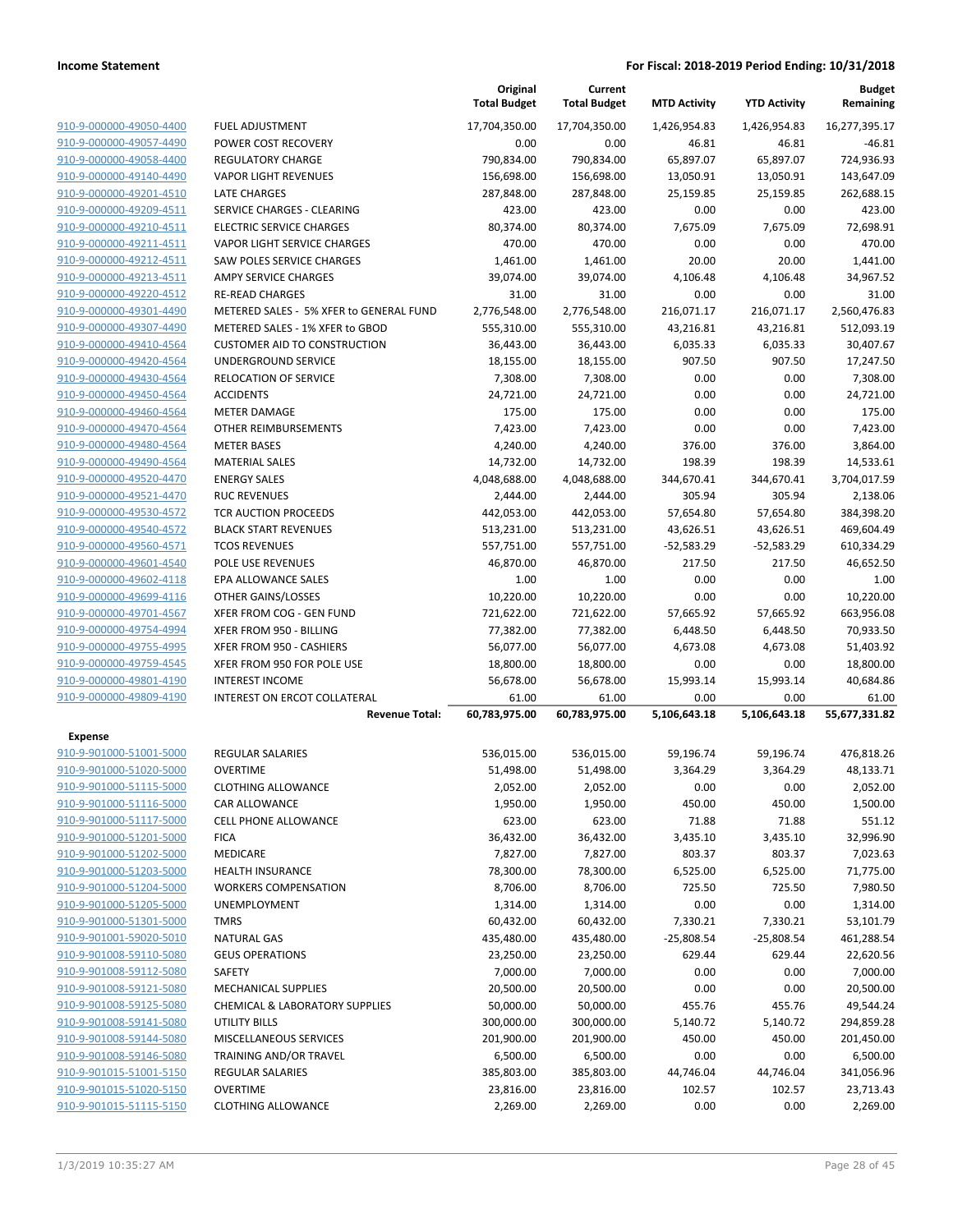|                         |                                         | Original<br><b>Total Budget</b> | Current<br><b>Total Budget</b> | <b>MTD Activity</b> | <b>YTD Activity</b> | <b>Budget</b><br>Remaining |
|-------------------------|-----------------------------------------|---------------------------------|--------------------------------|---------------------|---------------------|----------------------------|
| 910-9-000000-49050-4400 | <b>FUEL ADJUSTMENT</b>                  | 17,704,350.00                   | 17,704,350.00                  | 1,426,954.83        | 1,426,954.83        | 16,277,395.17              |
| 910-9-000000-49057-4490 | POWER COST RECOVERY                     | 0.00                            | 0.00                           | 46.81               | 46.81               | $-46.81$                   |
| 910-9-000000-49058-4400 | <b>REGULATORY CHARGE</b>                | 790,834.00                      | 790,834.00                     | 65,897.07           | 65,897.07           | 724,936.93                 |
| 910-9-000000-49140-4490 | <b>VAPOR LIGHT REVENUES</b>             | 156,698.00                      | 156,698.00                     | 13,050.91           | 13,050.91           | 143,647.09                 |
| 910-9-000000-49201-4510 | <b>LATE CHARGES</b>                     | 287,848.00                      | 287,848.00                     | 25,159.85           | 25,159.85           | 262,688.15                 |
| 910-9-000000-49209-4511 | SERVICE CHARGES - CLEARING              | 423.00                          | 423.00                         | 0.00                | 0.00                | 423.00                     |
| 910-9-000000-49210-4511 | <b>ELECTRIC SERVICE CHARGES</b>         | 80,374.00                       | 80,374.00                      | 7,675.09            | 7,675.09            | 72,698.91                  |
| 910-9-000000-49211-4511 | VAPOR LIGHT SERVICE CHARGES             | 470.00                          | 470.00                         | 0.00                | 0.00                | 470.00                     |
| 910-9-000000-49212-4511 | SAW POLES SERVICE CHARGES               | 1,461.00                        | 1,461.00                       | 20.00               | 20.00               | 1,441.00                   |
| 910-9-000000-49213-4511 | <b>AMPY SERVICE CHARGES</b>             | 39,074.00                       | 39,074.00                      | 4,106.48            | 4,106.48            | 34,967.52                  |
| 910-9-000000-49220-4512 | <b>RE-READ CHARGES</b>                  | 31.00                           | 31.00                          | 0.00                | 0.00                | 31.00                      |
| 910-9-000000-49301-4490 | METERED SALES - 5% XFER to GENERAL FUND | 2,776,548.00                    | 2,776,548.00                   | 216,071.17          | 216,071.17          | 2,560,476.83               |
| 910-9-000000-49307-4490 | METERED SALES - 1% XFER to GBOD         | 555,310.00                      | 555,310.00                     | 43,216.81           | 43,216.81           | 512,093.19                 |
| 910-9-000000-49410-4564 | <b>CUSTOMER AID TO CONSTRUCTION</b>     | 36,443.00                       | 36,443.00                      | 6,035.33            | 6,035.33            | 30,407.67                  |
| 910-9-000000-49420-4564 | UNDERGROUND SERVICE                     | 18,155.00                       | 18,155.00                      | 907.50              | 907.50              | 17,247.50                  |
| 910-9-000000-49430-4564 | RELOCATION OF SERVICE                   | 7,308.00                        | 7,308.00                       | 0.00                | 0.00                | 7,308.00                   |
| 910-9-000000-49450-4564 | <b>ACCIDENTS</b>                        | 24,721.00                       | 24,721.00                      | 0.00                | 0.00                | 24,721.00                  |
| 910-9-000000-49460-4564 | <b>METER DAMAGE</b>                     | 175.00                          | 175.00                         | 0.00                | 0.00                | 175.00                     |
| 910-9-000000-49470-4564 | OTHER REIMBURSEMENTS                    | 7,423.00                        | 7,423.00                       | 0.00                | 0.00                | 7,423.00                   |
| 910-9-000000-49480-4564 | <b>METER BASES</b>                      | 4,240.00                        | 4,240.00                       | 376.00              | 376.00              | 3,864.00                   |
| 910-9-000000-49490-4564 | <b>MATERIAL SALES</b>                   | 14,732.00                       | 14,732.00                      | 198.39              | 198.39              | 14,533.61                  |
| 910-9-000000-49520-4470 | <b>ENERGY SALES</b>                     | 4,048,688.00                    | 4,048,688.00                   | 344,670.41          | 344,670.41          | 3,704,017.59               |
| 910-9-000000-49521-4470 | <b>RUC REVENUES</b>                     | 2,444.00                        | 2,444.00                       | 305.94              | 305.94              | 2,138.06                   |
| 910-9-000000-49530-4572 | <b>TCR AUCTION PROCEEDS</b>             | 442,053.00                      | 442,053.00                     | 57,654.80           | 57,654.80           | 384,398.20                 |
| 910-9-000000-49540-4572 | <b>BLACK START REVENUES</b>             | 513,231.00                      | 513,231.00                     | 43,626.51           | 43,626.51           | 469,604.49                 |
| 910-9-000000-49560-4571 | <b>TCOS REVENUES</b>                    | 557,751.00                      | 557,751.00                     | $-52,583.29$        | $-52,583.29$        | 610,334.29                 |
| 910-9-000000-49601-4540 | POLE USE REVENUES                       | 46,870.00                       | 46,870.00                      | 217.50              | 217.50              | 46,652.50                  |
| 910-9-000000-49602-4118 | EPA ALLOWANCE SALES                     | 1.00                            | 1.00                           | 0.00                | 0.00                | 1.00                       |
| 910-9-000000-49699-4116 | OTHER GAINS/LOSSES                      | 10,220.00                       | 10,220.00                      | 0.00                | 0.00                | 10,220.00                  |
| 910-9-000000-49701-4567 | XFER FROM COG - GEN FUND                | 721,622.00                      | 721,622.00                     | 57,665.92           | 57,665.92           | 663,956.08                 |
| 910-9-000000-49754-4994 | XFER FROM 950 - BILLING                 | 77,382.00                       | 77,382.00                      | 6,448.50            | 6,448.50            | 70,933.50                  |
| 910-9-000000-49755-4995 | XFER FROM 950 - CASHIERS                | 56,077.00                       | 56,077.00                      | 4,673.08            | 4,673.08            | 51,403.92                  |
| 910-9-000000-49759-4545 | XFER FROM 950 FOR POLE USE              | 18,800.00                       | 18,800.00                      | 0.00                | 0.00                | 18,800.00                  |
| 910-9-000000-49801-4190 | <b>INTEREST INCOME</b>                  | 56,678.00                       | 56,678.00                      | 15,993.14           | 15,993.14           | 40,684.86                  |
| 910-9-000000-49809-4190 | <b>INTEREST ON ERCOT COLLATERAL</b>     | 61.00                           | 61.00                          | 0.00                | 0.00                | 61.00                      |
|                         | <b>Revenue Total:</b>                   | 60,783,975.00                   | 60,783,975.00                  | 5,106,643.18        | 5,106,643.18        | 55,677,331.82              |
| <b>Expense</b>          |                                         |                                 |                                |                     |                     |                            |
| 910-9-901000-51001-5000 | REGULAR SALARIES                        | 536,015.00                      | 536,015.00                     | 59,196.74           | 59,196.74           | 476,818.26                 |
| 910-9-901000-51020-5000 | <b>OVERTIME</b>                         | 51,498.00                       | 51,498.00                      | 3,364.29            | 3,364.29            | 48,133.71                  |
| 910-9-901000-51115-5000 | <b>CLOTHING ALLOWANCE</b>               | 2,052.00                        | 2,052.00                       | 0.00                | 0.00                | 2,052.00                   |
| 910-9-901000-51116-5000 | CAR ALLOWANCE                           | 1,950.00                        | 1,950.00                       | 450.00              | 450.00              | 1,500.00                   |
| 910-9-901000-51117-5000 | <b>CELL PHONE ALLOWANCE</b>             | 623.00                          | 623.00                         | 71.88               | 71.88               | 551.12                     |
| 910-9-901000-51201-5000 | <b>FICA</b>                             | 36,432.00                       | 36,432.00                      | 3,435.10            | 3,435.10            | 32,996.90                  |
| 910-9-901000-51202-5000 | MEDICARE                                | 7,827.00                        | 7,827.00                       | 803.37              | 803.37              | 7,023.63                   |
| 910-9-901000-51203-5000 | <b>HEALTH INSURANCE</b>                 | 78,300.00                       | 78,300.00                      | 6,525.00            | 6,525.00            | 71,775.00                  |
| 910-9-901000-51204-5000 | <b>WORKERS COMPENSATION</b>             | 8,706.00                        | 8,706.00                       | 725.50              | 725.50              | 7,980.50                   |
| 910-9-901000-51205-5000 | <b>UNEMPLOYMENT</b>                     | 1,314.00                        | 1,314.00                       | 0.00                | 0.00                | 1,314.00                   |
| 910-9-901000-51301-5000 | <b>TMRS</b>                             | 60,432.00                       | 60,432.00                      | 7,330.21            | 7,330.21            | 53,101.79                  |
| 910-9-901001-59020-5010 | <b>NATURAL GAS</b>                      | 435,480.00                      | 435,480.00                     | $-25,808.54$        | $-25,808.54$        | 461,288.54                 |
| 910-9-901008-59110-5080 | <b>GEUS OPERATIONS</b>                  | 23,250.00                       | 23,250.00                      | 629.44              | 629.44              | 22,620.56                  |
| 910-9-901008-59112-5080 | SAFETY                                  | 7,000.00                        | 7,000.00                       | 0.00                | 0.00                | 7,000.00                   |
| 910-9-901008-59121-5080 | <b>MECHANICAL SUPPLIES</b>              | 20,500.00                       | 20,500.00                      | 0.00                | 0.00                | 20,500.00                  |
| 910-9-901008-59125-5080 | CHEMICAL & LABORATORY SUPPLIES          | 50,000.00                       | 50,000.00                      | 455.76              | 455.76              | 49,544.24                  |
| 910-9-901008-59141-5080 | UTILITY BILLS                           | 300,000.00                      | 300,000.00                     | 5,140.72            | 5,140.72            | 294,859.28                 |
| 910-9-901008-59144-5080 | MISCELLANEOUS SERVICES                  | 201,900.00                      | 201,900.00                     | 450.00              | 450.00              | 201,450.00                 |
| 910-9-901008-59146-5080 | TRAINING AND/OR TRAVEL                  | 6,500.00                        | 6,500.00                       | 0.00                | 0.00                | 6,500.00                   |
| 910-9-901015-51001-5150 | REGULAR SALARIES                        | 385,803.00                      | 385,803.00                     | 44,746.04           | 44,746.04           | 341,056.96                 |
| 910-9-901015-51020-5150 | <b>OVERTIME</b>                         | 23,816.00                       | 23,816.00                      | 102.57              | 102.57              | 23,713.43                  |
| 910-9-901015-51115-5150 | <b>CLOTHING ALLOWANCE</b>               | 2,269.00                        | 2,269.00                       | 0.00                | 0.00                | 2,269.00                   |
|                         |                                         |                                 |                                |                     |                     |                            |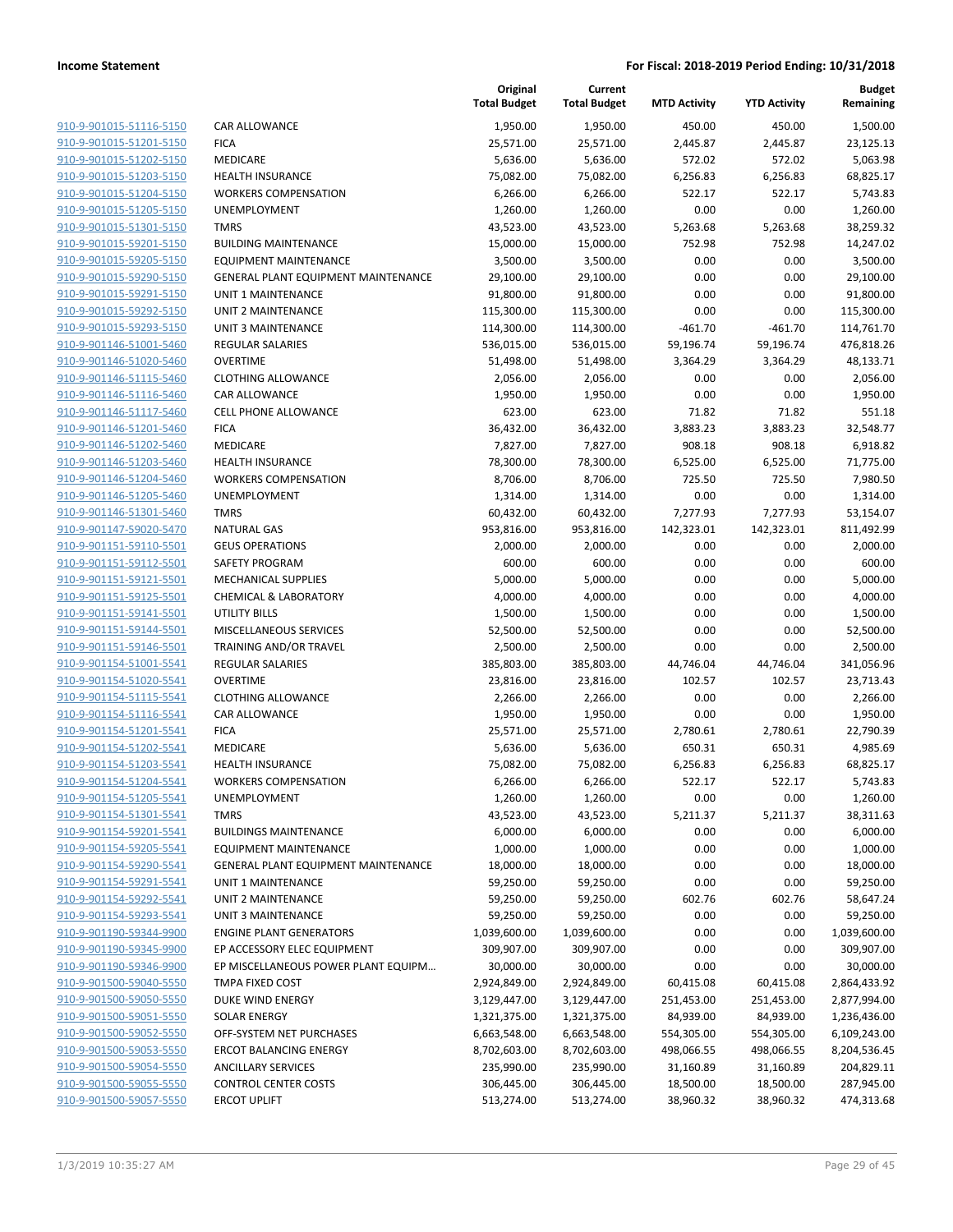|                         |                                            | Original<br><b>Total Budget</b> | Current<br><b>Total Budget</b> | <b>MTD Activity</b> | <b>YTD Activity</b> | <b>Budget</b><br>Remaining |
|-------------------------|--------------------------------------------|---------------------------------|--------------------------------|---------------------|---------------------|----------------------------|
| 910-9-901015-51116-5150 | CAR ALLOWANCE                              | 1,950.00                        | 1,950.00                       | 450.00              | 450.00              | 1,500.00                   |
| 910-9-901015-51201-5150 | <b>FICA</b>                                | 25,571.00                       | 25,571.00                      | 2,445.87            | 2,445.87            | 23,125.13                  |
| 910-9-901015-51202-5150 | MEDICARE                                   | 5,636.00                        | 5,636.00                       | 572.02              | 572.02              | 5,063.98                   |
| 910-9-901015-51203-5150 | <b>HEALTH INSURANCE</b>                    | 75,082.00                       | 75,082.00                      | 6,256.83            | 6,256.83            | 68,825.17                  |
| 910-9-901015-51204-5150 | <b>WORKERS COMPENSATION</b>                | 6,266.00                        | 6,266.00                       | 522.17              | 522.17              | 5,743.83                   |
| 910-9-901015-51205-5150 | UNEMPLOYMENT                               | 1,260.00                        | 1,260.00                       | 0.00                | 0.00                | 1,260.00                   |
| 910-9-901015-51301-5150 | <b>TMRS</b>                                | 43,523.00                       | 43,523.00                      | 5,263.68            | 5,263.68            | 38,259.32                  |
| 910-9-901015-59201-5150 | <b>BUILDING MAINTENANCE</b>                | 15,000.00                       | 15,000.00                      | 752.98              | 752.98              | 14,247.02                  |
| 910-9-901015-59205-5150 | <b>EQUIPMENT MAINTENANCE</b>               | 3,500.00                        | 3,500.00                       | 0.00                | 0.00                | 3,500.00                   |
| 910-9-901015-59290-5150 | GENERAL PLANT EQUIPMENT MAINTENANCE        | 29,100.00                       | 29,100.00                      | 0.00                | 0.00                | 29,100.00                  |
| 910-9-901015-59291-5150 | <b>UNIT 1 MAINTENANCE</b>                  | 91,800.00                       | 91,800.00                      | 0.00                | 0.00                | 91,800.00                  |
| 910-9-901015-59292-5150 | <b>UNIT 2 MAINTENANCE</b>                  | 115,300.00                      | 115,300.00                     | 0.00                | 0.00                | 115,300.00                 |
| 910-9-901015-59293-5150 | <b>UNIT 3 MAINTENANCE</b>                  | 114,300.00                      | 114,300.00                     | $-461.70$           | $-461.70$           | 114,761.70                 |
| 910-9-901146-51001-5460 | <b>REGULAR SALARIES</b>                    | 536,015.00                      | 536,015.00                     | 59,196.74           | 59,196.74           | 476,818.26                 |
| 910-9-901146-51020-5460 | <b>OVERTIME</b>                            | 51,498.00                       | 51,498.00                      | 3,364.29            | 3,364.29            | 48,133.71                  |
| 910-9-901146-51115-5460 | <b>CLOTHING ALLOWANCE</b>                  | 2,056.00                        | 2,056.00                       | 0.00                | 0.00                | 2,056.00                   |
| 910-9-901146-51116-5460 | CAR ALLOWANCE                              | 1,950.00                        | 1,950.00                       | 0.00                | 0.00                | 1,950.00                   |
| 910-9-901146-51117-5460 | <b>CELL PHONE ALLOWANCE</b>                | 623.00                          | 623.00                         | 71.82               | 71.82               | 551.18                     |
| 910-9-901146-51201-5460 | <b>FICA</b>                                | 36,432.00                       | 36,432.00                      | 3,883.23            | 3,883.23            | 32,548.77                  |
| 910-9-901146-51202-5460 | MEDICARE                                   | 7,827.00                        | 7,827.00                       | 908.18              | 908.18              | 6,918.82                   |
| 910-9-901146-51203-5460 | <b>HEALTH INSURANCE</b>                    | 78,300.00                       | 78,300.00                      | 6,525.00            | 6,525.00            | 71,775.00                  |
| 910-9-901146-51204-5460 | <b>WORKERS COMPENSATION</b>                | 8,706.00                        | 8,706.00                       | 725.50              | 725.50              | 7,980.50                   |
| 910-9-901146-51205-5460 | UNEMPLOYMENT                               | 1,314.00                        | 1,314.00                       | 0.00                | 0.00                | 1,314.00                   |
| 910-9-901146-51301-5460 | <b>TMRS</b>                                | 60,432.00                       | 60,432.00                      | 7,277.93            | 7,277.93            | 53,154.07                  |
| 910-9-901147-59020-5470 | <b>NATURAL GAS</b>                         | 953,816.00                      | 953,816.00                     | 142,323.01          | 142,323.01          | 811,492.99                 |
| 910-9-901151-59110-5501 | <b>GEUS OPERATIONS</b>                     | 2,000.00                        | 2,000.00                       | 0.00                | 0.00                | 2,000.00                   |
| 910-9-901151-59112-5501 | SAFETY PROGRAM                             | 600.00                          | 600.00                         | 0.00                | 0.00                | 600.00                     |
| 910-9-901151-59121-5501 | <b>MECHANICAL SUPPLIES</b>                 | 5,000.00                        | 5,000.00                       | 0.00                | 0.00                | 5,000.00                   |
| 910-9-901151-59125-5501 | <b>CHEMICAL &amp; LABORATORY</b>           | 4,000.00                        | 4,000.00                       | 0.00                | 0.00                | 4,000.00                   |
| 910-9-901151-59141-5501 | UTILITY BILLS                              | 1,500.00                        | 1,500.00                       | 0.00                | 0.00                | 1,500.00                   |
| 910-9-901151-59144-5501 | MISCELLANEOUS SERVICES                     | 52,500.00                       | 52,500.00                      | 0.00                | 0.00                | 52,500.00                  |
| 910-9-901151-59146-5501 | TRAINING AND/OR TRAVEL                     | 2,500.00                        | 2,500.00                       | 0.00                | 0.00                | 2,500.00                   |
| 910-9-901154-51001-5541 | REGULAR SALARIES                           | 385,803.00                      | 385,803.00                     | 44,746.04           | 44,746.04           | 341,056.96                 |
| 910-9-901154-51020-5541 | <b>OVERTIME</b>                            | 23,816.00                       | 23,816.00                      | 102.57              | 102.57              | 23,713.43                  |
| 910-9-901154-51115-5541 | <b>CLOTHING ALLOWANCE</b>                  | 2,266.00                        | 2,266.00                       | 0.00                | 0.00                | 2,266.00                   |
| 910-9-901154-51116-5541 | CAR ALLOWANCE                              | 1,950.00                        | 1,950.00                       | 0.00                | 0.00                | 1,950.00                   |
| 910-9-901154-51201-5541 | <b>FICA</b>                                | 25,571.00                       | 25,571.00                      | 2,780.61            | 2,780.61            | 22,790.39                  |
| 910-9-901154-51202-5541 | MEDICARE                                   | 5,636.00                        | 5,636.00                       | 650.31              | 650.31              | 4,985.69                   |
| 910-9-901154-51203-5541 | <b>HEALTH INSURANCE</b>                    | 75,082.00                       | 75,082.00                      | 6,256.83            | 6,256.83            | 68,825.17                  |
| 910-9-901154-51204-5541 | <b>WORKERS COMPENSATION</b>                | 6,266.00                        | 6,266.00                       | 522.17              | 522.17              | 5,743.83                   |
| 910-9-901154-51205-5541 | UNEMPLOYMENT                               | 1,260.00                        | 1,260.00                       | 0.00                | 0.00                | 1,260.00                   |
| 910-9-901154-51301-5541 | <b>TMRS</b>                                | 43,523.00                       | 43,523.00                      | 5,211.37            | 5,211.37            | 38,311.63                  |
| 910-9-901154-59201-5541 | <b>BUILDINGS MAINTENANCE</b>               | 6,000.00                        | 6,000.00                       | 0.00                | 0.00                | 6,000.00                   |
| 910-9-901154-59205-5541 | <b>EQUIPMENT MAINTENANCE</b>               | 1,000.00                        | 1,000.00                       | 0.00                | 0.00                | 1,000.00                   |
| 910-9-901154-59290-5541 | <b>GENERAL PLANT EQUIPMENT MAINTENANCE</b> | 18,000.00                       | 18,000.00                      | 0.00                | 0.00                | 18,000.00                  |
| 910-9-901154-59291-5541 | UNIT 1 MAINTENANCE                         | 59,250.00                       | 59,250.00                      | 0.00                | 0.00                | 59,250.00                  |
| 910-9-901154-59292-5541 | UNIT 2 MAINTENANCE                         | 59,250.00                       | 59,250.00                      | 602.76              | 602.76              | 58,647.24                  |
| 910-9-901154-59293-5541 | <b>UNIT 3 MAINTENANCE</b>                  | 59,250.00                       | 59,250.00                      | 0.00                | 0.00                | 59,250.00                  |
| 910-9-901190-59344-9900 | <b>ENGINE PLANT GENERATORS</b>             | 1,039,600.00                    | 1,039,600.00                   | 0.00                | 0.00                | 1,039,600.00               |
| 910-9-901190-59345-9900 | EP ACCESSORY ELEC EQUIPMENT                | 309,907.00                      | 309,907.00                     | 0.00                | 0.00                | 309,907.00                 |
| 910-9-901190-59346-9900 | EP MISCELLANEOUS POWER PLANT EQUIPM        | 30,000.00                       | 30,000.00                      | 0.00                | 0.00                | 30,000.00                  |
| 910-9-901500-59040-5550 | TMPA FIXED COST                            | 2,924,849.00                    | 2,924,849.00                   | 60,415.08           | 60,415.08           | 2,864,433.92               |
| 910-9-901500-59050-5550 | DUKE WIND ENERGY                           | 3,129,447.00                    | 3,129,447.00                   | 251,453.00          | 251,453.00          | 2,877,994.00               |
| 910-9-901500-59051-5550 | <b>SOLAR ENERGY</b>                        | 1,321,375.00                    | 1,321,375.00                   | 84,939.00           | 84,939.00           | 1,236,436.00               |
| 910-9-901500-59052-5550 | OFF-SYSTEM NET PURCHASES                   | 6,663,548.00                    | 6,663,548.00                   | 554,305.00          | 554,305.00          | 6,109,243.00               |
| 910-9-901500-59053-5550 | <b>ERCOT BALANCING ENERGY</b>              | 8,702,603.00                    | 8,702,603.00                   | 498,066.55          | 498,066.55          | 8,204,536.45               |
| 910-9-901500-59054-5550 | <b>ANCILLARY SERVICES</b>                  | 235,990.00                      | 235,990.00                     | 31,160.89           | 31,160.89           | 204,829.11                 |
| 910-9-901500-59055-5550 | <b>CONTROL CENTER COSTS</b>                | 306,445.00                      | 306,445.00                     | 18,500.00           | 18,500.00           | 287,945.00                 |
| 910-9-901500-59057-5550 | <b>ERCOT UPLIFT</b>                        | 513,274.00                      | 513,274.00                     | 38,960.32           | 38,960.32           | 474,313.68                 |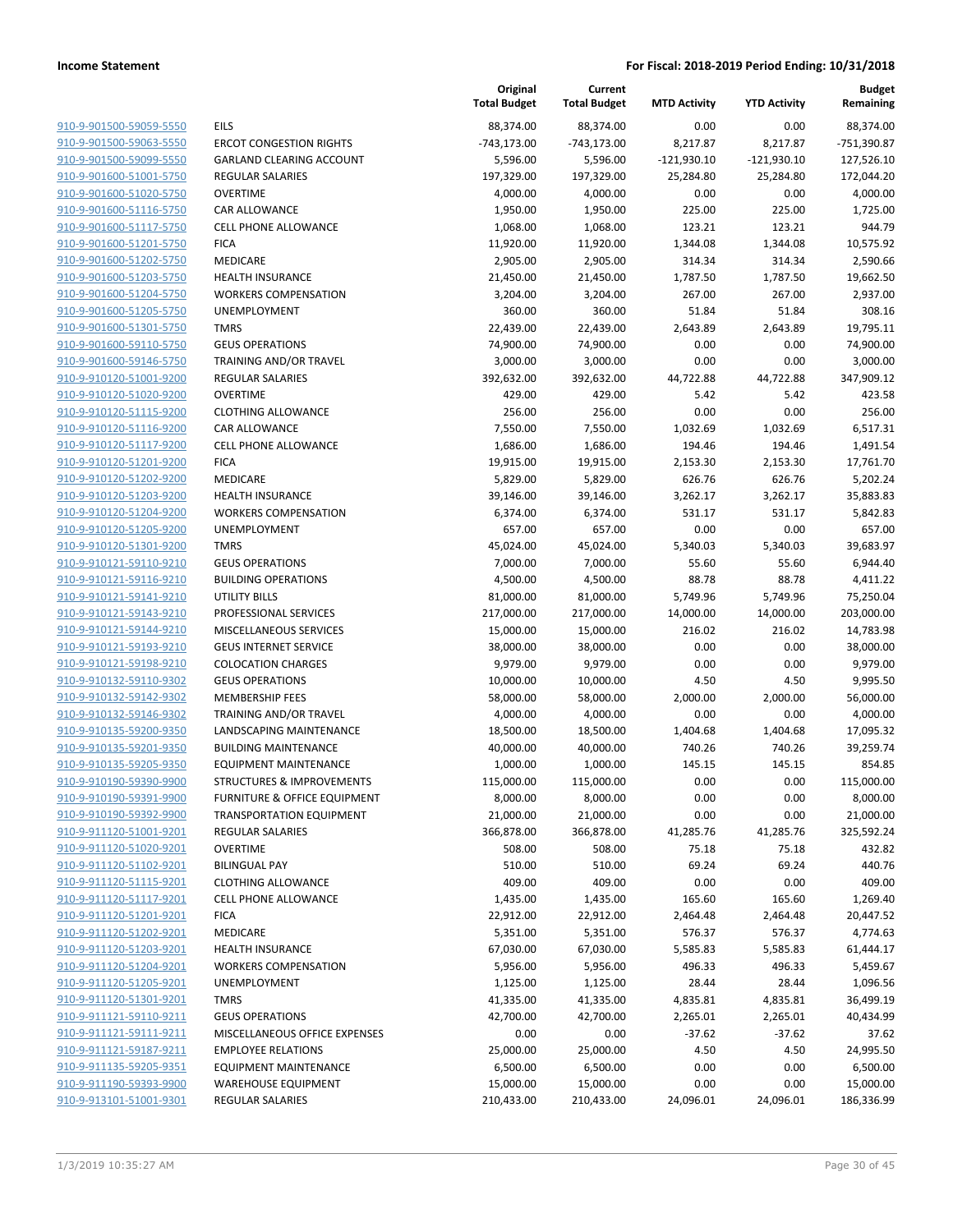|                                                    |                                                     | Original<br><b>Total Budget</b> | Current<br><b>Total Budget</b> | <b>MTD Activity</b> | <b>YTD Activity</b> | <b>Budget</b><br>Remaining |
|----------------------------------------------------|-----------------------------------------------------|---------------------------------|--------------------------------|---------------------|---------------------|----------------------------|
| 910-9-901500-59059-5550                            | <b>EILS</b>                                         | 88,374.00                       | 88,374.00                      | 0.00                | 0.00                | 88,374.00                  |
| 910-9-901500-59063-5550                            | <b>ERCOT CONGESTION RIGHTS</b>                      | $-743,173.00$                   | $-743,173.00$                  | 8,217.87            | 8,217.87            | -751,390.87                |
| 910-9-901500-59099-5550                            | <b>GARLAND CLEARING ACCOUNT</b>                     | 5,596.00                        | 5,596.00                       | $-121,930.10$       | $-121,930.10$       | 127,526.10                 |
| 910-9-901600-51001-5750                            | <b>REGULAR SALARIES</b>                             | 197,329.00                      | 197,329.00                     | 25,284.80           | 25,284.80           | 172,044.20                 |
| 910-9-901600-51020-5750                            | <b>OVERTIME</b>                                     | 4,000.00                        | 4,000.00                       | 0.00                | 0.00                | 4,000.00                   |
| 910-9-901600-51116-5750                            | <b>CAR ALLOWANCE</b>                                | 1,950.00                        | 1,950.00                       | 225.00              | 225.00              | 1,725.00                   |
| 910-9-901600-51117-5750                            | CELL PHONE ALLOWANCE                                | 1,068.00                        | 1,068.00                       | 123.21              | 123.21              | 944.79                     |
| 910-9-901600-51201-5750                            | <b>FICA</b>                                         | 11,920.00                       | 11,920.00                      | 1,344.08            | 1,344.08            | 10,575.92                  |
| 910-9-901600-51202-5750                            | MEDICARE                                            | 2,905.00                        | 2,905.00                       | 314.34              | 314.34              | 2,590.66                   |
| 910-9-901600-51203-5750                            | <b>HEALTH INSURANCE</b>                             | 21,450.00                       | 21,450.00                      | 1,787.50            | 1,787.50            | 19,662.50                  |
| 910-9-901600-51204-5750                            | <b>WORKERS COMPENSATION</b>                         | 3,204.00                        | 3,204.00                       | 267.00              | 267.00              | 2,937.00                   |
| 910-9-901600-51205-5750                            | UNEMPLOYMENT                                        | 360.00                          | 360.00                         | 51.84               | 51.84               | 308.16                     |
| 910-9-901600-51301-5750                            | <b>TMRS</b>                                         | 22,439.00                       | 22,439.00                      | 2,643.89            | 2,643.89            | 19,795.11                  |
| 910-9-901600-59110-5750                            | <b>GEUS OPERATIONS</b>                              | 74,900.00                       | 74,900.00                      | 0.00                | 0.00                | 74,900.00                  |
| 910-9-901600-59146-5750                            | TRAINING AND/OR TRAVEL                              | 3,000.00                        | 3,000.00                       | 0.00                | 0.00                | 3,000.00                   |
| 910-9-910120-51001-9200                            | <b>REGULAR SALARIES</b>                             | 392,632.00                      | 392,632.00                     | 44,722.88           | 44,722.88           | 347,909.12                 |
| 910-9-910120-51020-9200                            | <b>OVERTIME</b>                                     | 429.00                          | 429.00                         | 5.42                | 5.42                | 423.58                     |
| 910-9-910120-51115-9200                            | <b>CLOTHING ALLOWANCE</b>                           | 256.00                          | 256.00                         | 0.00                | 0.00                | 256.00                     |
| 910-9-910120-51116-9200                            | <b>CAR ALLOWANCE</b>                                | 7,550.00                        | 7,550.00                       | 1,032.69            | 1,032.69            | 6,517.31                   |
| 910-9-910120-51117-9200                            | <b>CELL PHONE ALLOWANCE</b>                         | 1,686.00                        | 1,686.00                       | 194.46              | 194.46              | 1,491.54                   |
| 910-9-910120-51201-9200                            | <b>FICA</b>                                         | 19,915.00                       | 19,915.00                      | 2,153.30            | 2,153.30            | 17,761.70                  |
| 910-9-910120-51202-9200                            | MEDICARE                                            | 5,829.00                        | 5,829.00                       | 626.76              | 626.76              | 5,202.24                   |
| 910-9-910120-51203-9200                            | <b>HEALTH INSURANCE</b>                             | 39,146.00                       | 39,146.00                      | 3,262.17            | 3,262.17            | 35,883.83                  |
| 910-9-910120-51204-9200                            | <b>WORKERS COMPENSATION</b>                         | 6,374.00                        | 6,374.00                       | 531.17              | 531.17              | 5,842.83                   |
| 910-9-910120-51205-9200                            | UNEMPLOYMENT                                        | 657.00                          | 657.00                         | 0.00                | 0.00                | 657.00                     |
| 910-9-910120-51301-9200                            | <b>TMRS</b>                                         | 45,024.00                       | 45,024.00                      | 5,340.03            | 5,340.03            | 39,683.97                  |
| 910-9-910121-59110-9210                            | <b>GEUS OPERATIONS</b>                              | 7,000.00                        | 7,000.00                       | 55.60               | 55.60               | 6,944.40                   |
| 910-9-910121-59116-9210                            | <b>BUILDING OPERATIONS</b>                          | 4,500.00                        | 4,500.00                       | 88.78               | 88.78               | 4,411.22                   |
| 910-9-910121-59141-9210                            | <b>UTILITY BILLS</b>                                | 81,000.00                       | 81,000.00                      | 5,749.96            | 5,749.96            | 75,250.04                  |
| 910-9-910121-59143-9210                            | PROFESSIONAL SERVICES                               | 217,000.00                      | 217,000.00                     | 14,000.00           | 14,000.00           | 203,000.00                 |
| 910-9-910121-59144-9210                            | MISCELLANEOUS SERVICES                              | 15,000.00                       | 15,000.00                      | 216.02              | 216.02              | 14,783.98                  |
| 910-9-910121-59193-9210                            | <b>GEUS INTERNET SERVICE</b>                        | 38,000.00                       | 38,000.00                      | 0.00                | 0.00                | 38,000.00                  |
| 910-9-910121-59198-9210<br>910-9-910132-59110-9302 | <b>COLOCATION CHARGES</b><br><b>GEUS OPERATIONS</b> | 9,979.00                        | 9,979.00                       | 0.00                | 0.00                | 9,979.00                   |
| 910-9-910132-59142-9302                            | <b>MEMBERSHIP FEES</b>                              | 10,000.00<br>58,000.00          | 10,000.00                      | 4.50<br>2,000.00    | 4.50<br>2,000.00    | 9,995.50<br>56,000.00      |
| 910-9-910132-59146-9302                            |                                                     | 4,000.00                        | 58,000.00<br>4,000.00          | 0.00                | 0.00                | 4,000.00                   |
| 910-9-910135-59200-9350                            | TRAINING AND/OR TRAVEL<br>LANDSCAPING MAINTENANCE   | 18,500.00                       | 18,500.00                      | 1,404.68            | 1,404.68            | 17,095.32                  |
| 910-9-910135-59201-9350                            | <b>BUILDING MAINTENANCE</b>                         | 40,000.00                       | 40,000.00                      | 740.26              | 740.26              | 39,259.74                  |
| 910-9-910135-59205-9350                            | <b>EQUIPMENT MAINTENANCE</b>                        | 1,000.00                        | 1,000.00                       | 145.15              | 145.15              | 854.85                     |
| 910-9-910190-59390-9900                            | STRUCTURES & IMPROVEMENTS                           | 115,000.00                      | 115,000.00                     | 0.00                | 0.00                | 115,000.00                 |
| 910-9-910190-59391-9900                            | FURNITURE & OFFICE EQUIPMENT                        | 8,000.00                        | 8,000.00                       | 0.00                | 0.00                | 8,000.00                   |
| 910-9-910190-59392-9900                            | <b>TRANSPORTATION EQUIPMENT</b>                     | 21,000.00                       | 21,000.00                      | 0.00                | 0.00                | 21,000.00                  |
| 910-9-911120-51001-9201                            | <b>REGULAR SALARIES</b>                             | 366,878.00                      | 366,878.00                     | 41,285.76           | 41,285.76           | 325,592.24                 |
| 910-9-911120-51020-9201                            | <b>OVERTIME</b>                                     | 508.00                          | 508.00                         | 75.18               | 75.18               | 432.82                     |
| 910-9-911120-51102-9201                            | <b>BILINGUAL PAY</b>                                | 510.00                          | 510.00                         | 69.24               | 69.24               | 440.76                     |
| 910-9-911120-51115-9201                            | <b>CLOTHING ALLOWANCE</b>                           | 409.00                          | 409.00                         | 0.00                | 0.00                | 409.00                     |
| 910-9-911120-51117-9201                            | <b>CELL PHONE ALLOWANCE</b>                         | 1,435.00                        | 1,435.00                       | 165.60              | 165.60              | 1,269.40                   |
| 910-9-911120-51201-9201                            | <b>FICA</b>                                         | 22,912.00                       | 22,912.00                      | 2,464.48            | 2,464.48            | 20,447.52                  |
| 910-9-911120-51202-9201                            | MEDICARE                                            | 5,351.00                        | 5,351.00                       | 576.37              | 576.37              | 4,774.63                   |
| 910-9-911120-51203-9201                            | <b>HEALTH INSURANCE</b>                             | 67,030.00                       | 67,030.00                      | 5,585.83            | 5,585.83            | 61,444.17                  |
| 910-9-911120-51204-9201                            | <b>WORKERS COMPENSATION</b>                         | 5,956.00                        | 5,956.00                       | 496.33              | 496.33              | 5,459.67                   |
| 910-9-911120-51205-9201                            | UNEMPLOYMENT                                        | 1,125.00                        | 1,125.00                       | 28.44               | 28.44               | 1,096.56                   |
| 910-9-911120-51301-9201                            | <b>TMRS</b>                                         | 41,335.00                       | 41,335.00                      | 4,835.81            | 4,835.81            | 36,499.19                  |
| 910-9-911121-59110-9211                            | <b>GEUS OPERATIONS</b>                              | 42,700.00                       | 42,700.00                      | 2,265.01            | 2,265.01            | 40,434.99                  |
| 910-9-911121-59111-9211                            | MISCELLANEOUS OFFICE EXPENSES                       | 0.00                            | 0.00                           | $-37.62$            | $-37.62$            | 37.62                      |
| 910-9-911121-59187-9211                            | <b>EMPLOYEE RELATIONS</b>                           | 25,000.00                       | 25,000.00                      | 4.50                | 4.50                | 24,995.50                  |
| 910-9-911135-59205-9351                            | <b>EQUIPMENT MAINTENANCE</b>                        | 6,500.00                        | 6,500.00                       | 0.00                | 0.00                | 6,500.00                   |
| 910-9-911190-59393-9900                            | <b>WAREHOUSE EQUIPMENT</b>                          | 15,000.00                       | 15,000.00                      | 0.00                | 0.00                | 15,000.00                  |
| 910-9-913101-51001-9301                            | <b>REGULAR SALARIES</b>                             | 210,433.00                      | 210,433.00                     | 24,096.01           | 24,096.01           | 186,336.99                 |
|                                                    |                                                     |                                 |                                |                     |                     |                            |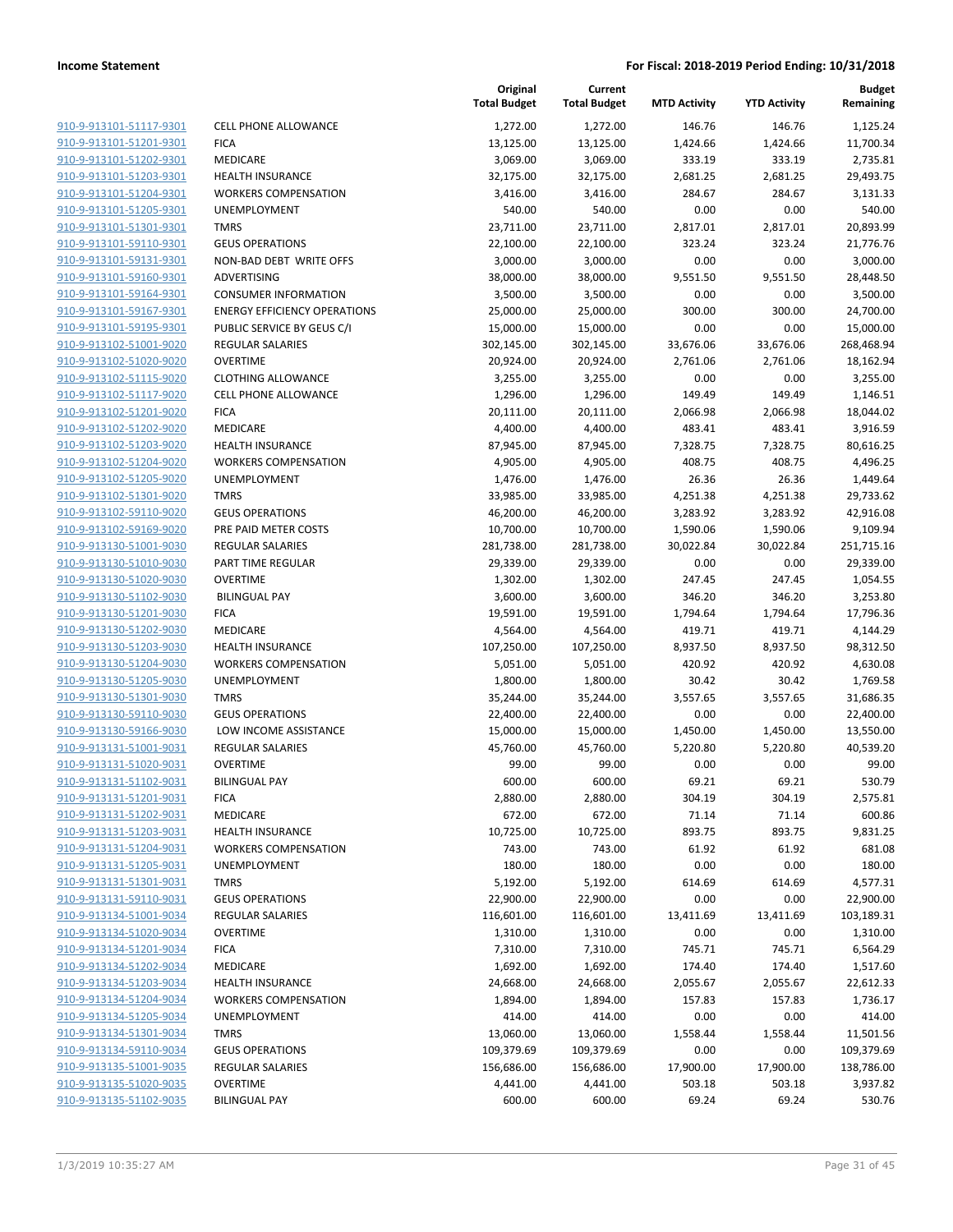| <b>CELL PHONE ALLOW</b>                       | 910-9-913101-51117-9301                            |
|-----------------------------------------------|----------------------------------------------------|
| <b>FICA</b>                                   | 910-9-913101-51201-9301                            |
| <b>MEDICARE</b>                               | 910-9-913101-51202-9301                            |
| <b>HEALTH INSURANCE</b>                       | 910-9-913101-51203-9301                            |
| <b>WORKERS COMPENS</b>                        | 910-9-913101-51204-9301                            |
| UNEMPLOYMENT                                  | 910-9-913101-51205-9301                            |
| TMRS                                          | 910-9-913101-51301-9301                            |
| <b>GEUS OPERATIONS</b>                        | 910-9-913101-59110-9301                            |
| NON-BAD DEBT WRI                              | 910-9-913101-59131-9301                            |
| ADVERTISING                                   | 910-9-913101-59160-9301                            |
| <b>CONSUMER INFORM</b>                        | 910-9-913101-59164-9301                            |
| <b>ENERGY EFFICIENCY</b>                      | 910-9-913101-59167-9301                            |
| <b>PUBLIC SERVICE BY G</b>                    | 910-9-913101-59195-9301                            |
| REGULAR SALARIES                              | 910-9-913102-51001-9020                            |
| OVERTIME                                      | 910-9-913102-51020-9020                            |
| <b>CLOTHING ALLOWAN</b>                       | 910-9-913102-51115-9020                            |
| <b>CELL PHONE ALLOW</b>                       | 910-9-913102-51117-9020                            |
| <b>FICA</b>                                   | 910-9-913102-51201-9020                            |
| MEDICARE                                      | 910-9-913102-51202-9020                            |
| <b>HEALTH INSURANCE</b>                       | 910-9-913102-51203-9020                            |
| <b>WORKERS COMPENS</b>                        | 910-9-913102-51204-9020                            |
| UNEMPLOYMENT                                  | 910-9-913102-51205-9020                            |
| TMRS                                          | 910-9-913102-51301-9020                            |
| <b>GEUS OPERATIONS</b>                        | 910-9-913102-59110-9020                            |
| PRE PAID METER CO:                            | 910-9-913102-59169-9020                            |
| <b>REGULAR SALARIES</b>                       | 910-9-913130-51001-9030                            |
| PART TIME REGULAR                             | 910-9-913130-51010-9030                            |
| <b>OVERTIME</b>                               | 910-9-913130-51020-9030                            |
| <b>BILINGUAL PAY</b>                          | 910-9-913130-51102-9030                            |
| <b>FICA</b>                                   | 910-9-913130-51201-9030                            |
| MEDICARE                                      | 910-9-913130-51202-9030                            |
| <b>HEALTH INSURANCE</b>                       | 910-9-913130-51203-9030                            |
| <b>WORKERS COMPENS</b>                        | 910-9-913130-51204-9030                            |
| UNEMPLOYMENT                                  | 910-9-913130-51205-9030                            |
| TMRS                                          | 910-9-913130-51301-9030                            |
| <b>GEUS OPERATIONS</b>                        | 910-9-913130-59110-9030                            |
| LOW INCOME ASSIS                              | 910-9-913130-59166-9030                            |
| <b>REGULAR SALARIES</b>                       | 910-9-913131-51001-9031                            |
| OVERTIME                                      | 910-9-913131-51020-9031                            |
| BILINGUAL PAY                                 | 910-9-913131-51102-9031                            |
| FICA                                          | 910-9-913131-51201-9031                            |
| MEDICARE                                      | 910-9-913131-51202-9031                            |
| <b>HEALTH INSURANCE</b>                       | 910-9-913131-51203-9031                            |
| <b>WORKERS COMPENS</b>                        | 910-9-913131-51204-9031<br>910-9-913131-51205-9031 |
| UNEMPLOYMENT                                  |                                                    |
| TMRS                                          | 910-9-913131-51301-9031                            |
| <b>GEUS OPERATIONS</b>                        | 910-9-913131-59110-9031                            |
| <b>REGULAR SALARIES</b><br><b>OVERTIME</b>    | 910-9-913134-51001-9034                            |
| <b>FICA</b>                                   | 910-9-913134-51020-9034                            |
| <b>MEDICARE</b>                               | 910-9-913134-51201-9034                            |
| <b>HEALTH INSURANCE</b>                       | 910-9-913134-51202-9034                            |
|                                               | 910-9-913134-51203-9034                            |
| <b>WORKERS COMPENS</b><br><b>UNEMPLOYMENT</b> | 910-9-913134-51204-9034                            |
| <b>TMRS</b>                                   | 910-9-913134-51205-9034                            |
| <b>GEUS OPERATIONS</b>                        | 910-9-913134-51301-9034                            |
| <b>REGULAR SALARIES</b>                       | 910-9-913134-59110-9034<br>910-9-913135-51001-9035 |
| OVERTIME                                      | 910-9-913135-51020-9035                            |
|                                               |                                                    |
| <b>BILINGUAL PAY</b>                          | 910-9-913135-51102-9035                            |
|                                               |                                                    |

|                                                    |                                      | Original<br><b>Total Budget</b> | Current<br><b>Total Budget</b> | <b>MTD Activity</b> | <b>YTD Activity</b> | <b>Budget</b><br>Remaining |
|----------------------------------------------------|--------------------------------------|---------------------------------|--------------------------------|---------------------|---------------------|----------------------------|
| 910-9-913101-51117-9301                            | <b>CELL PHONE ALLOWANCE</b>          | 1,272.00                        | 1,272.00                       | 146.76              | 146.76              | 1,125.24                   |
| 910-9-913101-51201-9301                            | <b>FICA</b>                          | 13,125.00                       | 13,125.00                      | 1,424.66            | 1,424.66            | 11,700.34                  |
| 910-9-913101-51202-9301                            | MEDICARE                             | 3,069.00                        | 3,069.00                       | 333.19              | 333.19              | 2,735.81                   |
| 910-9-913101-51203-9301                            | <b>HEALTH INSURANCE</b>              | 32,175.00                       | 32,175.00                      | 2,681.25            | 2,681.25            | 29,493.75                  |
| 910-9-913101-51204-9301                            | <b>WORKERS COMPENSATION</b>          | 3,416.00                        | 3,416.00                       | 284.67              | 284.67              | 3,131.33                   |
| 910-9-913101-51205-9301                            | UNEMPLOYMENT                         | 540.00                          | 540.00                         | 0.00                | 0.00                | 540.00                     |
| 910-9-913101-51301-9301                            | <b>TMRS</b>                          | 23,711.00                       | 23,711.00                      | 2,817.01            | 2,817.01            | 20,893.99                  |
| 910-9-913101-59110-9301                            | <b>GEUS OPERATIONS</b>               | 22,100.00                       | 22,100.00                      | 323.24              | 323.24              | 21,776.76                  |
| 910-9-913101-59131-9301                            | NON-BAD DEBT WRITE OFFS              | 3,000.00                        | 3,000.00                       | 0.00                | 0.00                | 3,000.00                   |
| 910-9-913101-59160-9301                            | <b>ADVERTISING</b>                   | 38,000.00                       | 38,000.00                      | 9,551.50            | 9,551.50            | 28,448.50                  |
| 910-9-913101-59164-9301                            | <b>CONSUMER INFORMATION</b>          | 3,500.00                        | 3,500.00                       | 0.00                | 0.00                | 3,500.00                   |
| 910-9-913101-59167-9301                            | <b>ENERGY EFFICIENCY OPERATIONS</b>  | 25,000.00                       | 25,000.00                      | 300.00              | 300.00              | 24,700.00                  |
| 910-9-913101-59195-9301                            | PUBLIC SERVICE BY GEUS C/I           | 15,000.00                       | 15,000.00                      | 0.00                | 0.00                | 15,000.00                  |
| 910-9-913102-51001-9020                            | <b>REGULAR SALARIES</b>              | 302,145.00                      | 302,145.00                     | 33,676.06           | 33,676.06           | 268,468.94                 |
| 910-9-913102-51020-9020                            | <b>OVERTIME</b>                      | 20,924.00                       | 20,924.00                      | 2,761.06            | 2,761.06            | 18,162.94                  |
| 910-9-913102-51115-9020                            | <b>CLOTHING ALLOWANCE</b>            | 3,255.00                        | 3,255.00                       | 0.00                | 0.00                | 3,255.00                   |
| 910-9-913102-51117-9020                            | CELL PHONE ALLOWANCE                 | 1,296.00                        | 1,296.00                       | 149.49              | 149.49              | 1,146.51                   |
| 910-9-913102-51201-9020                            | <b>FICA</b>                          | 20,111.00                       | 20,111.00                      | 2,066.98            | 2,066.98            | 18,044.02                  |
| 910-9-913102-51202-9020                            | MEDICARE                             | 4,400.00                        | 4,400.00                       | 483.41              | 483.41              | 3,916.59                   |
| 910-9-913102-51203-9020                            | <b>HEALTH INSURANCE</b>              | 87,945.00                       | 87,945.00                      | 7,328.75            | 7,328.75            | 80,616.25                  |
| 910-9-913102-51204-9020                            | <b>WORKERS COMPENSATION</b>          | 4,905.00                        | 4,905.00                       | 408.75              | 408.75              | 4,496.25                   |
| 910-9-913102-51205-9020                            | UNEMPLOYMENT                         | 1,476.00                        | 1,476.00                       | 26.36               | 26.36               | 1,449.64                   |
| 910-9-913102-51301-9020                            | <b>TMRS</b>                          | 33,985.00                       | 33,985.00                      | 4,251.38            | 4,251.38            | 29,733.62                  |
| 910-9-913102-59110-9020                            | <b>GEUS OPERATIONS</b>               | 46,200.00                       | 46,200.00                      | 3,283.92            | 3,283.92            | 42,916.08                  |
| 910-9-913102-59169-9020                            | PRE PAID METER COSTS                 | 10,700.00                       | 10,700.00                      | 1,590.06            | 1,590.06            | 9,109.94                   |
| 910-9-913130-51001-9030                            | <b>REGULAR SALARIES</b>              | 281,738.00                      | 281,738.00                     | 30,022.84           | 30,022.84           | 251,715.16                 |
| 910-9-913130-51010-9030<br>910-9-913130-51020-9030 | PART TIME REGULAR<br><b>OVERTIME</b> | 29,339.00                       | 29,339.00                      | 0.00                | 0.00                | 29,339.00                  |
| 910-9-913130-51102-9030                            | <b>BILINGUAL PAY</b>                 | 1,302.00<br>3,600.00            | 1,302.00<br>3,600.00           | 247.45<br>346.20    | 247.45<br>346.20    | 1,054.55<br>3,253.80       |
| 910-9-913130-51201-9030                            | <b>FICA</b>                          | 19,591.00                       | 19,591.00                      | 1,794.64            | 1,794.64            | 17,796.36                  |
| 910-9-913130-51202-9030                            | MEDICARE                             | 4,564.00                        | 4,564.00                       | 419.71              | 419.71              | 4,144.29                   |
| 910-9-913130-51203-9030                            | <b>HEALTH INSURANCE</b>              | 107,250.00                      | 107,250.00                     | 8,937.50            | 8,937.50            | 98,312.50                  |
| 910-9-913130-51204-9030                            | <b>WORKERS COMPENSATION</b>          | 5,051.00                        | 5,051.00                       | 420.92              | 420.92              | 4,630.08                   |
| 910-9-913130-51205-9030                            | UNEMPLOYMENT                         | 1,800.00                        | 1,800.00                       | 30.42               | 30.42               | 1,769.58                   |
| 910-9-913130-51301-9030                            | <b>TMRS</b>                          | 35,244.00                       | 35,244.00                      | 3,557.65            | 3,557.65            | 31,686.35                  |
| 910-9-913130-59110-9030                            | <b>GEUS OPERATIONS</b>               | 22,400.00                       | 22,400.00                      | 0.00                | 0.00                | 22,400.00                  |
| 910-9-913130-59166-9030                            | LOW INCOME ASSISTANCE                | 15,000.00                       | 15,000.00                      | 1,450.00            | 1,450.00            | 13,550.00                  |
| 910-9-913131-51001-9031                            | REGULAR SALARIES                     | 45,760.00                       | 45,760.00                      | 5,220.80            | 5,220.80            | 40,539.20                  |
| 910-9-913131-51020-9031                            | <b>OVERTIME</b>                      | 99.00                           | 99.00                          | 0.00                | 0.00                | 99.00                      |
| 910-9-913131-51102-9031                            | <b>BILINGUAL PAY</b>                 | 600.00                          | 600.00                         | 69.21               | 69.21               | 530.79                     |
| 910-9-913131-51201-9031                            | <b>FICA</b>                          | 2,880.00                        | 2,880.00                       | 304.19              | 304.19              | 2,575.81                   |
| 910-9-913131-51202-9031                            | MEDICARE                             | 672.00                          | 672.00                         | 71.14               | 71.14               | 600.86                     |
| 910-9-913131-51203-9031                            | <b>HEALTH INSURANCE</b>              | 10,725.00                       | 10,725.00                      | 893.75              | 893.75              | 9,831.25                   |
| 910-9-913131-51204-9031                            | <b>WORKERS COMPENSATION</b>          | 743.00                          | 743.00                         | 61.92               | 61.92               | 681.08                     |
| 910-9-913131-51205-9031                            | <b>UNEMPLOYMENT</b>                  | 180.00                          | 180.00                         | 0.00                | 0.00                | 180.00                     |
| 910-9-913131-51301-9031                            | <b>TMRS</b>                          | 5,192.00                        | 5,192.00                       | 614.69              | 614.69              | 4,577.31                   |
| 910-9-913131-59110-9031                            | <b>GEUS OPERATIONS</b>               | 22,900.00                       | 22,900.00                      | 0.00                | 0.00                | 22,900.00                  |
| 910-9-913134-51001-9034                            | REGULAR SALARIES                     | 116,601.00                      | 116,601.00                     | 13,411.69           | 13,411.69           | 103,189.31                 |
| 910-9-913134-51020-9034                            | <b>OVERTIME</b>                      | 1,310.00                        | 1,310.00                       | 0.00                | 0.00                | 1,310.00                   |
| 910-9-913134-51201-9034                            | <b>FICA</b>                          | 7,310.00                        | 7,310.00                       | 745.71              | 745.71              | 6,564.29                   |
| 910-9-913134-51202-9034                            | MEDICARE                             | 1,692.00                        | 1,692.00                       | 174.40              | 174.40              | 1,517.60                   |
| 910-9-913134-51203-9034                            | <b>HEALTH INSURANCE</b>              | 24,668.00                       | 24,668.00                      | 2,055.67            | 2,055.67            | 22,612.33                  |
| 910-9-913134-51204-9034                            | <b>WORKERS COMPENSATION</b>          | 1,894.00                        | 1,894.00                       | 157.83              | 157.83              | 1,736.17                   |
| 910-9-913134-51205-9034                            | UNEMPLOYMENT                         | 414.00                          | 414.00                         | 0.00                | 0.00                | 414.00                     |
| 910-9-913134-51301-9034                            | <b>TMRS</b>                          | 13,060.00                       | 13,060.00                      | 1,558.44            | 1,558.44            | 11,501.56                  |
| 910-9-913134-59110-9034                            | <b>GEUS OPERATIONS</b>               | 109,379.69                      | 109,379.69                     | 0.00                | 0.00                | 109,379.69                 |
| 910-9-913135-51001-9035                            | REGULAR SALARIES                     | 156,686.00                      | 156,686.00                     | 17,900.00           | 17,900.00           | 138,786.00                 |
| 910-9-913135-51020-9035                            | <b>OVERTIME</b>                      | 4,441.00                        | 4,441.00                       | 503.18              | 503.18              | 3,937.82                   |
| 910-9-913135-51102-9035                            | <b>BILINGUAL PAY</b>                 | 600.00                          | 600.00                         | 69.24               | 69.24               | 530.76                     |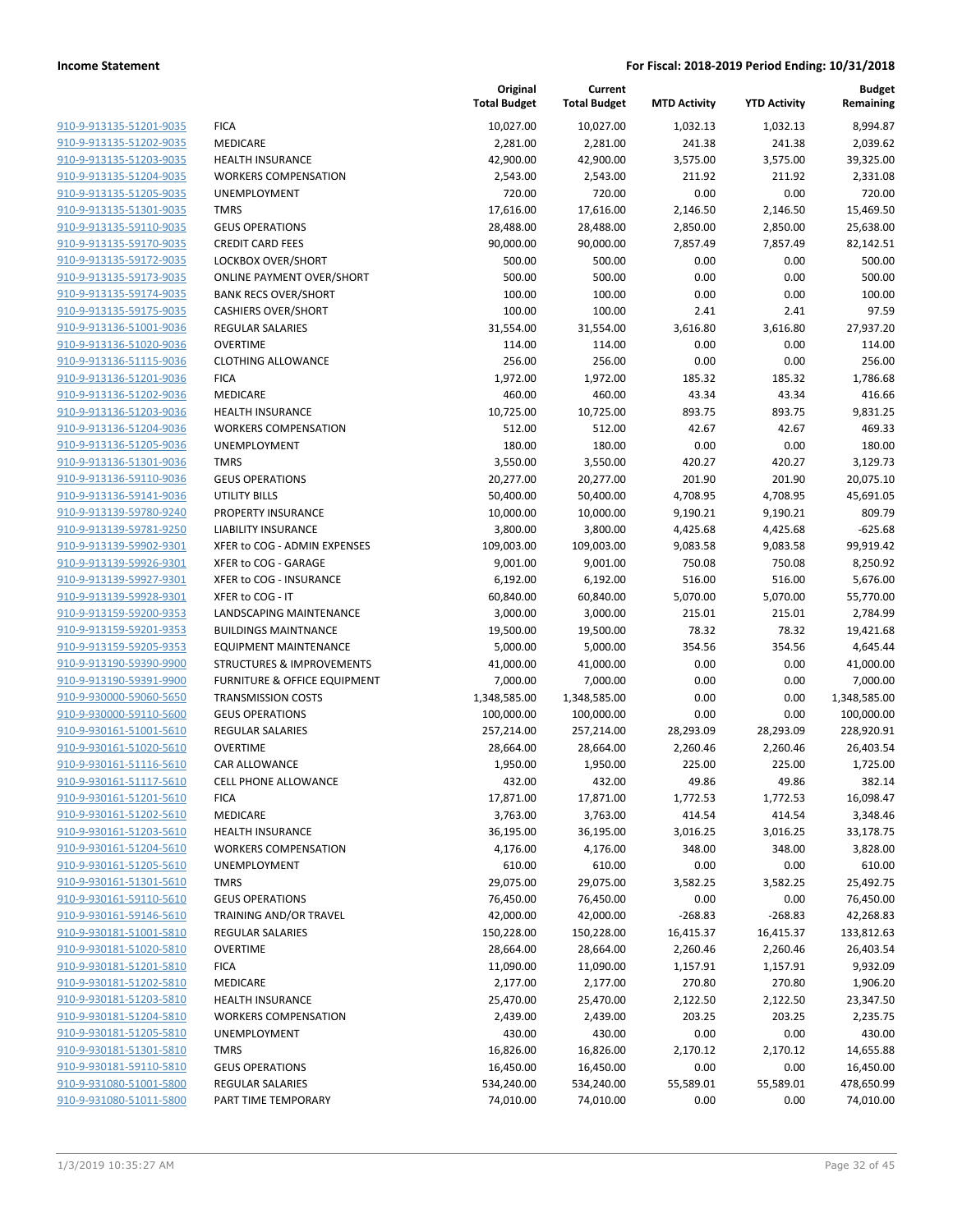|                                                    |                                                  | Original<br><b>Total Budget</b> | Current<br><b>Total Budget</b> | <b>MTD Activity</b>  | <b>YTD Activity</b>  | <b>Budget</b><br>Remaining |
|----------------------------------------------------|--------------------------------------------------|---------------------------------|--------------------------------|----------------------|----------------------|----------------------------|
| 910-9-913135-51201-9035                            | <b>FICA</b>                                      | 10,027.00                       | 10,027.00                      | 1,032.13             | 1,032.13             | 8,994.87                   |
| 910-9-913135-51202-9035                            | MEDICARE                                         | 2,281.00                        | 2,281.00                       | 241.38               | 241.38               | 2,039.62                   |
| 910-9-913135-51203-9035                            | <b>HEALTH INSURANCE</b>                          | 42,900.00                       | 42,900.00                      | 3,575.00             | 3,575.00             | 39,325.00                  |
| 910-9-913135-51204-9035                            | <b>WORKERS COMPENSATION</b>                      | 2,543.00                        | 2,543.00                       | 211.92               | 211.92               | 2,331.08                   |
| 910-9-913135-51205-9035                            | <b>UNEMPLOYMENT</b>                              | 720.00                          | 720.00                         | 0.00                 | 0.00                 | 720.00                     |
| 910-9-913135-51301-9035                            | <b>TMRS</b>                                      | 17,616.00                       | 17,616.00                      | 2,146.50             | 2,146.50             | 15,469.50                  |
| 910-9-913135-59110-9035                            | <b>GEUS OPERATIONS</b>                           | 28,488.00                       | 28,488.00                      | 2,850.00             | 2,850.00             | 25,638.00                  |
| 910-9-913135-59170-9035                            | <b>CREDIT CARD FEES</b>                          | 90,000.00                       | 90,000.00                      | 7,857.49             | 7,857.49             | 82,142.51                  |
| 910-9-913135-59172-9035                            | LOCKBOX OVER/SHORT                               | 500.00                          | 500.00                         | 0.00                 | 0.00                 | 500.00                     |
| 910-9-913135-59173-9035                            | <b>ONLINE PAYMENT OVER/SHORT</b>                 | 500.00                          | 500.00                         | 0.00                 | 0.00                 | 500.00                     |
| 910-9-913135-59174-9035                            | <b>BANK RECS OVER/SHORT</b>                      | 100.00                          | 100.00                         | 0.00                 | 0.00                 | 100.00                     |
| 910-9-913135-59175-9035                            | <b>CASHIERS OVER/SHORT</b>                       | 100.00                          | 100.00                         | 2.41                 | 2.41                 | 97.59                      |
| 910-9-913136-51001-9036                            | <b>REGULAR SALARIES</b>                          | 31,554.00                       | 31,554.00                      | 3,616.80             | 3,616.80             | 27,937.20                  |
| 910-9-913136-51020-9036                            | <b>OVERTIME</b>                                  | 114.00                          | 114.00                         | 0.00                 | 0.00                 | 114.00                     |
| 910-9-913136-51115-9036                            | <b>CLOTHING ALLOWANCE</b>                        | 256.00                          | 256.00                         | 0.00                 | 0.00                 | 256.00                     |
| 910-9-913136-51201-9036                            | <b>FICA</b>                                      | 1,972.00                        | 1,972.00                       | 185.32               | 185.32               | 1,786.68                   |
| 910-9-913136-51202-9036                            | MEDICARE                                         | 460.00                          | 460.00                         | 43.34                | 43.34                | 416.66                     |
| 910-9-913136-51203-9036                            | <b>HEALTH INSURANCE</b>                          | 10,725.00                       | 10,725.00                      | 893.75               | 893.75               | 9,831.25                   |
| 910-9-913136-51204-9036                            | <b>WORKERS COMPENSATION</b>                      | 512.00                          | 512.00                         | 42.67                | 42.67                | 469.33                     |
| 910-9-913136-51205-9036                            | UNEMPLOYMENT                                     | 180.00                          | 180.00                         | 0.00                 | 0.00                 | 180.00                     |
| 910-9-913136-51301-9036                            | <b>TMRS</b>                                      | 3,550.00                        | 3,550.00                       | 420.27               | 420.27               | 3,129.73                   |
| 910-9-913136-59110-9036                            | <b>GEUS OPERATIONS</b>                           | 20,277.00                       | 20,277.00                      | 201.90               | 201.90               | 20,075.10                  |
| 910-9-913136-59141-9036<br>910-9-913139-59780-9240 | <b>UTILITY BILLS</b>                             | 50,400.00                       | 50,400.00                      | 4,708.95             | 4,708.95             | 45,691.05                  |
|                                                    | PROPERTY INSURANCE<br><b>LIABILITY INSURANCE</b> | 10,000.00                       | 10,000.00                      | 9,190.21             | 9,190.21             | 809.79<br>$-625.68$        |
| 910-9-913139-59781-9250<br>910-9-913139-59902-9301 | XFER to COG - ADMIN EXPENSES                     | 3,800.00<br>109,003.00          | 3,800.00<br>109,003.00         | 4,425.68<br>9,083.58 | 4,425.68<br>9,083.58 | 99,919.42                  |
| 910-9-913139-59926-9301                            | XFER to COG - GARAGE                             | 9,001.00                        | 9,001.00                       | 750.08               | 750.08               | 8,250.92                   |
| 910-9-913139-59927-9301                            | XFER to COG - INSURANCE                          | 6,192.00                        | 6,192.00                       | 516.00               | 516.00               | 5,676.00                   |
| 910-9-913139-59928-9301                            | XFER to COG - IT                                 | 60,840.00                       | 60,840.00                      | 5,070.00             | 5,070.00             | 55,770.00                  |
| 910-9-913159-59200-9353                            | LANDSCAPING MAINTENANCE                          | 3,000.00                        | 3,000.00                       | 215.01               | 215.01               | 2,784.99                   |
| 910-9-913159-59201-9353                            | <b>BUILDINGS MAINTNANCE</b>                      | 19,500.00                       | 19,500.00                      | 78.32                | 78.32                | 19,421.68                  |
| 910-9-913159-59205-9353                            | <b>EQUIPMENT MAINTENANCE</b>                     | 5,000.00                        | 5,000.00                       | 354.56               | 354.56               | 4,645.44                   |
| 910-9-913190-59390-9900                            | <b>STRUCTURES &amp; IMPROVEMENTS</b>             | 41,000.00                       | 41,000.00                      | 0.00                 | 0.00                 | 41,000.00                  |
| 910-9-913190-59391-9900                            | <b>FURNITURE &amp; OFFICE EQUIPMENT</b>          | 7,000.00                        | 7,000.00                       | 0.00                 | 0.00                 | 7,000.00                   |
| 910-9-930000-59060-5650                            | <b>TRANSMISSION COSTS</b>                        | 1,348,585.00                    | 1,348,585.00                   | 0.00                 | 0.00                 | 1,348,585.00               |
| 910-9-930000-59110-5600                            | <b>GEUS OPERATIONS</b>                           | 100,000.00                      | 100,000.00                     | 0.00                 | 0.00                 | 100,000.00                 |
| 910-9-930161-51001-5610                            | REGULAR SALARIES                                 | 257,214.00                      | 257,214.00                     | 28,293.09            | 28,293.09            | 228,920.91                 |
| 910-9-930161-51020-5610                            | <b>OVERTIME</b>                                  | 28,664.00                       | 28,664.00                      | 2,260.46             | 2,260.46             | 26,403.54                  |
| 910-9-930161-51116-5610                            | CAR ALLOWANCE                                    | 1,950.00                        | 1,950.00                       | 225.00               | 225.00               | 1,725.00                   |
| 910-9-930161-51117-5610                            | <b>CELL PHONE ALLOWANCE</b>                      | 432.00                          | 432.00                         | 49.86                | 49.86                | 382.14                     |
| 910-9-930161-51201-5610                            | <b>FICA</b>                                      | 17,871.00                       | 17,871.00                      | 1,772.53             | 1,772.53             | 16,098.47                  |
| 910-9-930161-51202-5610                            | MEDICARE                                         | 3,763.00                        | 3,763.00                       | 414.54               | 414.54               | 3,348.46                   |
| 910-9-930161-51203-5610                            | <b>HEALTH INSURANCE</b>                          | 36,195.00                       | 36,195.00                      | 3,016.25             | 3,016.25             | 33,178.75                  |
| 910-9-930161-51204-5610                            | <b>WORKERS COMPENSATION</b>                      | 4,176.00                        | 4,176.00                       | 348.00               | 348.00               | 3,828.00                   |
| 910-9-930161-51205-5610                            | <b>UNEMPLOYMENT</b>                              | 610.00                          | 610.00                         | 0.00                 | 0.00                 | 610.00                     |
| 910-9-930161-51301-5610                            | <b>TMRS</b>                                      | 29,075.00                       | 29,075.00                      | 3,582.25             | 3,582.25             | 25,492.75                  |
| 910-9-930161-59110-5610                            | <b>GEUS OPERATIONS</b>                           | 76,450.00                       | 76,450.00                      | 0.00                 | 0.00                 | 76,450.00                  |
| 910-9-930161-59146-5610                            | TRAINING AND/OR TRAVEL                           | 42,000.00                       | 42,000.00                      | $-268.83$            | $-268.83$            | 42,268.83                  |
| 910-9-930181-51001-5810                            | <b>REGULAR SALARIES</b>                          | 150,228.00                      | 150,228.00                     | 16,415.37            | 16,415.37            | 133,812.63                 |
| 910-9-930181-51020-5810                            | <b>OVERTIME</b>                                  | 28,664.00                       | 28,664.00                      | 2,260.46             | 2,260.46             | 26,403.54                  |
| 910-9-930181-51201-5810                            | <b>FICA</b>                                      | 11,090.00                       | 11,090.00                      | 1,157.91             | 1,157.91             | 9,932.09                   |
| 910-9-930181-51202-5810                            | MEDICARE                                         | 2,177.00                        | 2,177.00                       | 270.80               | 270.80               | 1,906.20                   |
| 910-9-930181-51203-5810                            | <b>HEALTH INSURANCE</b>                          | 25,470.00                       | 25,470.00                      | 2,122.50             | 2,122.50             | 23,347.50                  |
| 910-9-930181-51204-5810                            | <b>WORKERS COMPENSATION</b>                      | 2,439.00                        | 2,439.00                       | 203.25               | 203.25               | 2,235.75                   |
| 910-9-930181-51205-5810                            | UNEMPLOYMENT                                     | 430.00                          | 430.00                         | 0.00                 | 0.00                 | 430.00                     |
| 910-9-930181-51301-5810                            | <b>TMRS</b>                                      | 16,826.00                       | 16,826.00                      | 2,170.12             | 2,170.12             | 14,655.88                  |
| 910-9-930181-59110-5810                            | <b>GEUS OPERATIONS</b>                           | 16,450.00                       | 16,450.00                      | 0.00                 | 0.00                 | 16,450.00                  |
| 910-9-931080-51001-5800                            | <b>REGULAR SALARIES</b>                          | 534,240.00                      | 534,240.00                     | 55,589.01            | 55,589.01            | 478,650.99                 |
| 910-9-931080-51011-5800                            | PART TIME TEMPORARY                              | 74,010.00                       | 74,010.00                      | 0.00                 | 0.00                 | 74,010.00                  |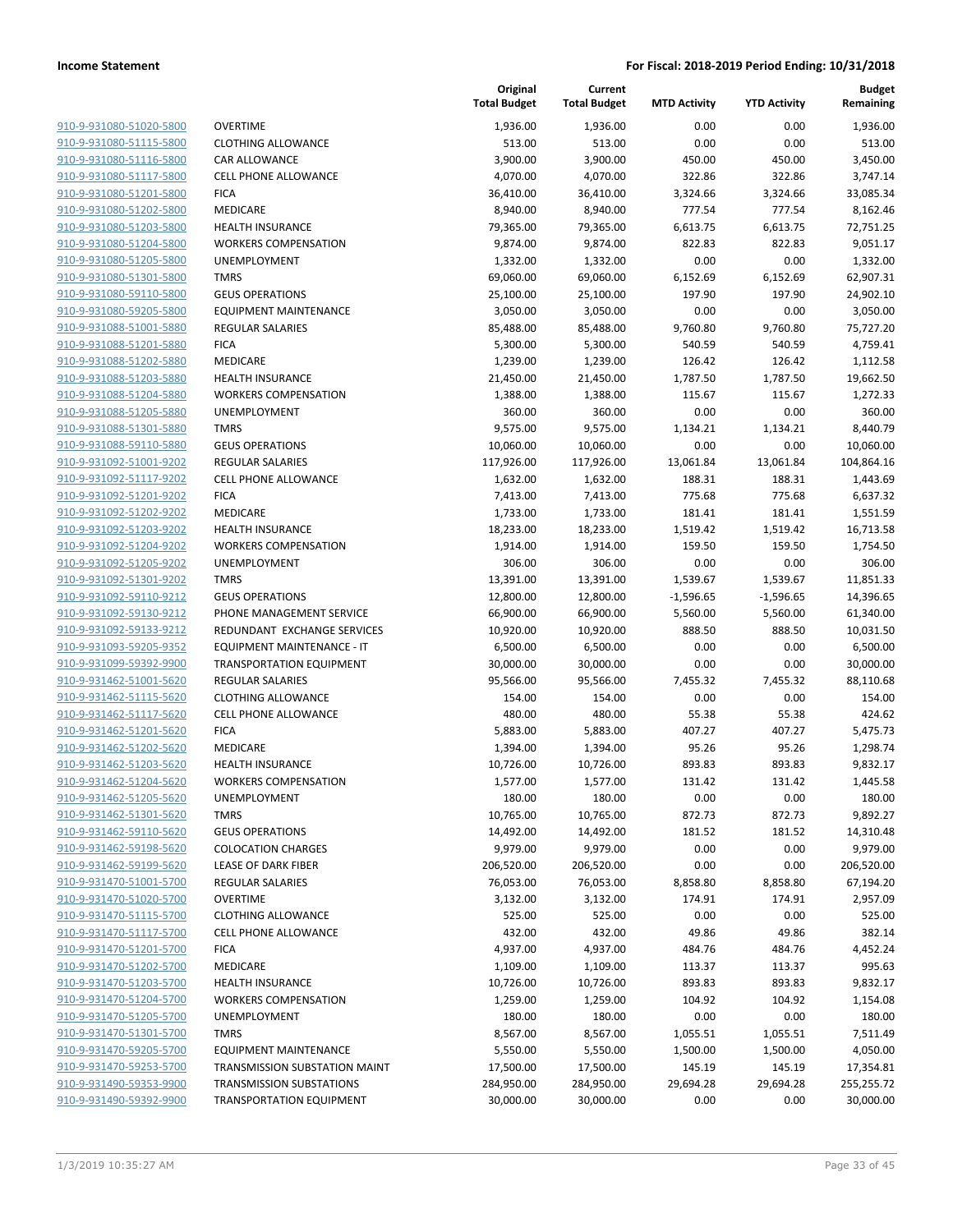| 910-9-931080-51020-5800        |
|--------------------------------|
| 910-9-931080-51115-5800        |
| 910-9-931080-51116-5800        |
| 910-9-931080-51117-5800        |
|                                |
| 910-9-931080-51201-5800        |
| 910-9-931080-51202-5800        |
| 910-9-931080-51203-5800        |
| 910-9-931080-51204-5800        |
| 910-9-931080-51205-5800        |
| <u>910-9-931080-51301-5800</u> |
| 910-9-931080-59110-5800        |
| 910-9-931080-59205-5800        |
| 910-9-931088-51001-5880        |
| 910-9-931088-51201-5880        |
|                                |
| <u>910-9-931088-51202-5880</u> |
| 910-9-931088-51203-5880        |
| 910-9-931088-51204-5880        |
| 910-9-931088-51205-5880        |
| 910-9-931088-51301-5880        |
| 910-9-931088-59110-5880        |
| 910-9-931092-51001-9202        |
| 910-9-931092-51117-9202        |
| 910-9-931092-51201-9202        |
| 910-9-931092-51202-9202        |
| <u>910-9-931092-51203-9202</u> |
|                                |
| 910-9-931092-51204-9202        |
| 910-9-931092-51205-9202        |
| 910-9-931092-51301-9202        |
| <u>910-9-931092-59110-9212</u> |
| 910-9-931092-59130-9212        |
| 910-9-931092-59133-9212        |
| 910-9-931093-59205-9352        |
| 910-9-931099-59392-9900        |
| 910-9-931462-51001-5620        |
| <u>910-9-931462-51115-5620</u> |
| 910-9-931462-51117-5620        |
| 910-9-931462-51201-5620        |
|                                |
| 910-9-931462-51202-5620        |
| 910-9-931462-51203-5620        |
| 910-9-931462-51204-5620        |
| 910-9-931462-51205-5620        |
| 910-9-931462-51301-5620        |
| 910-9-931462-59110-5620        |
| 910-9-931462-59198-5620        |
| 910-9-931462-59199-5620        |
| 910-9-931470-51001-5700        |
| 910-9-931470-51020-5700        |
|                                |
| 910-9-931470-51115-5700        |
| 910-9-931470-51117-5700        |
| 910-9-931470-51201-5700        |
| 910-9-931470-51202-5700        |
| 910-9-931470-51203-5700        |
| 910-9-931470-51204-5700        |
| 910-9-931470-51205-5700        |
| 910-9-931470-51301-5700        |
| 910-9-931470-59205-5700        |
| 910-9-931470-59253-5700        |
| 910-9-931490-59353-9900        |
|                                |
| 910-9-931490-59392-9900        |

| OVERTIME                             |
|--------------------------------------|
| CLOTHING ALLOWANCE                   |
| CAR ALLOWANCE                        |
| CELL PHONE ALLOWANCE                 |
| <b>ICA</b>                           |
| VIEDICARE                            |
| HEALTH INSURANCE                     |
| WORKERS COMPENSATION                 |
| <b>JNEMPLOYMENT</b>                  |
| TMRS                                 |
| <b>GEUS OPERATIONS</b>               |
| EQUIPMENT MAINTENANCE                |
| REGULAR SALARIES                     |
| FICA                                 |
| <b>MEDICARE</b>                      |
| HEALTH INSURANCE                     |
| WORKERS COMPENSATION                 |
| JNEMPLOYMENT                         |
| <b>TMRS</b>                          |
| GEUS OPERATIONS                      |
| REGULAR SALARIES                     |
| CELL PHONE ALLOWANCE                 |
| FICA                                 |
| MEDICARE                             |
| HEALTH INSURANCE                     |
| WORKERS COMPENSATION                 |
| JNEMPLOYMENT                         |
| TMRS<br><b>GEUS OPERATIONS</b>       |
| PHONE MANAGEMENT SERVICE             |
| REDUNDANT EXCHANGE SERVICES          |
| EQUIPMENT MAINTENANCE - IT           |
| <b>FRANSPORTATION EQUIPMENT</b>      |
| REGULAR SALARIES                     |
| CLOTHING ALLOWANCE                   |
| CELL PHONE ALLOWANCE                 |
| FICA                                 |
| VIEDICARE                            |
| HEALTH INSURANCE                     |
| WORKERS COMPENSATION                 |
| JNEMPLOYMENT                         |
| <b>TMRS</b>                          |
| <b>GEUS OPERATIONS</b>               |
| COLOCATION CHARGES                   |
| <b>LEASE OF DARK FIBER</b>           |
| <b>REGULAR SALARIES</b>              |
| <b>OVERTIME</b>                      |
| <b>CLOTHING ALLOWANCE</b>            |
| CELL PHONE ALLOWANCE                 |
| <b>ICA</b>                           |
| MEDICARE                             |
| HEALTH INSURANCE                     |
| <b><i>NORKERS COMPENSATION</i></b>   |
| <b>JNEMPLOYMENT</b>                  |
| TMRS                                 |
| EQUIPMENT MAINTENANCE                |
| <b>FRANSMISSION SUBSTATION MAINT</b> |
| <b>FRANSMISSION SUBSTATIONS</b>      |

|                                                    |                                       | Original<br><b>Total Budget</b> | Current<br><b>Total Budget</b> | <b>MTD Activity</b>  | <b>YTD Activity</b>  | <b>Budget</b><br>Remaining |
|----------------------------------------------------|---------------------------------------|---------------------------------|--------------------------------|----------------------|----------------------|----------------------------|
| 910-9-931080-51020-5800                            | <b>OVERTIME</b>                       | 1,936.00                        | 1,936.00                       | 0.00                 | 0.00                 | 1,936.00                   |
| 910-9-931080-51115-5800                            | <b>CLOTHING ALLOWANCE</b>             | 513.00                          | 513.00                         | 0.00                 | 0.00                 | 513.00                     |
| 910-9-931080-51116-5800                            | <b>CAR ALLOWANCE</b>                  | 3,900.00                        | 3,900.00                       | 450.00               | 450.00               | 3,450.00                   |
| 910-9-931080-51117-5800                            | <b>CELL PHONE ALLOWANCE</b>           | 4,070.00                        | 4,070.00                       | 322.86               | 322.86               | 3,747.14                   |
| 910-9-931080-51201-5800                            | <b>FICA</b>                           | 36,410.00                       | 36,410.00                      | 3,324.66             | 3,324.66             | 33,085.34                  |
| 910-9-931080-51202-5800                            | <b>MEDICARE</b>                       | 8,940.00                        | 8,940.00                       | 777.54               | 777.54               | 8,162.46                   |
| 910-9-931080-51203-5800                            | <b>HEALTH INSURANCE</b>               | 79,365.00                       | 79,365.00                      | 6,613.75             | 6,613.75             | 72,751.25                  |
| 910-9-931080-51204-5800                            | <b>WORKERS COMPENSATION</b>           | 9,874.00                        | 9,874.00                       | 822.83               | 822.83               | 9,051.17                   |
| 910-9-931080-51205-5800                            | UNEMPLOYMENT                          | 1,332.00                        | 1,332.00                       | 0.00                 | 0.00                 | 1,332.00                   |
| 910-9-931080-51301-5800                            | <b>TMRS</b>                           | 69,060.00                       | 69,060.00                      | 6,152.69             | 6,152.69             | 62,907.31                  |
| 910-9-931080-59110-5800                            | <b>GEUS OPERATIONS</b>                | 25,100.00                       | 25,100.00                      | 197.90               | 197.90               | 24,902.10                  |
| 910-9-931080-59205-5800                            | <b>EQUIPMENT MAINTENANCE</b>          | 3,050.00                        | 3,050.00                       | 0.00                 | 0.00                 | 3,050.00                   |
| 910-9-931088-51001-5880                            | <b>REGULAR SALARIES</b>               | 85,488.00                       | 85,488.00                      | 9,760.80             | 9,760.80             | 75,727.20                  |
| 910-9-931088-51201-5880                            | <b>FICA</b>                           | 5,300.00                        | 5,300.00                       | 540.59               | 540.59               | 4,759.41                   |
| 910-9-931088-51202-5880                            | <b>MEDICARE</b>                       | 1,239.00                        | 1,239.00                       | 126.42               | 126.42               | 1,112.58                   |
| 910-9-931088-51203-5880                            | <b>HEALTH INSURANCE</b>               | 21,450.00                       | 21,450.00                      | 1,787.50             | 1,787.50             | 19,662.50                  |
| 910-9-931088-51204-5880                            | <b>WORKERS COMPENSATION</b>           | 1,388.00                        | 1,388.00                       | 115.67               | 115.67               | 1,272.33                   |
| 910-9-931088-51205-5880                            | UNEMPLOYMENT                          | 360.00                          | 360.00                         | 0.00                 | 0.00                 | 360.00                     |
| 910-9-931088-51301-5880                            | <b>TMRS</b><br><b>GEUS OPERATIONS</b> | 9,575.00                        | 9,575.00                       | 1,134.21             | 1,134.21             | 8,440.79<br>10,060.00      |
| 910-9-931088-59110-5880<br>910-9-931092-51001-9202 | <b>REGULAR SALARIES</b>               | 10,060.00<br>117,926.00         | 10,060.00<br>117,926.00        | 0.00<br>13,061.84    | 0.00<br>13,061.84    | 104,864.16                 |
| 910-9-931092-51117-9202                            | <b>CELL PHONE ALLOWANCE</b>           | 1,632.00                        | 1,632.00                       | 188.31               | 188.31               | 1,443.69                   |
| 910-9-931092-51201-9202                            | <b>FICA</b>                           | 7,413.00                        | 7,413.00                       | 775.68               | 775.68               | 6,637.32                   |
| 910-9-931092-51202-9202                            | MEDICARE                              | 1,733.00                        | 1,733.00                       | 181.41               | 181.41               | 1,551.59                   |
| 910-9-931092-51203-9202                            | <b>HEALTH INSURANCE</b>               | 18,233.00                       | 18,233.00                      | 1,519.42             | 1,519.42             | 16,713.58                  |
| 910-9-931092-51204-9202                            | <b>WORKERS COMPENSATION</b>           | 1,914.00                        | 1,914.00                       | 159.50               | 159.50               | 1,754.50                   |
| 910-9-931092-51205-9202                            | UNEMPLOYMENT                          | 306.00                          | 306.00                         | 0.00                 | 0.00                 | 306.00                     |
| 910-9-931092-51301-9202                            | <b>TMRS</b>                           | 13,391.00                       | 13,391.00                      | 1,539.67             | 1,539.67             | 11,851.33                  |
| 910-9-931092-59110-9212                            | <b>GEUS OPERATIONS</b>                | 12,800.00                       | 12,800.00                      | $-1,596.65$          | $-1,596.65$          | 14,396.65                  |
| 910-9-931092-59130-9212                            | PHONE MANAGEMENT SERVICE              | 66,900.00                       | 66,900.00                      | 5,560.00             | 5,560.00             | 61,340.00                  |
| 910-9-931092-59133-9212                            | REDUNDANT EXCHANGE SERVICES           | 10,920.00                       | 10,920.00                      | 888.50               | 888.50               | 10,031.50                  |
| 910-9-931093-59205-9352                            | EQUIPMENT MAINTENANCE - IT            | 6,500.00                        | 6,500.00                       | 0.00                 | 0.00                 | 6,500.00                   |
| 910-9-931099-59392-9900                            | <b>TRANSPORTATION EQUIPMENT</b>       | 30,000.00                       | 30,000.00                      | 0.00                 | 0.00                 | 30,000.00                  |
| 910-9-931462-51001-5620                            | <b>REGULAR SALARIES</b>               | 95,566.00                       | 95,566.00                      | 7,455.32             | 7,455.32             | 88,110.68                  |
| 910-9-931462-51115-5620                            | <b>CLOTHING ALLOWANCE</b>             | 154.00                          | 154.00                         | 0.00                 | 0.00                 | 154.00                     |
| 910-9-931462-51117-5620                            | <b>CELL PHONE ALLOWANCE</b>           | 480.00                          | 480.00                         | 55.38                | 55.38                | 424.62                     |
| 910-9-931462-51201-5620                            | <b>FICA</b>                           | 5,883.00                        | 5,883.00                       | 407.27               | 407.27               | 5,475.73                   |
| 910-9-931462-51202-5620                            | MEDICARE                              | 1,394.00                        | 1,394.00                       | 95.26                | 95.26                | 1,298.74                   |
| 910-9-931462-51203-5620                            | <b>HEALTH INSURANCE</b>               | 10,726.00                       | 10,726.00                      | 893.83               | 893.83               | 9,832.17                   |
| 910-9-931462-51204-5620                            | <b>WORKERS COMPENSATION</b>           | 1,577.00                        | 1,577.00                       | 131.42               | 131.42               | 1,445.58                   |
| 910-9-931462-51205-5620                            | <b>UNEMPLOYMENT</b>                   | 180.00                          | 180.00                         | 0.00                 | 0.00                 | 180.00                     |
| 910-9-931462-51301-5620                            | <b>TMRS</b>                           | 10,765.00                       | 10,765.00                      | 872.73               | 872.73               | 9,892.27                   |
| 910-9-931462-59110-5620                            | <b>GEUS OPERATIONS</b>                | 14,492.00                       | 14,492.00                      | 181.52               | 181.52               | 14,310.48                  |
| 910-9-931462-59198-5620                            | <b>COLOCATION CHARGES</b>             | 9,979.00                        | 9,979.00                       | 0.00                 | 0.00                 | 9,979.00                   |
| 910-9-931462-59199-5620                            | LEASE OF DARK FIBER                   | 206,520.00                      | 206,520.00                     | 0.00                 | 0.00                 | 206,520.00                 |
| 910-9-931470-51001-5700                            | <b>REGULAR SALARIES</b>               | 76,053.00                       | 76,053.00                      | 8,858.80             | 8,858.80             | 67,194.20                  |
| 910-9-931470-51020-5700                            | <b>OVERTIME</b>                       | 3,132.00                        | 3,132.00                       | 174.91               | 174.91               | 2,957.09                   |
| 910-9-931470-51115-5700                            | <b>CLOTHING ALLOWANCE</b>             | 525.00                          | 525.00                         | 0.00                 | 0.00                 | 525.00                     |
| 910-9-931470-51117-5700                            | <b>CELL PHONE ALLOWANCE</b>           | 432.00                          | 432.00                         | 49.86                | 49.86                | 382.14                     |
| 910-9-931470-51201-5700                            | <b>FICA</b>                           | 4,937.00                        | 4,937.00                       | 484.76               | 484.76               | 4,452.24                   |
| 910-9-931470-51202-5700                            | MEDICARE                              | 1,109.00                        | 1,109.00                       | 113.37               | 113.37               | 995.63                     |
| 910-9-931470-51203-5700                            | <b>HEALTH INSURANCE</b>               | 10,726.00                       | 10,726.00                      | 893.83               | 893.83               | 9,832.17                   |
| 910-9-931470-51204-5700                            | <b>WORKERS COMPENSATION</b>           | 1,259.00                        | 1,259.00                       | 104.92               | 104.92               | 1,154.08                   |
| 910-9-931470-51205-5700<br>910-9-931470-51301-5700 | UNEMPLOYMENT<br><b>TMRS</b>           | 180.00                          | 180.00                         | 0.00                 | 0.00                 | 180.00                     |
| 910-9-931470-59205-5700                            | <b>EQUIPMENT MAINTENANCE</b>          | 8,567.00<br>5,550.00            | 8,567.00<br>5,550.00           | 1,055.51<br>1,500.00 | 1,055.51<br>1,500.00 | 7,511.49<br>4,050.00       |
| 910-9-931470-59253-5700                            | TRANSMISSION SUBSTATION MAINT         | 17,500.00                       | 17,500.00                      | 145.19               | 145.19               | 17,354.81                  |
| 910-9-931490-59353-9900                            | <b>TRANSMISSION SUBSTATIONS</b>       | 284,950.00                      | 284,950.00                     | 29,694.28            | 29,694.28            | 255,255.72                 |
| 910-9-931490-59392-9900                            | <b>TRANSPORTATION EQUIPMENT</b>       | 30,000.00                       | 30,000.00                      | 0.00                 | 0.00                 | 30,000.00                  |
|                                                    |                                       |                                 |                                |                      |                      |                            |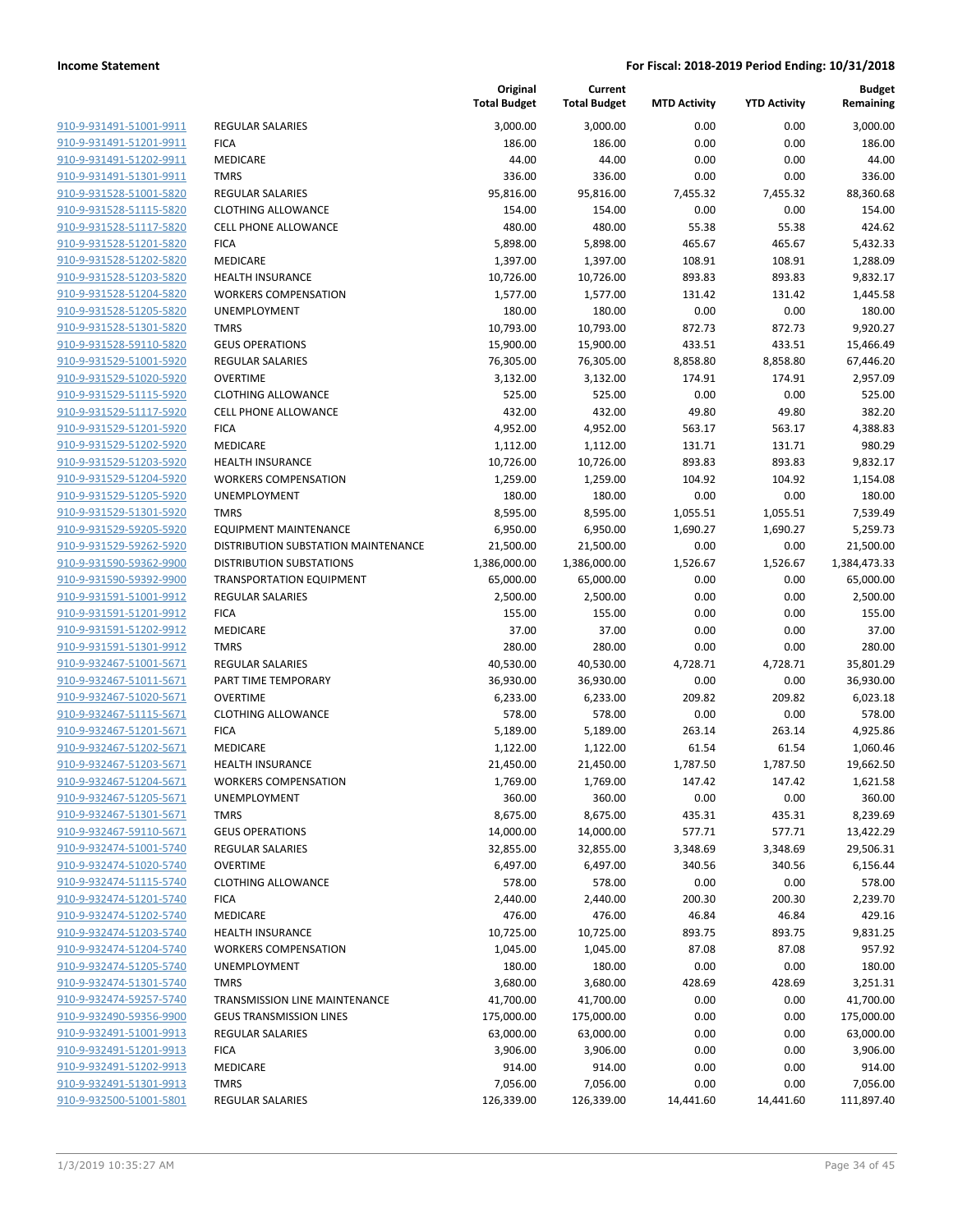| 910-9-931491-51001-9911        | <b>RE</b>  |
|--------------------------------|------------|
| 910-9-931491-51201-9911        | FIC        |
| 910-9-931491-51202-9911        | ME         |
| 910-9-931491-51301-9911        | TM         |
|                                | <b>RE</b>  |
| 910-9-931528-51001-5820        |            |
| 910-9-931528-51115-5820        | CL(        |
| 910-9-931528-51117-5820        | <b>CEI</b> |
| 910-9-931528-51201-5820        | <b>FIC</b> |
| 910-9-931528-51202-5820        | ME         |
| 910-9-931528-51203-5820        | HE         |
| 910-9-931528-51204-5820        | W(         |
| 910-9-931528-51205-5820        | UN         |
| 910-9-931528-51301-5820        | TM         |
| 910-9-931528-59110-5820        | GЕ         |
| 910-9-931529-51001-5920        | <b>RE</b>  |
| 910-9-931529-51020-5920        | ov         |
| 910-9-931529-51115-5920        | <b>CL</b>  |
| 910-9-931529-51117-5920        | <b>CEI</b> |
| 910-9-931529-51201-5920        | <b>FIC</b> |
| 910-9-931529-51202-5920        | ME         |
| 910-9-931529-51203-5920        | HE         |
| 910-9-931529-51204-5920        | W(         |
| 910-9-931529-51205-5920        | UN         |
| 910-9-931529-51301-5920        | TM         |
| 910-9-931529-59205-5920        | EQ         |
| 910-9-931529-59262-5920        | <b>DIS</b> |
| 910-9-931590-59362-9900        | DIS        |
| 910-9-931590-59392-9900        | TR.        |
| 910-9-931591-51001-9912        | RE         |
|                                | <b>FIC</b> |
| 910-9-931591-51201-9912        | ME         |
| 910-9-931591-51202-9912        |            |
| 910-9-931591-51301-9912        | TM         |
| 910-9-932467-51001-5671        | <b>RE</b>  |
| 910-9-932467-51011-5671        | PA         |
| 910-9-932467-51020-5671        | ov         |
| 910-9-932467-51115-5671        | CL(        |
| 910-9-932467-51201-5671        | FIC        |
| 910-9-932467-51202-5671        | ME         |
| 910-9-932467-51203-5671        | HE         |
| 910-9-932467-51204-5671        | W(         |
| 910-9-932467-51205-5671        | UN         |
| 910-9-932467-51301-5671        | TM         |
| 910-9-932467-59110-5671        | GE         |
| 910-9-932474-51001-5740        | <b>RE</b>  |
| 910-9-932474-51020-5740        | ov         |
| <u>910-9-932474-51115-5740</u> | CL         |
| 910-9-932474-51201-5740        | FIC        |
| 910-9-932474-51202-5740        | ME         |
| 910-9-932474-51203-5740        | НE         |
| 910-9-932474-51204-5740        | W(         |
| 910-9-932474-51205-5740        | UN         |
| 910-9-932474-51301-5740        | TM         |
| 910-9-932474-59257-5740        | TR.        |
| 910-9-932490-59356-9900        | GE         |
| 910-9-932491-51001-9913        | RΕ         |
| <u>910-9-932491-51201-9913</u> | FIC        |
| 910-9-932491-51202-9913        | ME         |
| 910-9-932491-51301-9913        | TM         |
| 910-9-932500-51001-5801        |            |
|                                | RΕ         |
|                                |            |

|                         |                                     | Original<br><b>Total Budget</b> | Current<br><b>Total Budget</b> | <b>MTD Activity</b> | <b>YTD Activity</b> | <b>Budget</b><br>Remaining |
|-------------------------|-------------------------------------|---------------------------------|--------------------------------|---------------------|---------------------|----------------------------|
| 910-9-931491-51001-9911 | <b>REGULAR SALARIES</b>             | 3,000.00                        | 3,000.00                       | 0.00                | 0.00                | 3,000.00                   |
| 910-9-931491-51201-9911 | <b>FICA</b>                         | 186.00                          | 186.00                         | 0.00                | 0.00                | 186.00                     |
| 910-9-931491-51202-9911 | MEDICARE                            | 44.00                           | 44.00                          | 0.00                | 0.00                | 44.00                      |
| 910-9-931491-51301-9911 | <b>TMRS</b>                         | 336.00                          | 336.00                         | 0.00                | 0.00                | 336.00                     |
| 910-9-931528-51001-5820 | REGULAR SALARIES                    | 95,816.00                       | 95,816.00                      | 7,455.32            | 7,455.32            | 88,360.68                  |
| 910-9-931528-51115-5820 | <b>CLOTHING ALLOWANCE</b>           | 154.00                          | 154.00                         | 0.00                | 0.00                | 154.00                     |
| 910-9-931528-51117-5820 | <b>CELL PHONE ALLOWANCE</b>         | 480.00                          | 480.00                         | 55.38               | 55.38               | 424.62                     |
| 910-9-931528-51201-5820 | <b>FICA</b>                         | 5,898.00                        | 5,898.00                       | 465.67              | 465.67              | 5,432.33                   |
| 910-9-931528-51202-5820 | <b>MEDICARE</b>                     | 1,397.00                        | 1,397.00                       | 108.91              | 108.91              | 1,288.09                   |
| 910-9-931528-51203-5820 | <b>HEALTH INSURANCE</b>             | 10,726.00                       | 10,726.00                      | 893.83              | 893.83              | 9,832.17                   |
| 910-9-931528-51204-5820 | <b>WORKERS COMPENSATION</b>         | 1,577.00                        | 1,577.00                       | 131.42              | 131.42              | 1,445.58                   |
| 910-9-931528-51205-5820 | UNEMPLOYMENT                        | 180.00                          | 180.00                         | 0.00                | 0.00                | 180.00                     |
| 910-9-931528-51301-5820 | <b>TMRS</b>                         | 10,793.00                       | 10,793.00                      | 872.73              | 872.73              | 9,920.27                   |
| 910-9-931528-59110-5820 | <b>GEUS OPERATIONS</b>              | 15,900.00                       | 15,900.00                      | 433.51              | 433.51              | 15,466.49                  |
| 910-9-931529-51001-5920 | REGULAR SALARIES                    | 76,305.00                       | 76,305.00                      | 8,858.80            | 8,858.80            | 67,446.20                  |
| 910-9-931529-51020-5920 | <b>OVERTIME</b>                     | 3,132.00                        | 3,132.00                       | 174.91              | 174.91              | 2,957.09                   |
| 910-9-931529-51115-5920 | <b>CLOTHING ALLOWANCE</b>           | 525.00                          | 525.00                         | 0.00                | 0.00                | 525.00                     |
| 910-9-931529-51117-5920 | <b>CELL PHONE ALLOWANCE</b>         | 432.00                          | 432.00                         | 49.80               | 49.80               | 382.20                     |
| 910-9-931529-51201-5920 | <b>FICA</b>                         | 4,952.00                        | 4,952.00                       | 563.17              | 563.17              | 4,388.83                   |
| 910-9-931529-51202-5920 | MEDICARE                            | 1,112.00                        | 1,112.00                       | 131.71              | 131.71              | 980.29                     |
| 910-9-931529-51203-5920 | <b>HEALTH INSURANCE</b>             | 10,726.00                       | 10,726.00                      | 893.83              | 893.83              | 9,832.17                   |
| 910-9-931529-51204-5920 | <b>WORKERS COMPENSATION</b>         | 1,259.00                        | 1,259.00                       | 104.92              | 104.92              | 1,154.08                   |
| 910-9-931529-51205-5920 | UNEMPLOYMENT                        | 180.00                          | 180.00                         | 0.00                | 0.00                | 180.00                     |
| 910-9-931529-51301-5920 | <b>TMRS</b>                         | 8,595.00                        | 8,595.00                       | 1,055.51            | 1,055.51            | 7,539.49                   |
| 910-9-931529-59205-5920 | <b>EQUIPMENT MAINTENANCE</b>        | 6,950.00                        | 6,950.00                       | 1,690.27            | 1,690.27            | 5,259.73                   |
| 910-9-931529-59262-5920 | DISTRIBUTION SUBSTATION MAINTENANCE | 21,500.00                       | 21,500.00                      | 0.00                | 0.00                | 21,500.00                  |
| 910-9-931590-59362-9900 | <b>DISTRIBUTION SUBSTATIONS</b>     | 1,386,000.00                    | 1,386,000.00                   | 1,526.67            | 1,526.67            | 1,384,473.33               |
| 910-9-931590-59392-9900 | <b>TRANSPORTATION EQUIPMENT</b>     | 65,000.00                       | 65,000.00                      | 0.00                | 0.00                | 65,000.00                  |
| 910-9-931591-51001-9912 | <b>REGULAR SALARIES</b>             | 2,500.00                        | 2,500.00                       | 0.00                | 0.00                | 2,500.00                   |
| 910-9-931591-51201-9912 | <b>FICA</b>                         | 155.00                          | 155.00                         | 0.00                | 0.00                | 155.00                     |
| 910-9-931591-51202-9912 | <b>MEDICARE</b>                     | 37.00                           | 37.00                          | 0.00                | 0.00                | 37.00                      |
| 910-9-931591-51301-9912 | <b>TMRS</b>                         | 280.00                          | 280.00                         | 0.00                | 0.00                | 280.00                     |
| 910-9-932467-51001-5671 | REGULAR SALARIES                    | 40,530.00                       | 40,530.00                      | 4,728.71            | 4,728.71            | 35,801.29                  |
| 910-9-932467-51011-5671 | PART TIME TEMPORARY                 | 36,930.00                       | 36,930.00                      | 0.00                | 0.00                | 36,930.00                  |
| 910-9-932467-51020-5671 | <b>OVERTIME</b>                     | 6,233.00                        | 6,233.00                       | 209.82              | 209.82              | 6,023.18                   |
| 910-9-932467-51115-5671 | <b>CLOTHING ALLOWANCE</b>           | 578.00                          | 578.00                         | 0.00                | 0.00                | 578.00                     |
| 910-9-932467-51201-5671 | <b>FICA</b>                         | 5,189.00                        | 5,189.00                       | 263.14              | 263.14              | 4,925.86                   |
| 910-9-932467-51202-5671 | MEDICARE                            | 1,122.00                        | 1,122.00                       | 61.54               | 61.54               | 1,060.46                   |
| 910-9-932467-51203-5671 | <b>HEALTH INSURANCE</b>             | 21,450.00                       | 21,450.00                      | 1,787.50            | 1,787.50            | 19,662.50                  |
| 910-9-932467-51204-5671 | <b>WORKERS COMPENSATION</b>         | 1,769.00                        | 1,769.00                       | 147.42              | 147.42              | 1,621.58                   |
| 910-9-932467-51205-5671 | <b>UNEMPLOYMENT</b>                 | 360.00                          | 360.00                         | 0.00                | 0.00                | 360.00                     |
| 910-9-932467-51301-5671 | <b>TMRS</b>                         | 8,675.00                        | 8,675.00                       | 435.31              | 435.31              | 8,239.69                   |
| 910-9-932467-59110-5671 | <b>GEUS OPERATIONS</b>              | 14,000.00                       | 14,000.00                      | 577.71              | 577.71              | 13,422.29                  |
| 910-9-932474-51001-5740 | REGULAR SALARIES                    | 32,855.00                       | 32,855.00                      | 3,348.69            | 3,348.69            | 29,506.31                  |
| 910-9-932474-51020-5740 | <b>OVERTIME</b>                     | 6,497.00                        | 6,497.00                       | 340.56              | 340.56              | 6,156.44                   |
| 910-9-932474-51115-5740 | <b>CLOTHING ALLOWANCE</b>           | 578.00                          | 578.00                         | 0.00                | 0.00                | 578.00                     |
| 910-9-932474-51201-5740 | <b>FICA</b>                         | 2,440.00                        | 2,440.00                       | 200.30              | 200.30              | 2,239.70                   |
| 910-9-932474-51202-5740 | MEDICARE                            | 476.00                          | 476.00                         | 46.84               | 46.84               | 429.16                     |
| 910-9-932474-51203-5740 | <b>HEALTH INSURANCE</b>             | 10,725.00                       | 10,725.00                      | 893.75              | 893.75              | 9,831.25                   |
| 910-9-932474-51204-5740 | <b>WORKERS COMPENSATION</b>         | 1,045.00                        | 1,045.00                       | 87.08               | 87.08               | 957.92                     |
| 910-9-932474-51205-5740 | <b>UNEMPLOYMENT</b>                 | 180.00                          | 180.00                         | 0.00                | 0.00                | 180.00                     |
| 910-9-932474-51301-5740 | <b>TMRS</b>                         | 3,680.00                        | 3,680.00                       | 428.69              | 428.69              | 3,251.31                   |
| 910-9-932474-59257-5740 | TRANSMISSION LINE MAINTENANCE       | 41,700.00                       | 41,700.00                      | 0.00                | 0.00                | 41,700.00                  |
| 910-9-932490-59356-9900 | <b>GEUS TRANSMISSION LINES</b>      | 175,000.00                      | 175,000.00                     | 0.00                | 0.00                | 175,000.00                 |
| 910-9-932491-51001-9913 | REGULAR SALARIES                    | 63,000.00                       | 63,000.00                      | 0.00                | 0.00                | 63,000.00                  |
| 910-9-932491-51201-9913 | <b>FICA</b>                         | 3,906.00                        | 3,906.00                       | 0.00                | 0.00                | 3,906.00                   |
| 910-9-932491-51202-9913 | MEDICARE                            | 914.00                          | 914.00                         | 0.00                | 0.00                | 914.00                     |
| 910-9-932491-51301-9913 | <b>TMRS</b>                         | 7,056.00                        | 7,056.00                       | 0.00                | 0.00                | 7,056.00                   |
| 910-9-932500-51001-5801 | <b>REGULAR SALARIES</b>             | 126,339.00                      | 126,339.00                     | 14,441.60           | 14,441.60           | 111,897.40                 |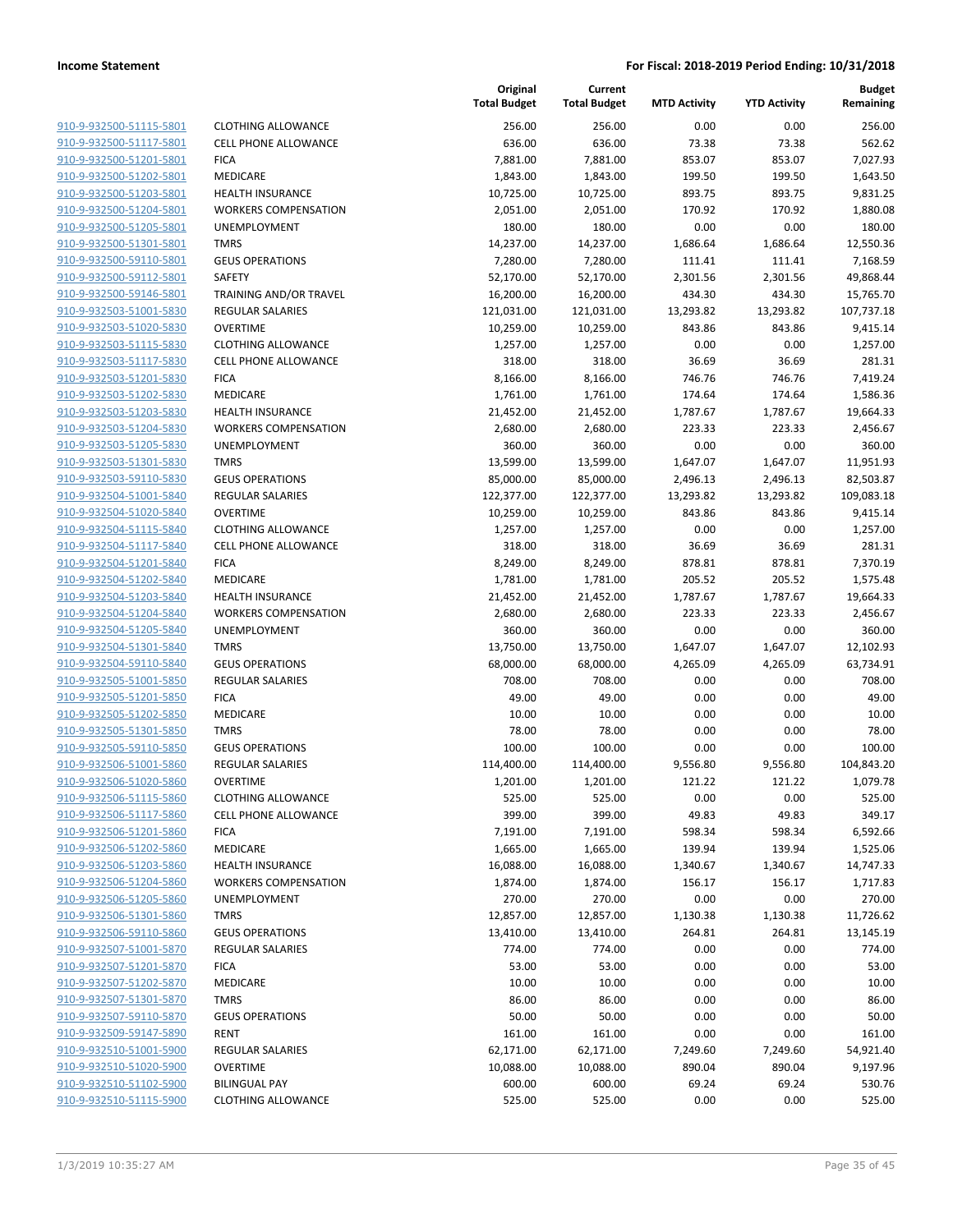| 910-9-932500-51115-5801                            |
|----------------------------------------------------|
| 910-9-932500-51117-5801                            |
| 910-9-932500-51201-5801                            |
| 910-9-932500-51202-5801                            |
| <u>910-9-932500-51203-5801</u>                     |
| 910-9-932500-51204-5801                            |
| 910-9-932500-51205-5801                            |
| 910-9-932500-51301-5801                            |
| 910-9-932500-59110-5801                            |
| <u>910-9-932500-59112-5801</u>                     |
| 910-9-932500-59146-5801                            |
| 910-9-932503-51001-5830                            |
| 910-9-932503-51020-5830                            |
| 910-9-932503-51115-5830                            |
| <u>910-9-932503-51117-5830</u>                     |
| 910-9-932503-51201-5830                            |
| 910-9-932503-51202-5830                            |
| 910-9-932503-51203-5830                            |
| 910-9-932503-51204-5830                            |
| 910-9-932503-51205-5830                            |
| 910-9-932503-51301-5830                            |
| 910-9-932503-59110-5830                            |
| 910-9-932504-51001-5840                            |
| 910-9-932504-51020-5840                            |
| <u>910-9-932504-51115-5840</u>                     |
| 910-9-932504-51117-5840                            |
| 910-9-932504-51201-5840                            |
| 910-9-932504-51202-5840                            |
| 910-9-932504-51203-5840                            |
| <u>910-9-932504-51204-5840</u>                     |
| 910-9-932504-51205-5840                            |
| 910-9-932504-51301-5840                            |
| 910-9-932504-59110-5840                            |
| 910-9-932505-51001-5850                            |
| <u>910-9-932505-51201-5850</u>                     |
| 910-9-932505-51202-5850                            |
| 910-9-932505-51301-5850                            |
| 910-9-932505-59110-5850                            |
| 910-9-932506-51001-5860                            |
| 910-9-932506-51020-5860                            |
| 910-9-932506-51115-5860                            |
| 910-9-932506-51117-5860                            |
| 910-9-932506-51201-5860                            |
| 910-9-932506-51202-5860                            |
|                                                    |
| 910-9-932506-51203-5860                            |
| 910-9-932506-51204-5860<br>910-9-932506-51205-5860 |
|                                                    |
| 910-9-932506-51301-5860                            |
| 910-9-932506-59110-5860                            |
| <u>910-9-932507-51001-5870</u>                     |
| 910-9-932507-51201-5870                            |
| 910-9-932507-51202-5870                            |
| 910-9-932507-51301-5870                            |
| 910-9-932507-59110-5870                            |
| <u>910-9-932509-59147-5890</u>                     |
| 910-9-932510-51001-5900                            |
| 910-9-932510-51020-5900                            |
| 910-9-932510-51102-5900                            |
| 910-9-932510-51115-5900                            |
|                                                    |

| <b>CLOTHING ALLOWANCE</b>   |
|-----------------------------|
| <b>CELL PHONE ALLOWANCE</b> |
| <b>FICA</b>                 |
| <b>MEDICARE</b>             |
| <b>HEALTH INSURANCE</b>     |
| <b>WORKERS COMPENSATION</b> |
| <b>UNEMPLOYMENT</b>         |
| <b>TMRS</b>                 |
| <b>GEUS OPERATIONS</b>      |
| SAFETY                      |
| TRAINING AND/OR TRAVEL      |
| <b>REGULAR SALARIES</b>     |
| <b>OVERTIME</b>             |
| <b>CLOTHING ALLOWANCE</b>   |
| <b>CELL PHONE ALLOWANCE</b> |
| <b>FICA</b>                 |
| MEDICARE                    |
| <b>HEALTH INSURANCE</b>     |
| <b>WORKERS COMPENSATION</b> |
| <b>UNEMPLOYMENT</b>         |
| <b>TMRS</b>                 |
| <b>GEUS OPERATIONS</b>      |
| <b>REGULAR SALARIES</b>     |
| OVERTIME                    |
| <b>CLOTHING ALLOWANCE</b>   |
| <b>CELL PHONE ALLOWANCE</b> |
| <b>FICA</b>                 |
| <b>MEDICARE</b>             |
| <b>HEALTH INSURANCE</b>     |
| <b>WORKERS COMPENSATION</b> |
| <b>UNEMPLOYMENT</b>         |
| <b>TMRS</b>                 |
| <b>GEUS OPERATIONS</b>      |
| <b>REGULAR SALARIES</b>     |
| <b>FICA</b>                 |
| MEDICARE                    |
| <b>TMRS</b>                 |
| <b>GEUS OPERATIONS</b>      |
| <b>REGULAR SALARIES</b>     |
| OVERTIME                    |
| <b>CLOTHING ALLOWANCE</b>   |
| <b>CELL PHONE ALLOWANCE</b> |
| <b>FICA</b>                 |
| <b>MEDICARE</b>             |
| <b>HEALTH INSURANCE</b>     |
| <b>WORKERS COMPENSATION</b> |
| <b>UNEMPLOYMENT</b>         |
| <b>TMRS</b>                 |
| <b>GEUS OPERATIONS</b>      |
| <b>REGULAR SALARIES</b>     |
| <b>FICA</b>                 |
| MEDICARE                    |
| <b>TMRS</b>                 |
| <b>GEUS OPERATIONS</b>      |
| <b>RENT</b>                 |
| <b>REGULAR SALARIES</b>     |
| <b>OVERTIME</b>             |
| <b>BILINGUAL PAY</b>        |
|                             |

|                                                    |                                                        | Original<br><b>Total Budget</b> | Current<br><b>Total Budget</b> | <b>MTD Activity</b> | <b>YTD Activity</b> | <b>Budget</b><br>Remaining |
|----------------------------------------------------|--------------------------------------------------------|---------------------------------|--------------------------------|---------------------|---------------------|----------------------------|
| 910-9-932500-51115-5801                            | <b>CLOTHING ALLOWANCE</b>                              | 256.00                          | 256.00                         | 0.00                | 0.00                | 256.00                     |
| 910-9-932500-51117-5801                            | <b>CELL PHONE ALLOWANCE</b>                            | 636.00                          | 636.00                         | 73.38               | 73.38               | 562.62                     |
| 910-9-932500-51201-5801                            | <b>FICA</b>                                            | 7,881.00                        | 7,881.00                       | 853.07              | 853.07              | 7,027.93                   |
| 910-9-932500-51202-5801                            | MEDICARE                                               | 1,843.00                        | 1,843.00                       | 199.50              | 199.50              | 1,643.50                   |
| 910-9-932500-51203-5801                            | <b>HEALTH INSURANCE</b>                                | 10,725.00                       | 10,725.00                      | 893.75              | 893.75              | 9,831.25                   |
| 910-9-932500-51204-5801                            | <b>WORKERS COMPENSATION</b>                            | 2,051.00                        | 2,051.00                       | 170.92              | 170.92              | 1,880.08                   |
| 910-9-932500-51205-5801                            | UNEMPLOYMENT                                           | 180.00                          | 180.00                         | 0.00                | 0.00                | 180.00                     |
| 910-9-932500-51301-5801                            | <b>TMRS</b>                                            | 14,237.00                       | 14,237.00                      | 1,686.64            | 1,686.64            | 12,550.36                  |
| 910-9-932500-59110-5801                            | <b>GEUS OPERATIONS</b>                                 | 7,280.00                        | 7,280.00                       | 111.41              | 111.41              | 7,168.59                   |
| 910-9-932500-59112-5801                            | <b>SAFETY</b>                                          | 52,170.00                       | 52,170.00                      | 2,301.56            | 2,301.56            | 49,868.44                  |
| 910-9-932500-59146-5801                            | TRAINING AND/OR TRAVEL                                 | 16,200.00                       | 16,200.00                      | 434.30              | 434.30              | 15,765.70                  |
| 910-9-932503-51001-5830                            | REGULAR SALARIES                                       | 121,031.00                      | 121,031.00                     | 13,293.82           | 13,293.82           | 107,737.18                 |
| 910-9-932503-51020-5830                            | <b>OVERTIME</b>                                        | 10,259.00                       | 10,259.00                      | 843.86              | 843.86              | 9,415.14                   |
| 910-9-932503-51115-5830                            | <b>CLOTHING ALLOWANCE</b>                              | 1,257.00                        | 1,257.00                       | 0.00                | 0.00                | 1,257.00                   |
| 910-9-932503-51117-5830                            | <b>CELL PHONE ALLOWANCE</b>                            | 318.00                          | 318.00                         | 36.69               | 36.69               | 281.31                     |
| 910-9-932503-51201-5830                            | <b>FICA</b>                                            | 8,166.00                        | 8,166.00                       | 746.76              | 746.76              | 7,419.24                   |
| 910-9-932503-51202-5830                            | MEDICARE                                               | 1,761.00                        | 1,761.00                       | 174.64              | 174.64              | 1,586.36                   |
| 910-9-932503-51203-5830                            | <b>HEALTH INSURANCE</b>                                | 21,452.00                       | 21,452.00                      | 1,787.67            | 1,787.67            | 19,664.33                  |
| 910-9-932503-51204-5830                            | <b>WORKERS COMPENSATION</b>                            | 2,680.00                        | 2,680.00                       | 223.33              | 223.33              | 2,456.67                   |
| 910-9-932503-51205-5830                            | UNEMPLOYMENT                                           | 360.00                          | 360.00                         | 0.00                | 0.00                | 360.00                     |
| 910-9-932503-51301-5830                            | <b>TMRS</b>                                            | 13,599.00                       | 13,599.00                      | 1,647.07            | 1,647.07            | 11,951.93                  |
| 910-9-932503-59110-5830                            | <b>GEUS OPERATIONS</b>                                 | 85,000.00                       | 85,000.00                      | 2,496.13            | 2,496.13            | 82,503.87                  |
| 910-9-932504-51001-5840                            | <b>REGULAR SALARIES</b>                                | 122,377.00                      | 122,377.00                     | 13,293.82           | 13,293.82           | 109,083.18                 |
| 910-9-932504-51020-5840                            | <b>OVERTIME</b>                                        | 10,259.00                       | 10,259.00                      | 843.86              | 843.86              | 9,415.14                   |
| 910-9-932504-51115-5840                            | <b>CLOTHING ALLOWANCE</b>                              | 1,257.00                        | 1,257.00                       | 0.00                | 0.00                | 1,257.00                   |
| 910-9-932504-51117-5840<br>910-9-932504-51201-5840 | <b>CELL PHONE ALLOWANCE</b><br><b>FICA</b>             | 318.00                          | 318.00                         | 36.69<br>878.81     | 36.69<br>878.81     | 281.31                     |
| 910-9-932504-51202-5840                            | MEDICARE                                               | 8,249.00                        | 8,249.00                       |                     |                     | 7,370.19                   |
| 910-9-932504-51203-5840                            |                                                        | 1,781.00                        | 1,781.00                       | 205.52              | 205.52              | 1,575.48                   |
| 910-9-932504-51204-5840                            | <b>HEALTH INSURANCE</b><br><b>WORKERS COMPENSATION</b> | 21,452.00<br>2,680.00           | 21,452.00<br>2,680.00          | 1,787.67<br>223.33  | 1,787.67<br>223.33  | 19,664.33<br>2,456.67      |
| 910-9-932504-51205-5840                            | UNEMPLOYMENT                                           | 360.00                          | 360.00                         | 0.00                | 0.00                | 360.00                     |
| 910-9-932504-51301-5840                            | <b>TMRS</b>                                            | 13,750.00                       | 13,750.00                      | 1,647.07            | 1,647.07            | 12,102.93                  |
| 910-9-932504-59110-5840                            | <b>GEUS OPERATIONS</b>                                 | 68,000.00                       | 68,000.00                      | 4,265.09            | 4,265.09            | 63,734.91                  |
| 910-9-932505-51001-5850                            | <b>REGULAR SALARIES</b>                                | 708.00                          | 708.00                         | 0.00                | 0.00                | 708.00                     |
| 910-9-932505-51201-5850                            | <b>FICA</b>                                            | 49.00                           | 49.00                          | 0.00                | 0.00                | 49.00                      |
| 910-9-932505-51202-5850                            | MEDICARE                                               | 10.00                           | 10.00                          | 0.00                | 0.00                | 10.00                      |
| 910-9-932505-51301-5850                            | <b>TMRS</b>                                            | 78.00                           | 78.00                          | 0.00                | 0.00                | 78.00                      |
| 910-9-932505-59110-5850                            | <b>GEUS OPERATIONS</b>                                 | 100.00                          | 100.00                         | 0.00                | 0.00                | 100.00                     |
| 910-9-932506-51001-5860                            | <b>REGULAR SALARIES</b>                                | 114,400.00                      | 114,400.00                     | 9,556.80            | 9,556.80            | 104,843.20                 |
| 910-9-932506-51020-5860                            | <b>OVERTIME</b>                                        | 1,201.00                        | 1,201.00                       | 121.22              | 121.22              | 1,079.78                   |
| 910-9-932506-51115-5860                            | <b>CLOTHING ALLOWANCE</b>                              | 525.00                          | 525.00                         | 0.00                | 0.00                | 525.00                     |
| 910-9-932506-51117-5860                            | <b>CELL PHONE ALLOWANCE</b>                            | 399.00                          | 399.00                         | 49.83               | 49.83               | 349.17                     |
| 910-9-932506-51201-5860                            | <b>FICA</b>                                            | 7,191.00                        | 7,191.00                       | 598.34              | 598.34              | 6,592.66                   |
| 910-9-932506-51202-5860                            | <b>MEDICARE</b>                                        | 1,665.00                        | 1,665.00                       | 139.94              | 139.94              | 1,525.06                   |
| 910-9-932506-51203-5860                            | <b>HEALTH INSURANCE</b>                                | 16,088.00                       | 16,088.00                      | 1,340.67            | 1,340.67            | 14,747.33                  |
| 910-9-932506-51204-5860                            | <b>WORKERS COMPENSATION</b>                            | 1,874.00                        | 1,874.00                       | 156.17              | 156.17              | 1,717.83                   |
| 910-9-932506-51205-5860                            | UNEMPLOYMENT                                           | 270.00                          | 270.00                         | 0.00                | 0.00                | 270.00                     |
| 910-9-932506-51301-5860                            | <b>TMRS</b>                                            | 12,857.00                       | 12,857.00                      | 1,130.38            | 1,130.38            | 11,726.62                  |
| 910-9-932506-59110-5860                            | <b>GEUS OPERATIONS</b>                                 | 13,410.00                       | 13,410.00                      | 264.81              | 264.81              | 13,145.19                  |
| 910-9-932507-51001-5870                            | <b>REGULAR SALARIES</b>                                | 774.00                          | 774.00                         | 0.00                | 0.00                | 774.00                     |
| 910-9-932507-51201-5870                            | <b>FICA</b>                                            | 53.00                           | 53.00                          | 0.00                | 0.00                | 53.00                      |
| 910-9-932507-51202-5870                            | MEDICARE                                               | 10.00                           | 10.00                          | 0.00                | 0.00                | 10.00                      |
| 910-9-932507-51301-5870                            | <b>TMRS</b>                                            | 86.00                           | 86.00                          | 0.00                | 0.00                | 86.00                      |
| 910-9-932507-59110-5870                            | <b>GEUS OPERATIONS</b>                                 | 50.00                           | 50.00                          | 0.00                | 0.00                | 50.00                      |
| 910-9-932509-59147-5890                            | <b>RENT</b>                                            | 161.00                          | 161.00                         | 0.00                | 0.00                | 161.00                     |
| 910-9-932510-51001-5900                            | <b>REGULAR SALARIES</b>                                | 62,171.00                       | 62,171.00                      | 7,249.60            | 7,249.60            | 54,921.40                  |
| 910-9-932510-51020-5900                            | <b>OVERTIME</b>                                        | 10,088.00                       | 10,088.00                      | 890.04              | 890.04              | 9,197.96                   |
| 910-9-932510-51102-5900                            | <b>BILINGUAL PAY</b>                                   | 600.00                          | 600.00                         | 69.24               | 69.24               | 530.76                     |
| 910-9-932510-51115-5900                            | <b>CLOTHING ALLOWANCE</b>                              | 525.00                          | 525.00                         | 0.00                | 0.00                | 525.00                     |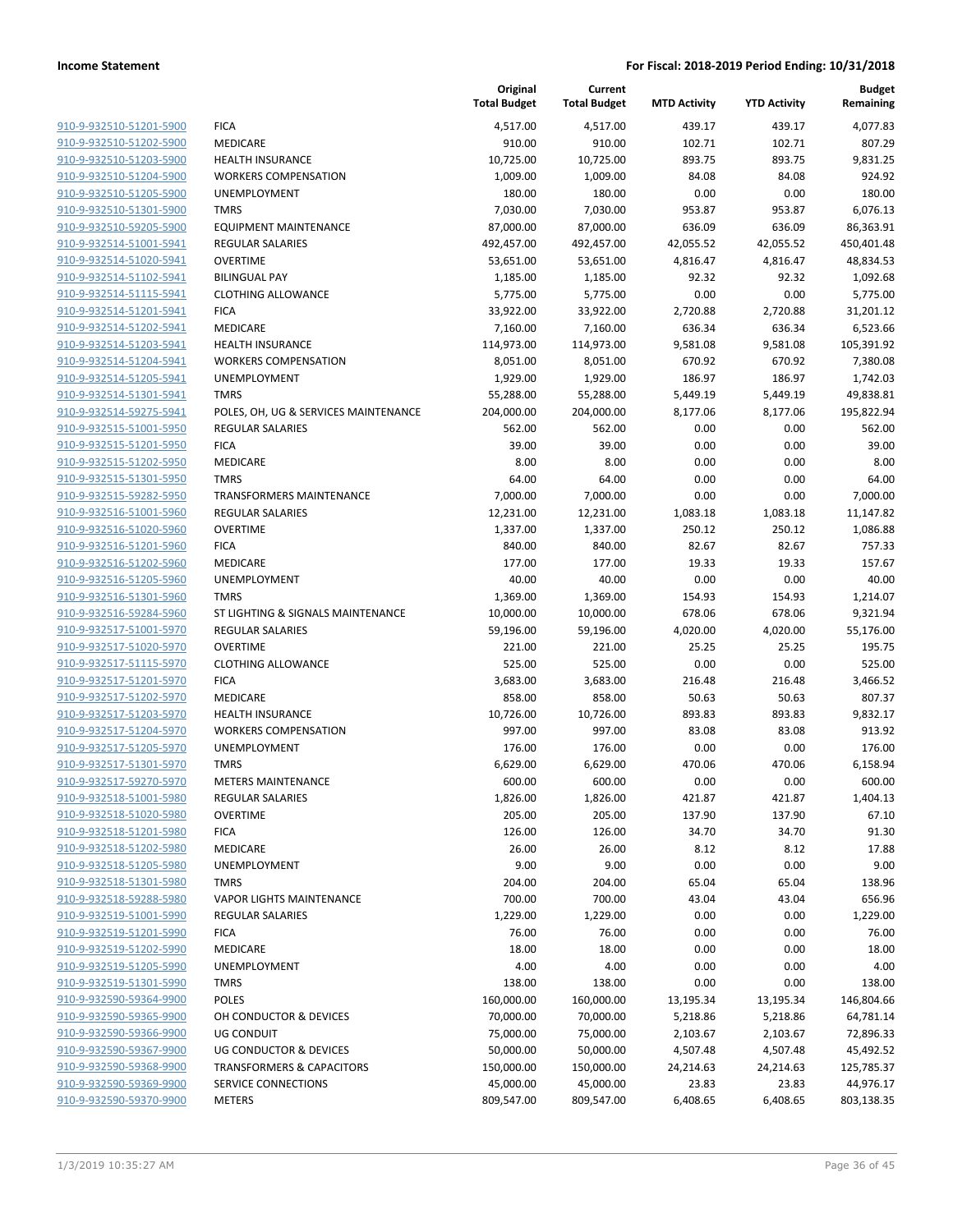|                                                    |                                        | Original<br><b>Total Budget</b> | Current<br><b>Total Budget</b> | <b>MTD Activity</b> | <b>YTD Activity</b> | <b>Budget</b><br>Remaining |
|----------------------------------------------------|----------------------------------------|---------------------------------|--------------------------------|---------------------|---------------------|----------------------------|
| 910-9-932510-51201-5900                            | <b>FICA</b>                            | 4,517.00                        | 4,517.00                       | 439.17              | 439.17              | 4,077.83                   |
| 910-9-932510-51202-5900                            | MEDICARE                               | 910.00                          | 910.00                         | 102.71              | 102.71              | 807.29                     |
| 910-9-932510-51203-5900                            | HEALTH INSURANCE                       | 10,725.00                       | 10,725.00                      | 893.75              | 893.75              | 9,831.25                   |
| 910-9-932510-51204-5900                            | <b>WORKERS COMPENSATION</b>            | 1,009.00                        | 1,009.00                       | 84.08               | 84.08               | 924.92                     |
| 910-9-932510-51205-5900                            | UNEMPLOYMENT                           | 180.00                          | 180.00                         | 0.00                | 0.00                | 180.00                     |
| 910-9-932510-51301-5900                            | <b>TMRS</b>                            | 7,030.00                        | 7,030.00                       | 953.87              | 953.87              | 6,076.13                   |
| 910-9-932510-59205-5900                            | <b>EQUIPMENT MAINTENANCE</b>           | 87,000.00                       | 87,000.00                      | 636.09              | 636.09              | 86,363.91                  |
| 910-9-932514-51001-5941                            | <b>REGULAR SALARIES</b>                | 492,457.00                      | 492,457.00                     | 42,055.52           | 42,055.52           | 450,401.48                 |
| 910-9-932514-51020-5941                            | <b>OVERTIME</b>                        | 53,651.00                       | 53,651.00                      | 4,816.47            | 4,816.47            | 48,834.53                  |
| 910-9-932514-51102-5941                            | <b>BILINGUAL PAY</b>                   | 1,185.00                        | 1,185.00                       | 92.32               | 92.32               | 1,092.68                   |
| 910-9-932514-51115-5941                            | <b>CLOTHING ALLOWANCE</b>              | 5,775.00                        | 5,775.00                       | 0.00                | 0.00                | 5,775.00                   |
| 910-9-932514-51201-5941                            | <b>FICA</b>                            | 33,922.00                       | 33,922.00                      | 2,720.88            | 2,720.88            | 31,201.12                  |
| 910-9-932514-51202-5941                            | MEDICARE                               | 7,160.00                        | 7,160.00                       | 636.34              | 636.34              | 6,523.66                   |
| 910-9-932514-51203-5941                            | <b>HEALTH INSURANCE</b>                | 114,973.00                      | 114,973.00                     | 9,581.08            | 9,581.08            | 105,391.92                 |
| 910-9-932514-51204-5941                            | <b>WORKERS COMPENSATION</b>            | 8,051.00                        | 8,051.00                       | 670.92              | 670.92              | 7,380.08                   |
| 910-9-932514-51205-5941                            | <b>UNEMPLOYMENT</b>                    | 1,929.00                        | 1,929.00                       | 186.97              | 186.97              | 1,742.03                   |
| 910-9-932514-51301-5941                            | <b>TMRS</b>                            | 55,288.00                       | 55,288.00                      | 5,449.19            | 5,449.19            | 49,838.81                  |
| 910-9-932514-59275-5941                            | POLES, OH, UG & SERVICES MAINTENANCE   | 204,000.00                      | 204,000.00                     | 8,177.06            | 8,177.06            | 195,822.94                 |
| 910-9-932515-51001-5950                            | <b>REGULAR SALARIES</b>                | 562.00                          | 562.00                         | 0.00                | 0.00                | 562.00                     |
| 910-9-932515-51201-5950                            | <b>FICA</b>                            | 39.00                           | 39.00                          | 0.00                | 0.00                | 39.00                      |
| 910-9-932515-51202-5950                            | MEDICARE                               | 8.00                            | 8.00                           | 0.00                | 0.00                | 8.00                       |
| 910-9-932515-51301-5950                            | <b>TMRS</b>                            | 64.00                           | 64.00                          | 0.00                | 0.00                | 64.00                      |
| 910-9-932515-59282-5950                            | <b>TRANSFORMERS MAINTENANCE</b>        | 7,000.00                        | 7,000.00                       | 0.00                | 0.00                | 7,000.00                   |
| 910-9-932516-51001-5960                            | REGULAR SALARIES                       | 12,231.00                       | 12,231.00                      | 1,083.18            | 1,083.18            | 11,147.82                  |
| 910-9-932516-51020-5960                            | <b>OVERTIME</b>                        | 1,337.00                        | 1,337.00                       | 250.12              | 250.12              | 1,086.88                   |
| 910-9-932516-51201-5960                            | <b>FICA</b>                            | 840.00                          | 840.00                         | 82.67               | 82.67               | 757.33                     |
| 910-9-932516-51202-5960                            | MEDICARE                               | 177.00                          | 177.00                         | 19.33               | 19.33               | 157.67                     |
| 910-9-932516-51205-5960                            | UNEMPLOYMENT                           | 40.00                           | 40.00                          | 0.00                | 0.00                | 40.00                      |
| 910-9-932516-51301-5960                            | <b>TMRS</b>                            | 1,369.00                        | 1,369.00                       | 154.93              | 154.93              | 1,214.07                   |
| 910-9-932516-59284-5960                            | ST LIGHTING & SIGNALS MAINTENANCE      | 10,000.00                       | 10,000.00                      | 678.06              | 678.06              | 9,321.94                   |
| 910-9-932517-51001-5970                            | <b>REGULAR SALARIES</b>                | 59,196.00                       | 59,196.00                      | 4,020.00            | 4,020.00            | 55,176.00                  |
| 910-9-932517-51020-5970                            | <b>OVERTIME</b>                        | 221.00                          | 221.00                         | 25.25               | 25.25               | 195.75                     |
| 910-9-932517-51115-5970                            | <b>CLOTHING ALLOWANCE</b>              | 525.00                          | 525.00                         | 0.00                | 0.00                | 525.00                     |
| 910-9-932517-51201-5970                            | <b>FICA</b>                            | 3,683.00                        | 3,683.00                       | 216.48              | 216.48              | 3,466.52                   |
| 910-9-932517-51202-5970                            | MEDICARE                               | 858.00                          | 858.00                         | 50.63               | 50.63               | 807.37                     |
| 910-9-932517-51203-5970                            | <b>HEALTH INSURANCE</b>                | 10,726.00                       | 10,726.00                      | 893.83              | 893.83              | 9,832.17                   |
| 910-9-932517-51204-5970                            | <b>WORKERS COMPENSATION</b>            | 997.00                          | 997.00                         | 83.08               | 83.08               | 913.92                     |
| 910-9-932517-51205-5970                            | UNEMPLOYMENT                           | 176.00                          | 176.00                         | 0.00                | 0.00                | 176.00                     |
| 910-9-932517-51301-5970                            | <b>TMRS</b>                            | 6,629.00                        | 6,629.00                       | 470.06              | 470.06              | 6,158.94                   |
| 910-9-932517-59270-5970                            | <b>METERS MAINTENANCE</b>              | 600.00                          | 600.00                         | 0.00                | 0.00                | 600.00                     |
| 910-9-932518-51001-5980                            | <b>REGULAR SALARIES</b>                | 1,826.00                        | 1,826.00                       | 421.87              | 421.87              | 1,404.13                   |
| 910-9-932518-51020-5980                            | <b>OVERTIME</b>                        | 205.00                          | 205.00                         | 137.90              | 137.90              | 67.10                      |
| 910-9-932518-51201-5980                            | <b>FICA</b>                            | 126.00                          | 126.00                         | 34.70               | 34.70               | 91.30                      |
| 910-9-932518-51202-5980                            | MEDICARE                               | 26.00                           | 26.00                          | 8.12                | 8.12                | 17.88                      |
| 910-9-932518-51205-5980                            | UNEMPLOYMENT                           | 9.00                            | 9.00                           | 0.00                | 0.00                | 9.00                       |
| 910-9-932518-51301-5980<br>910-9-932518-59288-5980 | <b>TMRS</b>                            | 204.00                          | 204.00                         | 65.04               | 65.04               | 138.96                     |
|                                                    | VAPOR LIGHTS MAINTENANCE               | 700.00                          | 700.00                         | 43.04<br>0.00       | 43.04<br>0.00       | 656.96                     |
| 910-9-932519-51001-5990<br>910-9-932519-51201-5990 | <b>REGULAR SALARIES</b><br><b>FICA</b> | 1,229.00<br>76.00               | 1,229.00<br>76.00              | 0.00                | 0.00                | 1,229.00<br>76.00          |
| 910-9-932519-51202-5990                            | <b>MEDICARE</b>                        | 18.00                           | 18.00                          | 0.00                | 0.00                | 18.00                      |
| 910-9-932519-51205-5990                            | UNEMPLOYMENT                           | 4.00                            | 4.00                           | 0.00                | 0.00                | 4.00                       |
| 910-9-932519-51301-5990                            | TMRS                                   | 138.00                          | 138.00                         | 0.00                | 0.00                | 138.00                     |
| 910-9-932590-59364-9900                            | <b>POLES</b>                           | 160,000.00                      | 160,000.00                     | 13,195.34           | 13,195.34           | 146,804.66                 |
| 910-9-932590-59365-9900                            | OH CONDUCTOR & DEVICES                 | 70,000.00                       | 70,000.00                      | 5,218.86            | 5,218.86            | 64,781.14                  |
| 910-9-932590-59366-9900                            | UG CONDUIT                             | 75,000.00                       | 75,000.00                      | 2,103.67            | 2,103.67            | 72,896.33                  |
| 910-9-932590-59367-9900                            | UG CONDUCTOR & DEVICES                 | 50,000.00                       | 50,000.00                      | 4,507.48            | 4,507.48            | 45,492.52                  |
| 910-9-932590-59368-9900                            | <b>TRANSFORMERS &amp; CAPACITORS</b>   | 150,000.00                      | 150,000.00                     | 24,214.63           | 24,214.63           | 125,785.37                 |
| 910-9-932590-59369-9900                            | SERVICE CONNECTIONS                    | 45,000.00                       | 45,000.00                      | 23.83               | 23.83               | 44,976.17                  |
| 910-9-932590-59370-9900                            | METERS                                 | 809,547.00                      | 809,547.00                     | 6,408.65            | 6,408.65            | 803,138.35                 |
|                                                    |                                        |                                 |                                |                     |                     |                            |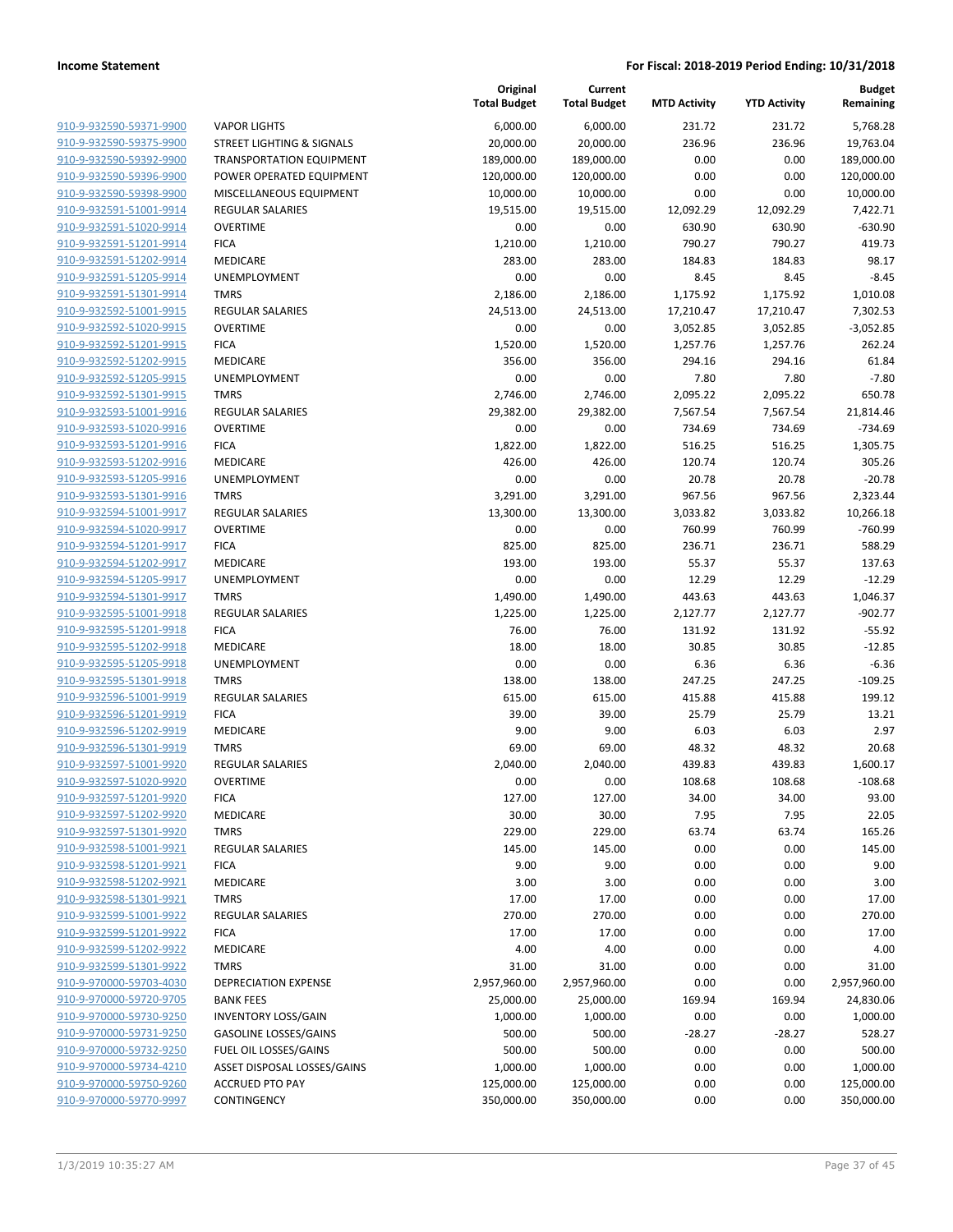|                                                    |                                        | Original<br><b>Total Budget</b> | Current<br><b>Total Budget</b> | <b>MTD Activity</b> | <b>YTD Activity</b> | <b>Budget</b><br>Remaining |
|----------------------------------------------------|----------------------------------------|---------------------------------|--------------------------------|---------------------|---------------------|----------------------------|
| 910-9-932590-59371-9900                            | <b>VAPOR LIGHTS</b>                    | 6,000.00                        | 6,000.00                       | 231.72              | 231.72              | 5,768.28                   |
| 910-9-932590-59375-9900                            | <b>STREET LIGHTING &amp; SIGNALS</b>   | 20,000.00                       | 20,000.00                      | 236.96              | 236.96              | 19,763.04                  |
| 910-9-932590-59392-9900                            | <b>TRANSPORTATION EQUIPMENT</b>        | 189,000.00                      | 189,000.00                     | 0.00                | 0.00                | 189,000.00                 |
| 910-9-932590-59396-9900                            | POWER OPERATED EQUIPMENT               | 120,000.00                      | 120,000.00                     | 0.00                | 0.00                | 120,000.00                 |
| 910-9-932590-59398-9900                            | MISCELLANEOUS EQUIPMENT                | 10,000.00                       | 10,000.00                      | 0.00                | 0.00                | 10,000.00                  |
| 910-9-932591-51001-9914                            | <b>REGULAR SALARIES</b>                | 19,515.00                       | 19,515.00                      | 12,092.29           | 12,092.29           | 7,422.71                   |
| 910-9-932591-51020-9914                            | <b>OVERTIME</b>                        | 0.00                            | 0.00                           | 630.90              | 630.90              | $-630.90$                  |
| 910-9-932591-51201-9914                            | <b>FICA</b>                            | 1,210.00                        | 1,210.00                       | 790.27              | 790.27              | 419.73                     |
| 910-9-932591-51202-9914                            | MEDICARE                               | 283.00                          | 283.00                         | 184.83              | 184.83              | 98.17                      |
| 910-9-932591-51205-9914                            | UNEMPLOYMENT                           | 0.00                            | 0.00                           | 8.45                | 8.45                | $-8.45$                    |
| 910-9-932591-51301-9914                            | <b>TMRS</b>                            | 2,186.00                        | 2,186.00                       | 1,175.92            | 1,175.92            | 1,010.08                   |
| 910-9-932592-51001-9915                            | REGULAR SALARIES                       | 24,513.00                       | 24,513.00                      | 17,210.47           | 17,210.47           | 7,302.53                   |
| 910-9-932592-51020-9915                            | <b>OVERTIME</b>                        | 0.00                            | 0.00                           | 3,052.85            | 3,052.85            | $-3,052.85$                |
| 910-9-932592-51201-9915                            | <b>FICA</b>                            | 1,520.00                        | 1,520.00                       | 1,257.76            | 1,257.76            | 262.24                     |
| 910-9-932592-51202-9915                            | MEDICARE                               | 356.00                          | 356.00                         | 294.16              | 294.16              | 61.84                      |
| 910-9-932592-51205-9915                            | UNEMPLOYMENT                           | 0.00                            | 0.00                           | 7.80                | 7.80                | $-7.80$                    |
| 910-9-932592-51301-9915                            | <b>TMRS</b>                            | 2,746.00                        | 2,746.00                       | 2,095.22            | 2,095.22            | 650.78                     |
| 910-9-932593-51001-9916                            | <b>REGULAR SALARIES</b>                | 29,382.00                       | 29,382.00                      | 7,567.54            | 7,567.54            | 21,814.46                  |
| 910-9-932593-51020-9916                            | <b>OVERTIME</b>                        | 0.00                            | 0.00                           | 734.69              | 734.69              | $-734.69$                  |
| 910-9-932593-51201-9916                            | <b>FICA</b>                            | 1,822.00                        | 1,822.00                       | 516.25              | 516.25              | 1,305.75                   |
| 910-9-932593-51202-9916                            | MEDICARE                               | 426.00                          | 426.00                         | 120.74              | 120.74              | 305.26                     |
| 910-9-932593-51205-9916                            | UNEMPLOYMENT                           | 0.00                            | 0.00                           | 20.78               | 20.78               | $-20.78$                   |
| 910-9-932593-51301-9916                            | <b>TMRS</b>                            | 3,291.00                        | 3,291.00                       | 967.56              | 967.56              | 2,323.44                   |
| 910-9-932594-51001-9917                            | <b>REGULAR SALARIES</b>                | 13,300.00                       | 13,300.00                      | 3,033.82            | 3,033.82            | 10,266.18                  |
| 910-9-932594-51020-9917                            | <b>OVERTIME</b>                        | 0.00                            | 0.00                           | 760.99              | 760.99              | $-760.99$                  |
| 910-9-932594-51201-9917                            | <b>FICA</b>                            | 825.00                          | 825.00                         | 236.71              | 236.71              | 588.29                     |
| 910-9-932594-51202-9917                            | MEDICARE                               | 193.00                          | 193.00                         | 55.37               | 55.37               | 137.63                     |
| 910-9-932594-51205-9917<br>910-9-932594-51301-9917 | UNEMPLOYMENT                           | 0.00                            | 0.00                           | 12.29               | 12.29               | $-12.29$                   |
| 910-9-932595-51001-9918                            | <b>TMRS</b><br><b>REGULAR SALARIES</b> | 1,490.00                        | 1,490.00                       | 443.63              | 443.63              | 1,046.37<br>$-902.77$      |
| 910-9-932595-51201-9918                            | <b>FICA</b>                            | 1,225.00<br>76.00               | 1,225.00<br>76.00              | 2,127.77<br>131.92  | 2,127.77<br>131.92  | $-55.92$                   |
| 910-9-932595-51202-9918                            | MEDICARE                               | 18.00                           | 18.00                          | 30.85               | 30.85               | $-12.85$                   |
| 910-9-932595-51205-9918                            | UNEMPLOYMENT                           | 0.00                            | 0.00                           | 6.36                | 6.36                | $-6.36$                    |
| 910-9-932595-51301-9918                            | <b>TMRS</b>                            | 138.00                          | 138.00                         | 247.25              | 247.25              | $-109.25$                  |
| 910-9-932596-51001-9919                            | <b>REGULAR SALARIES</b>                | 615.00                          | 615.00                         | 415.88              | 415.88              | 199.12                     |
| 910-9-932596-51201-9919                            | <b>FICA</b>                            | 39.00                           | 39.00                          | 25.79               | 25.79               | 13.21                      |
| 910-9-932596-51202-9919                            | <b>MEDICARE</b>                        | 9.00                            | 9.00                           | 6.03                | 6.03                | 2.97                       |
| 910-9-932596-51301-9919                            | <b>TMRS</b>                            | 69.00                           | 69.00                          | 48.32               | 48.32               | 20.68                      |
| 910-9-932597-51001-9920                            | <b>REGULAR SALARIES</b>                | 2,040.00                        | 2,040.00                       | 439.83              | 439.83              | 1,600.17                   |
| 910-9-932597-51020-9920                            | <b>OVERTIME</b>                        | 0.00                            | 0.00                           | 108.68              | 108.68              | $-108.68$                  |
| 910-9-932597-51201-9920                            | <b>FICA</b>                            | 127.00                          | 127.00                         | 34.00               | 34.00               | 93.00                      |
| 910-9-932597-51202-9920                            | MEDICARE                               | 30.00                           | 30.00                          | 7.95                | 7.95                | 22.05                      |
| 910-9-932597-51301-9920                            | <b>TMRS</b>                            | 229.00                          | 229.00                         | 63.74               | 63.74               | 165.26                     |
| 910-9-932598-51001-9921                            | <b>REGULAR SALARIES</b>                | 145.00                          | 145.00                         | 0.00                | 0.00                | 145.00                     |
| 910-9-932598-51201-9921                            | <b>FICA</b>                            | 9.00                            | 9.00                           | 0.00                | 0.00                | 9.00                       |
| 910-9-932598-51202-9921                            | <b>MEDICARE</b>                        | 3.00                            | 3.00                           | 0.00                | 0.00                | 3.00                       |
| 910-9-932598-51301-9921                            | <b>TMRS</b>                            | 17.00                           | 17.00                          | 0.00                | 0.00                | 17.00                      |
| 910-9-932599-51001-9922                            | <b>REGULAR SALARIES</b>                | 270.00                          | 270.00                         | 0.00                | 0.00                | 270.00                     |
| 910-9-932599-51201-9922                            | <b>FICA</b>                            | 17.00                           | 17.00                          | 0.00                | 0.00                | 17.00                      |
| 910-9-932599-51202-9922                            | <b>MEDICARE</b>                        | 4.00                            | 4.00                           | 0.00                | 0.00                | 4.00                       |
| 910-9-932599-51301-9922                            | <b>TMRS</b>                            | 31.00                           | 31.00                          | 0.00                | 0.00                | 31.00                      |
| 910-9-970000-59703-4030                            | <b>DEPRECIATION EXPENSE</b>            | 2,957,960.00                    | 2,957,960.00                   | 0.00                | 0.00                | 2,957,960.00               |
| 910-9-970000-59720-9705                            | <b>BANK FEES</b>                       | 25,000.00                       | 25,000.00                      | 169.94              | 169.94              | 24,830.06                  |
| 910-9-970000-59730-9250                            | <b>INVENTORY LOSS/GAIN</b>             | 1,000.00                        | 1,000.00                       | 0.00                | 0.00                | 1,000.00                   |
| 910-9-970000-59731-9250                            | <b>GASOLINE LOSSES/GAINS</b>           | 500.00                          | 500.00                         | $-28.27$            | $-28.27$            | 528.27                     |
| 910-9-970000-59732-9250                            | FUEL OIL LOSSES/GAINS                  | 500.00                          | 500.00                         | 0.00                | 0.00                | 500.00                     |
| 910-9-970000-59734-4210                            | ASSET DISPOSAL LOSSES/GAINS            | 1,000.00                        | 1,000.00                       | 0.00                | 0.00                | 1,000.00                   |
| 910-9-970000-59750-9260                            | <b>ACCRUED PTO PAY</b>                 | 125,000.00                      | 125,000.00                     | 0.00                | 0.00                | 125,000.00                 |
| 910-9-970000-59770-9997                            | CONTINGENCY                            | 350,000.00                      | 350,000.00                     | 0.00                | 0.00                | 350,000.00                 |
|                                                    |                                        |                                 |                                |                     |                     |                            |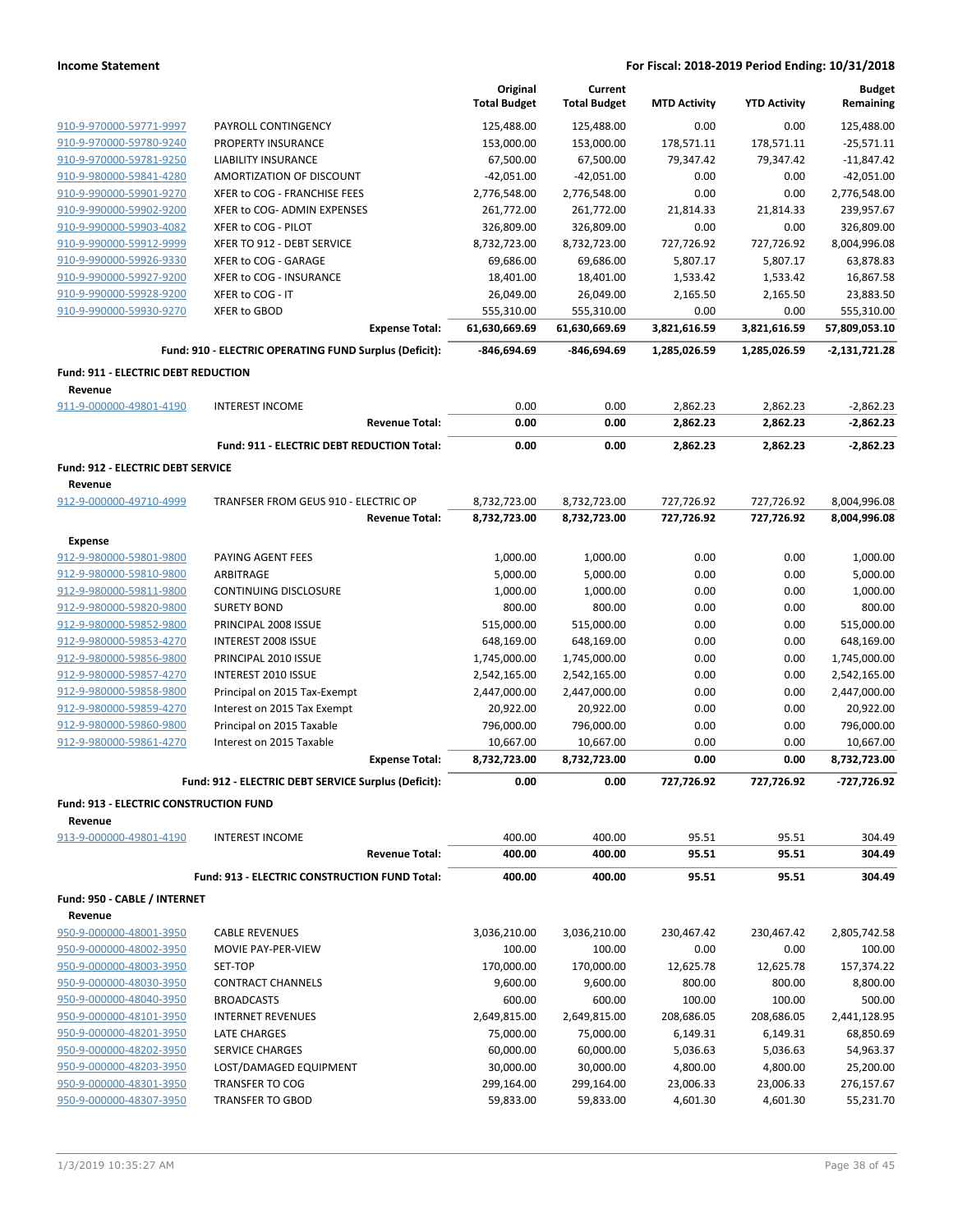|                                                   |                                                        | Original<br><b>Total Budget</b> | Current<br><b>Total Budget</b> | <b>MTD Activity</b> | <b>YTD Activity</b> | <b>Budget</b><br>Remaining |
|---------------------------------------------------|--------------------------------------------------------|---------------------------------|--------------------------------|---------------------|---------------------|----------------------------|
| 910-9-970000-59771-9997                           | PAYROLL CONTINGENCY                                    | 125,488.00                      | 125,488.00                     | 0.00                | 0.00                | 125,488.00                 |
| 910-9-970000-59780-9240                           | PROPERTY INSURANCE                                     | 153,000.00                      | 153,000.00                     | 178,571.11          | 178,571.11          | $-25,571.11$               |
| 910-9-970000-59781-9250                           | <b>LIABILITY INSURANCE</b>                             | 67,500.00                       | 67,500.00                      | 79,347.42           | 79,347.42           | $-11,847.42$               |
| 910-9-980000-59841-4280                           | AMORTIZATION OF DISCOUNT                               | $-42,051.00$                    | $-42,051.00$                   | 0.00                | 0.00                | $-42,051.00$               |
| 910-9-990000-59901-9270                           | XFER to COG - FRANCHISE FEES                           | 2,776,548.00                    | 2,776,548.00                   | 0.00                | 0.00                | 2,776,548.00               |
| 910-9-990000-59902-9200                           | XFER to COG- ADMIN EXPENSES                            | 261,772.00                      | 261,772.00                     | 21,814.33           | 21,814.33           | 239,957.67                 |
| 910-9-990000-59903-4082                           | XFER to COG - PILOT                                    | 326,809.00                      | 326,809.00                     | 0.00                | 0.00                | 326,809.00                 |
| 910-9-990000-59912-9999                           | XFER TO 912 - DEBT SERVICE                             | 8,732,723.00                    | 8,732,723.00                   | 727,726.92          | 727,726.92          | 8,004,996.08               |
| 910-9-990000-59926-9330                           | XFER to COG - GARAGE                                   | 69,686.00                       | 69,686.00                      | 5,807.17            | 5,807.17            | 63,878.83                  |
| 910-9-990000-59927-9200                           | XFER to COG - INSURANCE                                | 18,401.00                       | 18,401.00                      | 1,533.42            | 1,533.42            | 16,867.58                  |
| 910-9-990000-59928-9200                           | XFER to COG - IT                                       | 26,049.00                       | 26,049.00                      | 2,165.50            | 2,165.50            | 23,883.50                  |
| 910-9-990000-59930-9270                           | XFER to GBOD                                           | 555,310.00                      | 555,310.00                     | 0.00                | 0.00                | 555,310.00                 |
|                                                   | <b>Expense Total:</b>                                  | 61,630,669.69                   | 61,630,669.69                  | 3,821,616.59        | 3,821,616.59        | 57,809,053.10              |
|                                                   | Fund: 910 - ELECTRIC OPERATING FUND Surplus (Deficit): | -846,694.69                     | -846,694.69                    | 1,285,026.59        | 1,285,026.59        | -2,131,721.28              |
| Fund: 911 - ELECTRIC DEBT REDUCTION               |                                                        |                                 |                                |                     |                     |                            |
| Revenue                                           |                                                        |                                 |                                |                     |                     |                            |
| 911-9-000000-49801-4190                           | <b>INTEREST INCOME</b>                                 | 0.00                            | 0.00                           | 2,862.23            | 2,862.23            | $-2,862.23$                |
|                                                   | <b>Revenue Total:</b>                                  | 0.00                            | 0.00                           | 2,862.23            | 2,862.23            | $-2,862.23$                |
|                                                   | Fund: 911 - ELECTRIC DEBT REDUCTION Total:             | 0.00                            | 0.00                           | 2,862.23            | 2,862.23            | $-2,862.23$                |
| Fund: 912 - ELECTRIC DEBT SERVICE                 |                                                        |                                 |                                |                     |                     |                            |
| Revenue<br>912-9-000000-49710-4999                | TRANFSER FROM GEUS 910 - ELECTRIC OP                   | 8,732,723.00                    | 8,732,723.00                   | 727,726.92          | 727,726.92          | 8,004,996.08               |
|                                                   | <b>Revenue Total:</b>                                  | 8,732,723.00                    | 8,732,723.00                   | 727,726.92          | 727,726.92          | 8,004,996.08               |
| <b>Expense</b>                                    |                                                        |                                 |                                |                     |                     |                            |
| 912-9-980000-59801-9800                           | PAYING AGENT FEES                                      | 1,000.00                        | 1,000.00                       | 0.00                | 0.00                | 1,000.00                   |
| 912-9-980000-59810-9800                           | ARBITRAGE                                              | 5,000.00                        | 5,000.00                       | 0.00                | 0.00                | 5,000.00                   |
| 912-9-980000-59811-9800                           | CONTINUING DISCLOSURE                                  | 1,000.00                        | 1,000.00                       | 0.00                | 0.00                | 1,000.00                   |
| 912-9-980000-59820-9800                           | <b>SURETY BOND</b>                                     | 800.00                          | 800.00                         | 0.00                | 0.00                | 800.00                     |
| 912-9-980000-59852-9800                           | PRINCIPAL 2008 ISSUE                                   | 515,000.00                      | 515,000.00                     | 0.00                | 0.00                | 515,000.00                 |
| 912-9-980000-59853-4270                           | INTEREST 2008 ISSUE                                    | 648,169.00                      | 648,169.00                     | 0.00                | 0.00                | 648,169.00                 |
| 912-9-980000-59856-9800                           | PRINCIPAL 2010 ISSUE                                   | 1,745,000.00                    | 1,745,000.00                   | 0.00                | 0.00                | 1,745,000.00               |
| 912-9-980000-59857-4270                           | INTEREST 2010 ISSUE                                    | 2,542,165.00                    | 2,542,165.00                   | 0.00                | 0.00                | 2,542,165.00               |
| 912-9-980000-59858-9800                           | Principal on 2015 Tax-Exempt                           | 2,447,000.00                    | 2,447,000.00                   | 0.00                | 0.00                | 2,447,000.00               |
| 912-9-980000-59859-4270                           | Interest on 2015 Tax Exempt                            | 20,922.00                       | 20,922.00                      | 0.00                | 0.00                | 20,922.00                  |
| 912-9-980000-59860-9800                           | Principal on 2015 Taxable                              | 796,000.00                      | 796,000.00                     | 0.00                | 0.00                | 796,000.00                 |
| 912-9-980000-59861-4270                           | Interest on 2015 Taxable                               | 10,667.00                       | 10,667.00                      | 0.00                | 0.00                | 10,667.00                  |
|                                                   | <b>Expense Total:</b>                                  | 8,732,723.00                    | 8,732,723.00                   | 0.00                | 0.00                | 8,732,723.00               |
|                                                   | Fund: 912 - ELECTRIC DEBT SERVICE Surplus (Deficit):   | 0.00                            | 0.00                           | 727,726.92          | 727,726.92          | -727,726.92                |
| Fund: 913 - ELECTRIC CONSTRUCTION FUND<br>Revenue |                                                        |                                 |                                |                     |                     |                            |
| 913-9-000000-49801-4190                           | <b>INTEREST INCOME</b>                                 | 400.00                          | 400.00                         | 95.51               | 95.51               | 304.49                     |
|                                                   | <b>Revenue Total:</b>                                  | 400.00                          | 400.00                         | 95.51               | 95.51               | 304.49                     |
|                                                   | Fund: 913 - ELECTRIC CONSTRUCTION FUND Total:          | 400.00                          | 400.00                         | 95.51               | 95.51               | 304.49                     |
| Fund: 950 - CABLE / INTERNET                      |                                                        |                                 |                                |                     |                     |                            |
| Revenue                                           |                                                        |                                 |                                |                     |                     |                            |
| 950-9-000000-48001-3950                           | <b>CABLE REVENUES</b>                                  | 3,036,210.00                    | 3,036,210.00                   | 230,467.42          | 230,467.42          | 2,805,742.58               |
| 950-9-000000-48002-3950                           | MOVIE PAY-PER-VIEW                                     | 100.00                          | 100.00                         | 0.00                | 0.00                | 100.00                     |
| 950-9-000000-48003-3950                           | SET-TOP                                                | 170,000.00                      | 170,000.00                     | 12,625.78           | 12,625.78           | 157,374.22                 |
| 950-9-000000-48030-3950                           | <b>CONTRACT CHANNELS</b>                               | 9,600.00                        | 9,600.00                       | 800.00              | 800.00              | 8,800.00                   |
| 950-9-000000-48040-3950                           | <b>BROADCASTS</b>                                      | 600.00                          | 600.00                         | 100.00              | 100.00              | 500.00                     |
| 950-9-000000-48101-3950                           | <b>INTERNET REVENUES</b>                               | 2,649,815.00                    | 2,649,815.00                   | 208,686.05          | 208,686.05          | 2,441,128.95               |
| 950-9-000000-48201-3950                           | LATE CHARGES                                           | 75,000.00                       | 75,000.00                      | 6,149.31            | 6,149.31            | 68,850.69                  |
| 950-9-000000-48202-3950                           | SERVICE CHARGES                                        | 60,000.00                       | 60,000.00                      | 5,036.63            | 5,036.63            | 54,963.37                  |
| 950-9-000000-48203-3950                           | LOST/DAMAGED EQUIPMENT                                 | 30,000.00                       | 30,000.00                      | 4,800.00            | 4,800.00            | 25,200.00                  |
| 950-9-000000-48301-3950                           | <b>TRANSFER TO COG</b>                                 | 299,164.00                      | 299,164.00                     | 23,006.33           | 23,006.33           | 276,157.67                 |
| 950-9-000000-48307-3950                           | <b>TRANSFER TO GBOD</b>                                | 59,833.00                       | 59,833.00                      | 4,601.30            | 4,601.30            | 55,231.70                  |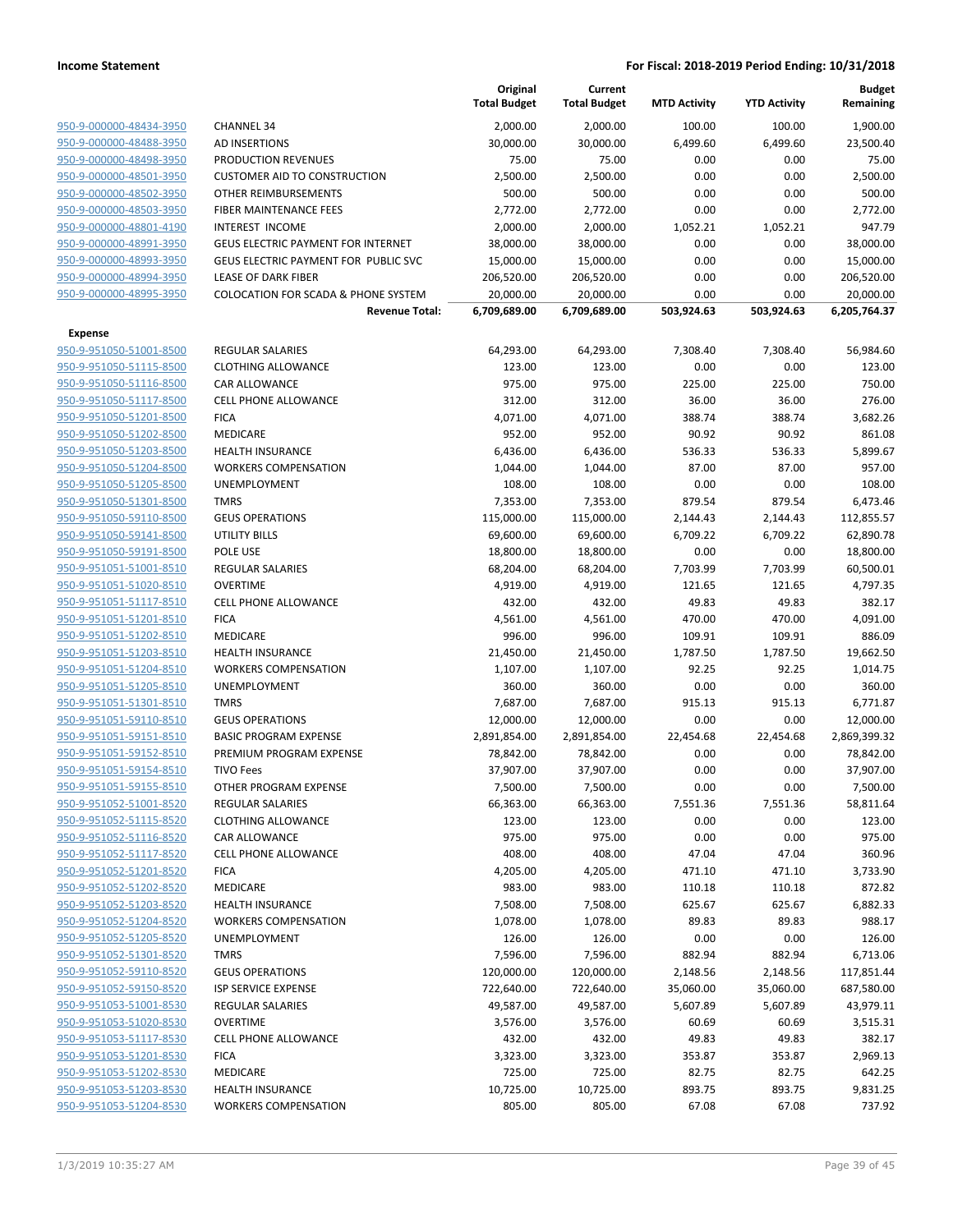|                                                    |                                                | Original<br><b>Total Budget</b> | Current<br><b>Total Budget</b> | <b>MTD Activity</b> | <b>YTD Activity</b> | <b>Budget</b><br>Remaining |
|----------------------------------------------------|------------------------------------------------|---------------------------------|--------------------------------|---------------------|---------------------|----------------------------|
| 950-9-000000-48434-3950                            | <b>CHANNEL 34</b>                              | 2,000.00                        | 2,000.00                       | 100.00              | 100.00              | 1,900.00                   |
| 950-9-000000-48488-3950                            | <b>AD INSERTIONS</b>                           | 30,000.00                       | 30,000.00                      | 6,499.60            | 6,499.60            | 23,500.40                  |
| 950-9-000000-48498-3950                            | <b>PRODUCTION REVENUES</b>                     | 75.00                           | 75.00                          | 0.00                | 0.00                | 75.00                      |
| 950-9-000000-48501-3950                            | <b>CUSTOMER AID TO CONSTRUCTION</b>            | 2,500.00                        | 2,500.00                       | 0.00                | 0.00                | 2,500.00                   |
| 950-9-000000-48502-3950                            | OTHER REIMBURSEMENTS                           | 500.00                          | 500.00                         | 0.00                | 0.00                | 500.00                     |
| 950-9-000000-48503-3950                            | FIBER MAINTENANCE FEES                         | 2,772.00                        | 2,772.00                       | 0.00                | 0.00                | 2,772.00                   |
| 950-9-000000-48801-4190                            | INTEREST INCOME                                | 2,000.00                        | 2,000.00                       | 1,052.21            | 1,052.21            | 947.79                     |
| 950-9-000000-48991-3950                            | GEUS ELECTRIC PAYMENT FOR INTERNET             | 38,000.00                       | 38,000.00                      | 0.00                | 0.00                | 38,000.00                  |
| 950-9-000000-48993-3950                            | GEUS ELECTRIC PAYMENT FOR PUBLIC SVC           | 15,000.00                       | 15,000.00                      | 0.00                | 0.00                | 15,000.00                  |
| 950-9-000000-48994-3950                            | LEASE OF DARK FIBER                            | 206,520.00                      | 206,520.00                     | 0.00                | 0.00                | 206,520.00                 |
| 950-9-000000-48995-3950                            | <b>COLOCATION FOR SCADA &amp; PHONE SYSTEM</b> | 20,000.00                       | 20,000.00                      | 0.00                | 0.00                | 20,000.00                  |
|                                                    | <b>Revenue Total:</b>                          | 6,709,689.00                    | 6,709,689.00                   | 503,924.63          | 503,924.63          | 6,205,764.37               |
| <b>Expense</b>                                     |                                                |                                 |                                |                     |                     |                            |
| 950-9-951050-51001-8500                            | <b>REGULAR SALARIES</b>                        | 64,293.00                       | 64,293.00                      | 7,308.40            | 7,308.40            | 56,984.60                  |
| 950-9-951050-51115-8500                            | <b>CLOTHING ALLOWANCE</b>                      | 123.00                          | 123.00                         | 0.00                | 0.00                | 123.00                     |
| 950-9-951050-51116-8500                            | CAR ALLOWANCE                                  | 975.00                          | 975.00                         | 225.00              | 225.00              | 750.00                     |
| 950-9-951050-51117-8500                            | <b>CELL PHONE ALLOWANCE</b>                    | 312.00                          | 312.00                         | 36.00               | 36.00               | 276.00                     |
| 950-9-951050-51201-8500                            | <b>FICA</b>                                    | 4,071.00                        | 4,071.00                       | 388.74              | 388.74              | 3,682.26                   |
| 950-9-951050-51202-8500                            | MEDICARE                                       | 952.00                          | 952.00                         | 90.92               | 90.92               | 861.08                     |
| 950-9-951050-51203-8500                            | <b>HEALTH INSURANCE</b>                        | 6,436.00                        | 6,436.00                       | 536.33              | 536.33              | 5,899.67                   |
| 950-9-951050-51204-8500                            | <b>WORKERS COMPENSATION</b>                    | 1,044.00                        | 1,044.00                       | 87.00               | 87.00               | 957.00                     |
| 950-9-951050-51205-8500                            | UNEMPLOYMENT                                   | 108.00                          | 108.00                         | 0.00                | 0.00                | 108.00                     |
| 950-9-951050-51301-8500                            | <b>TMRS</b>                                    | 7,353.00                        | 7,353.00                       | 879.54              | 879.54              | 6,473.46                   |
| 950-9-951050-59110-8500                            | <b>GEUS OPERATIONS</b>                         | 115,000.00                      | 115,000.00                     | 2,144.43            | 2,144.43            | 112,855.57                 |
| 950-9-951050-59141-8500                            | <b>UTILITY BILLS</b>                           | 69,600.00                       | 69,600.00                      | 6,709.22            | 6,709.22            | 62,890.78                  |
| 950-9-951050-59191-8500                            | POLE USE                                       | 18,800.00                       | 18,800.00                      | 0.00                | 0.00                | 18,800.00                  |
| 950-9-951051-51001-8510                            | <b>REGULAR SALARIES</b>                        | 68,204.00                       | 68,204.00                      | 7,703.99            | 7,703.99            | 60,500.01                  |
| 950-9-951051-51020-8510                            | <b>OVERTIME</b>                                | 4,919.00                        | 4,919.00                       | 121.65              | 121.65              | 4,797.35                   |
| 950-9-951051-51117-8510                            | <b>CELL PHONE ALLOWANCE</b>                    | 432.00                          | 432.00                         | 49.83               | 49.83               | 382.17                     |
| 950-9-951051-51201-8510                            | <b>FICA</b>                                    | 4,561.00                        | 4,561.00                       | 470.00              | 470.00              | 4,091.00                   |
| 950-9-951051-51202-8510                            | MEDICARE                                       | 996.00                          | 996.00                         | 109.91              | 109.91              | 886.09                     |
| 950-9-951051-51203-8510                            | <b>HEALTH INSURANCE</b>                        | 21,450.00                       | 21,450.00                      | 1,787.50            | 1,787.50            | 19,662.50                  |
| 950-9-951051-51204-8510                            | <b>WORKERS COMPENSATION</b>                    | 1,107.00                        | 1,107.00                       | 92.25               | 92.25               | 1,014.75                   |
| 950-9-951051-51205-8510                            | UNEMPLOYMENT                                   | 360.00                          | 360.00                         | 0.00                | 0.00                | 360.00                     |
| 950-9-951051-51301-8510                            | <b>TMRS</b>                                    | 7,687.00                        | 7,687.00                       | 915.13              | 915.13              | 6,771.87                   |
| 950-9-951051-59110-8510                            | <b>GEUS OPERATIONS</b>                         | 12,000.00                       | 12,000.00                      | 0.00                | 0.00                | 12,000.00                  |
| 950-9-951051-59151-8510                            | <b>BASIC PROGRAM EXPENSE</b>                   | 2,891,854.00                    | 2,891,854.00                   | 22,454.68           | 22,454.68           | 2,869,399.32               |
| 950-9-951051-59152-8510                            | PREMIUM PROGRAM EXPENSE                        | 78,842.00                       | 78,842.00                      | 0.00                | 0.00                | 78,842.00                  |
| 950-9-951051-59154-8510                            | <b>TIVO Fees</b>                               | 37,907.00                       | 37,907.00                      | 0.00                | 0.00                | 37,907.00                  |
| 950-9-951051-59155-8510                            | OTHER PROGRAM EXPENSE                          | 7,500.00                        | 7,500.00                       | 0.00                | 0.00                | 7,500.00                   |
| 950-9-951052-51001-8520                            | REGULAR SALARIES                               | 66,363.00                       | 66,363.00                      | 7,551.36            | 7,551.36            | 58,811.64                  |
| 950-9-951052-51115-8520                            | <b>CLOTHING ALLOWANCE</b>                      | 123.00                          | 123.00                         | 0.00                | 0.00                | 123.00                     |
| 950-9-951052-51116-8520                            | CAR ALLOWANCE                                  | 975.00                          | 975.00                         | 0.00                | 0.00                | 975.00                     |
| 950-9-951052-51117-8520                            | <b>CELL PHONE ALLOWANCE</b>                    | 408.00                          | 408.00                         | 47.04               | 47.04               | 360.96                     |
| 950-9-951052-51201-8520                            | <b>FICA</b>                                    | 4,205.00                        | 4,205.00                       | 471.10              | 471.10              | 3,733.90                   |
| 950-9-951052-51202-8520                            | MEDICARE                                       | 983.00                          | 983.00                         | 110.18              | 110.18              | 872.82                     |
| 950-9-951052-51203-8520                            | <b>HEALTH INSURANCE</b>                        | 7,508.00                        | 7,508.00                       | 625.67              | 625.67              | 6,882.33                   |
| 950-9-951052-51204-8520                            | <b>WORKERS COMPENSATION</b>                    | 1,078.00                        | 1,078.00                       | 89.83               | 89.83               | 988.17                     |
| 950-9-951052-51205-8520                            | UNEMPLOYMENT                                   | 126.00                          | 126.00                         | 0.00                | 0.00                | 126.00                     |
| 950-9-951052-51301-8520                            | <b>TMRS</b>                                    | 7,596.00                        | 7,596.00                       | 882.94              | 882.94              | 6,713.06                   |
| 950-9-951052-59110-8520                            | <b>GEUS OPERATIONS</b>                         | 120,000.00                      | 120,000.00                     | 2,148.56            | 2,148.56            | 117,851.44                 |
| 950-9-951052-59150-8520                            | <b>ISP SERVICE EXPENSE</b>                     | 722,640.00                      | 722,640.00                     | 35,060.00           | 35,060.00           | 687,580.00                 |
| 950-9-951053-51001-8530                            | REGULAR SALARIES                               | 49,587.00                       | 49,587.00                      | 5,607.89            | 5,607.89            | 43,979.11                  |
| 950-9-951053-51020-8530                            | <b>OVERTIME</b>                                | 3,576.00                        | 3,576.00                       | 60.69               | 60.69               | 3,515.31                   |
| 950-9-951053-51117-8530<br>950-9-951053-51201-8530 | <b>CELL PHONE ALLOWANCE</b>                    | 432.00                          | 432.00                         | 49.83               | 49.83               | 382.17                     |
| 950-9-951053-51202-8530                            | <b>FICA</b>                                    | 3,323.00                        | 3,323.00                       | 353.87              | 353.87              | 2,969.13                   |
| 950-9-951053-51203-8530                            | MEDICARE<br><b>HEALTH INSURANCE</b>            | 725.00<br>10,725.00             | 725.00                         | 82.75<br>893.75     | 82.75<br>893.75     | 642.25                     |
| 950-9-951053-51204-8530                            | <b>WORKERS COMPENSATION</b>                    | 805.00                          | 10,725.00<br>805.00            | 67.08               | 67.08               | 9,831.25<br>737.92         |
|                                                    |                                                |                                 |                                |                     |                     |                            |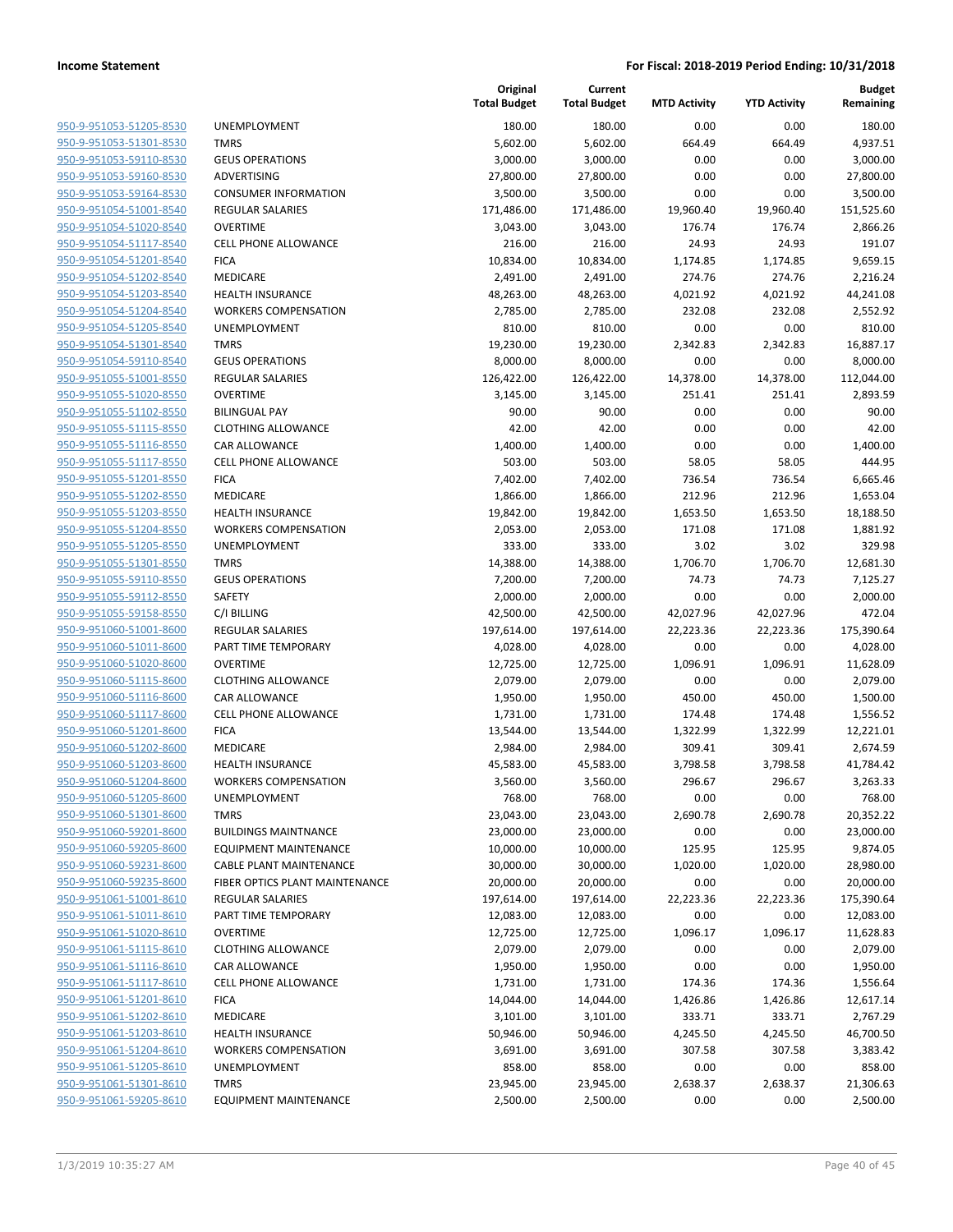| 950-9-951053-51205-8530                                   |
|-----------------------------------------------------------|
| 950-9-951053-51301-8530                                   |
| 950-9-951053-59110-8530                                   |
| 950-9-951053-59160-8530                                   |
| <u>950-9-951053-59164-8530</u>                            |
| 950-9-951054-51001-8540                                   |
| 950-9-951054-51020-8540                                   |
| 950-9-951054-51117-8540                                   |
| 950-9-951054-51201-8540                                   |
| 950-9-951054-51202-8540                                   |
| 950-9-951054-51203-8540                                   |
| 950-9-951054-51204-8540                                   |
| 950-9-951054-51205-8540                                   |
| 950-9-951054-51301-8540                                   |
| <u>950-9-951054-59110-8540</u>                            |
| <u>950-9-951055-51001-8550</u>                            |
| 950-9-951055-51020-8550                                   |
| 950-9-951055-51102-8550                                   |
| 950-9-951055-51115-8550                                   |
| <u>950-9-951055-51116-8550</u>                            |
| 950-9-951055-51117-8550                                   |
| 950-9-951055-51201-8550                                   |
| 950-9-951055-51202-8550                                   |
| 950-9-951055-51203-8550                                   |
| <u>950-9-951055-51204-8550</u>                            |
| 950-9-951055-51205-8550                                   |
| 950-9-951055-51301-8550                                   |
| 950-9-951055-59110-8550                                   |
| 950-9-951055-59112-8550                                   |
| <u>950-9-951055-59158-8550</u>                            |
| <u>950-9-951060-51001-8600</u>                            |
| 950-9-951060-51011-8600                                   |
| 950-9-951060-51020-8600                                   |
| 950-9-951060-51115-8600                                   |
| <u>950-9-951060-51116-8600</u>                            |
| <u>950-9-951060-51117-8600</u>                            |
| 950-9-951060-51201-8600                                   |
| 950-9-951060-51202-8600                                   |
| 950-9-951060-51203-8600                                   |
| <u>950-9-951060-51204-8600</u>                            |
| 950-9-951060-51205-8600                                   |
| 950-9-951060-51301-8600                                   |
| 950-9-951060-59201-8600                                   |
| 950-9-951060-59205-8600                                   |
| <u>950-9-951060-59231-8600</u>                            |
| <u>950-9-951060-59235-8600</u>                            |
| 950-9-951061-51001-8610                                   |
| 950-9-951061-51011-8610                                   |
| 950-9-951061-51020-8610                                   |
| <u>950-9-951061-51115-8610</u>                            |
| <u>950-9-951061-51116-8610</u><br>950-9-951061-51117-8610 |
| 950-9-951061-51201-8610                                   |
| 950-9-951061-51202-8610                                   |
| 950-9-951061-51203-8610                                   |
| <u>950-9-951061-51204-8610</u>                            |
| 950-9-951061-51205-8610                                   |
| 950-9-951061-51301-8610                                   |
| 950-9-951061-59205-8610                                   |
|                                                           |

|                                                    |                                     | Original<br><b>Total Budget</b> | Current<br><b>Total Budget</b> | <b>MTD Activity</b> | <b>YTD Activity</b> | <b>Budget</b><br>Remaining |
|----------------------------------------------------|-------------------------------------|---------------------------------|--------------------------------|---------------------|---------------------|----------------------------|
| 950-9-951053-51205-8530                            | UNEMPLOYMENT                        | 180.00                          | 180.00                         | 0.00                | 0.00                | 180.00                     |
| 950-9-951053-51301-8530                            | <b>TMRS</b>                         | 5,602.00                        | 5,602.00                       | 664.49              | 664.49              | 4,937.51                   |
| 950-9-951053-59110-8530                            | <b>GEUS OPERATIONS</b>              | 3,000.00                        | 3,000.00                       | 0.00                | 0.00                | 3,000.00                   |
| 950-9-951053-59160-8530                            | ADVERTISING                         | 27,800.00                       | 27,800.00                      | 0.00                | 0.00                | 27,800.00                  |
| 950-9-951053-59164-8530                            | <b>CONSUMER INFORMATION</b>         | 3,500.00                        | 3,500.00                       | 0.00                | 0.00                | 3,500.00                   |
| 950-9-951054-51001-8540                            | <b>REGULAR SALARIES</b>             | 171,486.00                      | 171,486.00                     | 19,960.40           | 19,960.40           | 151,525.60                 |
| 950-9-951054-51020-8540                            | <b>OVERTIME</b>                     | 3,043.00                        | 3,043.00                       | 176.74              | 176.74              | 2,866.26                   |
| 950-9-951054-51117-8540                            | <b>CELL PHONE ALLOWANCE</b>         | 216.00                          | 216.00                         | 24.93               | 24.93               | 191.07                     |
| 950-9-951054-51201-8540                            | <b>FICA</b>                         | 10,834.00                       | 10,834.00                      | 1,174.85            | 1,174.85            | 9,659.15                   |
| 950-9-951054-51202-8540                            | MEDICARE                            | 2,491.00                        | 2,491.00                       | 274.76              | 274.76              | 2,216.24                   |
| 950-9-951054-51203-8540                            | <b>HEALTH INSURANCE</b>             | 48,263.00                       | 48,263.00                      | 4,021.92            | 4,021.92            | 44,241.08                  |
| 950-9-951054-51204-8540                            | <b>WORKERS COMPENSATION</b>         | 2,785.00                        | 2,785.00                       | 232.08              | 232.08              | 2,552.92                   |
| 950-9-951054-51205-8540                            | UNEMPLOYMENT                        | 810.00                          | 810.00                         | 0.00                | 0.00                | 810.00                     |
| 950-9-951054-51301-8540                            | <b>TMRS</b>                         | 19,230.00                       | 19,230.00                      | 2,342.83            | 2,342.83            | 16,887.17                  |
| 950-9-951054-59110-8540                            | <b>GEUS OPERATIONS</b>              | 8,000.00                        | 8,000.00                       | 0.00                | 0.00                | 8,000.00                   |
| 950-9-951055-51001-8550                            | REGULAR SALARIES                    | 126,422.00                      | 126,422.00                     | 14,378.00           | 14,378.00           | 112,044.00                 |
| 950-9-951055-51020-8550                            | <b>OVERTIME</b>                     | 3,145.00                        | 3,145.00                       | 251.41              | 251.41              | 2,893.59                   |
| 950-9-951055-51102-8550                            | <b>BILINGUAL PAY</b>                | 90.00                           | 90.00                          | 0.00                | 0.00                | 90.00                      |
| 950-9-951055-51115-8550                            | <b>CLOTHING ALLOWANCE</b>           | 42.00                           | 42.00                          | 0.00                | 0.00                | 42.00                      |
| 950-9-951055-51116-8550                            | CAR ALLOWANCE                       | 1,400.00                        | 1,400.00                       | 0.00                | 0.00                | 1,400.00                   |
| 950-9-951055-51117-8550                            | <b>CELL PHONE ALLOWANCE</b>         | 503.00                          | 503.00                         | 58.05               | 58.05               | 444.95                     |
| 950-9-951055-51201-8550                            | <b>FICA</b>                         | 7,402.00                        | 7,402.00                       | 736.54              | 736.54              | 6,665.46                   |
| 950-9-951055-51202-8550                            | <b>MEDICARE</b>                     | 1,866.00                        | 1,866.00                       | 212.96              | 212.96              | 1,653.04                   |
| 950-9-951055-51203-8550                            | <b>HEALTH INSURANCE</b>             | 19,842.00                       | 19,842.00                      | 1,653.50            | 1,653.50            | 18,188.50                  |
| 950-9-951055-51204-8550                            | <b>WORKERS COMPENSATION</b>         | 2,053.00                        | 2,053.00                       | 171.08              | 171.08              | 1,881.92                   |
| 950-9-951055-51205-8550                            | UNEMPLOYMENT                        | 333.00                          | 333.00                         | 3.02                | 3.02                | 329.98                     |
| 950-9-951055-51301-8550                            | <b>TMRS</b>                         | 14,388.00                       | 14,388.00                      | 1,706.70            | 1,706.70            | 12,681.30                  |
| 950-9-951055-59110-8550                            | <b>GEUS OPERATIONS</b>              | 7,200.00                        | 7,200.00                       | 74.73               | 74.73               | 7,125.27                   |
| 950-9-951055-59112-8550                            | SAFETY                              | 2,000.00                        | 2,000.00                       | 0.00                | 0.00                | 2,000.00                   |
| 950-9-951055-59158-8550                            | C/I BILLING                         | 42,500.00                       | 42,500.00                      | 42,027.96           | 42,027.96           | 472.04                     |
| 950-9-951060-51001-8600                            | <b>REGULAR SALARIES</b>             | 197,614.00                      | 197,614.00                     | 22,223.36           | 22,223.36           | 175,390.64                 |
| 950-9-951060-51011-8600                            | PART TIME TEMPORARY                 | 4,028.00                        | 4,028.00                       | 0.00                | 0.00                | 4,028.00                   |
| 950-9-951060-51020-8600                            | <b>OVERTIME</b>                     | 12,725.00                       | 12,725.00                      | 1,096.91            | 1,096.91            | 11,628.09                  |
| 950-9-951060-51115-8600                            | <b>CLOTHING ALLOWANCE</b>           | 2,079.00                        | 2,079.00                       | 0.00                | 0.00                | 2,079.00                   |
| 950-9-951060-51116-8600                            | CAR ALLOWANCE                       | 1,950.00                        | 1,950.00                       | 450.00              | 450.00              | 1,500.00                   |
| 950-9-951060-51117-8600                            | <b>CELL PHONE ALLOWANCE</b>         | 1,731.00                        | 1,731.00                       | 174.48              | 174.48              | 1,556.52                   |
| 950-9-951060-51201-8600<br>950-9-951060-51202-8600 | <b>FICA</b>                         | 13,544.00                       | 13,544.00                      | 1,322.99            | 1,322.99            | 12,221.01                  |
| 950-9-951060-51203-8600                            | MEDICARE<br><b>HEALTH INSURANCE</b> | 2,984.00                        | 2,984.00                       | 309.41              | 309.41              | 2,674.59<br>41,784.42      |
| 950-9-951060-51204-8600                            | <b>WORKERS COMPENSATION</b>         | 45,583.00<br>3,560.00           | 45,583.00<br>3,560.00          | 3,798.58<br>296.67  | 3,798.58<br>296.67  | 3,263.33                   |
| 950-9-951060-51205-8600                            | <b>UNEMPLOYMENT</b>                 | 768.00                          | 768.00                         | 0.00                | 0.00                | 768.00                     |
| 950-9-951060-51301-8600                            | <b>TMRS</b>                         | 23,043.00                       | 23,043.00                      | 2,690.78            | 2,690.78            | 20,352.22                  |
| 950-9-951060-59201-8600                            | <b>BUILDINGS MAINTNANCE</b>         | 23,000.00                       | 23,000.00                      | 0.00                | 0.00                | 23,000.00                  |
| 950-9-951060-59205-8600                            | <b>EQUIPMENT MAINTENANCE</b>        | 10,000.00                       | 10,000.00                      | 125.95              | 125.95              | 9,874.05                   |
| 950-9-951060-59231-8600                            | CABLE PLANT MAINTENANCE             | 30,000.00                       | 30,000.00                      | 1,020.00            | 1,020.00            | 28,980.00                  |
| 950-9-951060-59235-8600                            | FIBER OPTICS PLANT MAINTENANCE      | 20,000.00                       | 20,000.00                      | 0.00                | 0.00                | 20,000.00                  |
| 950-9-951061-51001-8610                            | REGULAR SALARIES                    | 197,614.00                      | 197,614.00                     | 22,223.36           | 22,223.36           | 175,390.64                 |
| 950-9-951061-51011-8610                            | PART TIME TEMPORARY                 | 12,083.00                       | 12,083.00                      | 0.00                | 0.00                | 12,083.00                  |
| 950-9-951061-51020-8610                            | <b>OVERTIME</b>                     | 12,725.00                       | 12,725.00                      | 1,096.17            | 1,096.17            | 11,628.83                  |
| 950-9-951061-51115-8610                            | <b>CLOTHING ALLOWANCE</b>           | 2,079.00                        | 2,079.00                       | 0.00                | 0.00                | 2,079.00                   |
| 950-9-951061-51116-8610                            | CAR ALLOWANCE                       | 1,950.00                        | 1,950.00                       | 0.00                | 0.00                | 1,950.00                   |
| 950-9-951061-51117-8610                            | <b>CELL PHONE ALLOWANCE</b>         | 1,731.00                        | 1,731.00                       | 174.36              | 174.36              | 1,556.64                   |
| 950-9-951061-51201-8610                            | <b>FICA</b>                         | 14,044.00                       | 14,044.00                      | 1,426.86            | 1,426.86            | 12,617.14                  |
| 950-9-951061-51202-8610                            | MEDICARE                            | 3,101.00                        | 3,101.00                       | 333.71              | 333.71              | 2,767.29                   |
| 950-9-951061-51203-8610                            | <b>HEALTH INSURANCE</b>             | 50,946.00                       | 50,946.00                      | 4,245.50            | 4,245.50            | 46,700.50                  |
| 950-9-951061-51204-8610                            | <b>WORKERS COMPENSATION</b>         | 3,691.00                        | 3,691.00                       | 307.58              | 307.58              | 3,383.42                   |
| 950-9-951061-51205-8610                            | UNEMPLOYMENT                        | 858.00                          | 858.00                         | 0.00                | 0.00                | 858.00                     |
| 950-9-951061-51301-8610                            | <b>TMRS</b>                         | 23,945.00                       | 23,945.00                      | 2,638.37            | 2,638.37            | 21,306.63                  |
| 950-9-951061-59205-8610                            | <b>EQUIPMENT MAINTENANCE</b>        | 2,500.00                        | 2,500.00                       | 0.00                | 0.00                | 2,500.00                   |
|                                                    |                                     |                                 |                                |                     |                     |                            |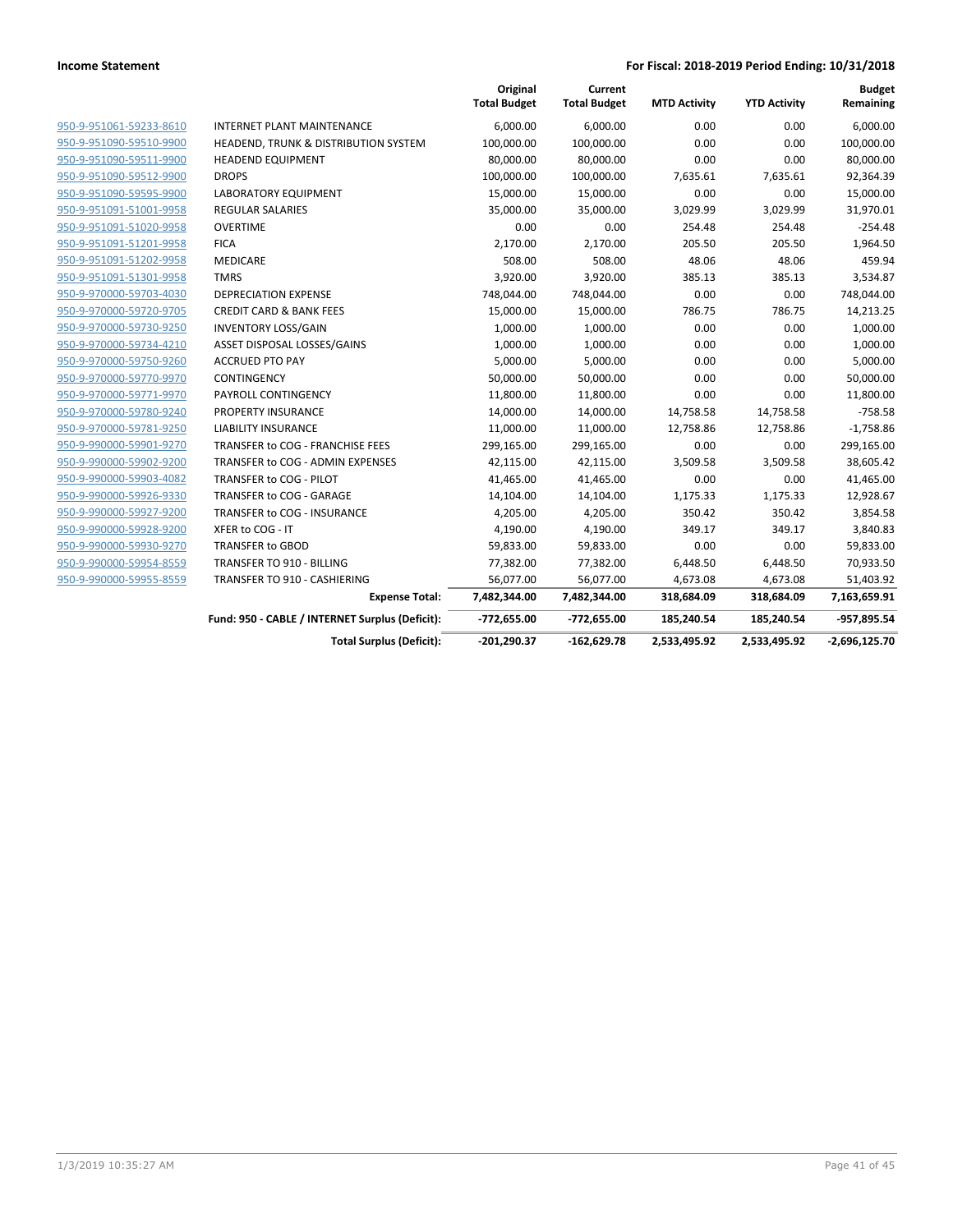|                         |                                                 | Original<br><b>Total Budget</b> | Current<br><b>Total Budget</b> | <b>MTD Activity</b> | <b>YTD Activity</b> | <b>Budget</b><br>Remaining |
|-------------------------|-------------------------------------------------|---------------------------------|--------------------------------|---------------------|---------------------|----------------------------|
| 950-9-951061-59233-8610 | <b>INTERNET PLANT MAINTENANCE</b>               | 6,000.00                        | 6,000.00                       | 0.00                | 0.00                | 6,000.00                   |
| 950-9-951090-59510-9900 | HEADEND, TRUNK & DISTRIBUTION SYSTEM            | 100,000.00                      | 100,000.00                     | 0.00                | 0.00                | 100,000.00                 |
| 950-9-951090-59511-9900 | <b>HEADEND EQUIPMENT</b>                        | 80,000.00                       | 80,000.00                      | 0.00                | 0.00                | 80,000.00                  |
| 950-9-951090-59512-9900 | <b>DROPS</b>                                    | 100,000.00                      | 100,000.00                     | 7,635.61            | 7,635.61            | 92,364.39                  |
| 950-9-951090-59595-9900 | LABORATORY EQUIPMENT                            | 15,000.00                       | 15,000.00                      | 0.00                | 0.00                | 15,000.00                  |
| 950-9-951091-51001-9958 | <b>REGULAR SALARIES</b>                         | 35,000.00                       | 35,000.00                      | 3,029.99            | 3,029.99            | 31,970.01                  |
| 950-9-951091-51020-9958 | <b>OVERTIME</b>                                 | 0.00                            | 0.00                           | 254.48              | 254.48              | $-254.48$                  |
| 950-9-951091-51201-9958 | <b>FICA</b>                                     | 2,170.00                        | 2,170.00                       | 205.50              | 205.50              | 1,964.50                   |
| 950-9-951091-51202-9958 | <b>MEDICARE</b>                                 | 508.00                          | 508.00                         | 48.06               | 48.06               | 459.94                     |
| 950-9-951091-51301-9958 | <b>TMRS</b>                                     | 3,920.00                        | 3,920.00                       | 385.13              | 385.13              | 3,534.87                   |
| 950-9-970000-59703-4030 | <b>DEPRECIATION EXPENSE</b>                     | 748,044.00                      | 748,044.00                     | 0.00                | 0.00                | 748,044.00                 |
| 950-9-970000-59720-9705 | <b>CREDIT CARD &amp; BANK FEES</b>              | 15,000.00                       | 15,000.00                      | 786.75              | 786.75              | 14,213.25                  |
| 950-9-970000-59730-9250 | <b>INVENTORY LOSS/GAIN</b>                      | 1,000.00                        | 1,000.00                       | 0.00                | 0.00                | 1,000.00                   |
| 950-9-970000-59734-4210 | ASSET DISPOSAL LOSSES/GAINS                     | 1,000.00                        | 1,000.00                       | 0.00                | 0.00                | 1,000.00                   |
| 950-9-970000-59750-9260 | <b>ACCRUED PTO PAY</b>                          | 5,000.00                        | 5,000.00                       | 0.00                | 0.00                | 5,000.00                   |
| 950-9-970000-59770-9970 | CONTINGENCY                                     | 50,000.00                       | 50,000.00                      | 0.00                | 0.00                | 50,000.00                  |
| 950-9-970000-59771-9970 | PAYROLL CONTINGENCY                             | 11,800.00                       | 11,800.00                      | 0.00                | 0.00                | 11,800.00                  |
| 950-9-970000-59780-9240 | PROPERTY INSURANCE                              | 14,000.00                       | 14,000.00                      | 14,758.58           | 14,758.58           | $-758.58$                  |
| 950-9-970000-59781-9250 | <b>LIABILITY INSURANCE</b>                      | 11,000.00                       | 11,000.00                      | 12,758.86           | 12,758.86           | $-1,758.86$                |
| 950-9-990000-59901-9270 | TRANSFER to COG - FRANCHISE FEES                | 299,165.00                      | 299,165.00                     | 0.00                | 0.00                | 299,165.00                 |
| 950-9-990000-59902-9200 | TRANSFER to COG - ADMIN EXPENSES                | 42,115.00                       | 42,115.00                      | 3,509.58            | 3,509.58            | 38,605.42                  |
| 950-9-990000-59903-4082 | TRANSFER to COG - PILOT                         | 41,465.00                       | 41,465.00                      | 0.00                | 0.00                | 41,465.00                  |
| 950-9-990000-59926-9330 | TRANSFER to COG - GARAGE                        | 14,104.00                       | 14,104.00                      | 1,175.33            | 1,175.33            | 12,928.67                  |
| 950-9-990000-59927-9200 | TRANSFER to COG - INSURANCE                     | 4,205.00                        | 4,205.00                       | 350.42              | 350.42              | 3,854.58                   |
| 950-9-990000-59928-9200 | XFER to COG - IT                                | 4,190.00                        | 4,190.00                       | 349.17              | 349.17              | 3,840.83                   |
| 950-9-990000-59930-9270 | TRANSFER to GBOD                                | 59,833.00                       | 59,833.00                      | 0.00                | 0.00                | 59,833.00                  |
| 950-9-990000-59954-8559 | TRANSFER TO 910 - BILLING                       | 77,382.00                       | 77,382.00                      | 6,448.50            | 6,448.50            | 70,933.50                  |
| 950-9-990000-59955-8559 | TRANSFER TO 910 - CASHIERING                    | 56,077.00                       | 56,077.00                      | 4,673.08            | 4,673.08            | 51,403.92                  |
|                         | <b>Expense Total:</b>                           | 7,482,344.00                    | 7,482,344.00                   | 318,684.09          | 318,684.09          | 7,163,659.91               |
|                         | Fund: 950 - CABLE / INTERNET Surplus (Deficit): | -772,655.00                     | -772,655.00                    | 185,240.54          | 185,240.54          | -957,895.54                |
|                         | <b>Total Surplus (Deficit):</b>                 | $-201,290.37$                   | $-162,629.78$                  | 2,533,495.92        | 2,533,495.92        | $-2,696,125.70$            |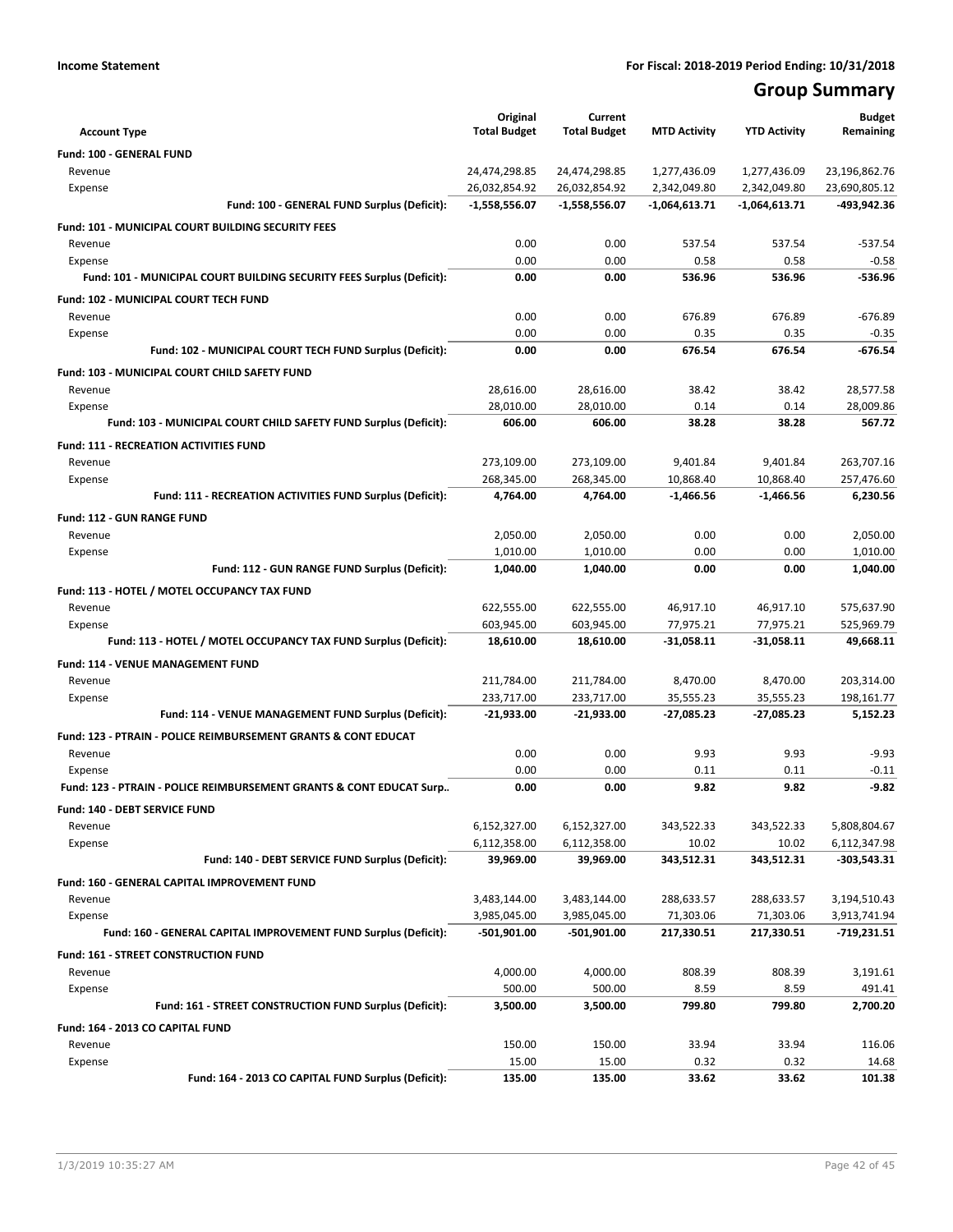## **Group Summary**

| <b>Account Type</b>                                                   | Original<br><b>Total Budget</b> | Current<br><b>Total Budget</b> | <b>MTD Activity</b> | <b>YTD Activity</b> | <b>Budget</b><br>Remaining |
|-----------------------------------------------------------------------|---------------------------------|--------------------------------|---------------------|---------------------|----------------------------|
| Fund: 100 - GENERAL FUND                                              |                                 |                                |                     |                     |                            |
| Revenue                                                               | 24,474,298.85                   | 24,474,298.85                  | 1,277,436.09        | 1,277,436.09        | 23,196,862.76              |
| Expense                                                               | 26,032,854.92                   | 26,032,854.92                  | 2,342,049.80        | 2,342,049.80        | 23,690,805.12              |
| Fund: 100 - GENERAL FUND Surplus (Deficit):                           | -1,558,556.07                   | -1,558,556.07                  | -1,064,613.71       | $-1,064,613.71$     | -493,942.36                |
| <b>Fund: 101 - MUNICIPAL COURT BUILDING SECURITY FEES</b>             |                                 |                                |                     |                     |                            |
| Revenue                                                               | 0.00                            | 0.00                           | 537.54              | 537.54              | $-537.54$                  |
| Expense                                                               | 0.00                            | 0.00                           | 0.58                | 0.58                | $-0.58$                    |
| Fund: 101 - MUNICIPAL COURT BUILDING SECURITY FEES Surplus (Deficit): | 0.00                            | 0.00                           | 536.96              | 536.96              | -536.96                    |
| <b>Fund: 102 - MUNICIPAL COURT TECH FUND</b>                          |                                 |                                |                     |                     |                            |
| Revenue                                                               | 0.00                            | 0.00                           | 676.89              | 676.89              | $-676.89$                  |
| Expense                                                               | 0.00                            | 0.00                           | 0.35                | 0.35                | $-0.35$                    |
| Fund: 102 - MUNICIPAL COURT TECH FUND Surplus (Deficit):              | 0.00                            | 0.00                           | 676.54              | 676.54              | $-676.54$                  |
| <b>Fund: 103 - MUNICIPAL COURT CHILD SAFETY FUND</b>                  |                                 |                                |                     |                     |                            |
| Revenue                                                               | 28,616.00                       | 28,616.00                      | 38.42               | 38.42               | 28,577.58                  |
| Expense                                                               | 28,010.00                       | 28,010.00                      | 0.14                | 0.14                | 28,009.86                  |
| Fund: 103 - MUNICIPAL COURT CHILD SAFETY FUND Surplus (Deficit):      | 606.00                          | 606.00                         | 38.28               | 38.28               | 567.72                     |
| <b>Fund: 111 - RECREATION ACTIVITIES FUND</b>                         |                                 |                                |                     |                     |                            |
| Revenue                                                               | 273,109.00                      | 273,109.00                     | 9,401.84            | 9,401.84            | 263,707.16                 |
| Expense                                                               | 268.345.00                      | 268.345.00                     | 10,868.40           | 10,868.40           | 257,476.60                 |
| Fund: 111 - RECREATION ACTIVITIES FUND Surplus (Deficit):             | 4,764.00                        | 4,764.00                       | $-1,466.56$         | -1,466.56           | 6,230.56                   |
| Fund: 112 - GUN RANGE FUND                                            |                                 |                                |                     |                     |                            |
| Revenue                                                               | 2,050.00                        | 2,050.00                       | 0.00                | 0.00                | 2,050.00                   |
| Expense                                                               | 1,010.00                        | 1,010.00                       | 0.00                | 0.00                | 1,010.00                   |
| Fund: 112 - GUN RANGE FUND Surplus (Deficit):                         | 1,040.00                        | 1,040.00                       | 0.00                | 0.00                | 1,040.00                   |
| Fund: 113 - HOTEL / MOTEL OCCUPANCY TAX FUND                          |                                 |                                |                     |                     |                            |
| Revenue                                                               | 622,555.00                      | 622,555.00                     | 46,917.10           | 46,917.10           | 575,637.90                 |
| Expense                                                               | 603,945.00                      | 603,945.00                     | 77,975.21           | 77,975.21           | 525,969.79                 |
| Fund: 113 - HOTEL / MOTEL OCCUPANCY TAX FUND Surplus (Deficit):       | 18,610.00                       | 18,610.00                      | $-31,058.11$        | -31,058.11          | 49,668.11                  |
| Fund: 114 - VENUE MANAGEMENT FUND                                     |                                 |                                |                     |                     |                            |
| Revenue                                                               | 211,784.00                      | 211,784.00                     | 8,470.00            | 8,470.00            | 203,314.00                 |
| Expense                                                               | 233,717.00                      | 233,717.00                     | 35,555.23           | 35,555.23           | 198,161.77                 |
| Fund: 114 - VENUE MANAGEMENT FUND Surplus (Deficit):                  | $-21,933.00$                    | $-21,933.00$                   | $-27,085.23$        | -27,085.23          | 5,152.23                   |
| Fund: 123 - PTRAIN - POLICE REIMBURSEMENT GRANTS & CONT EDUCAT        |                                 |                                |                     |                     |                            |
| Revenue                                                               | 0.00                            | 0.00                           | 9.93                | 9.93                | $-9.93$                    |
| Expense                                                               | 0.00                            | 0.00                           | 0.11                | 0.11                | $-0.11$                    |
| Fund: 123 - PTRAIN - POLICE REIMBURSEMENT GRANTS & CONT EDUCAT Surp   | 0.00                            | 0.00                           | 9.82                | 9.82                | $-9.82$                    |
| Fund: 140 - DEBT SERVICE FUND                                         |                                 |                                |                     |                     |                            |
| Revenue                                                               | 6,152,327.00                    | 6,152,327.00                   | 343,522.33          | 343,522.33          | 5,808,804.67               |
| Expense                                                               | 6,112,358.00                    | 6,112,358.00                   | 10.02               | 10.02               | 6,112,347.98               |
| Fund: 140 - DEBT SERVICE FUND Surplus (Deficit):                      | 39,969.00                       | 39,969.00                      | 343,512.31          | 343,512.31          | -303,543.31                |
| Fund: 160 - GENERAL CAPITAL IMPROVEMENT FUND                          |                                 |                                |                     |                     |                            |
| Revenue                                                               | 3,483,144.00                    | 3,483,144.00                   | 288,633.57          | 288,633.57          | 3,194,510.43               |
| Expense                                                               | 3,985,045.00                    | 3,985,045.00                   | 71,303.06           | 71,303.06           | 3,913,741.94               |
| Fund: 160 - GENERAL CAPITAL IMPROVEMENT FUND Surplus (Deficit):       | $-501,901.00$                   | $-501,901.00$                  | 217,330.51          | 217,330.51          | -719,231.51                |
| Fund: 161 - STREET CONSTRUCTION FUND                                  |                                 |                                |                     |                     |                            |
| Revenue                                                               | 4,000.00                        | 4,000.00                       | 808.39              | 808.39              | 3,191.61                   |
| Expense                                                               | 500.00                          | 500.00                         | 8.59                | 8.59                | 491.41                     |
| Fund: 161 - STREET CONSTRUCTION FUND Surplus (Deficit):               | 3,500.00                        | 3,500.00                       | 799.80              | 799.80              | 2,700.20                   |
| Fund: 164 - 2013 CO CAPITAL FUND                                      |                                 |                                |                     |                     |                            |
| Revenue                                                               | 150.00                          | 150.00                         | 33.94               | 33.94               | 116.06                     |
| Expense                                                               | 15.00                           | 15.00                          | 0.32                | 0.32                | 14.68                      |
| Fund: 164 - 2013 CO CAPITAL FUND Surplus (Deficit):                   | 135.00                          | 135.00                         | 33.62               | 33.62               | 101.38                     |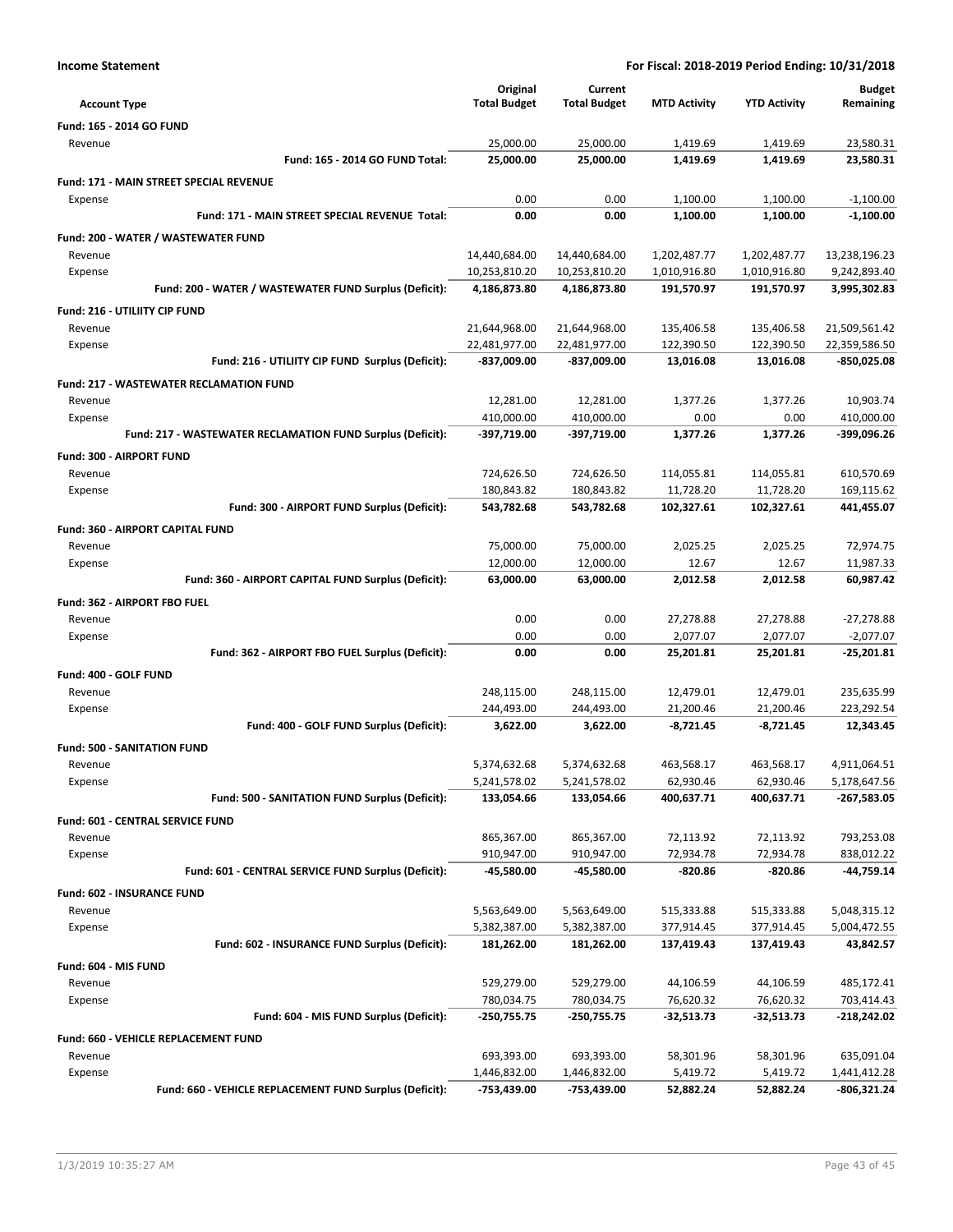| <b>Income Statement</b>                                        | For Fiscal: 2018-2019 Period Ending: 10/31/2018 |                        |                     |                     |                        |
|----------------------------------------------------------------|-------------------------------------------------|------------------------|---------------------|---------------------|------------------------|
|                                                                | Original                                        | Current                |                     |                     | <b>Budget</b>          |
| <b>Account Type</b>                                            | <b>Total Budget</b>                             | <b>Total Budget</b>    | <b>MTD Activity</b> | <b>YTD Activity</b> | Remaining              |
| Fund: 165 - 2014 GO FUND                                       |                                                 |                        |                     |                     |                        |
| Revenue                                                        | 25,000.00                                       | 25,000.00              | 1,419.69            | 1,419.69            | 23,580.31              |
| Fund: 165 - 2014 GO FUND Total:                                | 25,000.00                                       | 25,000.00              | 1,419.69            | 1,419.69            | 23,580.31              |
| Fund: 171 - MAIN STREET SPECIAL REVENUE                        |                                                 |                        |                     |                     |                        |
| Expense                                                        | 0.00                                            | 0.00                   | 1,100.00            | 1,100.00            | $-1,100.00$            |
| Fund: 171 - MAIN STREET SPECIAL REVENUE Total:                 | 0.00                                            | 0.00                   | 1,100.00            | 1,100.00            | $-1,100.00$            |
| Fund: 200 - WATER / WASTEWATER FUND                            |                                                 |                        |                     |                     |                        |
| Revenue                                                        | 14,440,684.00                                   | 14,440,684.00          | 1,202,487.77        | 1,202,487.77        | 13,238,196.23          |
| Expense                                                        | 10,253,810.20                                   | 10,253,810.20          | 1,010,916.80        | 1,010,916.80        | 9,242,893.40           |
| Fund: 200 - WATER / WASTEWATER FUND Surplus (Deficit):         | 4,186,873.80                                    | 4,186,873.80           | 191,570.97          | 191,570.97          | 3,995,302.83           |
| Fund: 216 - UTILIITY CIP FUND                                  |                                                 |                        |                     |                     |                        |
| Revenue                                                        | 21,644,968.00                                   | 21,644,968.00          | 135,406.58          | 135,406.58          | 21,509,561.42          |
| Expense                                                        | 22,481,977.00                                   | 22,481,977.00          | 122,390.50          | 122,390.50          | 22,359,586.50          |
| Fund: 216 - UTILIITY CIP FUND Surplus (Deficit):               | -837,009.00                                     | -837,009.00            | 13,016.08           | 13,016.08           | -850,025.08            |
| <b>Fund: 217 - WASTEWATER RECLAMATION FUND</b>                 |                                                 |                        |                     |                     |                        |
| Revenue                                                        | 12,281.00                                       | 12,281.00              | 1,377.26            | 1,377.26            | 10,903.74              |
| Expense                                                        | 410,000.00                                      | 410,000.00             | 0.00                | 0.00                | 410,000.00             |
| Fund: 217 - WASTEWATER RECLAMATION FUND Surplus (Deficit):     | -397,719.00                                     | -397,719.00            | 1,377.26            | 1.377.26            | -399,096.26            |
| Fund: 300 - AIRPORT FUND                                       |                                                 |                        |                     |                     |                        |
| Revenue                                                        | 724,626.50                                      | 724,626.50             | 114,055.81          | 114,055.81          | 610,570.69             |
| Expense                                                        | 180,843.82                                      | 180,843.82             | 11,728.20           | 11,728.20           | 169,115.62             |
| Fund: 300 - AIRPORT FUND Surplus (Deficit):                    | 543,782.68                                      | 543,782.68             | 102,327.61          | 102,327.61          | 441,455.07             |
|                                                                |                                                 |                        |                     |                     |                        |
| Fund: 360 - AIRPORT CAPITAL FUND                               |                                                 |                        |                     |                     |                        |
| Revenue                                                        | 75,000.00<br>12,000.00                          | 75,000.00              | 2,025.25<br>12.67   | 2,025.25<br>12.67   | 72,974.75              |
| Expense<br>Fund: 360 - AIRPORT CAPITAL FUND Surplus (Deficit): | 63,000.00                                       | 12,000.00<br>63,000.00 | 2,012.58            | 2,012.58            | 11,987.33<br>60,987.42 |
|                                                                |                                                 |                        |                     |                     |                        |
| Fund: 362 - AIRPORT FBO FUEL                                   |                                                 |                        |                     |                     |                        |
| Revenue                                                        | 0.00                                            | 0.00                   | 27,278.88           | 27,278.88           | $-27,278.88$           |
| Expense                                                        | 0.00<br>0.00                                    | 0.00<br>0.00           | 2,077.07            | 2,077.07            | $-2,077.07$            |
| Fund: 362 - AIRPORT FBO FUEL Surplus (Deficit):                |                                                 |                        | 25,201.81           | 25,201.81           | $-25,201.81$           |
| Fund: 400 - GOLF FUND                                          |                                                 |                        |                     |                     |                        |
| Revenue                                                        | 248,115.00                                      | 248,115.00             | 12,479.01           | 12,479.01           | 235,635.99             |
| Expense                                                        | 244,493.00                                      | 244,493.00             | 21,200.46           | 21,200.46           | 223,292.54             |
| Fund: 400 - GOLF FUND Surplus (Deficit):                       | 3,622.00                                        | 3,622.00               | $-8,721.45$         | $-8,721.45$         | 12,343.45              |
| <b>Fund: 500 - SANITATION FUND</b>                             |                                                 |                        |                     |                     |                        |
| Revenue                                                        | 5,374,632.68                                    | 5,374,632.68           | 463,568.17          | 463,568.17          | 4,911,064.51           |
| Expense                                                        | 5,241,578.02                                    | 5,241,578.02           | 62,930.46           | 62,930.46           | 5,178,647.56           |
| Fund: 500 - SANITATION FUND Surplus (Deficit):                 | 133,054.66                                      | 133,054.66             | 400,637.71          | 400,637.71          | -267,583.05            |
| Fund: 601 - CENTRAL SERVICE FUND                               |                                                 |                        |                     |                     |                        |
| Revenue                                                        | 865,367.00                                      | 865,367.00             | 72,113.92           | 72,113.92           | 793,253.08             |
| Expense                                                        | 910,947.00                                      | 910,947.00             | 72,934.78           | 72,934.78           | 838,012.22             |
| Fund: 601 - CENTRAL SERVICE FUND Surplus (Deficit):            | -45,580.00                                      | -45,580.00             | -820.86             | $-820.86$           | -44,759.14             |
| Fund: 602 - INSURANCE FUND                                     |                                                 |                        |                     |                     |                        |
| Revenue                                                        | 5,563,649.00                                    | 5,563,649.00           | 515,333.88          | 515,333.88          | 5,048,315.12           |
| Expense                                                        | 5,382,387.00                                    | 5,382,387.00           | 377,914.45          | 377,914.45          | 5,004,472.55           |
| Fund: 602 - INSURANCE FUND Surplus (Deficit):                  | 181,262.00                                      | 181,262.00             | 137,419.43          | 137,419.43          | 43,842.57              |
| Fund: 604 - MIS FUND                                           |                                                 |                        |                     |                     |                        |
| Revenue                                                        | 529,279.00                                      | 529,279.00             | 44,106.59           | 44,106.59           | 485,172.41             |
| Expense                                                        | 780,034.75                                      | 780,034.75             | 76,620.32           | 76,620.32           | 703,414.43             |
| Fund: 604 - MIS FUND Surplus (Deficit):                        | -250,755.75                                     | -250,755.75            | -32,513.73          | -32,513.73          | -218,242.02            |
| Fund: 660 - VEHICLE REPLACEMENT FUND                           |                                                 |                        |                     |                     |                        |
| Revenue                                                        | 693,393.00                                      | 693,393.00             | 58,301.96           | 58,301.96           | 635,091.04             |
| Expense                                                        | 1,446,832.00                                    | 1,446,832.00           | 5,419.72            | 5,419.72            | 1,441,412.28           |
| Fund: 660 - VEHICLE REPLACEMENT FUND Surplus (Deficit):        | -753,439.00                                     | -753,439.00            | 52,882.24           | 52,882.24           | $-806,321.24$          |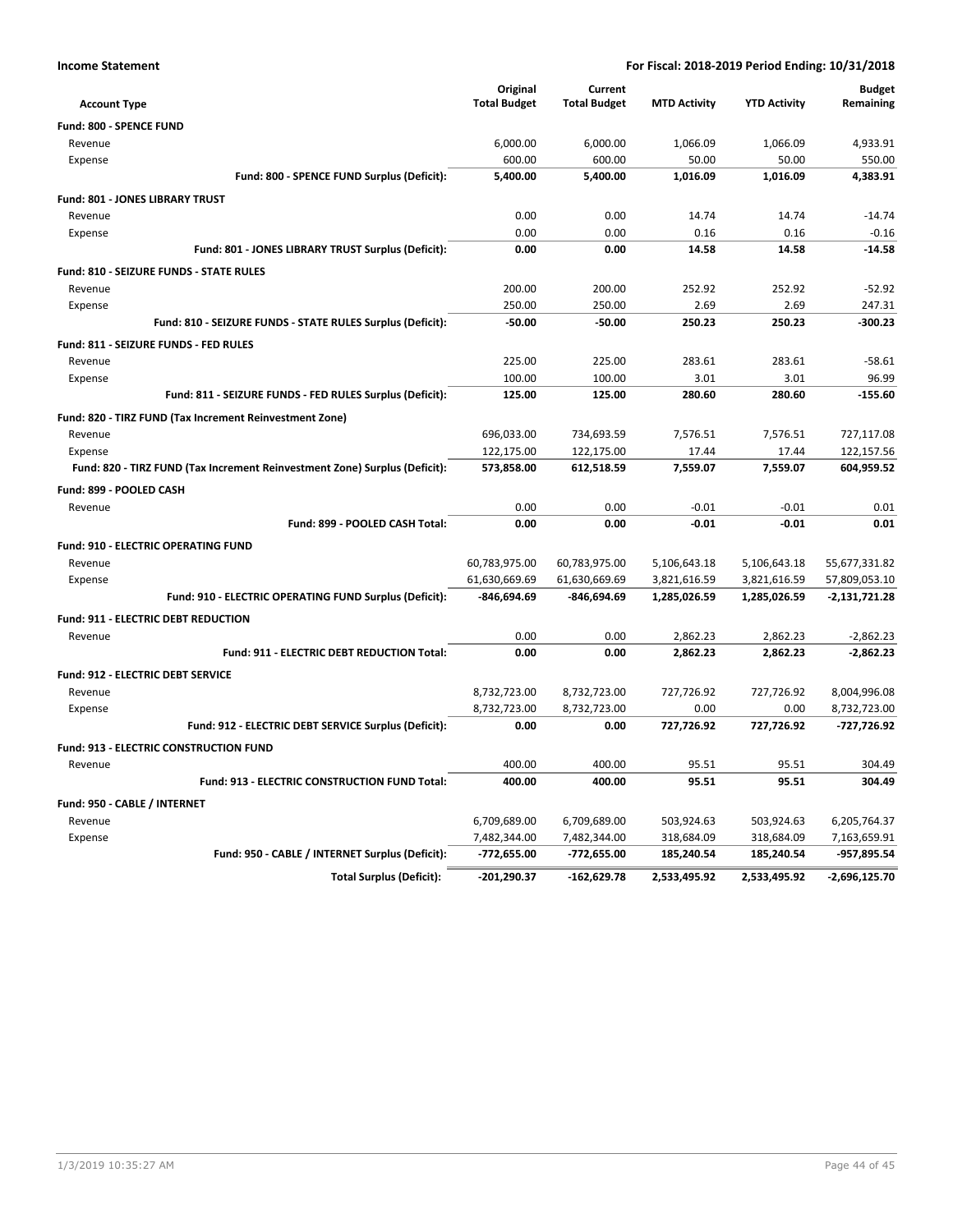| <b>Account Type</b>                                                        | Original<br><b>Total Budget</b> | Current<br><b>Total Budget</b> | <b>MTD Activity</b> | <b>YTD Activity</b> | <b>Budget</b><br>Remaining |
|----------------------------------------------------------------------------|---------------------------------|--------------------------------|---------------------|---------------------|----------------------------|
| Fund: 800 - SPENCE FUND                                                    |                                 |                                |                     |                     |                            |
| Revenue                                                                    | 6,000.00                        | 6,000.00                       | 1,066.09            | 1,066.09            | 4,933.91                   |
| Expense                                                                    | 600.00                          | 600.00                         | 50.00               | 50.00               | 550.00                     |
| Fund: 800 - SPENCE FUND Surplus (Deficit):                                 | 5,400.00                        | 5,400.00                       | 1,016.09            | 1,016.09            | 4,383.91                   |
| Fund: 801 - JONES LIBRARY TRUST                                            |                                 |                                |                     |                     |                            |
| Revenue                                                                    | 0.00                            | 0.00                           | 14.74               | 14.74               | $-14.74$                   |
| Expense                                                                    | 0.00                            | 0.00                           | 0.16                | 0.16                | $-0.16$                    |
| Fund: 801 - JONES LIBRARY TRUST Surplus (Deficit):                         | 0.00                            | 0.00                           | 14.58               | 14.58               | $-14.58$                   |
| Fund: 810 - SEIZURE FUNDS - STATE RULES                                    |                                 |                                |                     |                     |                            |
| Revenue                                                                    | 200.00                          | 200.00                         | 252.92              | 252.92              | $-52.92$                   |
| Expense                                                                    | 250.00                          | 250.00                         | 2.69                | 2.69                | 247.31                     |
| Fund: 810 - SEIZURE FUNDS - STATE RULES Surplus (Deficit):                 | $-50.00$                        | $-50.00$                       | 250.23              | 250.23              | $-300.23$                  |
| Fund: 811 - SEIZURE FUNDS - FED RULES                                      |                                 |                                |                     |                     |                            |
| Revenue                                                                    | 225.00                          | 225.00                         | 283.61              | 283.61              | $-58.61$                   |
| Expense                                                                    | 100.00                          | 100.00                         | 3.01                | 3.01                | 96.99                      |
| Fund: 811 - SEIZURE FUNDS - FED RULES Surplus (Deficit):                   | 125.00                          | 125.00                         | 280.60              | 280.60              | $-155.60$                  |
| Fund: 820 - TIRZ FUND (Tax Increment Reinvestment Zone)                    |                                 |                                |                     |                     |                            |
| Revenue                                                                    | 696,033.00                      | 734,693.59                     | 7,576.51            | 7,576.51            | 727,117.08                 |
| Expense                                                                    | 122,175.00                      | 122,175.00                     | 17.44               | 17.44               | 122,157.56                 |
| Fund: 820 - TIRZ FUND (Tax Increment Reinvestment Zone) Surplus (Deficit): | 573,858.00                      | 612,518.59                     | 7,559.07            | 7,559.07            | 604,959.52                 |
| Fund: 899 - POOLED CASH                                                    |                                 |                                |                     |                     |                            |
| Revenue                                                                    | 0.00                            | 0.00                           | $-0.01$             | $-0.01$             | 0.01                       |
| Fund: 899 - POOLED CASH Total:                                             | 0.00                            | 0.00                           | $-0.01$             | $-0.01$             | 0.01                       |
| <b>Fund: 910 - ELECTRIC OPERATING FUND</b>                                 |                                 |                                |                     |                     |                            |
| Revenue                                                                    | 60,783,975.00                   | 60,783,975.00                  | 5,106,643.18        | 5,106,643.18        | 55,677,331.82              |
| Expense                                                                    | 61,630,669.69                   | 61,630,669.69                  | 3,821,616.59        | 3,821,616.59        | 57,809,053.10              |
| Fund: 910 - ELECTRIC OPERATING FUND Surplus (Deficit):                     | -846,694.69                     | -846,694.69                    | 1,285,026.59        | 1,285,026.59        | $-2,131,721.28$            |
| <b>Fund: 911 - ELECTRIC DEBT REDUCTION</b>                                 |                                 |                                |                     |                     |                            |
| Revenue                                                                    | 0.00                            | 0.00                           | 2,862.23            | 2,862.23            | $-2,862.23$                |
| Fund: 911 - ELECTRIC DEBT REDUCTION Total:                                 | 0.00                            | 0.00                           | 2,862.23            | 2,862.23            | $-2,862.23$                |
| <b>Fund: 912 - ELECTRIC DEBT SERVICE</b>                                   |                                 |                                |                     |                     |                            |
| Revenue                                                                    | 8,732,723.00                    | 8,732,723.00                   | 727,726.92          | 727,726.92          | 8,004,996.08               |
| Expense                                                                    | 8,732,723.00                    | 8,732,723.00                   | 0.00                | 0.00                | 8,732,723.00               |
| Fund: 912 - ELECTRIC DEBT SERVICE Surplus (Deficit):                       | 0.00                            | 0.00                           | 727,726.92          | 727,726.92          | -727,726.92                |
| Fund: 913 - ELECTRIC CONSTRUCTION FUND                                     |                                 |                                |                     |                     |                            |
| Revenue                                                                    | 400.00                          | 400.00                         | 95.51               | 95.51               | 304.49                     |
| Fund: 913 - ELECTRIC CONSTRUCTION FUND Total:                              | 400.00                          | 400.00                         | 95.51               | 95.51               | 304.49                     |
| Fund: 950 - CABLE / INTERNET                                               |                                 |                                |                     |                     |                            |
| Revenue                                                                    | 6,709,689.00                    | 6,709,689.00                   | 503,924.63          | 503,924.63          | 6,205,764.37               |
| Expense                                                                    | 7,482,344.00                    | 7,482,344.00                   | 318,684.09          | 318,684.09          | 7,163,659.91               |
| Fund: 950 - CABLE / INTERNET Surplus (Deficit):                            | -772,655.00                     | -772,655.00                    | 185,240.54          | 185,240.54          | -957,895.54                |
| <b>Total Surplus (Deficit):</b>                                            | -201,290.37                     | $-162,629.78$                  | 2,533,495.92        | 2,533,495.92        | $-2,696,125.70$            |